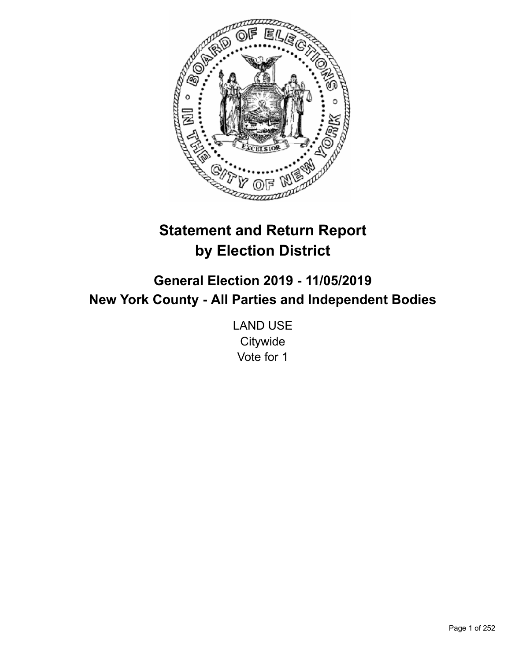

# **Statement and Return Report by Election District**

**General Election 2019 - 11/05/2019 New York County - All Parties and Independent Bodies**

> LAND USE **Citywide** Vote for 1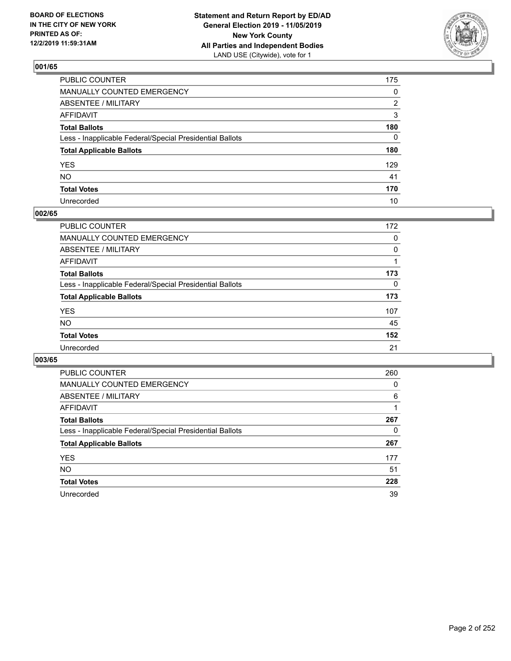

| PUBLIC COUNTER                                           | 175          |
|----------------------------------------------------------|--------------|
| MANUALLY COUNTED EMERGENCY                               | $\mathbf{0}$ |
| ABSENTEE / MILITARY                                      | 2            |
| AFFIDAVIT                                                | 3            |
| Total Ballots                                            | 180          |
| Less - Inapplicable Federal/Special Presidential Ballots | $\Omega$     |
| <b>Total Applicable Ballots</b>                          | 180          |
| YES                                                      | 129          |
| NO.                                                      | 41           |
| <b>Total Votes</b>                                       | 170          |
| Unrecorded                                               | 10           |

## **002/65**

| <b>PUBLIC COUNTER</b>                                    | 172      |
|----------------------------------------------------------|----------|
| MANUALLY COUNTED EMERGENCY                               | 0        |
| ABSENTEE / MILITARY                                      | 0        |
| AFFIDAVIT                                                |          |
| <b>Total Ballots</b>                                     | 173      |
| Less - Inapplicable Federal/Special Presidential Ballots | $\Omega$ |
| <b>Total Applicable Ballots</b>                          | 173      |
| <b>YES</b>                                               | 107      |
| <b>NO</b>                                                | 45       |
| <b>Total Votes</b>                                       | 152      |
| Unrecorded                                               | 21       |

| <b>PUBLIC COUNTER</b>                                    | 260 |
|----------------------------------------------------------|-----|
| MANUALLY COUNTED EMERGENCY                               | 0   |
| ABSENTEE / MILITARY                                      | 6   |
| AFFIDAVIT                                                |     |
| <b>Total Ballots</b>                                     | 267 |
| Less - Inapplicable Federal/Special Presidential Ballots | 0   |
| <b>Total Applicable Ballots</b>                          | 267 |
| <b>YES</b>                                               | 177 |
| <b>NO</b>                                                | 51  |
| <b>Total Votes</b>                                       | 228 |
| Unrecorded                                               | 39  |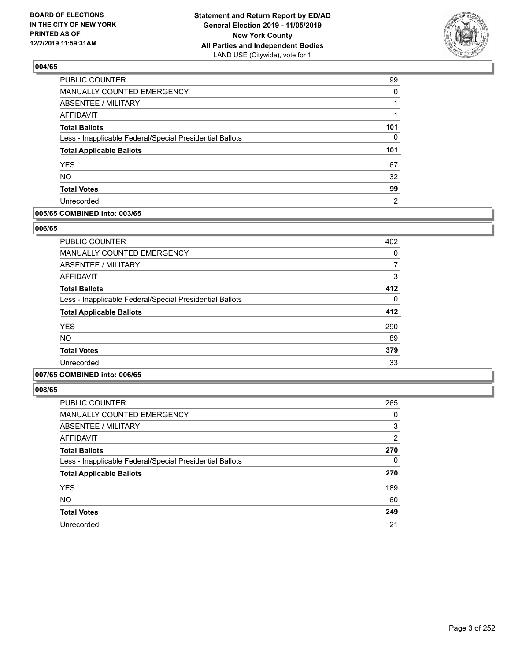

| PUBLIC COUNTER                                           | 99       |
|----------------------------------------------------------|----------|
| MANUALLY COUNTED EMERGENCY                               | $\Omega$ |
| <b>ABSENTEE / MILITARY</b>                               |          |
| <b>AFFIDAVIT</b>                                         |          |
| <b>Total Ballots</b>                                     | 101      |
| Less - Inapplicable Federal/Special Presidential Ballots | $\Omega$ |
| <b>Total Applicable Ballots</b>                          | 101      |
| <b>YES</b>                                               | 67       |
| <b>NO</b>                                                | 32       |
| <b>Total Votes</b>                                       | 99       |
|                                                          |          |

#### **005/65 COMBINED into: 003/65**

#### **006/65**

| <b>PUBLIC COUNTER</b>                                    | 402 |
|----------------------------------------------------------|-----|
| <b>MANUALLY COUNTED EMERGENCY</b>                        | 0   |
| ABSENTEE / MILITARY                                      | 7   |
| <b>AFFIDAVIT</b>                                         | 3   |
| <b>Total Ballots</b>                                     | 412 |
| Less - Inapplicable Federal/Special Presidential Ballots | 0   |
| <b>Total Applicable Ballots</b>                          | 412 |
| <b>YES</b>                                               | 290 |
| NO.                                                      | 89  |
| <b>Total Votes</b>                                       | 379 |
| Unrecorded                                               | 33  |
|                                                          |     |

## **007/65 COMBINED into: 006/65**

| PUBLIC COUNTER                                           | 265 |
|----------------------------------------------------------|-----|
| MANUALLY COUNTED EMERGENCY                               | 0   |
| ABSENTEE / MILITARY                                      | 3   |
| AFFIDAVIT                                                | 2   |
| <b>Total Ballots</b>                                     | 270 |
| Less - Inapplicable Federal/Special Presidential Ballots | 0   |
| <b>Total Applicable Ballots</b>                          | 270 |
| <b>YES</b>                                               | 189 |
| <b>NO</b>                                                | 60  |
| <b>Total Votes</b>                                       | 249 |
| Unrecorded                                               | 21  |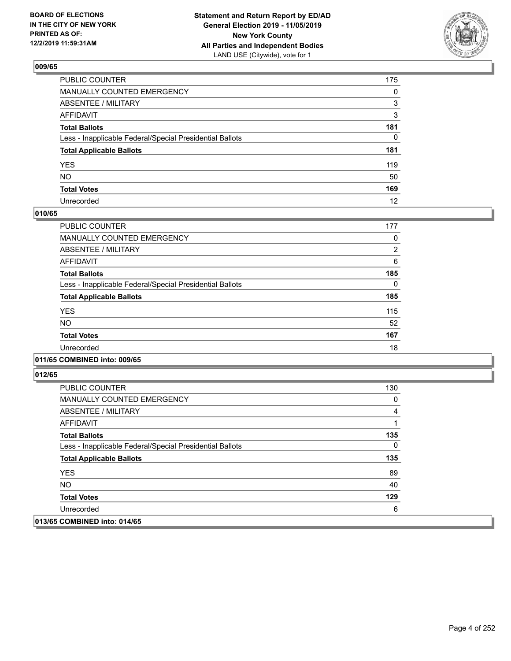

| PUBLIC COUNTER                                           | 175          |
|----------------------------------------------------------|--------------|
| MANUALLY COUNTED EMERGENCY                               | $\mathbf{0}$ |
| ABSENTEE / MILITARY                                      | 3            |
| AFFIDAVIT                                                | 3            |
| Total Ballots                                            | 181          |
| Less - Inapplicable Federal/Special Presidential Ballots | $\mathbf{0}$ |
| <b>Total Applicable Ballots</b>                          | 181          |
| YES                                                      | 119          |
| NΟ                                                       | 50           |
| <b>Total Votes</b>                                       | 169          |
| Unrecorded                                               | 12           |

#### **010/65**

| <b>PUBLIC COUNTER</b>                                    | 177            |
|----------------------------------------------------------|----------------|
| <b>MANUALLY COUNTED EMERGENCY</b>                        | 0              |
| ABSENTEE / MILITARY                                      | $\overline{2}$ |
| <b>AFFIDAVIT</b>                                         | 6              |
| <b>Total Ballots</b>                                     | 185            |
| Less - Inapplicable Federal/Special Presidential Ballots | 0              |
| <b>Total Applicable Ballots</b>                          | 185            |
| <b>YES</b>                                               | 115            |
| <b>NO</b>                                                | 52             |
| <b>Total Votes</b>                                       | 167            |
| Unrecorded                                               | 18             |
|                                                          |                |

#### **011/65 COMBINED into: 009/65**

| <b>PUBLIC COUNTER</b>                                    | 130 |
|----------------------------------------------------------|-----|
| <b>MANUALLY COUNTED EMERGENCY</b>                        | 0   |
| ABSENTEE / MILITARY                                      | 4   |
| AFFIDAVIT                                                |     |
| <b>Total Ballots</b>                                     | 135 |
| Less - Inapplicable Federal/Special Presidential Ballots | 0   |
| <b>Total Applicable Ballots</b>                          | 135 |
| <b>YES</b>                                               | 89  |
| NO.                                                      | 40  |
| <b>Total Votes</b>                                       | 129 |
| Unrecorded                                               | 6   |
| 013/65 COMBINED into: 014/65                             |     |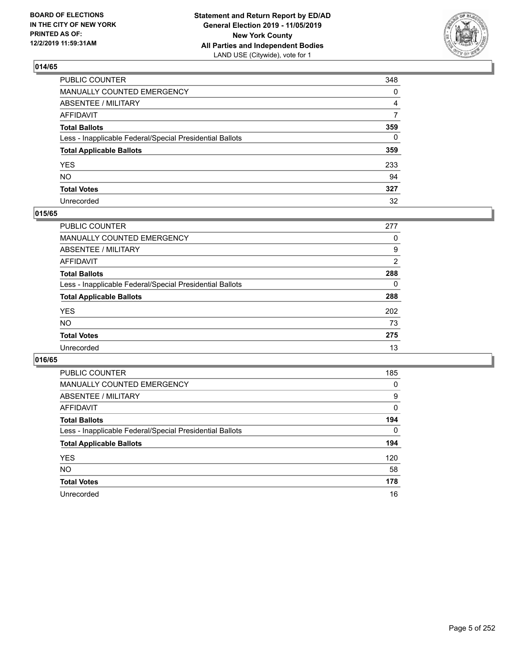

| PUBLIC COUNTER                                           | 348          |
|----------------------------------------------------------|--------------|
| MANUALLY COUNTED EMERGENCY                               | 0            |
| ABSENTEE / MILITARY                                      | 4            |
| AFFIDAVIT                                                | 7            |
| Total Ballots                                            | 359          |
| Less - Inapplicable Federal/Special Presidential Ballots | $\mathbf{0}$ |
| <b>Total Applicable Ballots</b>                          | 359          |
| YES                                                      | 233          |
| NO.                                                      | 94           |
| <b>Total Votes</b>                                       | 327          |
| Unrecorded                                               | 32           |

#### **015/65**

| PUBLIC COUNTER                                           | 277      |
|----------------------------------------------------------|----------|
| MANUALLY COUNTED EMERGENCY                               | 0        |
| ABSENTEE / MILITARY                                      | 9        |
| AFFIDAVIT                                                | 2        |
| <b>Total Ballots</b>                                     | 288      |
| Less - Inapplicable Federal/Special Presidential Ballots | $\Omega$ |
| <b>Total Applicable Ballots</b>                          | 288      |
| <b>YES</b>                                               | 202      |
| <b>NO</b>                                                | 73       |
| <b>Total Votes</b>                                       | 275      |
| Unrecorded                                               | 13       |

| <b>PUBLIC COUNTER</b>                                    | 185      |
|----------------------------------------------------------|----------|
| MANUALLY COUNTED EMERGENCY                               | 0        |
| ABSENTEE / MILITARY                                      | 9        |
| AFFIDAVIT                                                | 0        |
| <b>Total Ballots</b>                                     | 194      |
| Less - Inapplicable Federal/Special Presidential Ballots | $\Omega$ |
| <b>Total Applicable Ballots</b>                          | 194      |
| <b>YES</b>                                               | 120      |
| <b>NO</b>                                                | 58       |
| <b>Total Votes</b>                                       | 178      |
| Unrecorded                                               | 16       |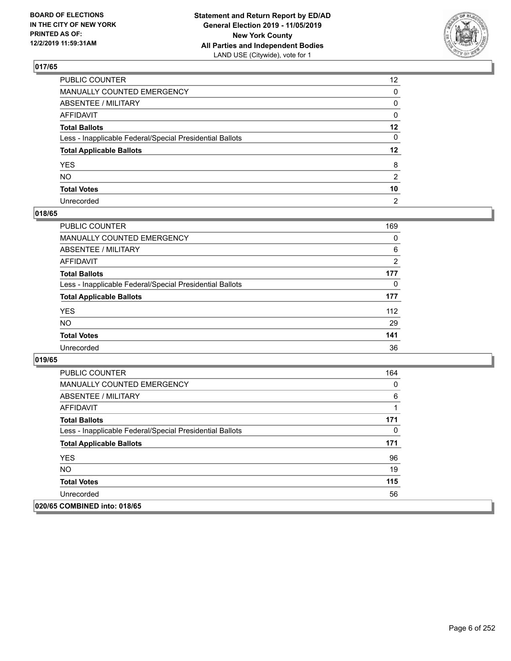

| PUBLIC COUNTER                                           | 12 <sup>2</sup> |
|----------------------------------------------------------|-----------------|
| MANUALLY COUNTED EMERGENCY                               | $\mathbf{0}$    |
| ABSENTEE / MILITARY                                      | 0               |
| AFFIDAVIT                                                | 0               |
| Total Ballots                                            | $12 \,$         |
| Less - Inapplicable Federal/Special Presidential Ballots | $\mathbf{0}$    |
| <b>Total Applicable Ballots</b>                          | $12 \,$         |
| YES                                                      | 8               |
| NO.                                                      | 2               |
| <b>Total Votes</b>                                       | 10              |
| Unrecorded                                               | $\overline{2}$  |

## **018/65**

| <b>PUBLIC COUNTER</b>                                    | 169 |
|----------------------------------------------------------|-----|
| <b>MANUALLY COUNTED EMERGENCY</b>                        | 0   |
| ABSENTEE / MILITARY                                      | 6   |
| AFFIDAVIT                                                | 2   |
| <b>Total Ballots</b>                                     | 177 |
| Less - Inapplicable Federal/Special Presidential Ballots | 0   |
| <b>Total Applicable Ballots</b>                          | 177 |
| <b>YES</b>                                               | 112 |
| <b>NO</b>                                                | 29  |
| <b>Total Votes</b>                                       | 141 |
| Unrecorded                                               | 36  |

| <b>PUBLIC COUNTER</b>                                    | 164 |
|----------------------------------------------------------|-----|
| <b>MANUALLY COUNTED EMERGENCY</b>                        | 0   |
| ABSENTEE / MILITARY                                      | 6   |
| AFFIDAVIT                                                |     |
| <b>Total Ballots</b>                                     | 171 |
| Less - Inapplicable Federal/Special Presidential Ballots | 0   |
| <b>Total Applicable Ballots</b>                          | 171 |
| <b>YES</b>                                               | 96  |
| NO.                                                      | 19  |
| <b>Total Votes</b>                                       | 115 |
| Unrecorded                                               | 56  |
| 020/65 COMBINED into: 018/65                             |     |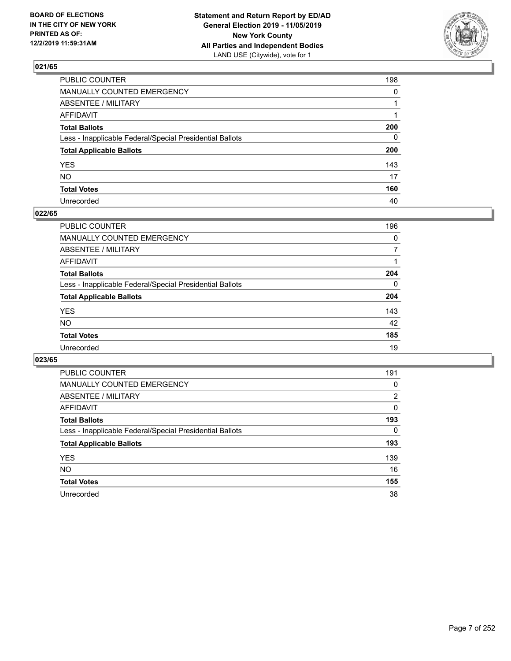

| PUBLIC COUNTER                                           | 198          |
|----------------------------------------------------------|--------------|
| MANUALLY COUNTED EMERGENCY                               | $\mathbf{0}$ |
| ABSENTEE / MILITARY                                      |              |
| AFFIDAVIT                                                |              |
| Total Ballots                                            | 200          |
| Less - Inapplicable Federal/Special Presidential Ballots | $\mathbf{0}$ |
| <b>Total Applicable Ballots</b>                          | 200          |
| YES                                                      | 143          |
| NO.                                                      | 17           |
| <b>Total Votes</b>                                       | 160          |
| Unrecorded                                               | 40           |

## **022/65**

| PUBLIC COUNTER                                           | 196      |
|----------------------------------------------------------|----------|
| MANUALLY COUNTED EMERGENCY                               | $\Omega$ |
| ABSENTEE / MILITARY                                      |          |
| AFFIDAVIT                                                |          |
| <b>Total Ballots</b>                                     | 204      |
| Less - Inapplicable Federal/Special Presidential Ballots | $\Omega$ |
| <b>Total Applicable Ballots</b>                          | 204      |
| <b>YES</b>                                               | 143      |
| <b>NO</b>                                                | 42       |
| <b>Total Votes</b>                                       | 185      |
| Unrecorded                                               | 19       |

| <b>PUBLIC COUNTER</b>                                    | 191 |
|----------------------------------------------------------|-----|
| MANUALLY COUNTED EMERGENCY                               | 0   |
| ABSENTEE / MILITARY                                      | 2   |
| AFFIDAVIT                                                | 0   |
| <b>Total Ballots</b>                                     | 193 |
| Less - Inapplicable Federal/Special Presidential Ballots | 0   |
| <b>Total Applicable Ballots</b>                          | 193 |
| <b>YES</b>                                               | 139 |
| NO.                                                      | 16  |
| <b>Total Votes</b>                                       | 155 |
| Unrecorded                                               | 38  |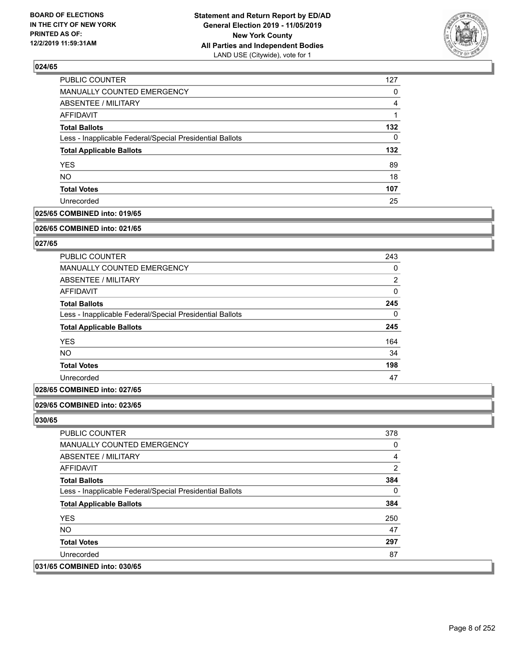

| <b>PUBLIC COUNTER</b>                                    | 127      |
|----------------------------------------------------------|----------|
| MANUALLY COUNTED EMERGENCY                               | 0        |
| ABSENTEE / MILITARY                                      | 4        |
| <b>AFFIDAVIT</b>                                         |          |
| <b>Total Ballots</b>                                     | 132      |
| Less - Inapplicable Federal/Special Presidential Ballots | $\Omega$ |
| <b>Total Applicable Ballots</b>                          | 132      |
| <b>YES</b>                                               | 89       |
| <b>NO</b>                                                | 18       |
| <b>Total Votes</b>                                       | 107      |
| Unrecorded                                               | 25       |

### **025/65 COMBINED into: 019/65**

#### **026/65 COMBINED into: 021/65**

## **027/65**

| PUBLIC COUNTER                                           | 243            |
|----------------------------------------------------------|----------------|
| <b>MANUALLY COUNTED EMERGENCY</b>                        | 0              |
| ABSENTEE / MILITARY                                      | $\overline{2}$ |
| AFFIDAVIT                                                | 0              |
| <b>Total Ballots</b>                                     | 245            |
| Less - Inapplicable Federal/Special Presidential Ballots | $\Omega$       |
| <b>Total Applicable Ballots</b>                          | 245            |
| <b>YES</b>                                               | 164            |
| <b>NO</b>                                                | 34             |
| <b>Total Votes</b>                                       | 198            |
| Unrecorded                                               | 47             |

### **028/65 COMBINED into: 027/65**

#### **029/65 COMBINED into: 023/65**

| <b>PUBLIC COUNTER</b>                                    | 378 |
|----------------------------------------------------------|-----|
| <b>MANUALLY COUNTED EMERGENCY</b>                        | 0   |
| ABSENTEE / MILITARY                                      | 4   |
| AFFIDAVIT                                                | 2   |
| <b>Total Ballots</b>                                     | 384 |
| Less - Inapplicable Federal/Special Presidential Ballots | 0   |
| <b>Total Applicable Ballots</b>                          | 384 |
| <b>YES</b>                                               | 250 |
| NO.                                                      | 47  |
| <b>Total Votes</b>                                       | 297 |
| Unrecorded                                               | 87  |
| 031/65 COMBINED into: 030/65                             |     |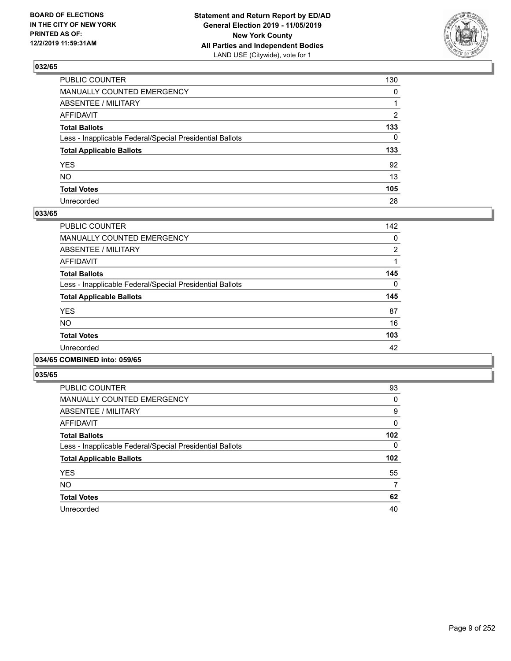

| PUBLIC COUNTER                                           | 130          |
|----------------------------------------------------------|--------------|
| MANUALLY COUNTED EMERGENCY                               | $\mathbf{0}$ |
| ABSENTEE / MILITARY                                      |              |
| AFFIDAVIT                                                | 2            |
| Total Ballots                                            | 133          |
| Less - Inapplicable Federal/Special Presidential Ballots | $\mathbf{0}$ |
| <b>Total Applicable Ballots</b>                          | 133          |
| YES                                                      | 92           |
| NO.                                                      | 13           |
| <b>Total Votes</b>                                       | 105          |
| Unrecorded                                               | 28           |

#### **033/65**

| <b>PUBLIC COUNTER</b>                                    | 142            |
|----------------------------------------------------------|----------------|
| <b>MANUALLY COUNTED EMERGENCY</b>                        | 0              |
| ABSENTEE / MILITARY                                      | $\overline{2}$ |
| <b>AFFIDAVIT</b>                                         |                |
| <b>Total Ballots</b>                                     | 145            |
| Less - Inapplicable Federal/Special Presidential Ballots | $\Omega$       |
| <b>Total Applicable Ballots</b>                          | 145            |
| <b>YES</b>                                               | 87             |
| <b>NO</b>                                                | 16             |
| <b>Total Votes</b>                                       | 103            |
| Unrecorded                                               | 42             |
|                                                          |                |

## **034/65 COMBINED into: 059/65**

| PUBLIC COUNTER                                           | 93  |
|----------------------------------------------------------|-----|
| <b>MANUALLY COUNTED EMERGENCY</b>                        | 0   |
| ABSENTEE / MILITARY                                      | 9   |
| <b>AFFIDAVIT</b>                                         | 0   |
| <b>Total Ballots</b>                                     | 102 |
| Less - Inapplicable Federal/Special Presidential Ballots | 0   |
| <b>Total Applicable Ballots</b>                          | 102 |
| <b>YES</b>                                               | 55  |
| <b>NO</b>                                                | 7   |
| <b>Total Votes</b>                                       |     |
|                                                          | 62  |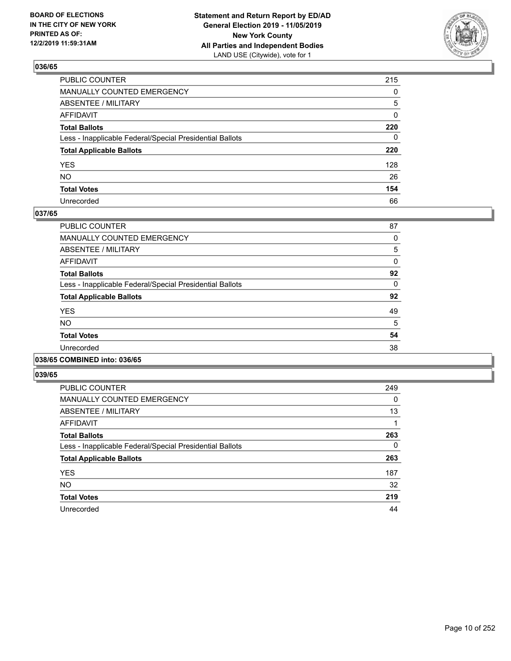

| PUBLIC COUNTER                                           | 215          |
|----------------------------------------------------------|--------------|
| MANUALLY COUNTED EMERGENCY                               | $\mathbf{0}$ |
| ABSENTEE / MILITARY                                      | 5            |
| AFFIDAVIT                                                | 0            |
| Total Ballots                                            | 220          |
| Less - Inapplicable Federal/Special Presidential Ballots | 0            |
| <b>Total Applicable Ballots</b>                          | 220          |
| YES                                                      | 128          |
| NO.                                                      | 26           |
| <b>Total Votes</b>                                       | 154          |
| Unrecorded                                               | 66           |

#### **037/65**

| <b>PUBLIC COUNTER</b>                                    | 87 |
|----------------------------------------------------------|----|
| <b>MANUALLY COUNTED EMERGENCY</b>                        | 0  |
| ABSENTEE / MILITARY                                      | 5  |
| <b>AFFIDAVIT</b>                                         | 0  |
| <b>Total Ballots</b>                                     | 92 |
| Less - Inapplicable Federal/Special Presidential Ballots | 0  |
| <b>Total Applicable Ballots</b>                          | 92 |
| <b>YES</b>                                               | 49 |
| <b>NO</b>                                                | 5  |
| <b>Total Votes</b>                                       | 54 |
| Unrecorded                                               | 38 |
|                                                          |    |

#### **038/65 COMBINED into: 036/65**

| <b>PUBLIC COUNTER</b>                                    | 249 |
|----------------------------------------------------------|-----|
| <b>MANUALLY COUNTED EMERGENCY</b>                        | 0   |
| ABSENTEE / MILITARY                                      | 13  |
| <b>AFFIDAVIT</b>                                         |     |
| <b>Total Ballots</b>                                     | 263 |
| Less - Inapplicable Federal/Special Presidential Ballots | 0   |
| <b>Total Applicable Ballots</b>                          | 263 |
| <b>YES</b>                                               | 187 |
| <b>NO</b>                                                | 32  |
| <b>Total Votes</b>                                       | 219 |
| Unrecorded                                               | 44  |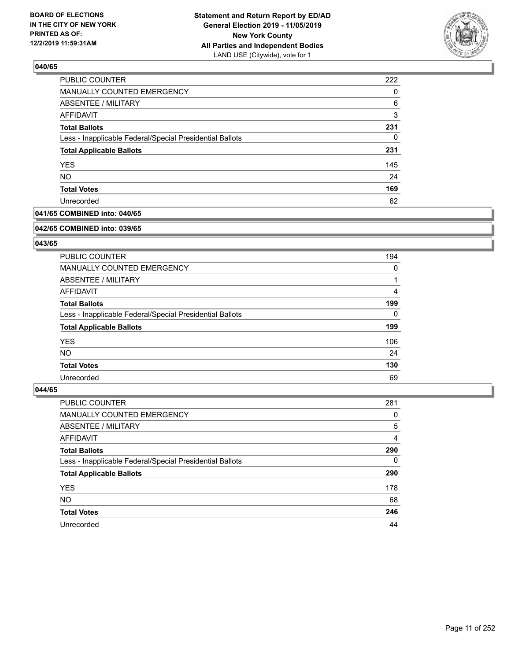

| PUBLIC COUNTER                                           | 222 |
|----------------------------------------------------------|-----|
| MANUALLY COUNTED EMERGENCY                               | 0   |
| ABSENTEE / MILITARY                                      | 6   |
| AFFIDAVIT                                                | 3   |
| <b>Total Ballots</b>                                     | 231 |
| Less - Inapplicable Federal/Special Presidential Ballots | 0   |
| <b>Total Applicable Ballots</b>                          | 231 |
| <b>YES</b>                                               | 145 |
| <b>NO</b>                                                | 24  |
| <b>Total Votes</b>                                       | 169 |
| Unrecorded                                               | 62  |

## **041/65 COMBINED into: 040/65**

#### **042/65 COMBINED into: 039/65**

## **043/65**

| <b>PUBLIC COUNTER</b>                                    | 194      |
|----------------------------------------------------------|----------|
| MANUALLY COUNTED EMERGENCY                               | 0        |
| ABSENTEE / MILITARY                                      |          |
| AFFIDAVIT                                                | 4        |
| <b>Total Ballots</b>                                     | 199      |
| Less - Inapplicable Federal/Special Presidential Ballots | $\Omega$ |
| <b>Total Applicable Ballots</b>                          | 199      |
| <b>YES</b>                                               | 106      |
| NO.                                                      | 24       |
| <b>Total Votes</b>                                       | 130      |
| Unrecorded                                               | 69       |

| <b>PUBLIC COUNTER</b>                                    | 281      |
|----------------------------------------------------------|----------|
| MANUALLY COUNTED EMERGENCY                               | 0        |
| ABSENTEE / MILITARY                                      | 5        |
| AFFIDAVIT                                                | 4        |
| <b>Total Ballots</b>                                     | 290      |
| Less - Inapplicable Federal/Special Presidential Ballots | $\Omega$ |
| <b>Total Applicable Ballots</b>                          | 290      |
| <b>YES</b>                                               | 178      |
| <b>NO</b>                                                | 68       |
| <b>Total Votes</b>                                       | 246      |
| Unrecorded                                               | 44       |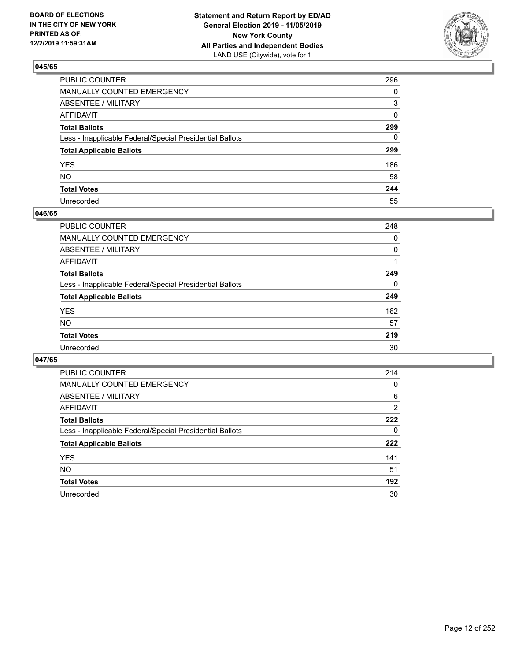

| PUBLIC COUNTER                                           | 296          |
|----------------------------------------------------------|--------------|
| MANUALLY COUNTED EMERGENCY                               | $\Omega$     |
| ABSENTEE / MILITARY                                      | 3            |
| AFFIDAVIT                                                | $\mathbf{0}$ |
| Total Ballots                                            | 299          |
| Less - Inapplicable Federal/Special Presidential Ballots | $\mathbf{0}$ |
| <b>Total Applicable Ballots</b>                          | 299          |
| YES                                                      | 186          |
| NO.                                                      | 58           |
| <b>Total Votes</b>                                       | 244          |
| Unrecorded                                               | 55           |

#### **046/65**

| PUBLIC COUNTER                                           | 248      |
|----------------------------------------------------------|----------|
| MANUALLY COUNTED EMERGENCY                               | 0        |
| ABSENTEE / MILITARY                                      | $\Omega$ |
| AFFIDAVIT                                                |          |
| <b>Total Ballots</b>                                     | 249      |
| Less - Inapplicable Federal/Special Presidential Ballots | $\Omega$ |
| <b>Total Applicable Ballots</b>                          | 249      |
| <b>YES</b>                                               | 162      |
| <b>NO</b>                                                | 57       |
| <b>Total Votes</b>                                       | 219      |
| Unrecorded                                               | 30       |

| <b>PUBLIC COUNTER</b>                                    | 214            |
|----------------------------------------------------------|----------------|
| <b>MANUALLY COUNTED EMERGENCY</b>                        | 0              |
| ABSENTEE / MILITARY                                      | 6              |
| AFFIDAVIT                                                | $\overline{2}$ |
| <b>Total Ballots</b>                                     | 222            |
| Less - Inapplicable Federal/Special Presidential Ballots | 0              |
| <b>Total Applicable Ballots</b>                          | 222            |
| <b>YES</b>                                               | 141            |
| NO.                                                      | 51             |
| <b>Total Votes</b>                                       | 192            |
| Unrecorded                                               | 30             |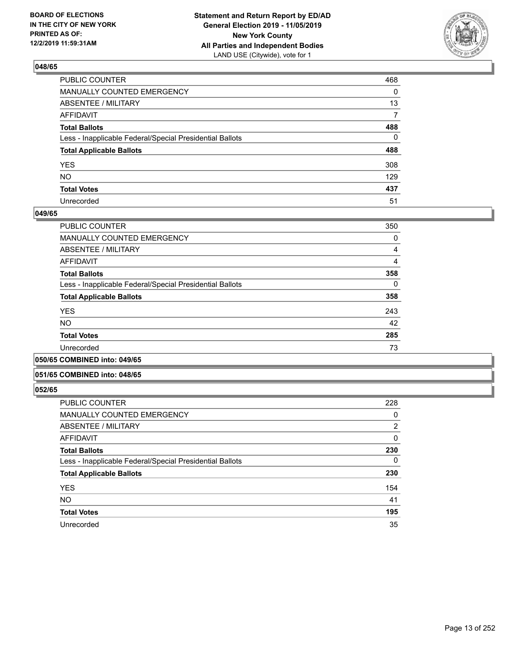

| PUBLIC COUNTER                                           | 468      |
|----------------------------------------------------------|----------|
| MANUALLY COUNTED EMERGENCY                               | $\Omega$ |
| ABSENTEE / MILITARY                                      | 13       |
| AFFIDAVIT                                                | 7        |
| Total Ballots                                            | 488      |
| Less - Inapplicable Federal/Special Presidential Ballots | 0        |
| <b>Total Applicable Ballots</b>                          | 488      |
| YES                                                      | 308      |
| NO.                                                      | 129      |
| <b>Total Votes</b>                                       | 437      |
| Unrecorded                                               | 51       |

#### **049/65**

| <b>PUBLIC COUNTER</b>                                    | 350      |
|----------------------------------------------------------|----------|
| <b>MANUALLY COUNTED EMERGENCY</b>                        | 0        |
| ABSENTEE / MILITARY                                      | 4        |
| AFFIDAVIT                                                | 4        |
| <b>Total Ballots</b>                                     | 358      |
| Less - Inapplicable Federal/Special Presidential Ballots | $\Omega$ |
| <b>Total Applicable Ballots</b>                          | 358      |
| <b>YES</b>                                               | 243      |
| <b>NO</b>                                                | 42       |
| <b>Total Votes</b>                                       | 285      |
| Unrecorded                                               | 73       |
|                                                          |          |

#### **050/65 COMBINED into: 049/65**

#### **051/65 COMBINED into: 048/65**

| <b>PUBLIC COUNTER</b>                                    | 228            |
|----------------------------------------------------------|----------------|
| <b>MANUALLY COUNTED EMERGENCY</b>                        | 0              |
| ABSENTEE / MILITARY                                      | $\overline{2}$ |
| <b>AFFIDAVIT</b>                                         | 0              |
| <b>Total Ballots</b>                                     | 230            |
| Less - Inapplicable Federal/Special Presidential Ballots | 0              |
| <b>Total Applicable Ballots</b>                          | 230            |
| <b>YES</b>                                               | 154            |
| <b>NO</b>                                                | 41             |
| <b>Total Votes</b>                                       | 195            |
| Unrecorded                                               | 35             |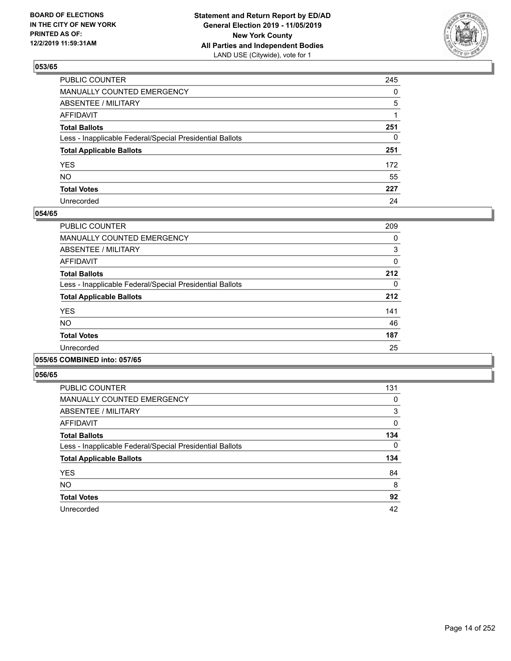

| PUBLIC COUNTER                                           | 245          |
|----------------------------------------------------------|--------------|
| MANUALLY COUNTED EMERGENCY                               | $\mathbf{0}$ |
| ABSENTEE / MILITARY                                      | 5            |
| AFFIDAVIT                                                |              |
| Total Ballots                                            | 251          |
| Less - Inapplicable Federal/Special Presidential Ballots | $\mathbf{0}$ |
| <b>Total Applicable Ballots</b>                          | 251          |
| YES                                                      | 172          |
| NO.                                                      | 55           |
| <b>Total Votes</b>                                       | 227          |
| Unrecorded                                               | 24           |

#### **054/65**

| PUBLIC COUNTER                                           | 209      |
|----------------------------------------------------------|----------|
| <b>MANUALLY COUNTED EMERGENCY</b>                        | 0        |
| ABSENTEE / MILITARY                                      | 3        |
| <b>AFFIDAVIT</b>                                         | 0        |
| <b>Total Ballots</b>                                     | 212      |
| Less - Inapplicable Federal/Special Presidential Ballots | $\Omega$ |
| <b>Total Applicable Ballots</b>                          | 212      |
| <b>YES</b>                                               | 141      |
| NO.                                                      | 46       |
| <b>Total Votes</b>                                       | 187      |
| Unrecorded                                               | 25       |
|                                                          |          |

#### **055/65 COMBINED into: 057/65**

| <b>PUBLIC COUNTER</b>                                    | 131 |
|----------------------------------------------------------|-----|
| <b>MANUALLY COUNTED EMERGENCY</b>                        | 0   |
| ABSENTEE / MILITARY                                      | 3   |
| <b>AFFIDAVIT</b>                                         | 0   |
| <b>Total Ballots</b>                                     | 134 |
| Less - Inapplicable Federal/Special Presidential Ballots | 0   |
| <b>Total Applicable Ballots</b>                          | 134 |
| <b>YES</b>                                               | 84  |
| <b>NO</b>                                                | 8   |
| <b>Total Votes</b>                                       | 92  |
| Unrecorded                                               | 42  |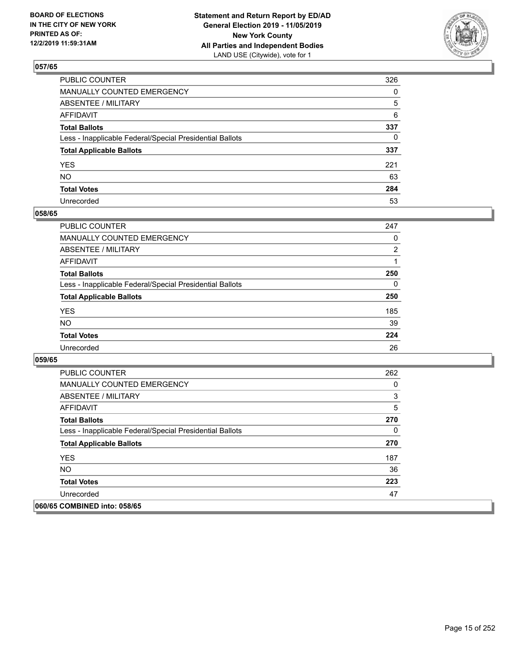

| PUBLIC COUNTER                                           | 326          |
|----------------------------------------------------------|--------------|
| MANUALLY COUNTED EMERGENCY                               | $\mathbf{0}$ |
| ABSENTEE / MILITARY                                      | 5            |
| AFFIDAVIT                                                | 6            |
| Total Ballots                                            | 337          |
| Less - Inapplicable Federal/Special Presidential Ballots | $\mathbf{0}$ |
| <b>Total Applicable Ballots</b>                          | 337          |
| YES                                                      | 221          |
| NO.                                                      | 63           |
| <b>Total Votes</b>                                       | 284          |
| Unrecorded                                               | 53           |

## **058/65**

| <b>PUBLIC COUNTER</b>                                    | 247            |
|----------------------------------------------------------|----------------|
| <b>MANUALLY COUNTED EMERGENCY</b>                        | $\Omega$       |
| ABSENTEE / MILITARY                                      | $\overline{2}$ |
| AFFIDAVIT                                                |                |
| <b>Total Ballots</b>                                     | 250            |
| Less - Inapplicable Federal/Special Presidential Ballots | $\Omega$       |
| <b>Total Applicable Ballots</b>                          | 250            |
| <b>YES</b>                                               | 185            |
| <b>NO</b>                                                | 39             |
| <b>Total Votes</b>                                       | 224            |
| Unrecorded                                               | 26             |

| <b>PUBLIC COUNTER</b>                                    | 262 |
|----------------------------------------------------------|-----|
| <b>MANUALLY COUNTED EMERGENCY</b>                        | 0   |
| ABSENTEE / MILITARY                                      | 3   |
| AFFIDAVIT                                                | 5   |
| <b>Total Ballots</b>                                     | 270 |
| Less - Inapplicable Federal/Special Presidential Ballots | 0   |
| <b>Total Applicable Ballots</b>                          | 270 |
| <b>YES</b>                                               | 187 |
| NO.                                                      | 36  |
| <b>Total Votes</b>                                       | 223 |
| Unrecorded                                               | 47  |
| 060/65 COMBINED into: 058/65                             |     |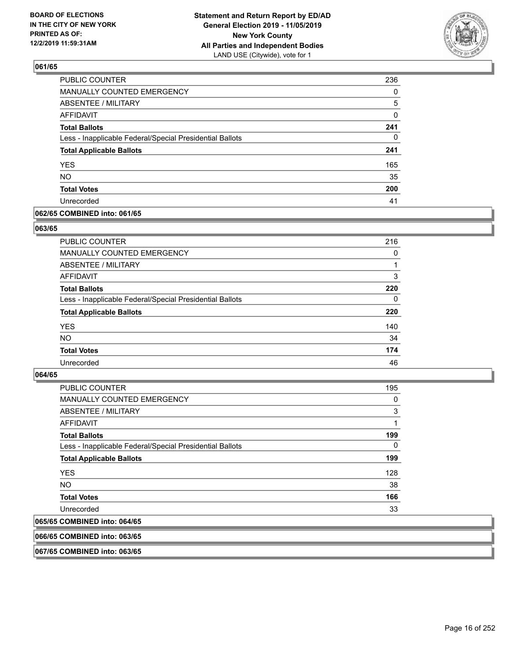

| <b>PUBLIC COUNTER</b>                                    | 236      |
|----------------------------------------------------------|----------|
| MANUALLY COUNTED EMERGENCY                               | $\Omega$ |
| ABSENTEE / MILITARY                                      | 5        |
| <b>AFFIDAVIT</b>                                         | 0        |
| <b>Total Ballots</b>                                     | 241      |
| Less - Inapplicable Federal/Special Presidential Ballots | 0        |
| <b>Total Applicable Ballots</b>                          | 241      |
| <b>YES</b>                                               | 165      |
| <b>NO</b>                                                | 35       |
| <b>Total Votes</b>                                       | 200      |
| Unrecorded                                               | 41       |

### **062/65 COMBINED into: 061/65**

#### **063/65**

| PUBLIC COUNTER                                           | 216      |
|----------------------------------------------------------|----------|
| <b>MANUALLY COUNTED EMERGENCY</b>                        | 0        |
| ABSENTEE / MILITARY                                      |          |
| AFFIDAVIT                                                | 3        |
| <b>Total Ballots</b>                                     | 220      |
| Less - Inapplicable Federal/Special Presidential Ballots | $\Omega$ |
| <b>Total Applicable Ballots</b>                          | 220      |
| <b>YES</b>                                               | 140      |
| <b>NO</b>                                                | 34       |
| <b>Total Votes</b>                                       | 174      |
| Unrecorded                                               | 46       |

#### **064/65**

| <b>PUBLIC COUNTER</b>                                    | 195 |
|----------------------------------------------------------|-----|
| <b>MANUALLY COUNTED EMERGENCY</b>                        | 0   |
| ABSENTEE / MILITARY                                      | 3   |
| AFFIDAVIT                                                | 1   |
| <b>Total Ballots</b>                                     | 199 |
| Less - Inapplicable Federal/Special Presidential Ballots | 0   |
| <b>Total Applicable Ballots</b>                          | 199 |
| <b>YES</b>                                               | 128 |
| NO.                                                      | 38  |
| <b>Total Votes</b>                                       | 166 |
| Unrecorded                                               | 33  |
| 065/65 COMBINED into: 064/65                             |     |

#### **066/65 COMBINED into: 063/65**

**067/65 COMBINED into: 063/65**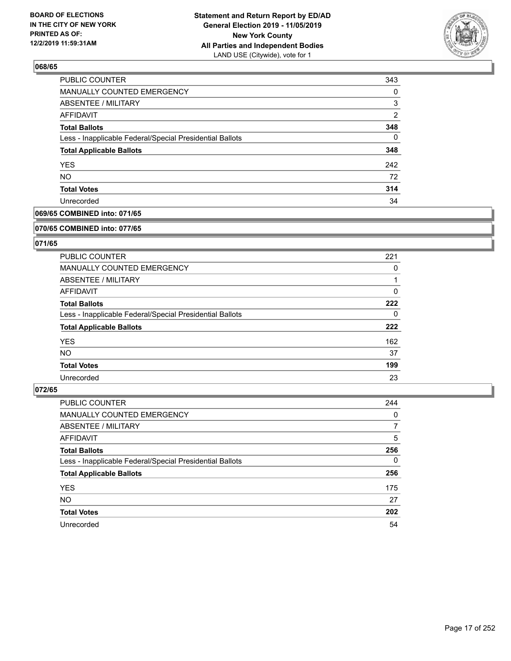

| 343      |
|----------|
| $\Omega$ |
| 3        |
| 2        |
| 348      |
| 0        |
| 348      |
| 242      |
| 72       |
| 314      |
| 34       |
|          |

## **069/65 COMBINED into: 071/65**

#### **070/65 COMBINED into: 077/65**

## **071/65**

| <b>PUBLIC COUNTER</b>                                    | 221 |
|----------------------------------------------------------|-----|
| MANUALLY COUNTED EMERGENCY                               | 0   |
| ABSENTEE / MILITARY                                      |     |
| AFFIDAVIT                                                | 0   |
| <b>Total Ballots</b>                                     | 222 |
| Less - Inapplicable Federal/Special Presidential Ballots | 0   |
| <b>Total Applicable Ballots</b>                          | 222 |
| <b>YES</b>                                               | 162 |
| NO.                                                      | 37  |
| <b>Total Votes</b>                                       | 199 |
| Unrecorded                                               | 23  |

| PUBLIC COUNTER                                           | 244      |
|----------------------------------------------------------|----------|
| MANUALLY COUNTED EMERGENCY                               | 0        |
| ABSENTEE / MILITARY                                      | 7        |
| AFFIDAVIT                                                | 5        |
| <b>Total Ballots</b>                                     | 256      |
| Less - Inapplicable Federal/Special Presidential Ballots | $\Omega$ |
| <b>Total Applicable Ballots</b>                          | 256      |
| <b>YES</b>                                               | 175      |
| <b>NO</b>                                                | 27       |
| <b>Total Votes</b>                                       | 202      |
| Unrecorded                                               | 54       |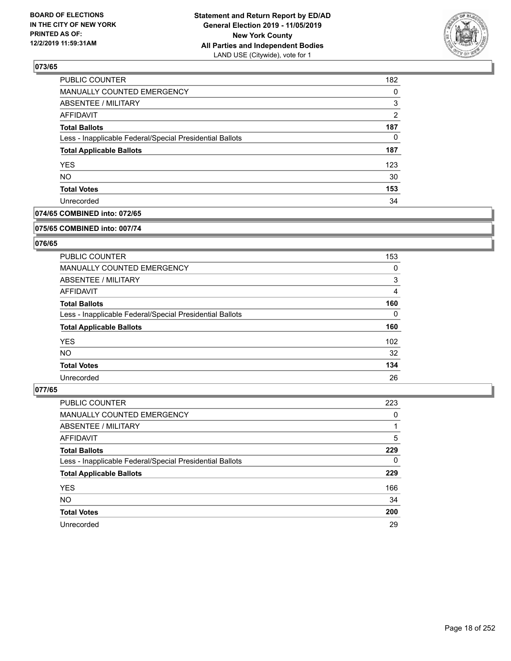

| PUBLIC COUNTER                                           | 182 |
|----------------------------------------------------------|-----|
| MANUALLY COUNTED EMERGENCY                               | 0   |
| <b>ABSENTEE / MILITARY</b>                               | 3   |
| AFFIDAVIT                                                | 2   |
| <b>Total Ballots</b>                                     | 187 |
| Less - Inapplicable Federal/Special Presidential Ballots | 0   |
| <b>Total Applicable Ballots</b>                          | 187 |
| <b>YES</b>                                               | 123 |
| <b>NO</b>                                                | 30  |
| <b>Total Votes</b>                                       | 153 |
| Unrecorded                                               | 34  |

### **074/65 COMBINED into: 072/65**

#### **075/65 COMBINED into: 007/74**

## **076/65**

| <b>PUBLIC COUNTER</b>                                    | 153      |
|----------------------------------------------------------|----------|
| MANUALLY COUNTED EMERGENCY                               | 0        |
| ABSENTEE / MILITARY                                      | 3        |
| AFFIDAVIT                                                | 4        |
| <b>Total Ballots</b>                                     | 160      |
| Less - Inapplicable Federal/Special Presidential Ballots | $\Omega$ |
| <b>Total Applicable Ballots</b>                          | 160      |
| <b>YES</b>                                               | 102      |
| NO.                                                      | 32       |
| <b>Total Votes</b>                                       | 134      |
| Unrecorded                                               | 26       |

| <b>PUBLIC COUNTER</b>                                    | 223      |
|----------------------------------------------------------|----------|
| <b>MANUALLY COUNTED EMERGENCY</b>                        | 0        |
| ABSENTEE / MILITARY                                      |          |
| AFFIDAVIT                                                | 5        |
| <b>Total Ballots</b>                                     | 229      |
| Less - Inapplicable Federal/Special Presidential Ballots | $\Omega$ |
| <b>Total Applicable Ballots</b>                          | 229      |
| <b>YES</b>                                               | 166      |
| <b>NO</b>                                                | 34       |
| <b>Total Votes</b>                                       | 200      |
| Unrecorded                                               | 29       |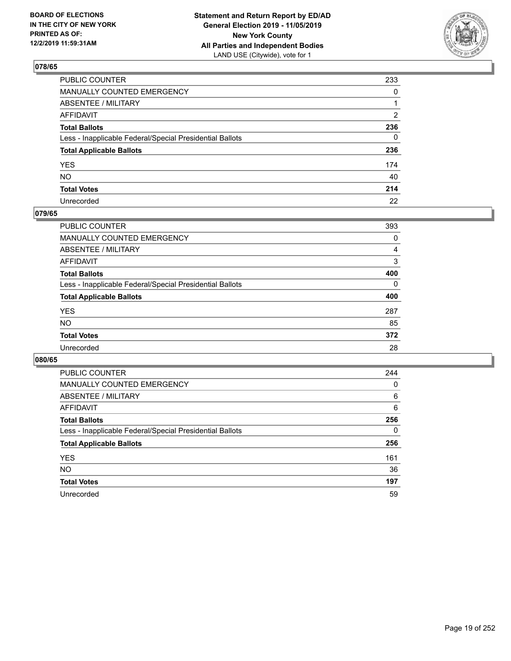

| PUBLIC COUNTER                                           | 233          |
|----------------------------------------------------------|--------------|
| MANUALLY COUNTED EMERGENCY                               | 0            |
| ABSENTEE / MILITARY                                      | 1            |
| AFFIDAVIT                                                | 2            |
| Total Ballots                                            | 236          |
| Less - Inapplicable Federal/Special Presidential Ballots | $\mathbf{0}$ |
| <b>Total Applicable Ballots</b>                          | 236          |
| YES                                                      | 174          |
| NO.                                                      | 40           |
| <b>Total Votes</b>                                       | 214          |
| Unrecorded                                               | 22           |

## **079/65**

| <b>PUBLIC COUNTER</b>                                    | 393      |
|----------------------------------------------------------|----------|
| <b>MANUALLY COUNTED EMERGENCY</b>                        | 0        |
| ABSENTEE / MILITARY                                      | 4        |
| AFFIDAVIT                                                | 3        |
| <b>Total Ballots</b>                                     | 400      |
| Less - Inapplicable Federal/Special Presidential Ballots | $\Omega$ |
| <b>Total Applicable Ballots</b>                          | 400      |
| <b>YES</b>                                               | 287      |
| <b>NO</b>                                                | 85       |
| <b>Total Votes</b>                                       | 372      |
| Unrecorded                                               | 28       |

| <b>PUBLIC COUNTER</b>                                    | 244 |
|----------------------------------------------------------|-----|
| <b>MANUALLY COUNTED EMERGENCY</b>                        | 0   |
| ABSENTEE / MILITARY                                      | 6   |
| AFFIDAVIT                                                | 6   |
| <b>Total Ballots</b>                                     | 256 |
| Less - Inapplicable Federal/Special Presidential Ballots | 0   |
| <b>Total Applicable Ballots</b>                          | 256 |
| <b>YES</b>                                               | 161 |
| NO.                                                      | 36  |
| <b>Total Votes</b>                                       | 197 |
| Unrecorded                                               | 59  |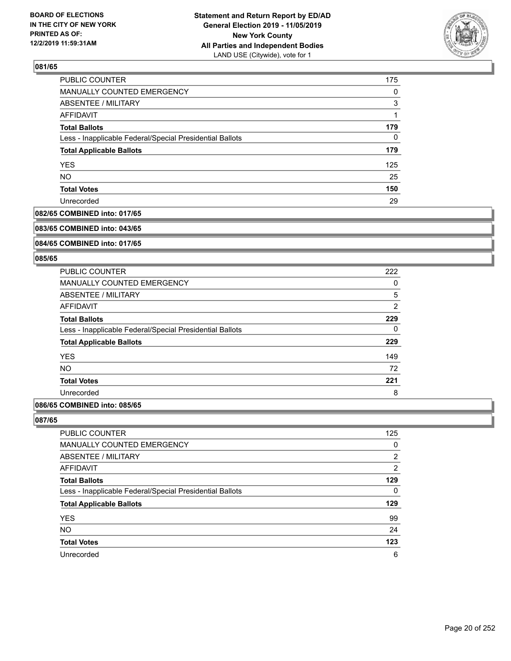

| PUBLIC COUNTER                                           | 175 |
|----------------------------------------------------------|-----|
| MANUALLY COUNTED EMERGENCY                               | 0   |
| <b>ABSENTEE / MILITARY</b>                               | 3   |
| AFFIDAVIT                                                |     |
| <b>Total Ballots</b>                                     | 179 |
| Less - Inapplicable Federal/Special Presidential Ballots | 0   |
| <b>Total Applicable Ballots</b>                          | 179 |
| <b>YES</b>                                               | 125 |
| <b>NO</b>                                                | 25  |
| <b>Total Votes</b>                                       | 150 |
| Unrecorded                                               | 29  |

### **082/65 COMBINED into: 017/65**

#### **083/65 COMBINED into: 043/65**

## **084/65 COMBINED into: 017/65**

#### **085/65**

| 222 |
|-----|
| 0   |
| 5   |
| 2   |
| 229 |
| 0   |
| 229 |
| 149 |
| 72  |
| 221 |
| 8   |
|     |

## **086/65 COMBINED into: 085/65**

| PUBLIC COUNTER                                           | 125            |
|----------------------------------------------------------|----------------|
| <b>MANUALLY COUNTED EMERGENCY</b>                        | $\Omega$       |
| ABSENTEE / MILITARY                                      | 2              |
| AFFIDAVIT                                                | $\overline{2}$ |
| <b>Total Ballots</b>                                     | 129            |
| Less - Inapplicable Federal/Special Presidential Ballots | 0              |
| <b>Total Applicable Ballots</b>                          | 129            |
| <b>YES</b>                                               | 99             |
| <b>NO</b>                                                | 24             |
| <b>Total Votes</b>                                       | 123            |
| Unrecorded                                               | 6              |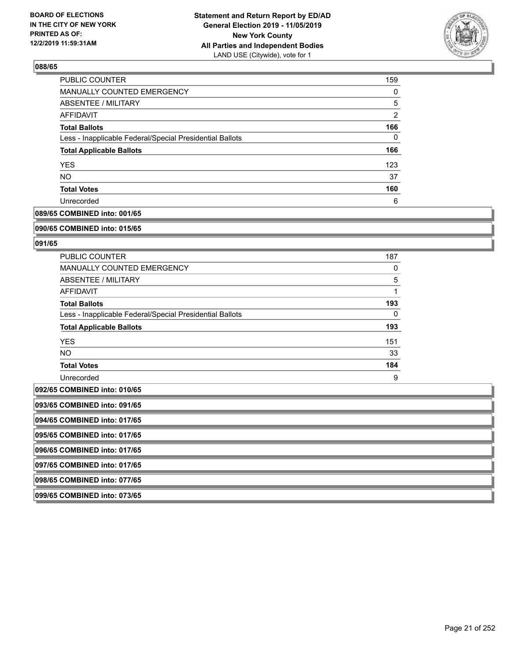

| <b>PUBLIC COUNTER</b>                                    | 159            |
|----------------------------------------------------------|----------------|
| <b>MANUALLY COUNTED EMERGENCY</b>                        | 0              |
| ABSENTEE / MILITARY                                      | 5              |
| AFFIDAVIT                                                | $\overline{2}$ |
| <b>Total Ballots</b>                                     | 166            |
| Less - Inapplicable Federal/Special Presidential Ballots | 0              |
| <b>Total Applicable Ballots</b>                          | 166            |
| <b>YES</b>                                               | 123            |
| <b>NO</b>                                                | 37             |
| <b>Total Votes</b>                                       | 160            |
| Unrecorded                                               | 6              |

## **089/65 COMBINED into: 001/65**

#### **090/65 COMBINED into: 015/65**

## **091/65**

| <b>PUBLIC COUNTER</b>                                    | 187 |
|----------------------------------------------------------|-----|
| <b>MANUALLY COUNTED EMERGENCY</b>                        | 0   |
| ABSENTEE / MILITARY                                      | 5   |
| AFFIDAVIT                                                |     |
| <b>Total Ballots</b>                                     | 193 |
| Less - Inapplicable Federal/Special Presidential Ballots | 0   |
| <b>Total Applicable Ballots</b>                          | 193 |
| <b>YES</b>                                               | 151 |
| NO.                                                      | 33  |
| <b>Total Votes</b>                                       | 184 |
| Unrecorded                                               | 9   |

## **092/65 COMBINED into: 010/65**

| 1092/65 COMBINED INTO: 010/65 |  |
|-------------------------------|--|
| 093/65 COMBINED into: 091/65  |  |
| 094/65 COMBINED into: 017/65  |  |
| 095/65 COMBINED into: 017/65  |  |
| 096/65 COMBINED into: 017/65  |  |
| 097/65 COMBINED into: 017/65  |  |
| 098/65 COMBINED into: 077/65  |  |
| 099/65 COMBINED into: 073/65  |  |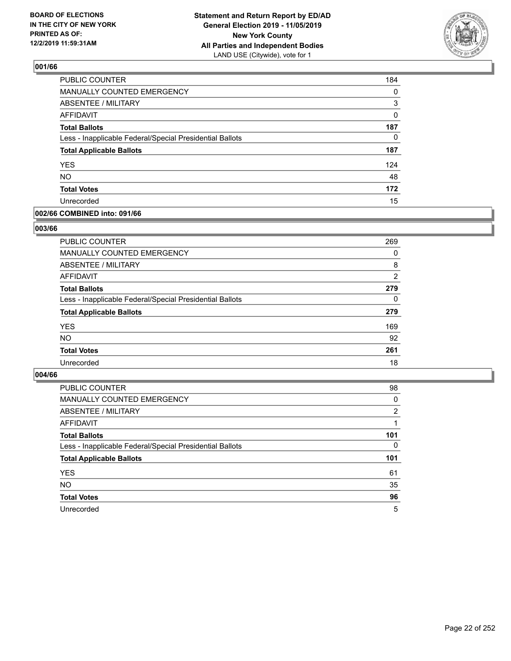

| <b>PUBLIC COUNTER</b>                                    | 184      |
|----------------------------------------------------------|----------|
| MANUALLY COUNTED EMERGENCY                               | $\Omega$ |
| ABSENTEE / MILITARY                                      | 3        |
| <b>AFFIDAVIT</b>                                         | 0        |
| <b>Total Ballots</b>                                     | 187      |
| Less - Inapplicable Federal/Special Presidential Ballots | $\Omega$ |
| <b>Total Applicable Ballots</b>                          | 187      |
| <b>YES</b>                                               | 124      |
| <b>NO</b>                                                | 48       |
| <b>Total Votes</b>                                       | 172      |
| Unrecorded                                               | 15       |

#### **002/66 COMBINED into: 091/66**

#### **003/66**

| <b>PUBLIC COUNTER</b>                                    | 269      |
|----------------------------------------------------------|----------|
| MANUALLY COUNTED EMERGENCY                               | $\Omega$ |
| ABSENTEE / MILITARY                                      | 8        |
| AFFIDAVIT                                                | 2        |
| <b>Total Ballots</b>                                     | 279      |
| Less - Inapplicable Federal/Special Presidential Ballots | $\Omega$ |
| <b>Total Applicable Ballots</b>                          | 279      |
| <b>YES</b>                                               | 169      |
| <b>NO</b>                                                | 92       |
| <b>Total Votes</b>                                       | 261      |
| Unrecorded                                               | 18       |

| <b>PUBLIC COUNTER</b>                                    | 98  |
|----------------------------------------------------------|-----|
| MANUALLY COUNTED EMERGENCY                               | 0   |
| ABSENTEE / MILITARY                                      | 2   |
| AFFIDAVIT                                                |     |
| <b>Total Ballots</b>                                     | 101 |
| Less - Inapplicable Federal/Special Presidential Ballots | 0   |
| <b>Total Applicable Ballots</b>                          | 101 |
| <b>YES</b>                                               | 61  |
| <b>NO</b>                                                | 35  |
| <b>Total Votes</b>                                       | 96  |
| Unrecorded                                               | 5   |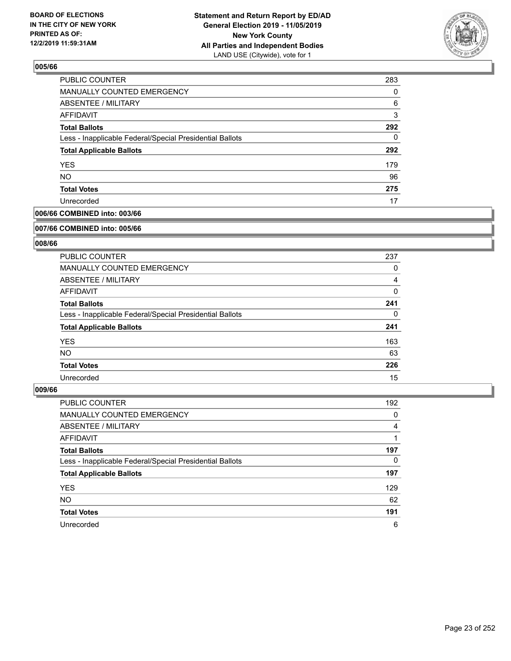

| <b>PUBLIC COUNTER</b>                                    | 283 |
|----------------------------------------------------------|-----|
| MANUALLY COUNTED EMERGENCY                               | 0   |
| ABSENTEE / MILITARY                                      | 6   |
| AFFIDAVIT                                                | 3   |
| <b>Total Ballots</b>                                     | 292 |
| Less - Inapplicable Federal/Special Presidential Ballots | 0   |
| <b>Total Applicable Ballots</b>                          | 292 |
| <b>YES</b>                                               | 179 |
| <b>NO</b>                                                | 96  |
| <b>Total Votes</b>                                       | 275 |
| Unrecorded                                               | 17  |

## **006/66 COMBINED into: 003/66**

#### **007/66 COMBINED into: 005/66**

## **008/66**

| <b>PUBLIC COUNTER</b>                                    | 237      |
|----------------------------------------------------------|----------|
| <b>MANUALLY COUNTED EMERGENCY</b>                        | 0        |
| ABSENTEE / MILITARY                                      | 4        |
| <b>AFFIDAVIT</b>                                         | $\Omega$ |
| <b>Total Ballots</b>                                     | 241      |
| Less - Inapplicable Federal/Special Presidential Ballots | 0        |
| <b>Total Applicable Ballots</b>                          | 241      |
| <b>YES</b>                                               | 163      |
| <b>NO</b>                                                | 63       |
| <b>Total Votes</b>                                       | 226      |
| Unrecorded                                               | 15       |

| <b>PUBLIC COUNTER</b>                                    | 192 |
|----------------------------------------------------------|-----|
| MANUALLY COUNTED EMERGENCY                               | 0   |
| ABSENTEE / MILITARY                                      | 4   |
| AFFIDAVIT                                                |     |
| <b>Total Ballots</b>                                     | 197 |
| Less - Inapplicable Federal/Special Presidential Ballots | 0   |
| <b>Total Applicable Ballots</b>                          | 197 |
| <b>YES</b>                                               | 129 |
| <b>NO</b>                                                | 62  |
| <b>Total Votes</b>                                       | 191 |
| Unrecorded                                               | 6   |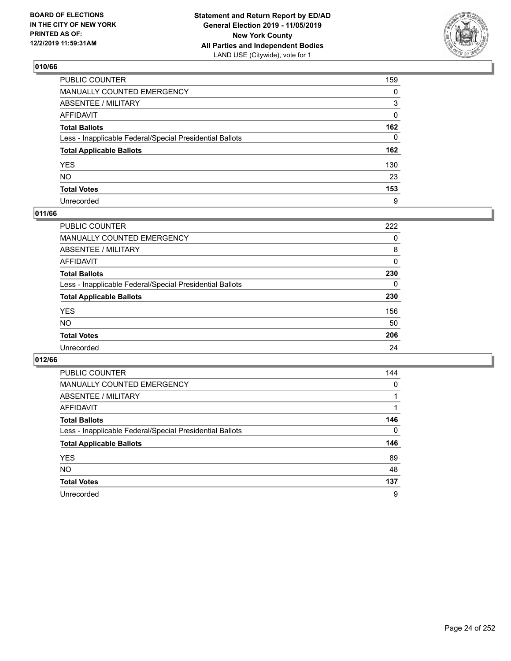

| PUBLIC COUNTER                                           | 159 |
|----------------------------------------------------------|-----|
| MANUALLY COUNTED EMERGENCY                               | 0   |
| ABSENTEE / MILITARY                                      | 3   |
| AFFIDAVIT                                                | 0   |
| Total Ballots                                            | 162 |
| Less - Inapplicable Federal/Special Presidential Ballots | 0   |
| <b>Total Applicable Ballots</b>                          | 162 |
| YES                                                      | 130 |
| NO.                                                      | 23  |
| <b>Total Votes</b>                                       | 153 |
| Unrecorded                                               | 9   |

## **011/66**

| <b>PUBLIC COUNTER</b>                                    | 222 |
|----------------------------------------------------------|-----|
| MANUALLY COUNTED EMERGENCY                               | 0   |
| ABSENTEE / MILITARY                                      | 8   |
| AFFIDAVIT                                                | 0   |
| <b>Total Ballots</b>                                     | 230 |
| Less - Inapplicable Federal/Special Presidential Ballots | 0   |
| <b>Total Applicable Ballots</b>                          | 230 |
| <b>YES</b>                                               | 156 |
| <b>NO</b>                                                | 50  |
| <b>Total Votes</b>                                       | 206 |
| Unrecorded                                               | 24  |

| <b>PUBLIC COUNTER</b>                                    | 144      |
|----------------------------------------------------------|----------|
| <b>MANUALLY COUNTED EMERGENCY</b>                        | $\Omega$ |
| ABSENTEE / MILITARY                                      |          |
| AFFIDAVIT                                                |          |
| <b>Total Ballots</b>                                     | 146      |
| Less - Inapplicable Federal/Special Presidential Ballots | $\Omega$ |
| <b>Total Applicable Ballots</b>                          | 146      |
| <b>YES</b>                                               | 89       |
| <b>NO</b>                                                | 48       |
| <b>Total Votes</b>                                       | 137      |
| Unrecorded                                               | 9        |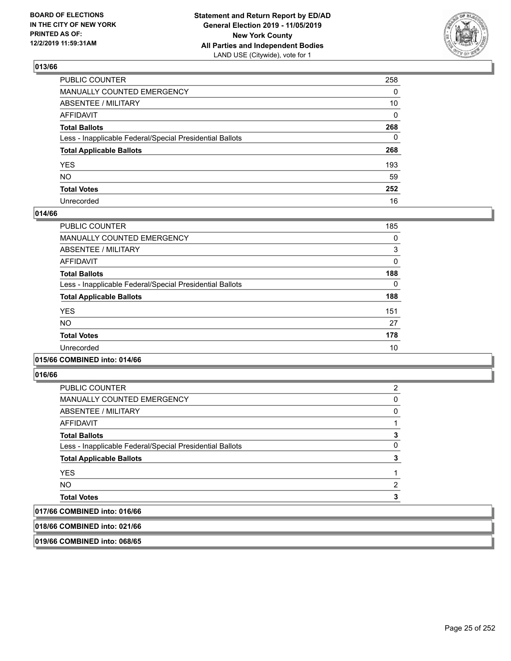

| PUBLIC COUNTER                                           | 258      |
|----------------------------------------------------------|----------|
| MANUALLY COUNTED EMERGENCY                               | 0        |
| ABSENTEE / MILITARY                                      | 10       |
| AFFIDAVIT                                                | $\Omega$ |
| Total Ballots                                            | 268      |
| Less - Inapplicable Federal/Special Presidential Ballots | 0        |
| <b>Total Applicable Ballots</b>                          | 268      |
| YES                                                      | 193      |
| NO.                                                      | 59       |
| <b>Total Votes</b>                                       | 252      |
| Unrecorded                                               | 16       |

#### **014/66**

| <b>PUBLIC COUNTER</b>                                    | 185 |
|----------------------------------------------------------|-----|
| <b>MANUALLY COUNTED EMERGENCY</b>                        | 0   |
| ABSENTEE / MILITARY                                      | 3   |
| <b>AFFIDAVIT</b>                                         | 0   |
| <b>Total Ballots</b>                                     | 188 |
| Less - Inapplicable Federal/Special Presidential Ballots | 0   |
| <b>Total Applicable Ballots</b>                          | 188 |
| <b>YES</b>                                               | 151 |
| <b>NO</b>                                                | 27  |
| <b>Total Votes</b>                                       | 178 |
| Unrecorded                                               | 10  |

### **015/66 COMBINED into: 014/66**

**016/66** 

| <b>PUBLIC COUNTER</b>                                    | 2 |
|----------------------------------------------------------|---|
| <b>MANUALLY COUNTED EMERGENCY</b>                        | 0 |
| ABSENTEE / MILITARY                                      | 0 |
| <b>AFFIDAVIT</b>                                         |   |
| <b>Total Ballots</b>                                     | 3 |
| Less - Inapplicable Federal/Special Presidential Ballots | 0 |
| <b>Total Applicable Ballots</b>                          | 3 |
| <b>YES</b>                                               |   |
| <b>NO</b>                                                | 2 |
| <b>Total Votes</b>                                       |   |
| A                                                        |   |

## **017/66 COMBINED into: 016/66**

**018/66 COMBINED into: 021/66**

**019/66 COMBINED into: 068/65**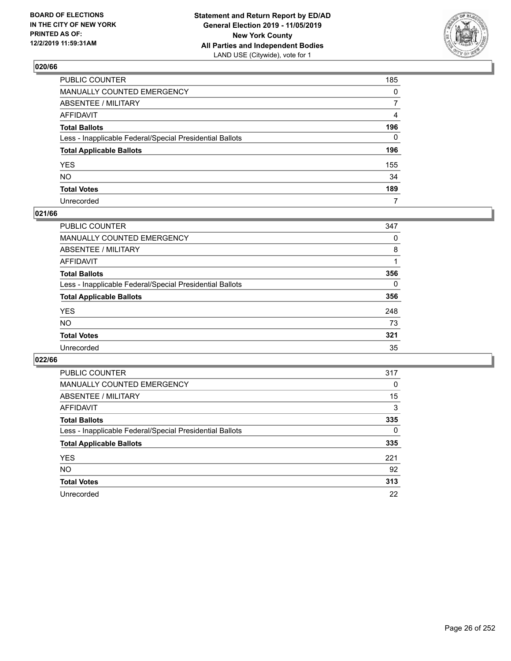

| PUBLIC COUNTER                                           | 185            |
|----------------------------------------------------------|----------------|
| MANUALLY COUNTED EMERGENCY                               | $\mathbf{0}$   |
| ABSENTEE / MILITARY                                      | $\overline{7}$ |
| AFFIDAVIT                                                | 4              |
| Total Ballots                                            | 196            |
| Less - Inapplicable Federal/Special Presidential Ballots | $\Omega$       |
| <b>Total Applicable Ballots</b>                          | 196            |
| YES                                                      | 155            |
| NO.                                                      | 34             |
| <b>Total Votes</b>                                       | 189            |
| Unrecorded                                               | 7              |

#### **021/66**

| <b>PUBLIC COUNTER</b>                                    | 347      |
|----------------------------------------------------------|----------|
| <b>MANUALLY COUNTED EMERGENCY</b>                        | 0        |
| ABSENTEE / MILITARY                                      | 8        |
| AFFIDAVIT                                                |          |
| <b>Total Ballots</b>                                     | 356      |
| Less - Inapplicable Federal/Special Presidential Ballots | $\Omega$ |
| <b>Total Applicable Ballots</b>                          | 356      |
| <b>YES</b>                                               | 248      |
| <b>NO</b>                                                | 73       |
| <b>Total Votes</b>                                       | 321      |
| Unrecorded                                               | 35       |

| <b>PUBLIC COUNTER</b>                                    | 317      |
|----------------------------------------------------------|----------|
| MANUALLY COUNTED EMERGENCY                               | 0        |
| ABSENTEE / MILITARY                                      | 15       |
| AFFIDAVIT                                                | 3        |
| <b>Total Ballots</b>                                     | 335      |
| Less - Inapplicable Federal/Special Presidential Ballots | $\Omega$ |
| <b>Total Applicable Ballots</b>                          | 335      |
| <b>YES</b>                                               | 221      |
| NO.                                                      | 92       |
| <b>Total Votes</b>                                       | 313      |
| Unrecorded                                               | 22       |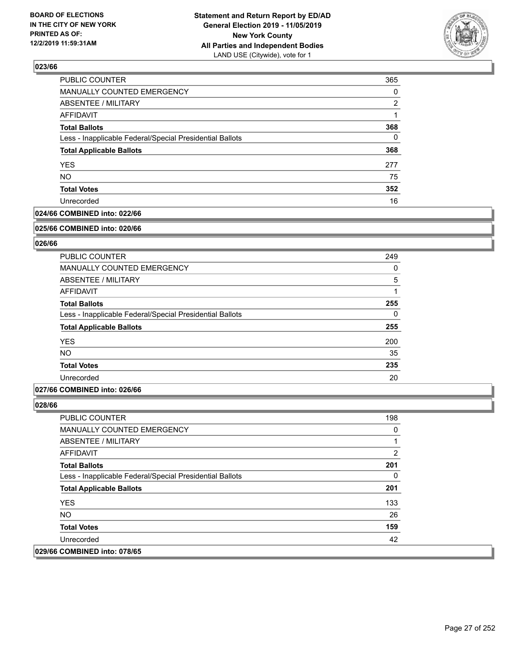

| 365      |
|----------|
| 0        |
| 2        |
|          |
| 368      |
| $\Omega$ |
| 368      |
| 277      |
| 75       |
| 352      |
| 16       |
|          |

## **024/66 COMBINED into: 022/66**

#### **025/66 COMBINED into: 020/66**

## **026/66**

| <b>PUBLIC COUNTER</b>                                    | 249      |
|----------------------------------------------------------|----------|
| <b>MANUALLY COUNTED EMERGENCY</b>                        | 0        |
| ABSENTEE / MILITARY                                      | 5        |
| <b>AFFIDAVIT</b>                                         |          |
| <b>Total Ballots</b>                                     | 255      |
| Less - Inapplicable Federal/Special Presidential Ballots | $\Omega$ |
| <b>Total Applicable Ballots</b>                          | 255      |
| <b>YES</b>                                               | 200      |
| <b>NO</b>                                                | 35       |
| <b>Total Votes</b>                                       | 235      |
| Unrecorded                                               | 20       |

#### **027/66 COMBINED into: 026/66**

| <b>PUBLIC COUNTER</b>                                    | 198 |
|----------------------------------------------------------|-----|
| <b>MANUALLY COUNTED EMERGENCY</b>                        | 0   |
| ABSENTEE / MILITARY                                      |     |
| AFFIDAVIT                                                | 2   |
| <b>Total Ballots</b>                                     | 201 |
| Less - Inapplicable Federal/Special Presidential Ballots | 0   |
| <b>Total Applicable Ballots</b>                          | 201 |
| <b>YES</b>                                               | 133 |
| NO.                                                      | 26  |
| <b>Total Votes</b>                                       | 159 |
| Unrecorded                                               | 42  |
| 029/66 COMBINED into: 078/65                             |     |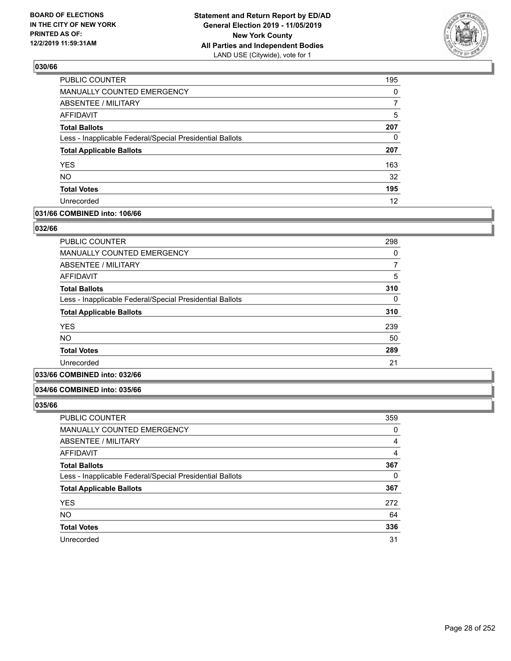

| PUBLIC COUNTER                                           | 195      |
|----------------------------------------------------------|----------|
| MANUALLY COUNTED EMERGENCY                               | 0        |
| <b>ABSENTEE / MILITARY</b>                               | 7        |
| <b>AFFIDAVIT</b>                                         | 5        |
| <b>Total Ballots</b>                                     | 207      |
| Less - Inapplicable Federal/Special Presidential Ballots | $\Omega$ |
| <b>Total Applicable Ballots</b>                          | 207      |
| <b>YES</b>                                               | 163      |
| <b>NO</b>                                                | 32       |
| <b>Total Votes</b>                                       | 195      |
| Unrecorded                                               | 12       |

#### **031/66 COMBINED into: 106/66**

#### **032/66**

| PUBLIC COUNTER                                           | 298 |
|----------------------------------------------------------|-----|
| <b>MANUALLY COUNTED EMERGENCY</b>                        | 0   |
| ABSENTEE / MILITARY                                      | 7   |
| <b>AFFIDAVIT</b>                                         | 5   |
| <b>Total Ballots</b>                                     | 310 |
| Less - Inapplicable Federal/Special Presidential Ballots | 0   |
| <b>Total Applicable Ballots</b>                          | 310 |
| <b>YES</b>                                               | 239 |
| NO.                                                      | 50  |
| <b>Total Votes</b>                                       | 289 |
| Unrecorded                                               | 21  |
|                                                          |     |

## **033/66 COMBINED into: 032/66**

#### **034/66 COMBINED into: 035/66**

| <b>PUBLIC COUNTER</b>                                    | 359 |
|----------------------------------------------------------|-----|
| MANUALLY COUNTED EMERGENCY                               | 0   |
| ABSENTEE / MILITARY                                      | 4   |
| AFFIDAVIT                                                | 4   |
| <b>Total Ballots</b>                                     | 367 |
| Less - Inapplicable Federal/Special Presidential Ballots | 0   |
| <b>Total Applicable Ballots</b>                          | 367 |
| <b>YES</b>                                               | 272 |
| <b>NO</b>                                                | 64  |
| <b>Total Votes</b>                                       | 336 |
| Unrecorded                                               | 31  |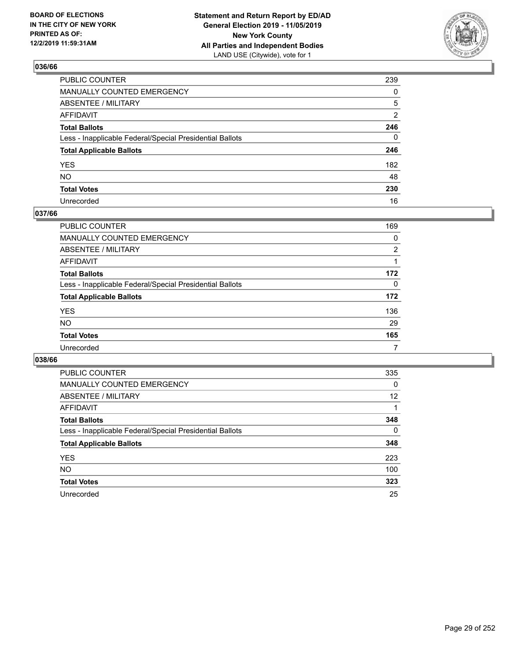

| PUBLIC COUNTER                                           | 239          |
|----------------------------------------------------------|--------------|
| MANUALLY COUNTED EMERGENCY                               | $\mathbf{0}$ |
| ABSENTEE / MILITARY                                      | 5            |
| AFFIDAVIT                                                | 2            |
| Total Ballots                                            | 246          |
| Less - Inapplicable Federal/Special Presidential Ballots | 0            |
| <b>Total Applicable Ballots</b>                          | 246          |
| YES                                                      | 182          |
| NO.                                                      | 48           |
| <b>Total Votes</b>                                       | 230          |
| Unrecorded                                               | 16           |

## **037/66**

| <b>PUBLIC COUNTER</b>                                    | 169      |
|----------------------------------------------------------|----------|
| <b>MANUALLY COUNTED EMERGENCY</b>                        | 0        |
| ABSENTEE / MILITARY                                      | 2        |
| AFFIDAVIT                                                |          |
| <b>Total Ballots</b>                                     | 172      |
| Less - Inapplicable Federal/Special Presidential Ballots | $\Omega$ |
| <b>Total Applicable Ballots</b>                          | 172      |
| <b>YES</b>                                               | 136      |
| <b>NO</b>                                                | 29       |
| <b>Total Votes</b>                                       | 165      |
| Unrecorded                                               | 7        |

| <b>PUBLIC COUNTER</b>                                    | 335      |
|----------------------------------------------------------|----------|
| MANUALLY COUNTED EMERGENCY                               | 0        |
| ABSENTEE / MILITARY                                      | 12       |
| AFFIDAVIT                                                |          |
| <b>Total Ballots</b>                                     | 348      |
| Less - Inapplicable Federal/Special Presidential Ballots | $\Omega$ |
| <b>Total Applicable Ballots</b>                          | 348      |
| <b>YES</b>                                               | 223      |
| NO.                                                      | 100      |
| <b>Total Votes</b>                                       | 323      |
| Unrecorded                                               | 25       |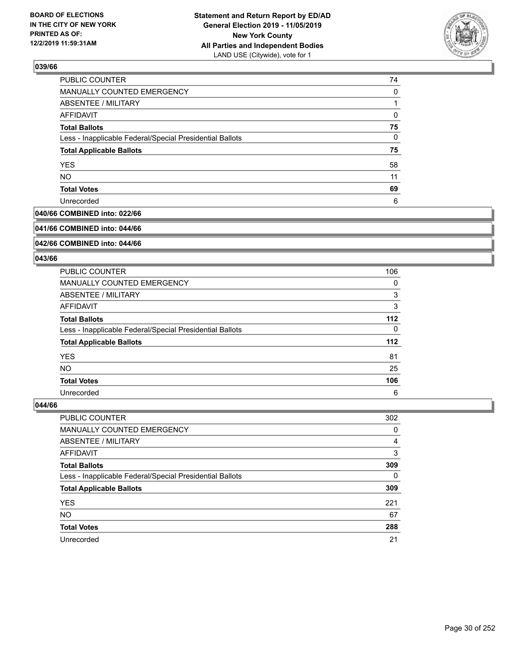

| PUBLIC COUNTER                                           | 74 |
|----------------------------------------------------------|----|
| MANUALLY COUNTED EMERGENCY                               | 0  |
| ABSENTEE / MILITARY                                      |    |
| <b>AFFIDAVIT</b>                                         | 0  |
| <b>Total Ballots</b>                                     | 75 |
| Less - Inapplicable Federal/Special Presidential Ballots | 0  |
| <b>Total Applicable Ballots</b>                          | 75 |
| <b>YES</b>                                               | 58 |
| <b>NO</b>                                                | 11 |
| <b>Total Votes</b>                                       | 69 |
| Unrecorded                                               | 6  |

## **040/66 COMBINED into: 022/66**

#### **041/66 COMBINED into: 044/66**

## **042/66 COMBINED into: 044/66**

#### **043/66**

| <b>PUBLIC COUNTER</b>                                    | 106 |
|----------------------------------------------------------|-----|
| <b>MANUALLY COUNTED EMERGENCY</b>                        | 0   |
| ABSENTEE / MILITARY                                      | 3   |
| AFFIDAVIT                                                | 3   |
| <b>Total Ballots</b>                                     | 112 |
| Less - Inapplicable Federal/Special Presidential Ballots | 0   |
| <b>Total Applicable Ballots</b>                          | 112 |
| <b>YES</b>                                               | 81  |
| <b>NO</b>                                                | 25  |
| <b>Total Votes</b>                                       | 106 |
| Unrecorded                                               | 6   |

| <b>PUBLIC COUNTER</b>                                    | 302      |
|----------------------------------------------------------|----------|
| <b>MANUALLY COUNTED EMERGENCY</b>                        | 0        |
| ABSENTEE / MILITARY                                      | 4        |
| AFFIDAVIT                                                | 3        |
| <b>Total Ballots</b>                                     | 309      |
| Less - Inapplicable Federal/Special Presidential Ballots | $\Omega$ |
| <b>Total Applicable Ballots</b>                          | 309      |
| <b>YES</b>                                               | 221      |
| <b>NO</b>                                                | 67       |
| <b>Total Votes</b>                                       | 288      |
| Unrecorded                                               | 21       |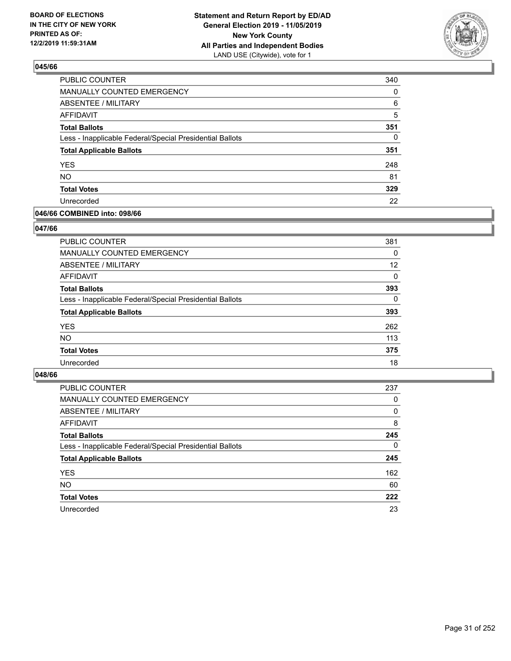

| PUBLIC COUNTER                                           | 340      |
|----------------------------------------------------------|----------|
| MANUALLY COUNTED EMERGENCY                               | 0        |
| ABSENTEE / MILITARY                                      | 6        |
| <b>AFFIDAVIT</b>                                         | 5        |
| <b>Total Ballots</b>                                     | 351      |
| Less - Inapplicable Federal/Special Presidential Ballots | $\Omega$ |
| <b>Total Applicable Ballots</b>                          | 351      |
| <b>YES</b>                                               | 248      |
| <b>NO</b>                                                | 81       |
| <b>Total Votes</b>                                       | 329      |
| Unrecorded                                               | 22       |

#### **046/66 COMBINED into: 098/66**

#### **047/66**

| <b>PUBLIC COUNTER</b>                                    | 381      |
|----------------------------------------------------------|----------|
| <b>MANUALLY COUNTED EMERGENCY</b>                        | 0        |
| ABSENTEE / MILITARY                                      | 12       |
| AFFIDAVIT                                                | 0        |
| <b>Total Ballots</b>                                     | 393      |
| Less - Inapplicable Federal/Special Presidential Ballots | $\Omega$ |
| <b>Total Applicable Ballots</b>                          | 393      |
| <b>YES</b>                                               | 262      |
| <b>NO</b>                                                | 113      |
| <b>Total Votes</b>                                       | 375      |
| Unrecorded                                               | 18       |
|                                                          |          |

| <b>PUBLIC COUNTER</b>                                    | 237 |
|----------------------------------------------------------|-----|
| <b>MANUALLY COUNTED EMERGENCY</b>                        | 0   |
| ABSENTEE / MILITARY                                      | 0   |
| AFFIDAVIT                                                | 8   |
| <b>Total Ballots</b>                                     | 245 |
| Less - Inapplicable Federal/Special Presidential Ballots | 0   |
| <b>Total Applicable Ballots</b>                          | 245 |
| <b>YES</b>                                               | 162 |
| <b>NO</b>                                                | 60  |
| <b>Total Votes</b>                                       | 222 |
| Unrecorded                                               | 23  |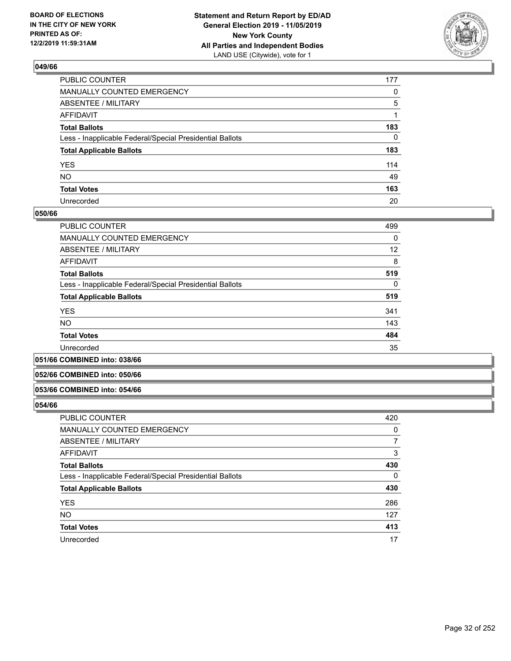

| PUBLIC COUNTER                                           | 177          |
|----------------------------------------------------------|--------------|
| MANUALLY COUNTED EMERGENCY                               | $\mathbf{0}$ |
| ABSENTEE / MILITARY                                      | 5            |
| AFFIDAVIT                                                |              |
| Total Ballots                                            | 183          |
| Less - Inapplicable Federal/Special Presidential Ballots | $\mathbf{0}$ |
| <b>Total Applicable Ballots</b>                          | 183          |
| YES                                                      | 114          |
| NΟ                                                       | 49           |
| <b>Total Votes</b>                                       | 163          |
| Unrecorded                                               | 20           |

#### **050/66**

| PUBLIC COUNTER                                           | 499      |
|----------------------------------------------------------|----------|
| <b>MANUALLY COUNTED EMERGENCY</b>                        | 0        |
| ABSENTEE / MILITARY                                      | 12       |
| <b>AFFIDAVIT</b>                                         | 8        |
| <b>Total Ballots</b>                                     | 519      |
| Less - Inapplicable Federal/Special Presidential Ballots | $\Omega$ |
| <b>Total Applicable Ballots</b>                          | 519      |
|                                                          | 341      |
| <b>YES</b>                                               |          |
| <b>NO</b>                                                | 143      |
| <b>Total Votes</b>                                       | 484      |
| Unrecorded                                               | 35       |

#### **051/66 COMBINED into: 038/66**

#### **052/66 COMBINED into: 050/66**

#### **053/66 COMBINED into: 054/66**

| <b>PUBLIC COUNTER</b>                                    | 420 |
|----------------------------------------------------------|-----|
| <b>MANUALLY COUNTED EMERGENCY</b>                        | 0   |
| ABSENTEE / MILITARY                                      | 7   |
| AFFIDAVIT                                                | 3   |
| <b>Total Ballots</b>                                     | 430 |
| Less - Inapplicable Federal/Special Presidential Ballots | 0   |
| <b>Total Applicable Ballots</b>                          | 430 |
| <b>YES</b>                                               | 286 |
| <b>NO</b>                                                | 127 |
| <b>Total Votes</b>                                       | 413 |
| Unrecorded                                               | 17  |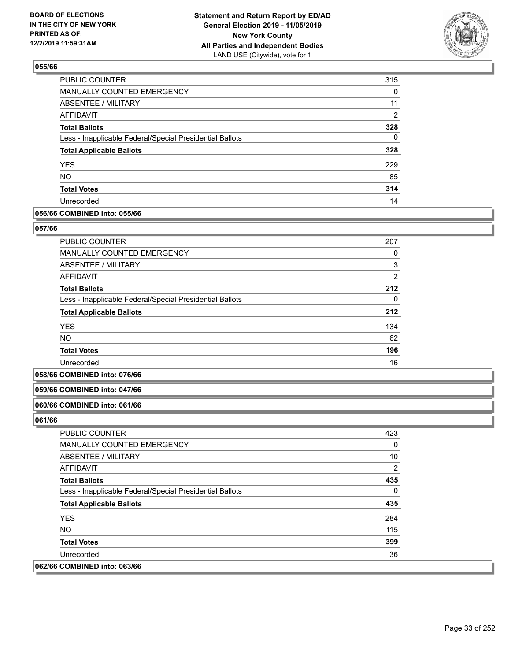

| <b>PUBLIC COUNTER</b>                                    | 315      |
|----------------------------------------------------------|----------|
| <b>MANUALLY COUNTED EMERGENCY</b>                        | 0        |
| <b>ABSENTEE / MILITARY</b>                               | 11       |
| AFFIDAVIT                                                | 2        |
| <b>Total Ballots</b>                                     | 328      |
| Less - Inapplicable Federal/Special Presidential Ballots | $\Omega$ |
| <b>Total Applicable Ballots</b>                          | 328      |
| <b>YES</b>                                               | 229      |
| <b>NO</b>                                                | 85       |
| <b>Total Votes</b>                                       | 314      |
| Unrecorded                                               | 14       |

#### **056/66 COMBINED into: 055/66**

#### **057/66**

| <b>PUBLIC COUNTER</b>                                    | 207            |
|----------------------------------------------------------|----------------|
| MANUALLY COUNTED EMERGENCY                               | 0              |
| ABSENTEE / MILITARY                                      | 3              |
| AFFIDAVIT                                                | $\overline{2}$ |
| <b>Total Ballots</b>                                     | 212            |
| Less - Inapplicable Federal/Special Presidential Ballots | 0              |
| <b>Total Applicable Ballots</b>                          | 212            |
| <b>YES</b>                                               | 134            |
| <b>NO</b>                                                | 62             |
| <b>Total Votes</b>                                       | 196            |
| Unrecorded                                               | 16             |

#### **058/66 COMBINED into: 076/66**

#### **059/66 COMBINED into: 047/66**

#### **060/66 COMBINED into: 061/66**

| <b>PUBLIC COUNTER</b>                                    | 423      |
|----------------------------------------------------------|----------|
| <b>MANUALLY COUNTED EMERGENCY</b>                        | $\Omega$ |
| ABSENTEE / MILITARY                                      | 10       |
| AFFIDAVIT                                                | 2        |
| <b>Total Ballots</b>                                     | 435      |
| Less - Inapplicable Federal/Special Presidential Ballots | $\Omega$ |
| <b>Total Applicable Ballots</b>                          | 435      |
| <b>YES</b>                                               | 284      |
| NO.                                                      | 115      |
| <b>Total Votes</b>                                       | 399      |
| Unrecorded                                               | 36       |
| 062/66 COMBINED into: 063/66                             |          |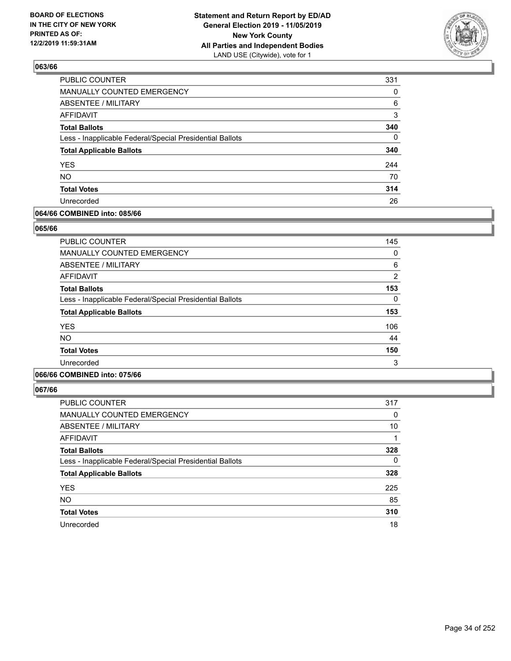

| PUBLIC COUNTER                                           | 331      |
|----------------------------------------------------------|----------|
| MANUALLY COUNTED EMERGENCY                               | 0        |
| ABSENTEE / MILITARY                                      | 6        |
| AFFIDAVIT                                                | 3        |
| <b>Total Ballots</b>                                     | 340      |
| Less - Inapplicable Federal/Special Presidential Ballots | $\Omega$ |
| <b>Total Applicable Ballots</b>                          | 340      |
| <b>YES</b>                                               | 244      |
| <b>NO</b>                                                | 70       |
| <b>Total Votes</b>                                       | 314      |
| Unrecorded                                               | 26       |

#### **064/66 COMBINED into: 085/66**

#### **065/66**

| <b>PUBLIC COUNTER</b>                                    | 145           |
|----------------------------------------------------------|---------------|
| MANUALLY COUNTED EMERGENCY                               | 0             |
| ABSENTEE / MILITARY                                      | 6             |
| AFFIDAVIT                                                | $\mathcal{P}$ |
| <b>Total Ballots</b>                                     | 153           |
| Less - Inapplicable Federal/Special Presidential Ballots | 0             |
| <b>Total Applicable Ballots</b>                          | 153           |
| <b>YES</b>                                               | 106           |
| <b>NO</b>                                                | 44            |
| <b>Total Votes</b>                                       | 150           |
| Unrecorded                                               | 3             |
|                                                          |               |

## **066/66 COMBINED into: 075/66**

| <b>PUBLIC COUNTER</b>                                    | 317      |
|----------------------------------------------------------|----------|
| <b>MANUALLY COUNTED EMERGENCY</b>                        | 0        |
| ABSENTEE / MILITARY                                      | 10       |
| AFFIDAVIT                                                | 1        |
| <b>Total Ballots</b>                                     | 328      |
| Less - Inapplicable Federal/Special Presidential Ballots | $\Omega$ |
| <b>Total Applicable Ballots</b>                          | 328      |
| <b>YES</b>                                               | 225      |
| <b>NO</b>                                                | 85       |
| <b>Total Votes</b>                                       | 310      |
| Unrecorded                                               | 18       |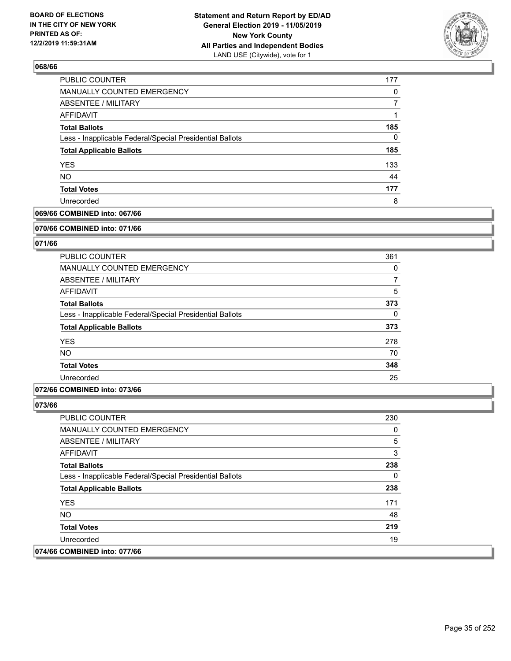

| PUBLIC COUNTER                                           | 177 |
|----------------------------------------------------------|-----|
| MANUALLY COUNTED EMERGENCY                               | 0   |
| ABSENTEE / MILITARY                                      |     |
| AFFIDAVIT                                                |     |
| <b>Total Ballots</b>                                     | 185 |
| Less - Inapplicable Federal/Special Presidential Ballots | 0   |
| <b>Total Applicable Ballots</b>                          | 185 |
| <b>YES</b>                                               | 133 |
| <b>NO</b>                                                | 44  |
| <b>Total Votes</b>                                       | 177 |
| Unrecorded                                               | 8   |

## **069/66 COMBINED into: 067/66**

#### **070/66 COMBINED into: 071/66**

## **071/66**

| <b>PUBLIC COUNTER</b>                                    | 361      |
|----------------------------------------------------------|----------|
| <b>MANUALLY COUNTED EMERGENCY</b>                        | 0        |
| ABSENTEE / MILITARY                                      | 7        |
| AFFIDAVIT                                                | 5        |
| <b>Total Ballots</b>                                     | 373      |
| Less - Inapplicable Federal/Special Presidential Ballots | $\Omega$ |
| <b>Total Applicable Ballots</b>                          | 373      |
| <b>YES</b>                                               | 278      |
| <b>NO</b>                                                | 70       |
| <b>Total Votes</b>                                       | 348      |
| Unrecorded                                               | 25       |

## **072/66 COMBINED into: 073/66**

| <b>PUBLIC COUNTER</b>                                    | 230 |
|----------------------------------------------------------|-----|
| <b>MANUALLY COUNTED EMERGENCY</b>                        | 0   |
| ABSENTEE / MILITARY                                      | 5   |
| AFFIDAVIT                                                | 3   |
| <b>Total Ballots</b>                                     | 238 |
| Less - Inapplicable Federal/Special Presidential Ballots | 0   |
| <b>Total Applicable Ballots</b>                          | 238 |
| <b>YES</b>                                               | 171 |
| NO.                                                      | 48  |
| <b>Total Votes</b>                                       | 219 |
| Unrecorded                                               | 19  |
| 074/66 COMBINED into: 077/66                             |     |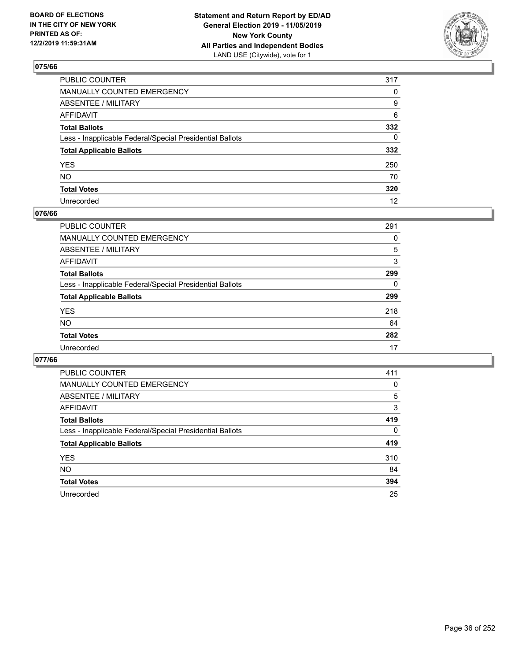

| PUBLIC COUNTER                                           | 317          |
|----------------------------------------------------------|--------------|
| MANUALLY COUNTED EMERGENCY                               | $\mathbf{0}$ |
| ABSENTEE / MILITARY                                      | 9            |
| AFFIDAVIT                                                | 6            |
| Total Ballots                                            | 332          |
| Less - Inapplicable Federal/Special Presidential Ballots | $\mathbf{0}$ |
| <b>Total Applicable Ballots</b>                          | 332          |
| YES                                                      | 250          |
| NO.                                                      | 70           |
| <b>Total Votes</b>                                       | 320          |
| Unrecorded                                               | 12           |

## **076/66**

| <b>PUBLIC COUNTER</b>                                    | 291      |
|----------------------------------------------------------|----------|
| <b>MANUALLY COUNTED EMERGENCY</b>                        | 0        |
| ABSENTEE / MILITARY                                      | 5        |
| AFFIDAVIT                                                | 3        |
| <b>Total Ballots</b>                                     | 299      |
| Less - Inapplicable Federal/Special Presidential Ballots | $\Omega$ |
| <b>Total Applicable Ballots</b>                          | 299      |
| <b>YES</b>                                               | 218      |
| <b>NO</b>                                                | 64       |
| <b>Total Votes</b>                                       | 282      |
| Unrecorded                                               | 17       |

| <b>PUBLIC COUNTER</b>                                    | 411      |
|----------------------------------------------------------|----------|
| <b>MANUALLY COUNTED EMERGENCY</b>                        | 0        |
| ABSENTEE / MILITARY                                      | 5        |
| AFFIDAVIT                                                | 3        |
| <b>Total Ballots</b>                                     | 419      |
| Less - Inapplicable Federal/Special Presidential Ballots | $\Omega$ |
| <b>Total Applicable Ballots</b>                          | 419      |
| <b>YES</b>                                               | 310      |
| NO.                                                      | 84       |
| <b>Total Votes</b>                                       | 394      |
| Unrecorded                                               | 25       |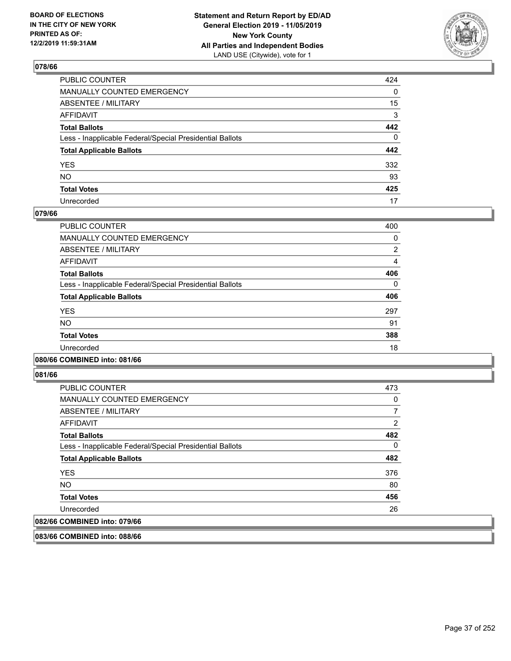

| PUBLIC COUNTER                                           | 424 |
|----------------------------------------------------------|-----|
| MANUALLY COUNTED EMERGENCY                               | 0   |
| ABSENTEE / MILITARY                                      | 15  |
| AFFIDAVIT                                                | 3   |
| Total Ballots                                            | 442 |
| Less - Inapplicable Federal/Special Presidential Ballots | 0   |
| <b>Total Applicable Ballots</b>                          | 442 |
| YES                                                      | 332 |
| NO.                                                      | 93  |
| <b>Total Votes</b>                                       | 425 |
| Unrecorded                                               | 17  |

#### **079/66**

| <b>PUBLIC COUNTER</b>                                    | 400      |
|----------------------------------------------------------|----------|
| <b>MANUALLY COUNTED EMERGENCY</b>                        | 0        |
| ABSENTEE / MILITARY                                      | 2        |
| <b>AFFIDAVIT</b>                                         | 4        |
| <b>Total Ballots</b>                                     | 406      |
| Less - Inapplicable Federal/Special Presidential Ballots | $\Omega$ |
| <b>Total Applicable Ballots</b>                          | 406      |
| <b>YES</b>                                               | 297      |
| <b>NO</b>                                                | 91       |
| <b>Total Votes</b>                                       | 388      |
| Unrecorded                                               | 18       |
|                                                          |          |

#### **080/66 COMBINED into: 081/66**

**081/66** 

| <b>PUBLIC COUNTER</b>                                    | 473 |
|----------------------------------------------------------|-----|
| <b>MANUALLY COUNTED EMERGENCY</b>                        | 0   |
| ABSENTEE / MILITARY                                      |     |
| AFFIDAVIT                                                | 2   |
| <b>Total Ballots</b>                                     | 482 |
| Less - Inapplicable Federal/Special Presidential Ballots | 0   |
| <b>Total Applicable Ballots</b>                          | 482 |
| <b>YES</b>                                               | 376 |
| <b>NO</b>                                                | 80  |
| <b>Total Votes</b>                                       | 456 |
| Unrecorded                                               | 26  |
| 082/66 COMBINED into: 079/66                             |     |

**083/66 COMBINED into: 088/66**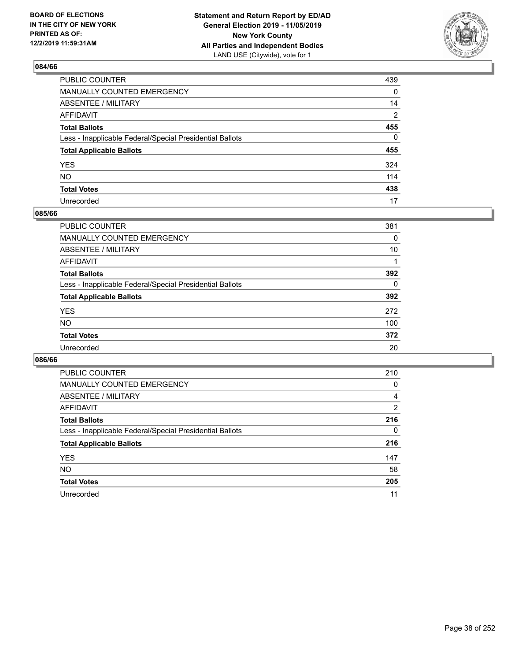

| PUBLIC COUNTER                                           | 439 |
|----------------------------------------------------------|-----|
| MANUALLY COUNTED EMERGENCY                               | 0   |
| ABSENTEE / MILITARY                                      | 14  |
| AFFIDAVIT                                                | 2   |
| Total Ballots                                            | 455 |
| Less - Inapplicable Federal/Special Presidential Ballots | 0   |
| <b>Total Applicable Ballots</b>                          | 455 |
| YES                                                      | 324 |
| NO.                                                      | 114 |
| <b>Total Votes</b>                                       | 438 |
| Unrecorded                                               | 17  |

#### **085/66**

| <b>PUBLIC COUNTER</b>                                    | 381      |
|----------------------------------------------------------|----------|
| <b>MANUALLY COUNTED EMERGENCY</b>                        | 0        |
| ABSENTEE / MILITARY                                      | 10       |
| AFFIDAVIT                                                |          |
| <b>Total Ballots</b>                                     | 392      |
| Less - Inapplicable Federal/Special Presidential Ballots | $\Omega$ |
| <b>Total Applicable Ballots</b>                          | 392      |
| <b>YES</b>                                               | 272      |
| <b>NO</b>                                                | 100      |
| <b>Total Votes</b>                                       | 372      |
| Unrecorded                                               | 20       |

| <b>PUBLIC COUNTER</b>                                    | 210      |
|----------------------------------------------------------|----------|
| <b>MANUALLY COUNTED EMERGENCY</b>                        | 0        |
| ABSENTEE / MILITARY                                      | 4        |
| AFFIDAVIT                                                | 2        |
| <b>Total Ballots</b>                                     | 216      |
| Less - Inapplicable Federal/Special Presidential Ballots | $\Omega$ |
| <b>Total Applicable Ballots</b>                          | 216      |
| <b>YES</b>                                               | 147      |
| <b>NO</b>                                                | 58       |
| <b>Total Votes</b>                                       | 205      |
| Unrecorded                                               | 11       |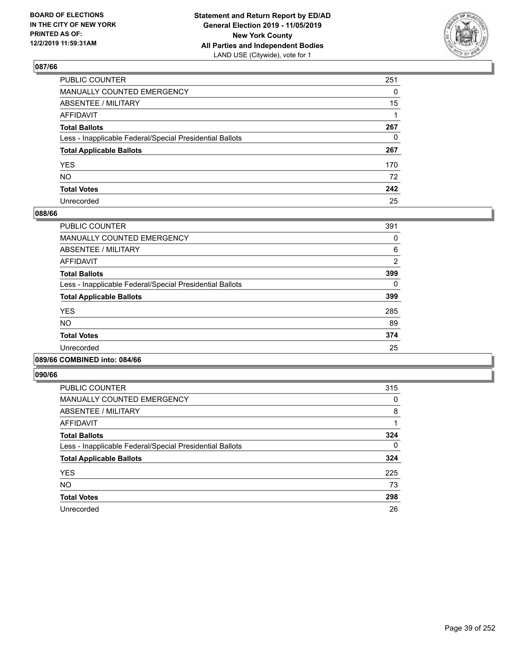

| PUBLIC COUNTER                                           | 251 |
|----------------------------------------------------------|-----|
| MANUALLY COUNTED EMERGENCY                               | 0   |
| ABSENTEE / MILITARY                                      | 15  |
| AFFIDAVIT                                                |     |
| Total Ballots                                            | 267 |
| Less - Inapplicable Federal/Special Presidential Ballots | 0   |
| <b>Total Applicable Ballots</b>                          | 267 |
| YES                                                      | 170 |
| NO.                                                      | 72  |
| <b>Total Votes</b>                                       | 242 |
| Unrecorded                                               | 25  |

#### **088/66**

| PUBLIC COUNTER                                           | 391      |
|----------------------------------------------------------|----------|
| <b>MANUALLY COUNTED EMERGENCY</b>                        | 0        |
| ABSENTEE / MILITARY                                      | 6        |
| <b>AFFIDAVIT</b>                                         | 2        |
| <b>Total Ballots</b>                                     | 399      |
| Less - Inapplicable Federal/Special Presidential Ballots | $\Omega$ |
| <b>Total Applicable Ballots</b>                          | 399      |
| <b>YES</b>                                               | 285      |
| NO.                                                      | 89       |
| <b>Total Votes</b>                                       | 374      |
| Unrecorded                                               | 25       |
|                                                          |          |

#### **089/66 COMBINED into: 084/66**

| <b>PUBLIC COUNTER</b>                                    | 315 |
|----------------------------------------------------------|-----|
| <b>MANUALLY COUNTED EMERGENCY</b>                        | 0   |
| ABSENTEE / MILITARY                                      | 8   |
| <b>AFFIDAVIT</b>                                         |     |
| <b>Total Ballots</b>                                     | 324 |
| Less - Inapplicable Federal/Special Presidential Ballots | 0   |
| <b>Total Applicable Ballots</b>                          | 324 |
| <b>YES</b>                                               | 225 |
| <b>NO</b>                                                | 73  |
| <b>Total Votes</b>                                       | 298 |
| Unrecorded                                               | 26  |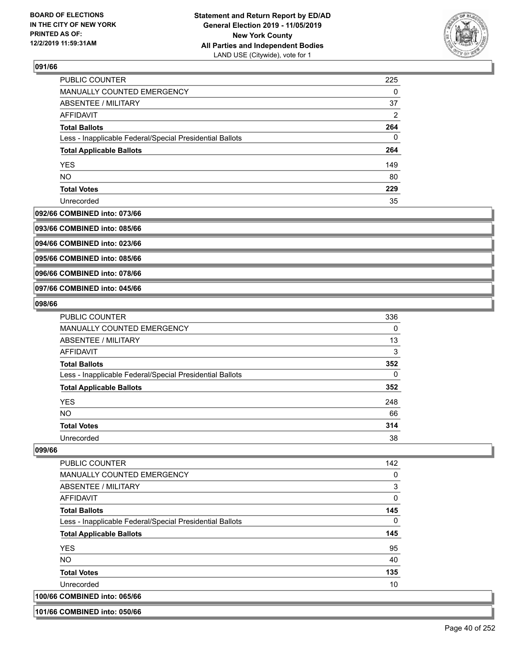

| <b>PUBLIC COUNTER</b>                                    | 225 |
|----------------------------------------------------------|-----|
| <b>MANUALLY COUNTED EMERGENCY</b>                        | 0   |
| <b>ABSENTEE / MILITARY</b>                               | 37  |
| AFFIDAVIT                                                | 2   |
| <b>Total Ballots</b>                                     | 264 |
| Less - Inapplicable Federal/Special Presidential Ballots | 0   |
| <b>Total Applicable Ballots</b>                          | 264 |
| <b>YES</b>                                               | 149 |
| <b>NO</b>                                                | 80  |
| <b>Total Votes</b>                                       | 229 |
| Unrecorded                                               | 35  |

#### **092/66 COMBINED into: 073/66**

**093/66 COMBINED into: 085/66**

**094/66 COMBINED into: 023/66**

**095/66 COMBINED into: 085/66**

**096/66 COMBINED into: 078/66**

**097/66 COMBINED into: 045/66**

#### **098/66**

| <b>PUBLIC COUNTER</b>                                    | 336 |
|----------------------------------------------------------|-----|
| <b>MANUALLY COUNTED EMERGENCY</b>                        | 0   |
| ABSENTEE / MILITARY                                      | 13  |
| AFFIDAVIT                                                | 3   |
| <b>Total Ballots</b>                                     | 352 |
| Less - Inapplicable Federal/Special Presidential Ballots | 0   |
| <b>Total Applicable Ballots</b>                          | 352 |
| <b>YES</b>                                               | 248 |
| <b>NO</b>                                                | 66  |
| <b>Total Votes</b>                                       | 314 |
| Unrecorded                                               | 38  |

## **099/66**

| <b>PUBLIC COUNTER</b>                                    | 142 |
|----------------------------------------------------------|-----|
| <b>MANUALLY COUNTED EMERGENCY</b>                        | 0   |
| ABSENTEE / MILITARY                                      | 3   |
| AFFIDAVIT                                                | 0   |
| <b>Total Ballots</b>                                     | 145 |
| Less - Inapplicable Federal/Special Presidential Ballots | 0   |
| <b>Total Applicable Ballots</b>                          | 145 |
| <b>YES</b>                                               | 95  |
| NO.                                                      | 40  |
| <b>Total Votes</b>                                       | 135 |
| Unrecorded                                               | 10  |
| 100/66 COMBINED into: 065/66                             |     |

**101/66 COMBINED into: 050/66**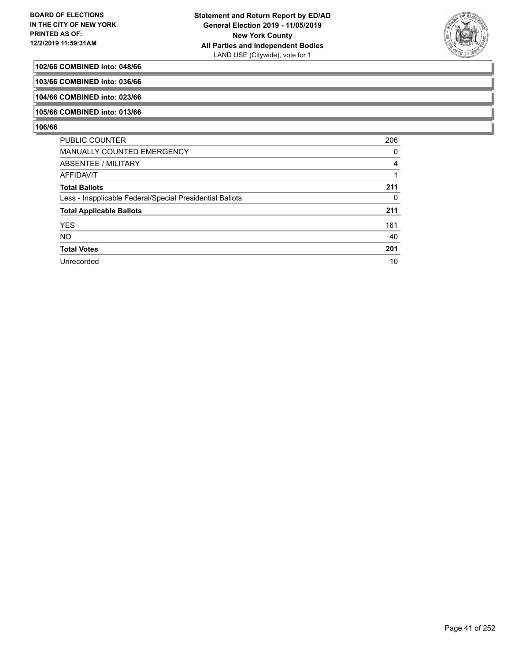

## **102/66 COMBINED into: 048/66**

**103/66 COMBINED into: 036/66**

**104/66 COMBINED into: 023/66**

## **105/66 COMBINED into: 013/66**

| <b>PUBLIC COUNTER</b>                                    | 206 |
|----------------------------------------------------------|-----|
| MANUALLY COUNTED EMERGENCY                               | 0   |
| ABSENTEE / MILITARY                                      | 4   |
| AFFIDAVIT                                                |     |
| <b>Total Ballots</b>                                     | 211 |
| Less - Inapplicable Federal/Special Presidential Ballots | 0   |
| <b>Total Applicable Ballots</b>                          | 211 |
| <b>YES</b>                                               | 161 |
| <b>NO</b>                                                | 40  |
| <b>Total Votes</b>                                       | 201 |
| Unrecorded                                               | 10  |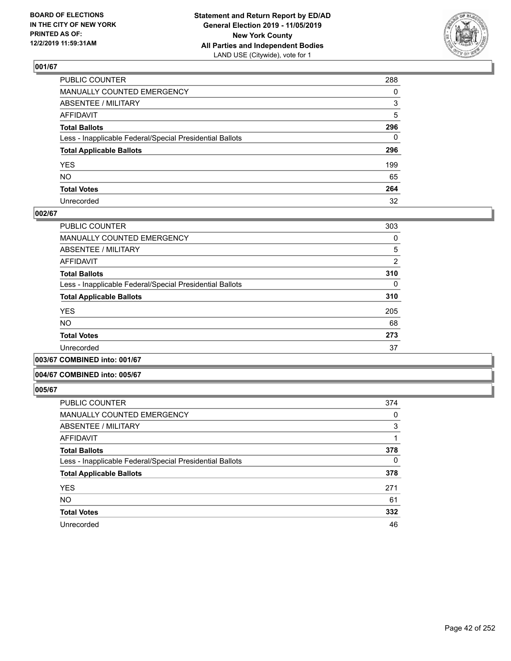

| PUBLIC COUNTER                                           | 288          |
|----------------------------------------------------------|--------------|
| MANUALLY COUNTED EMERGENCY                               | $\Omega$     |
| ABSENTEE / MILITARY                                      | 3            |
| AFFIDAVIT                                                | 5            |
| Total Ballots                                            | 296          |
| Less - Inapplicable Federal/Special Presidential Ballots | $\mathbf{0}$ |
| <b>Total Applicable Ballots</b>                          | 296          |
| YES                                                      | 199          |
| NO.                                                      | 65           |
| <b>Total Votes</b>                                       | 264          |
| Unrecorded                                               | 32           |

## **002/67**

| <b>PUBLIC COUNTER</b>                                    | 303            |
|----------------------------------------------------------|----------------|
| MANUALLY COUNTED EMERGENCY                               | 0              |
| ABSENTEE / MILITARY                                      | 5              |
| AFFIDAVIT                                                | $\overline{2}$ |
| <b>Total Ballots</b>                                     | 310            |
| Less - Inapplicable Federal/Special Presidential Ballots | $\Omega$       |
| <b>Total Applicable Ballots</b>                          | 310            |
| <b>YES</b>                                               | 205            |
| <b>NO</b>                                                | 68             |
| <b>Total Votes</b>                                       | 273            |
| Unrecorded                                               | 37             |
|                                                          |                |

**003/67 COMBINED into: 001/67**

#### **004/67 COMBINED into: 005/67**

| <b>PUBLIC COUNTER</b>                                    | 374      |
|----------------------------------------------------------|----------|
| MANUALLY COUNTED EMERGENCY                               | 0        |
| ABSENTEE / MILITARY                                      | 3        |
| AFFIDAVIT                                                |          |
| <b>Total Ballots</b>                                     | 378      |
| Less - Inapplicable Federal/Special Presidential Ballots | $\Omega$ |
| <b>Total Applicable Ballots</b>                          | 378      |
| <b>YES</b>                                               | 271      |
| <b>NO</b>                                                | 61       |
| <b>Total Votes</b>                                       | 332      |
| Unrecorded                                               | 46       |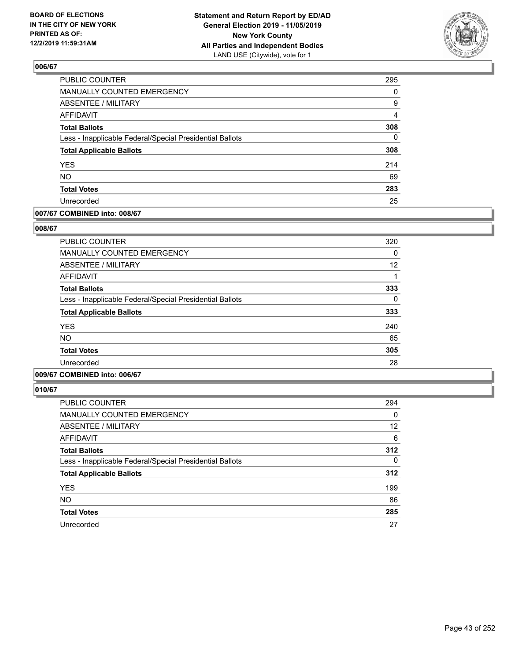

| PUBLIC COUNTER                                           | 295            |
|----------------------------------------------------------|----------------|
| MANUALLY COUNTED EMERGENCY                               | 0              |
| <b>ABSENTEE / MILITARY</b>                               | 9              |
| <b>AFFIDAVIT</b>                                         | $\overline{4}$ |
| <b>Total Ballots</b>                                     | 308            |
| Less - Inapplicable Federal/Special Presidential Ballots | $\mathbf{0}$   |
| <b>Total Applicable Ballots</b>                          | 308            |
| <b>YES</b>                                               | 214            |
| <b>NO</b>                                                | 69             |
| <b>Total Votes</b>                                       | 283            |
| Unrecorded                                               | 25             |

## **007/67 COMBINED into: 008/67**

#### **008/67**

| PUBLIC COUNTER                                           | 320 |
|----------------------------------------------------------|-----|
| <b>MANUALLY COUNTED EMERGENCY</b>                        | 0   |
| ABSENTEE / MILITARY                                      | 12  |
| AFFIDAVIT                                                |     |
| <b>Total Ballots</b>                                     | 333 |
| Less - Inapplicable Federal/Special Presidential Ballots | 0   |
| <b>Total Applicable Ballots</b>                          | 333 |
| <b>YES</b>                                               | 240 |
| <b>NO</b>                                                | 65  |
| <b>Total Votes</b>                                       | 305 |
| Unrecorded                                               | 28  |
|                                                          |     |

# **009/67 COMBINED into: 006/67**

| <b>PUBLIC COUNTER</b>                                    | 294 |
|----------------------------------------------------------|-----|
| <b>MANUALLY COUNTED EMERGENCY</b>                        | 0   |
| <b>ABSENTEE / MILITARY</b>                               | 12  |
| AFFIDAVIT                                                | 6   |
| <b>Total Ballots</b>                                     | 312 |
| Less - Inapplicable Federal/Special Presidential Ballots | 0   |
| <b>Total Applicable Ballots</b>                          | 312 |
| <b>YES</b>                                               | 199 |
| <b>NO</b>                                                | 86  |
| <b>Total Votes</b>                                       | 285 |
| Unrecorded                                               | 27  |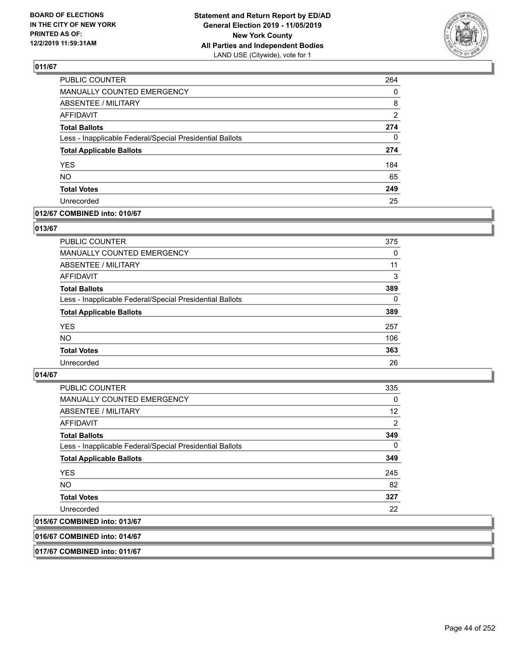

| <b>PUBLIC COUNTER</b>                                    | 264 |
|----------------------------------------------------------|-----|
| <b>MANUALLY COUNTED EMERGENCY</b>                        | 0   |
| ABSENTEE / MILITARY                                      | 8   |
| <b>AFFIDAVIT</b>                                         | 2   |
| <b>Total Ballots</b>                                     | 274 |
| Less - Inapplicable Federal/Special Presidential Ballots | 0   |
| <b>Total Applicable Ballots</b>                          | 274 |
| <b>YES</b>                                               | 184 |
| <b>NO</b>                                                | 65  |
| <b>Total Votes</b>                                       | 249 |
| Unrecorded                                               | 25  |

#### **012/67 COMBINED into: 010/67**

#### **013/67**

| <b>PUBLIC COUNTER</b>                                    | 375      |
|----------------------------------------------------------|----------|
| <b>MANUALLY COUNTED EMERGENCY</b>                        | 0        |
| ABSENTEE / MILITARY                                      | 11       |
| AFFIDAVIT                                                | 3        |
| <b>Total Ballots</b>                                     | 389      |
| Less - Inapplicable Federal/Special Presidential Ballots | $\Omega$ |
| <b>Total Applicable Ballots</b>                          | 389      |
| <b>YES</b>                                               | 257      |
| <b>NO</b>                                                | 106      |
| <b>Total Votes</b>                                       | 363      |
| Unrecorded                                               | 26       |

## **014/67**

| <b>PUBLIC COUNTER</b>                                    | 335            |
|----------------------------------------------------------|----------------|
| <b>MANUALLY COUNTED EMERGENCY</b>                        | 0              |
| ABSENTEE / MILITARY                                      | 12             |
| AFFIDAVIT                                                | $\overline{2}$ |
| <b>Total Ballots</b>                                     | 349            |
| Less - Inapplicable Federal/Special Presidential Ballots | 0              |
| <b>Total Applicable Ballots</b>                          | 349            |
| <b>YES</b>                                               | 245            |
| <b>NO</b>                                                | 82             |
| <b>Total Votes</b>                                       | 327            |
| Unrecorded                                               | 22             |
| 015/67 COMBINED into: 013/67                             |                |

#### **016/67 COMBINED into: 014/67**

**017/67 COMBINED into: 011/67**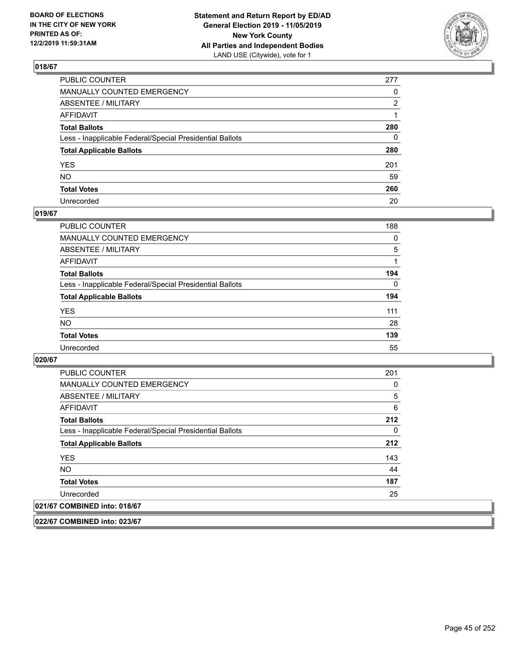

| PUBLIC COUNTER                                           | 277 |
|----------------------------------------------------------|-----|
| MANUALLY COUNTED EMERGENCY                               | 0   |
| ABSENTEE / MILITARY                                      | 2   |
| AFFIDAVIT                                                |     |
| Total Ballots                                            | 280 |
| Less - Inapplicable Federal/Special Presidential Ballots | 0   |
| <b>Total Applicable Ballots</b>                          | 280 |
| YES                                                      | 201 |
| NO.                                                      | 59  |
| <b>Total Votes</b>                                       | 260 |
| Unrecorded                                               | 20  |

## **019/67**

| <b>PUBLIC COUNTER</b>                                    | 188      |
|----------------------------------------------------------|----------|
| MANUALLY COUNTED EMERGENCY                               | $\Omega$ |
| ABSENTEE / MILITARY                                      | 5        |
| AFFIDAVIT                                                |          |
| <b>Total Ballots</b>                                     | 194      |
| Less - Inapplicable Federal/Special Presidential Ballots | $\Omega$ |
| <b>Total Applicable Ballots</b>                          | 194      |
| <b>YES</b>                                               | 111      |
| <b>NO</b>                                                | 28       |
| <b>Total Votes</b>                                       | 139      |
| Unrecorded                                               | 55       |

#### **020/67**

| <b>PUBLIC COUNTER</b>                                    | 201 |
|----------------------------------------------------------|-----|
| <b>MANUALLY COUNTED EMERGENCY</b>                        | 0   |
| ABSENTEE / MILITARY                                      | 5   |
| AFFIDAVIT                                                | 6   |
| <b>Total Ballots</b>                                     | 212 |
| Less - Inapplicable Federal/Special Presidential Ballots | 0   |
| <b>Total Applicable Ballots</b>                          | 212 |
| <b>YES</b>                                               | 143 |
| NO.                                                      | 44  |
| <b>Total Votes</b>                                       | 187 |
| Unrecorded                                               | 25  |
| 021/67 COMBINED into: 018/67                             |     |

**022/67 COMBINED into: 023/67**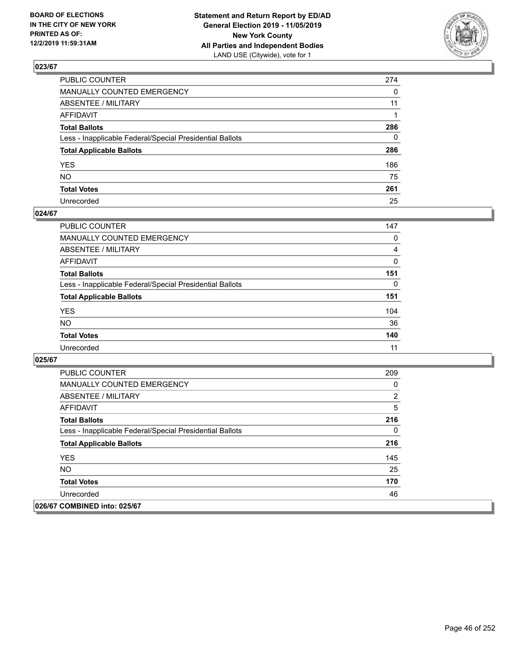

| PUBLIC COUNTER                                           | 274          |
|----------------------------------------------------------|--------------|
| MANUALLY COUNTED EMERGENCY                               | $\Omega$     |
| ABSENTEE / MILITARY                                      | 11           |
| AFFIDAVIT                                                |              |
| Total Ballots                                            | 286          |
| Less - Inapplicable Federal/Special Presidential Ballots | $\mathbf{0}$ |
| <b>Total Applicable Ballots</b>                          | 286          |
| YES                                                      | 186          |
| NO.                                                      | 75           |
| <b>Total Votes</b>                                       | 261          |
| Unrecorded                                               | 25           |

#### **024/67**

| PUBLIC COUNTER                                           | 147 |
|----------------------------------------------------------|-----|
| <b>MANUALLY COUNTED EMERGENCY</b>                        | 0   |
| ABSENTEE / MILITARY                                      | 4   |
| AFFIDAVIT                                                | 0   |
| <b>Total Ballots</b>                                     | 151 |
| Less - Inapplicable Federal/Special Presidential Ballots | 0   |
| <b>Total Applicable Ballots</b>                          | 151 |
| <b>YES</b>                                               | 104 |
| <b>NO</b>                                                | 36  |
| <b>Total Votes</b>                                       | 140 |
| Unrecorded                                               | 11  |

| <b>PUBLIC COUNTER</b>                                    | 209 |
|----------------------------------------------------------|-----|
| <b>MANUALLY COUNTED EMERGENCY</b>                        | 0   |
| ABSENTEE / MILITARY                                      | 2   |
| AFFIDAVIT                                                | 5   |
| <b>Total Ballots</b>                                     | 216 |
| Less - Inapplicable Federal/Special Presidential Ballots | 0   |
| <b>Total Applicable Ballots</b>                          | 216 |
| <b>YES</b>                                               | 145 |
| NO.                                                      | 25  |
| <b>Total Votes</b>                                       | 170 |
| Unrecorded                                               | 46  |
| 026/67 COMBINED into: 025/67                             |     |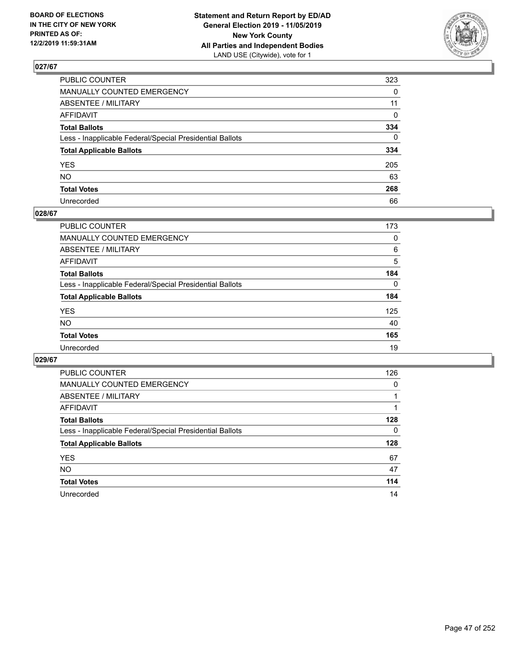

| PUBLIC COUNTER                                           | 323         |
|----------------------------------------------------------|-------------|
| MANUALLY COUNTED EMERGENCY                               | $\Omega$    |
| ABSENTEE / MILITARY                                      | 11          |
| AFFIDAVIT                                                | $\mathbf 0$ |
| Total Ballots                                            | 334         |
| Less - Inapplicable Federal/Special Presidential Ballots | $\Omega$    |
| <b>Total Applicable Ballots</b>                          | 334         |
| YES                                                      | 205         |
| NO.                                                      | 63          |
| <b>Total Votes</b>                                       | 268         |
| Unrecorded                                               | 66          |

#### **028/67**

| <b>PUBLIC COUNTER</b>                                    | 173      |
|----------------------------------------------------------|----------|
| <b>MANUALLY COUNTED EMERGENCY</b>                        | 0        |
| ABSENTEE / MILITARY                                      | 6        |
| AFFIDAVIT                                                | 5        |
| <b>Total Ballots</b>                                     | 184      |
| Less - Inapplicable Federal/Special Presidential Ballots | $\Omega$ |
| <b>Total Applicable Ballots</b>                          | 184      |
| <b>YES</b>                                               | 125      |
| <b>NO</b>                                                | 40       |
| <b>Total Votes</b>                                       | 165      |
| Unrecorded                                               | 19       |

| <b>PUBLIC COUNTER</b>                                    | 126 |
|----------------------------------------------------------|-----|
| MANUALLY COUNTED EMERGENCY                               | 0   |
| ABSENTEE / MILITARY                                      |     |
| AFFIDAVIT                                                |     |
| <b>Total Ballots</b>                                     | 128 |
| Less - Inapplicable Federal/Special Presidential Ballots | 0   |
| <b>Total Applicable Ballots</b>                          | 128 |
| <b>YES</b>                                               | 67  |
| <b>NO</b>                                                | 47  |
| <b>Total Votes</b>                                       | 114 |
| Unrecorded                                               | 14  |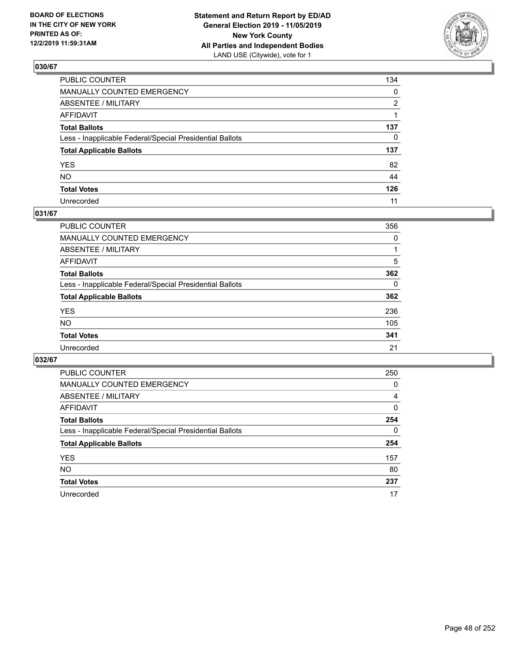

| PUBLIC COUNTER                                           | 134          |
|----------------------------------------------------------|--------------|
| MANUALLY COUNTED EMERGENCY                               | $\mathbf{0}$ |
| ABSENTEE / MILITARY                                      | 2            |
| AFFIDAVIT                                                |              |
| Total Ballots                                            | 137          |
| Less - Inapplicable Federal/Special Presidential Ballots | $\mathbf{0}$ |
| <b>Total Applicable Ballots</b>                          | 137          |
| YES                                                      | 82           |
| NO.                                                      | 44           |
| <b>Total Votes</b>                                       | 126          |
| Unrecorded                                               | 11           |

## **031/67**

| <b>PUBLIC COUNTER</b>                                    | 356      |
|----------------------------------------------------------|----------|
| <b>MANUALLY COUNTED EMERGENCY</b>                        | 0        |
| ABSENTEE / MILITARY                                      |          |
| AFFIDAVIT                                                | 5        |
| <b>Total Ballots</b>                                     | 362      |
| Less - Inapplicable Federal/Special Presidential Ballots | $\Omega$ |
| <b>Total Applicable Ballots</b>                          | 362      |
| <b>YES</b>                                               | 236      |
| <b>NO</b>                                                | 105      |
| <b>Total Votes</b>                                       | 341      |
| Unrecorded                                               | 21       |

| <b>PUBLIC COUNTER</b>                                    | 250      |
|----------------------------------------------------------|----------|
| MANUALLY COUNTED EMERGENCY                               | 0        |
| ABSENTEE / MILITARY                                      | 4        |
| AFFIDAVIT                                                | $\Omega$ |
| <b>Total Ballots</b>                                     | 254      |
| Less - Inapplicable Federal/Special Presidential Ballots | $\Omega$ |
| <b>Total Applicable Ballots</b>                          | 254      |
| <b>YES</b>                                               | 157      |
| <b>NO</b>                                                | 80       |
| <b>Total Votes</b>                                       | 237      |
| Unrecorded                                               | 17       |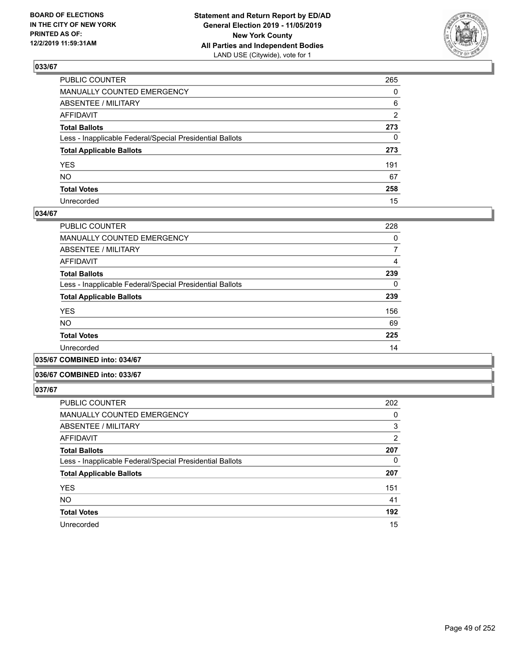

| PUBLIC COUNTER                                           | 265            |
|----------------------------------------------------------|----------------|
| MANUALLY COUNTED EMERGENCY                               | $\Omega$       |
| ABSENTEE / MILITARY                                      | 6              |
| AFFIDAVIT                                                | $\overline{2}$ |
| Total Ballots                                            | 273            |
| Less - Inapplicable Federal/Special Presidential Ballots | $\mathbf{0}$   |
| <b>Total Applicable Ballots</b>                          | 273            |
| YES                                                      | 191            |
| NO.                                                      | 67             |
| <b>Total Votes</b>                                       | 258            |
| Unrecorded                                               | 15             |

## **034/67**

| <b>PUBLIC COUNTER</b>                                    | 228 |
|----------------------------------------------------------|-----|
| MANUALLY COUNTED EMERGENCY                               | 0   |
| ABSENTEE / MILITARY                                      | 7   |
| AFFIDAVIT                                                | 4   |
| <b>Total Ballots</b>                                     | 239 |
| Less - Inapplicable Federal/Special Presidential Ballots | 0   |
| <b>Total Applicable Ballots</b>                          | 239 |
| <b>YES</b>                                               | 156 |
| <b>NO</b>                                                | 69  |
| <b>Total Votes</b>                                       | 225 |
| Unrecorded                                               | 14  |
|                                                          |     |

**035/67 COMBINED into: 034/67**

#### **036/67 COMBINED into: 033/67**

| <b>PUBLIC COUNTER</b>                                    | 202            |
|----------------------------------------------------------|----------------|
| <b>MANUALLY COUNTED EMERGENCY</b>                        | 0              |
| ABSENTEE / MILITARY                                      | 3              |
| <b>AFFIDAVIT</b>                                         | $\overline{2}$ |
| <b>Total Ballots</b>                                     | 207            |
| Less - Inapplicable Federal/Special Presidential Ballots | 0              |
| <b>Total Applicable Ballots</b>                          | 207            |
| <b>YES</b>                                               | 151            |
| <b>NO</b>                                                | 41             |
| <b>Total Votes</b>                                       | 192            |
| Unrecorded                                               | 15             |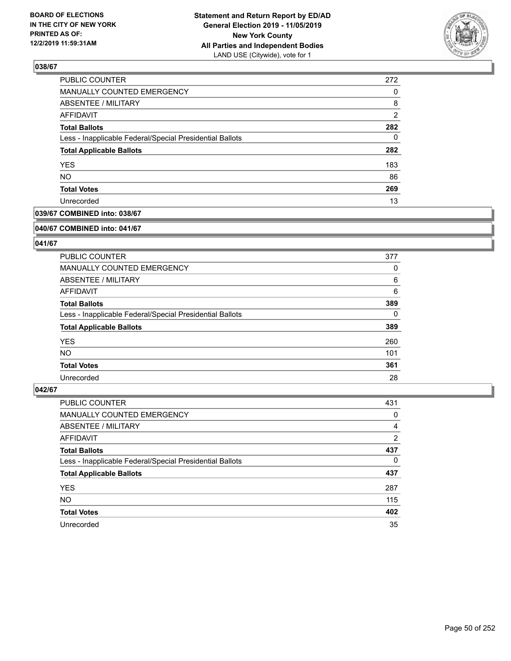

| PUBLIC COUNTER                                           | 272            |
|----------------------------------------------------------|----------------|
| MANUALLY COUNTED EMERGENCY                               | 0              |
| ABSENTEE / MILITARY                                      | 8              |
| AFFIDAVIT                                                | $\overline{2}$ |
| <b>Total Ballots</b>                                     | 282            |
| Less - Inapplicable Federal/Special Presidential Ballots | 0              |
| <b>Total Applicable Ballots</b>                          | 282            |
| <b>YES</b>                                               | 183            |
| <b>NO</b>                                                | 86             |
| <b>Total Votes</b>                                       | 269            |
| Unrecorded                                               | 13             |

## **039/67 COMBINED into: 038/67**

#### **040/67 COMBINED into: 041/67**

## **041/67**

| <b>PUBLIC COUNTER</b>                                    | 377      |
|----------------------------------------------------------|----------|
| MANUALLY COUNTED EMERGENCY                               | 0        |
| ABSENTEE / MILITARY                                      | 6        |
| AFFIDAVIT                                                | 6        |
| <b>Total Ballots</b>                                     | 389      |
| Less - Inapplicable Federal/Special Presidential Ballots | $\Omega$ |
| <b>Total Applicable Ballots</b>                          | 389      |
| <b>YES</b>                                               | 260      |
| NO.                                                      | 101      |
| <b>Total Votes</b>                                       | 361      |
| Unrecorded                                               | 28       |

| <b>PUBLIC COUNTER</b>                                    | 431 |
|----------------------------------------------------------|-----|
| MANUALLY COUNTED EMERGENCY                               | 0   |
| ABSENTEE / MILITARY                                      | 4   |
| AFFIDAVIT                                                | 2   |
| <b>Total Ballots</b>                                     | 437 |
| Less - Inapplicable Federal/Special Presidential Ballots | 0   |
| <b>Total Applicable Ballots</b>                          | 437 |
| <b>YES</b>                                               | 287 |
| <b>NO</b>                                                | 115 |
| <b>Total Votes</b>                                       | 402 |
| Unrecorded                                               | 35  |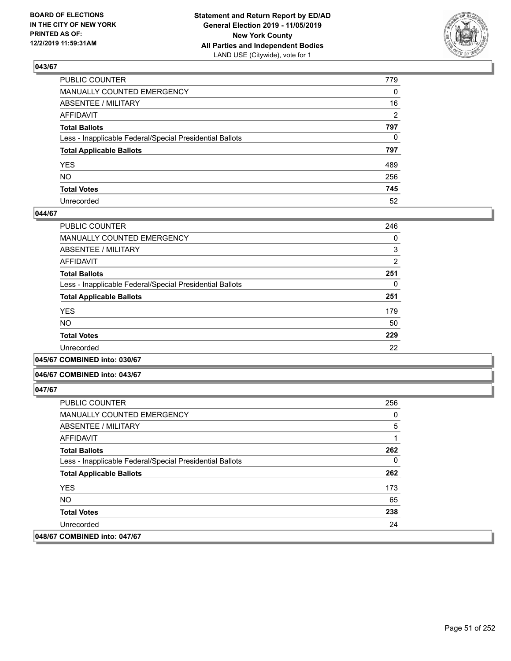

| PUBLIC COUNTER                                           | 779          |
|----------------------------------------------------------|--------------|
| MANUALLY COUNTED EMERGENCY                               | $\mathbf{0}$ |
| ABSENTEE / MILITARY                                      | 16           |
| AFFIDAVIT                                                | 2            |
| Total Ballots                                            | 797          |
| Less - Inapplicable Federal/Special Presidential Ballots | $\mathbf{0}$ |
| <b>Total Applicable Ballots</b>                          | 797          |
| YES                                                      | 489          |
| NO.                                                      | 256          |
| <b>Total Votes</b>                                       | 745          |
| Unrecorded                                               | 52           |

#### **044/67**

| <b>PUBLIC COUNTER</b>                                    | 246            |
|----------------------------------------------------------|----------------|
| MANUALLY COUNTED EMERGENCY                               | 0              |
| ABSENTEE / MILITARY                                      | 3              |
| AFFIDAVIT                                                | $\overline{2}$ |
| <b>Total Ballots</b>                                     | 251            |
| Less - Inapplicable Federal/Special Presidential Ballots | 0              |
| <b>Total Applicable Ballots</b>                          | 251            |
| <b>YES</b>                                               | 179            |
| <b>NO</b>                                                | 50             |
| <b>Total Votes</b>                                       | 229            |
| Unrecorded                                               | 22             |
|                                                          |                |

**045/67 COMBINED into: 030/67**

#### **046/67 COMBINED into: 043/67**

| <b>PUBLIC COUNTER</b>                                    | 256      |
|----------------------------------------------------------|----------|
| <b>MANUALLY COUNTED EMERGENCY</b>                        | 0        |
| ABSENTEE / MILITARY                                      | 5        |
| AFFIDAVIT                                                | 1        |
| <b>Total Ballots</b>                                     | 262      |
| Less - Inapplicable Federal/Special Presidential Ballots | $\Omega$ |
| <b>Total Applicable Ballots</b>                          | 262      |
| <b>YES</b>                                               | 173      |
| NO.                                                      | 65       |
| <b>Total Votes</b>                                       | 238      |
| Unrecorded                                               | 24       |
| 048/67 COMBINED into: 047/67                             |          |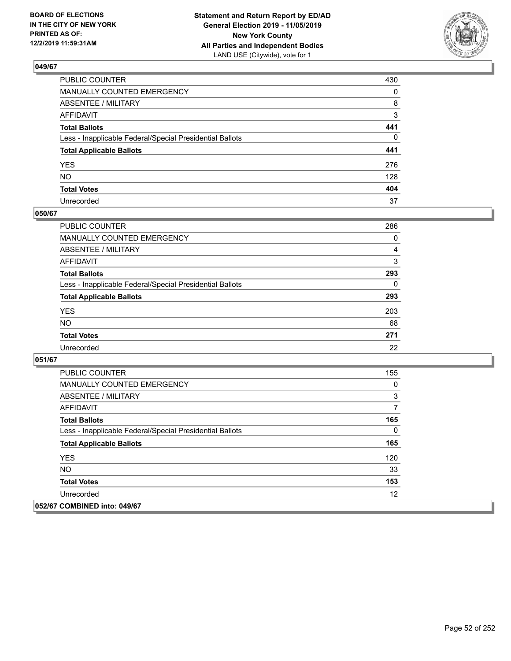

| PUBLIC COUNTER                                           | 430          |
|----------------------------------------------------------|--------------|
| MANUALLY COUNTED EMERGENCY                               | $\mathbf{0}$ |
| ABSENTEE / MILITARY                                      | 8            |
| AFFIDAVIT                                                | 3            |
| Total Ballots                                            | 441          |
| Less - Inapplicable Federal/Special Presidential Ballots | 0            |
| <b>Total Applicable Ballots</b>                          | 441          |
| YES                                                      | 276          |
| NO.                                                      | 128          |
| <b>Total Votes</b>                                       | 404          |
| Unrecorded                                               | 37           |

## **050/67**

| <b>PUBLIC COUNTER</b>                                    | 286      |
|----------------------------------------------------------|----------|
| <b>MANUALLY COUNTED EMERGENCY</b>                        | $\Omega$ |
| ABSENTEE / MILITARY                                      | 4        |
| AFFIDAVIT                                                | 3        |
| <b>Total Ballots</b>                                     | 293      |
| Less - Inapplicable Federal/Special Presidential Ballots | 0        |
| <b>Total Applicable Ballots</b>                          | 293      |
| <b>YES</b>                                               | 203      |
| <b>NO</b>                                                | 68       |
| <b>Total Votes</b>                                       | 271      |
| Unrecorded                                               | 22       |

| <b>PUBLIC COUNTER</b>                                    | 155 |
|----------------------------------------------------------|-----|
| <b>MANUALLY COUNTED EMERGENCY</b>                        | 0   |
| ABSENTEE / MILITARY                                      | 3   |
| AFFIDAVIT                                                | 7   |
| <b>Total Ballots</b>                                     | 165 |
| Less - Inapplicable Federal/Special Presidential Ballots | 0   |
| <b>Total Applicable Ballots</b>                          | 165 |
| <b>YES</b>                                               | 120 |
| <b>NO</b>                                                | 33  |
| <b>Total Votes</b>                                       | 153 |
| Unrecorded                                               | 12  |
| 052/67 COMBINED into: 049/67                             |     |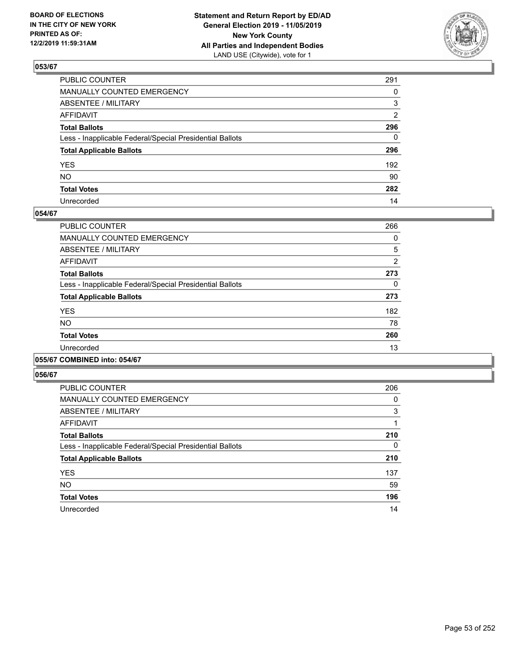

| PUBLIC COUNTER                                           | 291          |
|----------------------------------------------------------|--------------|
| MANUALLY COUNTED EMERGENCY                               | 0            |
| ABSENTEE / MILITARY                                      | 3            |
| AFFIDAVIT                                                | 2            |
| Total Ballots                                            | 296          |
| Less - Inapplicable Federal/Special Presidential Ballots | $\mathbf{0}$ |
| <b>Total Applicable Ballots</b>                          | 296          |
| YES                                                      | 192          |
| NO.                                                      | 90           |
| <b>Total Votes</b>                                       | 282          |
| Unrecorded                                               | 14           |

## **054/67**

| PUBLIC COUNTER                                           | 266            |
|----------------------------------------------------------|----------------|
| <b>MANUALLY COUNTED EMERGENCY</b>                        | 0              |
| ABSENTEE / MILITARY                                      | 5              |
| <b>AFFIDAVIT</b>                                         | $\overline{2}$ |
| <b>Total Ballots</b>                                     | 273            |
| Less - Inapplicable Federal/Special Presidential Ballots | 0              |
| <b>Total Applicable Ballots</b>                          | 273            |
| <b>YES</b>                                               | 182            |
| <b>NO</b>                                                | 78             |
| <b>Total Votes</b>                                       | 260            |
| Unrecorded                                               | 13             |
|                                                          |                |

#### **055/67 COMBINED into: 054/67**

| <b>PUBLIC COUNTER</b>                                    | 206 |
|----------------------------------------------------------|-----|
| <b>MANUALLY COUNTED EMERGENCY</b>                        | 0   |
| ABSENTEE / MILITARY                                      | 3   |
| AFFIDAVIT                                                |     |
| <b>Total Ballots</b>                                     | 210 |
| Less - Inapplicable Federal/Special Presidential Ballots | 0   |
| <b>Total Applicable Ballots</b>                          | 210 |
| <b>YES</b>                                               | 137 |
| <b>NO</b>                                                | 59  |
| <b>Total Votes</b>                                       | 196 |
| Unrecorded                                               | 14  |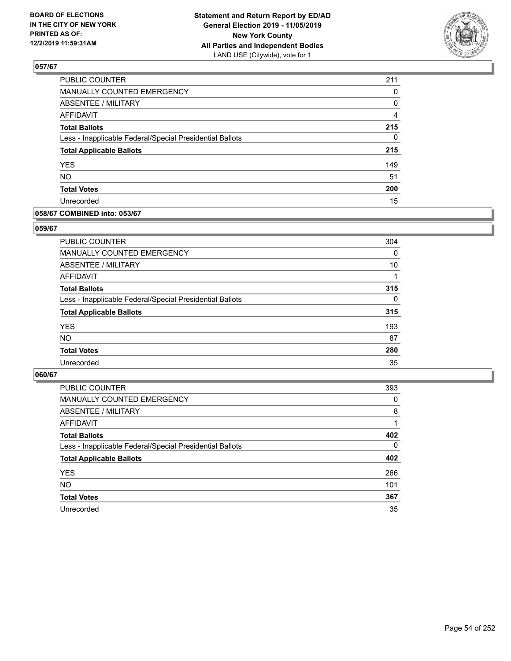

| PUBLIC COUNTER                                           | 211 |
|----------------------------------------------------------|-----|
| MANUALLY COUNTED EMERGENCY                               | 0   |
| ABSENTEE / MILITARY                                      | 0   |
| <b>AFFIDAVIT</b>                                         | 4   |
| <b>Total Ballots</b>                                     | 215 |
| Less - Inapplicable Federal/Special Presidential Ballots | 0   |
| <b>Total Applicable Ballots</b>                          | 215 |
| <b>YES</b>                                               | 149 |
| <b>NO</b>                                                | 51  |
| <b>Total Votes</b>                                       | 200 |
| Unrecorded                                               | 15  |

## **058/67 COMBINED into: 053/67**

#### **059/67**

| <b>PUBLIC COUNTER</b>                                    | 304      |
|----------------------------------------------------------|----------|
| <b>MANUALLY COUNTED EMERGENCY</b>                        | $\Omega$ |
| ABSENTEE / MILITARY                                      | 10       |
| AFFIDAVIT                                                |          |
| <b>Total Ballots</b>                                     | 315      |
| Less - Inapplicable Federal/Special Presidential Ballots | $\Omega$ |
| <b>Total Applicable Ballots</b>                          | 315      |
| <b>YES</b>                                               | 193      |
| <b>NO</b>                                                | 87       |
| <b>Total Votes</b>                                       | 280      |
| Unrecorded                                               | 35       |
|                                                          |          |

| <b>PUBLIC COUNTER</b>                                    | 393      |
|----------------------------------------------------------|----------|
| MANUALLY COUNTED EMERGENCY                               | 0        |
| ABSENTEE / MILITARY                                      | 8        |
| AFFIDAVIT                                                |          |
| <b>Total Ballots</b>                                     | 402      |
| Less - Inapplicable Federal/Special Presidential Ballots | $\Omega$ |
| <b>Total Applicable Ballots</b>                          | 402      |
| <b>YES</b>                                               | 266      |
| <b>NO</b>                                                | 101      |
| <b>Total Votes</b>                                       | 367      |
| Unrecorded                                               | 35       |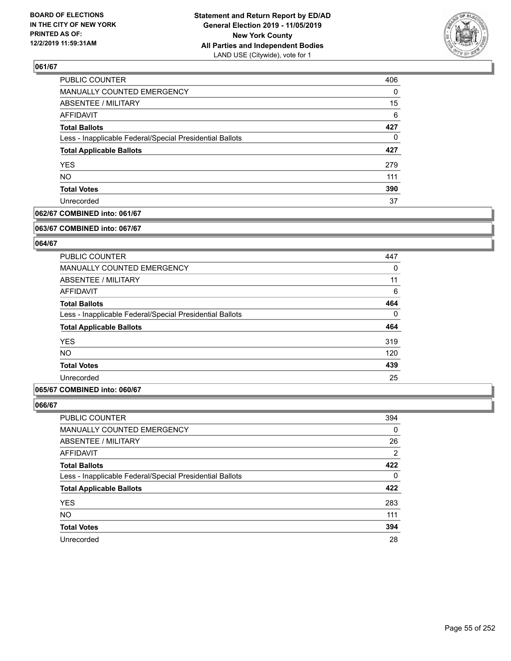

| PUBLIC COUNTER                                           | 406      |
|----------------------------------------------------------|----------|
| <b>MANUALLY COUNTED EMERGENCY</b>                        | $\Omega$ |
| ABSENTEE / MILITARY                                      | 15       |
| AFFIDAVIT                                                | 6        |
| <b>Total Ballots</b>                                     | 427      |
| Less - Inapplicable Federal/Special Presidential Ballots | $\Omega$ |
| <b>Total Applicable Ballots</b>                          | 427      |
| <b>YES</b>                                               | 279      |
| <b>NO</b>                                                | 111      |
| <b>Total Votes</b>                                       | 390      |
| Unrecorded                                               | 37       |

## **062/67 COMBINED into: 061/67**

#### **063/67 COMBINED into: 067/67**

## **064/67**

| 447      |
|----------|
| 0        |
| 11       |
| 6        |
| 464      |
| $\Omega$ |
| 464      |
| 319      |
| 120      |
| 439      |
| 25       |
|          |

#### **065/67 COMBINED into: 060/67**

| <b>PUBLIC COUNTER</b>                                    | 394 |
|----------------------------------------------------------|-----|
| MANUALLY COUNTED EMERGENCY                               | 0   |
| ABSENTEE / MILITARY                                      | 26  |
| AFFIDAVIT                                                | 2   |
| <b>Total Ballots</b>                                     | 422 |
| Less - Inapplicable Federal/Special Presidential Ballots | 0   |
| <b>Total Applicable Ballots</b>                          | 422 |
| <b>YES</b>                                               | 283 |
| <b>NO</b>                                                | 111 |
| <b>Total Votes</b>                                       | 394 |
| Unrecorded                                               | 28  |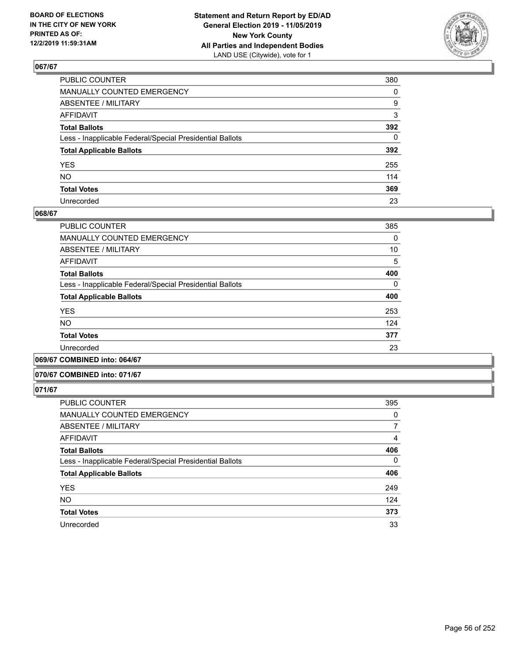

| PUBLIC COUNTER                                           | 380          |
|----------------------------------------------------------|--------------|
| MANUALLY COUNTED EMERGENCY                               | $\mathbf{0}$ |
| ABSENTEE / MILITARY                                      | 9            |
| AFFIDAVIT                                                | 3            |
| Total Ballots                                            | 392          |
| Less - Inapplicable Federal/Special Presidential Ballots | $\mathbf{0}$ |
| <b>Total Applicable Ballots</b>                          | 392          |
| YES                                                      | 255          |
| NO.                                                      | 114          |
| <b>Total Votes</b>                                       | 369          |
| Unrecorded                                               | 23           |

#### **068/67**

| <b>PUBLIC COUNTER</b>                                    | 385      |
|----------------------------------------------------------|----------|
| MANUALLY COUNTED EMERGENCY                               |          |
|                                                          | $\Omega$ |
| ABSENTEE / MILITARY                                      | 10       |
| AFFIDAVIT                                                | 5        |
| <b>Total Ballots</b>                                     | 400      |
| Less - Inapplicable Federal/Special Presidential Ballots | $\Omega$ |
| <b>Total Applicable Ballots</b>                          | 400      |
| <b>YES</b>                                               | 253      |
| <b>NO</b>                                                | 124      |
| <b>Total Votes</b>                                       | 377      |
| Unrecorded                                               | 23       |
|                                                          |          |

**069/67 COMBINED into: 064/67**

## **070/67 COMBINED into: 071/67**

| <b>PUBLIC COUNTER</b>                                    | 395 |
|----------------------------------------------------------|-----|
| <b>MANUALLY COUNTED EMERGENCY</b>                        | 0   |
| <b>ABSENTEE / MILITARY</b>                               | 7   |
| <b>AFFIDAVIT</b>                                         | 4   |
| <b>Total Ballots</b>                                     | 406 |
| Less - Inapplicable Federal/Special Presidential Ballots | 0   |
| <b>Total Applicable Ballots</b>                          | 406 |
| <b>YES</b>                                               | 249 |
| <b>NO</b>                                                | 124 |
| <b>Total Votes</b>                                       | 373 |
| Unrecorded                                               | 33  |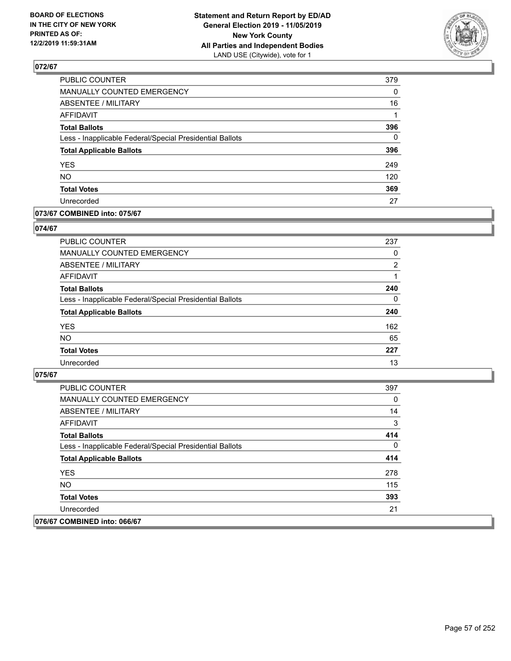

| PUBLIC COUNTER                                           | 379      |
|----------------------------------------------------------|----------|
| MANUALLY COUNTED EMERGENCY                               | 0        |
| <b>ABSENTEE / MILITARY</b>                               | 16       |
| <b>AFFIDAVIT</b>                                         | 1        |
| <b>Total Ballots</b>                                     | 396      |
| Less - Inapplicable Federal/Special Presidential Ballots | $\Omega$ |
| <b>Total Applicable Ballots</b>                          | 396      |
| <b>YES</b>                                               | 249      |
| <b>NO</b>                                                | 120      |
| <b>Total Votes</b>                                       | 369      |
| Unrecorded                                               | 27       |

## **073/67 COMBINED into: 075/67**

#### **074/67**

| <b>PUBLIC COUNTER</b>                                    | 237            |
|----------------------------------------------------------|----------------|
| MANUALLY COUNTED EMERGENCY                               | 0              |
| <b>ABSENTEE / MILITARY</b>                               | $\overline{2}$ |
| AFFIDAVIT                                                |                |
| <b>Total Ballots</b>                                     | 240            |
| Less - Inapplicable Federal/Special Presidential Ballots | $\Omega$       |
| <b>Total Applicable Ballots</b>                          | 240            |
| <b>YES</b>                                               | 162            |
| <b>NO</b>                                                | 65             |
| <b>Total Votes</b>                                       | 227            |
| Unrecorded                                               | 13             |
|                                                          |                |

| PUBLIC COUNTER                                           | 397 |
|----------------------------------------------------------|-----|
| <b>MANUALLY COUNTED EMERGENCY</b>                        | 0   |
| ABSENTEE / MILITARY                                      | 14  |
| AFFIDAVIT                                                | 3   |
| <b>Total Ballots</b>                                     | 414 |
| Less - Inapplicable Federal/Special Presidential Ballots | 0   |
| <b>Total Applicable Ballots</b>                          | 414 |
| <b>YES</b>                                               | 278 |
| NO.                                                      | 115 |
| <b>Total Votes</b>                                       | 393 |
| Unrecorded                                               | 21  |
| 076/67 COMBINED into: 066/67                             |     |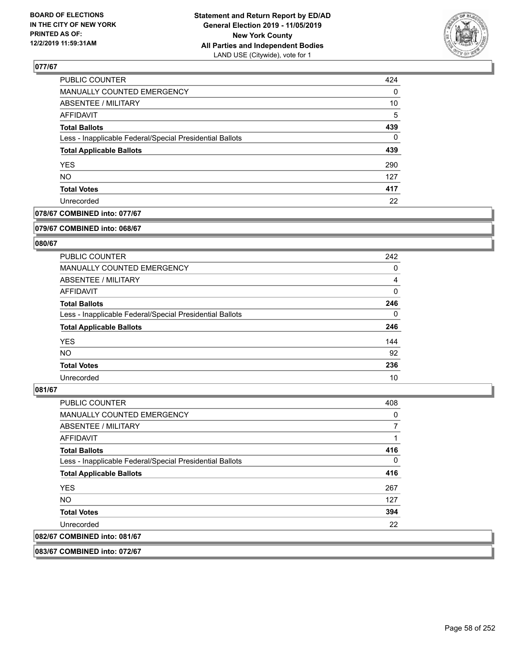

| PUBLIC COUNTER                                           | 424      |
|----------------------------------------------------------|----------|
| <b>MANUALLY COUNTED EMERGENCY</b>                        | $\Omega$ |
| ABSENTEE / MILITARY                                      | 10       |
| AFFIDAVIT                                                | 5        |
| <b>Total Ballots</b>                                     | 439      |
| Less - Inapplicable Federal/Special Presidential Ballots | $\Omega$ |
| <b>Total Applicable Ballots</b>                          | 439      |
| <b>YES</b>                                               | 290      |
| <b>NO</b>                                                | 127      |
| <b>Total Votes</b>                                       | 417      |
| Unrecorded                                               | 22       |

## **078/67 COMBINED into: 077/67**

#### **079/67 COMBINED into: 068/67**

## **080/67**

| <b>PUBLIC COUNTER</b>                                    | 242      |
|----------------------------------------------------------|----------|
| <b>MANUALLY COUNTED EMERGENCY</b>                        | 0        |
| ABSENTEE / MILITARY                                      | 4        |
| AFFIDAVIT                                                | $\Omega$ |
| <b>Total Ballots</b>                                     | 246      |
| Less - Inapplicable Federal/Special Presidential Ballots | $\Omega$ |
| <b>Total Applicable Ballots</b>                          | 246      |
| <b>YES</b>                                               | 144      |
| NO.                                                      | 92       |
| <b>Total Votes</b>                                       | 236      |
| Unrecorded                                               | 10       |

#### **081/67**

| <b>PUBLIC COUNTER</b>                                    | 408 |
|----------------------------------------------------------|-----|
| <b>MANUALLY COUNTED EMERGENCY</b>                        | 0   |
| ABSENTEE / MILITARY                                      |     |
| <b>AFFIDAVIT</b>                                         |     |
| <b>Total Ballots</b>                                     | 416 |
| Less - Inapplicable Federal/Special Presidential Ballots | 0   |
| <b>Total Applicable Ballots</b>                          | 416 |
| <b>YES</b>                                               | 267 |
| NO.                                                      | 127 |
| <b>Total Votes</b>                                       | 394 |
| Unrecorded                                               | 22  |
| 082/67 COMBINED into: 081/67                             |     |

**083/67 COMBINED into: 072/67**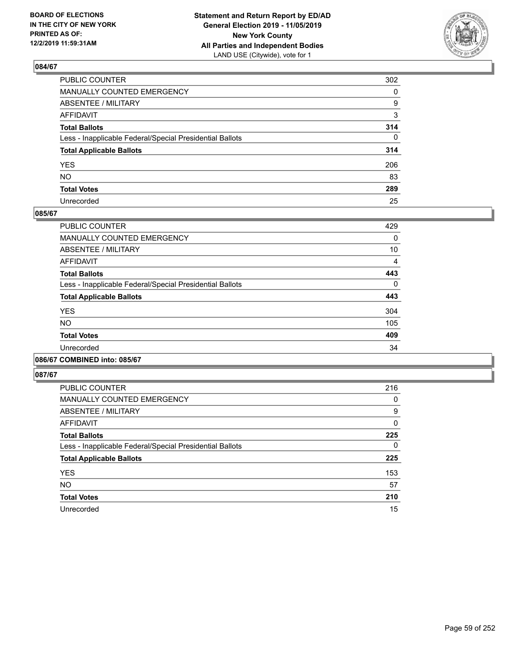

| PUBLIC COUNTER                                           | 302          |
|----------------------------------------------------------|--------------|
| MANUALLY COUNTED EMERGENCY                               | $\mathbf{0}$ |
| ABSENTEE / MILITARY                                      | 9            |
| AFFIDAVIT                                                | 3            |
| Total Ballots                                            | 314          |
| Less - Inapplicable Federal/Special Presidential Ballots | $\Omega$     |
| <b>Total Applicable Ballots</b>                          | 314          |
| YES                                                      | 206          |
| NO.                                                      | 83           |
| <b>Total Votes</b>                                       | 289          |
| Unrecorded                                               | 25           |

#### **085/67**

| PUBLIC COUNTER                                           | 429      |
|----------------------------------------------------------|----------|
| <b>MANUALLY COUNTED EMERGENCY</b>                        | 0        |
| ABSENTEE / MILITARY                                      | 10       |
| <b>AFFIDAVIT</b>                                         | 4        |
| <b>Total Ballots</b>                                     | 443      |
| Less - Inapplicable Federal/Special Presidential Ballots | $\Omega$ |
| <b>Total Applicable Ballots</b>                          | 443      |
| <b>YES</b>                                               | 304      |
| <b>NO</b>                                                | 105      |
| <b>Total Votes</b>                                       | 409      |
| Unrecorded                                               | 34       |
|                                                          |          |

## **086/67 COMBINED into: 085/67**

| PUBLIC COUNTER                                           | 216          |
|----------------------------------------------------------|--------------|
| <b>MANUALLY COUNTED EMERGENCY</b>                        | 0            |
| ABSENTEE / MILITARY                                      | 9            |
| <b>AFFIDAVIT</b>                                         | $\mathbf{0}$ |
| <b>Total Ballots</b>                                     | 225          |
| Less - Inapplicable Federal/Special Presidential Ballots | 0            |
| <b>Total Applicable Ballots</b>                          | 225          |
| <b>YES</b>                                               | 153          |
| <b>NO</b>                                                | 57           |
| <b>Total Votes</b>                                       | 210          |
| Unrecorded                                               | 15           |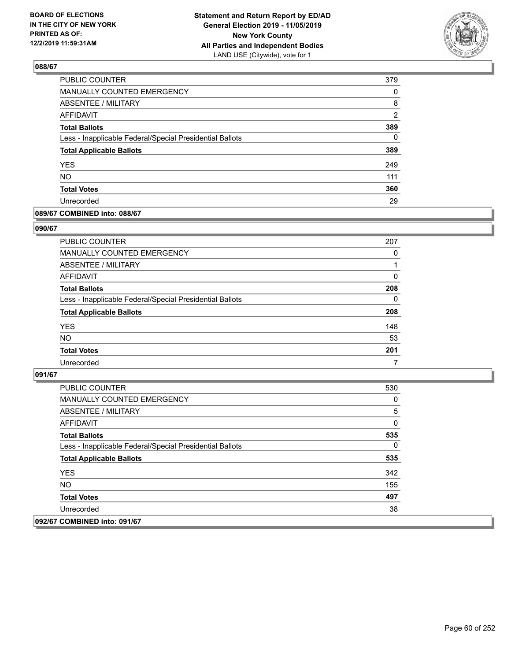

| PUBLIC COUNTER                                           | 379            |
|----------------------------------------------------------|----------------|
| <b>MANUALLY COUNTED EMERGENCY</b>                        | 0              |
| ABSENTEE / MILITARY                                      | 8              |
| <b>AFFIDAVIT</b>                                         | $\overline{2}$ |
| <b>Total Ballots</b>                                     | 389            |
| Less - Inapplicable Federal/Special Presidential Ballots | $\Omega$       |
| <b>Total Applicable Ballots</b>                          | 389            |
| <b>YES</b>                                               | 249            |
| <b>NO</b>                                                | 111            |
| <b>Total Votes</b>                                       | 360            |
| Unrecorded                                               | 29             |

## **089/67 COMBINED into: 088/67**

#### **090/67**

| <b>PUBLIC COUNTER</b>                                    | 207      |
|----------------------------------------------------------|----------|
| MANUALLY COUNTED EMERGENCY                               | $\Omega$ |
| ABSENTEE / MILITARY                                      |          |
| AFFIDAVIT                                                | $\Omega$ |
| <b>Total Ballots</b>                                     | 208      |
| Less - Inapplicable Federal/Special Presidential Ballots | $\Omega$ |
| <b>Total Applicable Ballots</b>                          | 208      |
| <b>YES</b>                                               | 148      |
| <b>NO</b>                                                | 53       |
| <b>Total Votes</b>                                       | 201      |
| Unrecorded                                               | 7        |

| PUBLIC COUNTER                                           | 530 |
|----------------------------------------------------------|-----|
| <b>MANUALLY COUNTED EMERGENCY</b>                        | 0   |
| <b>ABSENTEE / MILITARY</b>                               | 5   |
| AFFIDAVIT                                                | 0   |
| <b>Total Ballots</b>                                     | 535 |
| Less - Inapplicable Federal/Special Presidential Ballots | 0   |
| <b>Total Applicable Ballots</b>                          | 535 |
| <b>YES</b>                                               | 342 |
| NO.                                                      | 155 |
| <b>Total Votes</b>                                       | 497 |
| Unrecorded                                               | 38  |
| 092/67 COMBINED into: 091/67                             |     |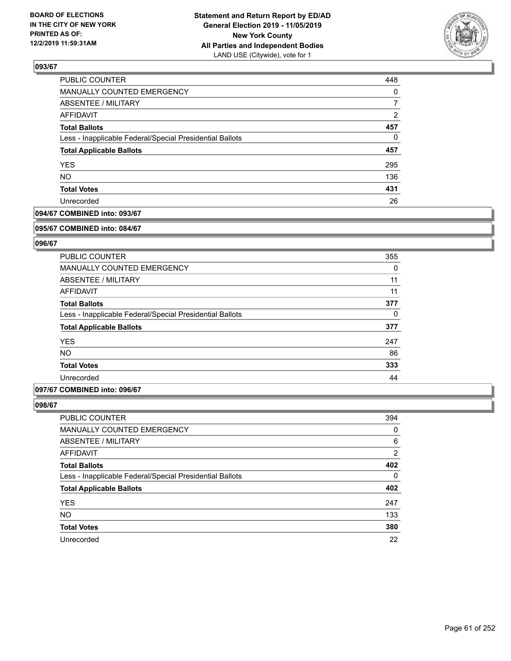

| PUBLIC COUNTER                                           | 448            |
|----------------------------------------------------------|----------------|
| <b>MANUALLY COUNTED EMERGENCY</b>                        | $\Omega$       |
| ABSENTEE / MILITARY                                      |                |
| AFFIDAVIT                                                | $\overline{2}$ |
| <b>Total Ballots</b>                                     | 457            |
| Less - Inapplicable Federal/Special Presidential Ballots | $\Omega$       |
| <b>Total Applicable Ballots</b>                          | 457            |
| <b>YES</b>                                               | 295            |
| <b>NO</b>                                                | 136            |
| <b>Total Votes</b>                                       | 431            |
| Unrecorded                                               | 26             |

## **094/67 COMBINED into: 093/67**

#### **095/67 COMBINED into: 084/67**

## **096/67**

| <b>PUBLIC COUNTER</b>                                    | 355 |
|----------------------------------------------------------|-----|
| <b>MANUALLY COUNTED EMERGENCY</b>                        | 0   |
| ABSENTEE / MILITARY                                      | 11  |
| AFFIDAVIT                                                | 11  |
| <b>Total Ballots</b>                                     | 377 |
| Less - Inapplicable Federal/Special Presidential Ballots | 0   |
| <b>Total Applicable Ballots</b>                          | 377 |
| <b>YES</b>                                               | 247 |
| <b>NO</b>                                                | 86  |
| <b>Total Votes</b>                                       | 333 |
| Unrecorded                                               | 44  |

#### **097/67 COMBINED into: 096/67**

| <b>PUBLIC COUNTER</b>                                    | 394 |
|----------------------------------------------------------|-----|
| MANUALLY COUNTED EMERGENCY                               | 0   |
| ABSENTEE / MILITARY                                      | 6   |
| AFFIDAVIT                                                | 2   |
| <b>Total Ballots</b>                                     | 402 |
| Less - Inapplicable Federal/Special Presidential Ballots | 0   |
| <b>Total Applicable Ballots</b>                          | 402 |
| <b>YES</b>                                               | 247 |
| <b>NO</b>                                                | 133 |
| <b>Total Votes</b>                                       | 380 |
| Unrecorded                                               | 22  |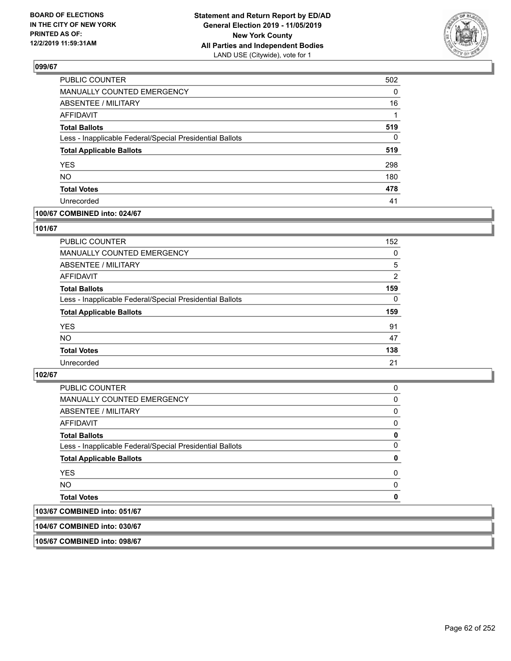

| PUBLIC COUNTER                                           | 502 |
|----------------------------------------------------------|-----|
| <b>MANUALLY COUNTED EMERGENCY</b>                        | 0   |
| <b>ABSENTEE / MILITARY</b>                               | 16  |
| <b>AFFIDAVIT</b>                                         | 1   |
| <b>Total Ballots</b>                                     | 519 |
| Less - Inapplicable Federal/Special Presidential Ballots | 0   |
| <b>Total Applicable Ballots</b>                          | 519 |
| <b>YES</b>                                               | 298 |
| <b>NO</b>                                                | 180 |
| <b>Total Votes</b>                                       | 478 |
| Unrecorded                                               | 41  |

## **100/67 COMBINED into: 024/67**

#### **101/67**

| PUBLIC COUNTER                                           | 152      |
|----------------------------------------------------------|----------|
| <b>MANUALLY COUNTED EMERGENCY</b>                        | 0        |
| <b>ABSENTEE / MILITARY</b>                               | 5        |
| <b>AFFIDAVIT</b>                                         | 2        |
| <b>Total Ballots</b>                                     | 159      |
| Less - Inapplicable Federal/Special Presidential Ballots | $\Omega$ |
| <b>Total Applicable Ballots</b>                          | 159      |
| <b>YES</b>                                               | 91       |
| <b>NO</b>                                                | 47       |
| <b>Total Votes</b>                                       | 138      |
| Unrecorded                                               | 21       |
|                                                          |          |

## **102/67**

| MANUALLY COUNTED EMERGENCY<br>ABSENTEE / MILITARY        | 0<br>$\Omega$ |
|----------------------------------------------------------|---------------|
| AFFIDAVIT                                                | 0             |
| <b>Total Ballots</b>                                     | 0             |
| Less - Inapplicable Federal/Special Presidential Ballots | $\Omega$      |
| <b>Total Applicable Ballots</b>                          | 0             |
| <b>YES</b>                                               | $\Omega$      |
| NO.                                                      | $\Omega$      |
| <b>Total Votes</b>                                       | 0             |

**104/67 COMBINED into: 030/67**

**105/67 COMBINED into: 098/67**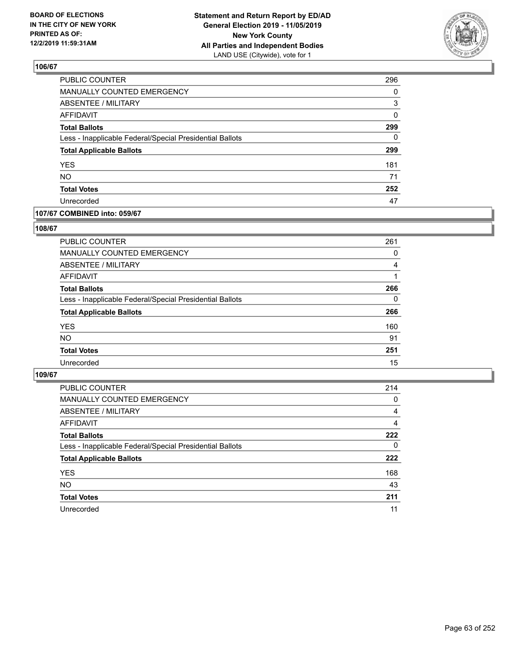

| PUBLIC COUNTER                                           | 296 |
|----------------------------------------------------------|-----|
| MANUALLY COUNTED EMERGENCY                               | 0   |
| ABSENTEE / MILITARY                                      | 3   |
| <b>AFFIDAVIT</b>                                         | 0   |
| <b>Total Ballots</b>                                     | 299 |
| Less - Inapplicable Federal/Special Presidential Ballots | 0   |
| <b>Total Applicable Ballots</b>                          | 299 |
| YES                                                      | 181 |
| <b>NO</b>                                                | 71  |
| <b>Total Votes</b>                                       | 252 |
| Unrecorded                                               | 47  |

## **107/67 COMBINED into: 059/67**

#### **108/67**

| <b>PUBLIC COUNTER</b>                                    | 261      |
|----------------------------------------------------------|----------|
| MANUALLY COUNTED EMERGENCY                               | 0        |
| <b>ABSENTEE / MILITARY</b>                               | 4        |
| AFFIDAVIT                                                |          |
| <b>Total Ballots</b>                                     | 266      |
| Less - Inapplicable Federal/Special Presidential Ballots | $\Omega$ |
| <b>Total Applicable Ballots</b>                          | 266      |
| <b>YES</b>                                               | 160      |
| <b>NO</b>                                                | 91       |
| <b>Total Votes</b>                                       | 251      |
| Unrecorded                                               | 15       |
|                                                          |          |

| <b>PUBLIC COUNTER</b>                                    | 214 |
|----------------------------------------------------------|-----|
| MANUALLY COUNTED EMERGENCY                               | 0   |
| ABSENTEE / MILITARY                                      | 4   |
| AFFIDAVIT                                                | 4   |
| <b>Total Ballots</b>                                     | 222 |
| Less - Inapplicable Federal/Special Presidential Ballots | 0   |
| <b>Total Applicable Ballots</b>                          | 222 |
| <b>YES</b>                                               | 168 |
| <b>NO</b>                                                | 43  |
| <b>Total Votes</b>                                       | 211 |
| Unrecorded                                               | 11  |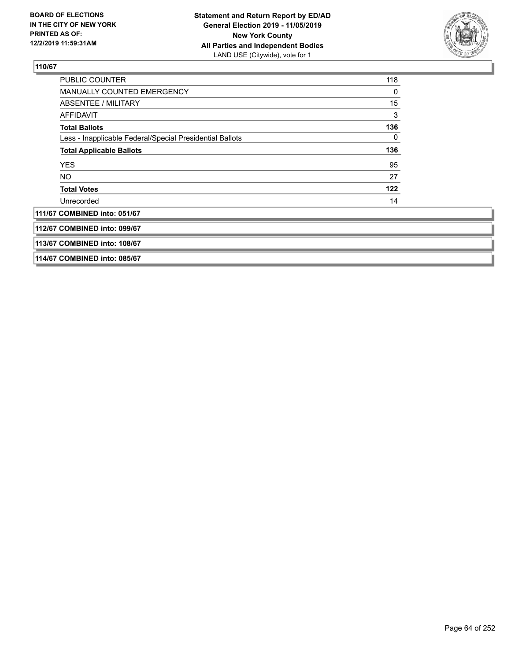

| PUBLIC COUNTER                                           | 118 |
|----------------------------------------------------------|-----|
| <b>MANUALLY COUNTED EMERGENCY</b>                        | 0   |
| ABSENTEE / MILITARY                                      | 15  |
| AFFIDAVIT                                                | 3   |
| <b>Total Ballots</b>                                     | 136 |
| Less - Inapplicable Federal/Special Presidential Ballots | 0   |
| <b>Total Applicable Ballots</b>                          | 136 |
| <b>YES</b>                                               | 95  |
| NO.                                                      | 27  |
| <b>Total Votes</b>                                       | 122 |
| Unrecorded                                               | 14  |
| 111/67 COMBINED into: 051/67                             |     |
| 112/67 COMBINED into: 099/67                             |     |
| 113/67 COMBINED into: 108/67                             |     |
| 114/67 COMBINED into: 085/67                             |     |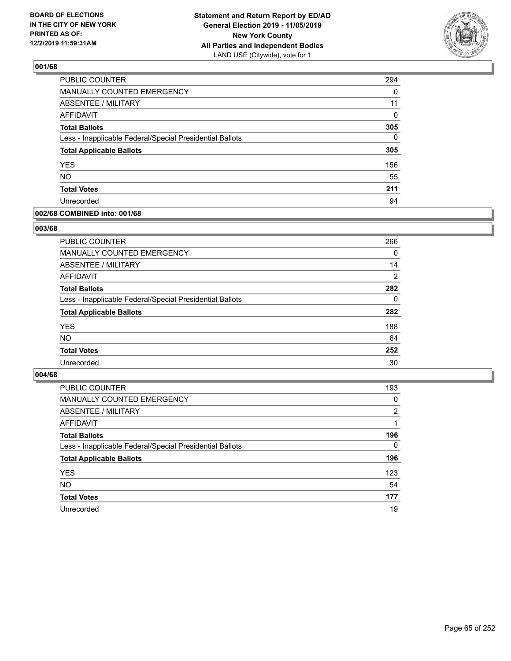

| PUBLIC COUNTER                                           | 294      |
|----------------------------------------------------------|----------|
| MANUALLY COUNTED EMERGENCY                               | 0        |
| <b>ABSENTEE / MILITARY</b>                               | 11       |
| <b>AFFIDAVIT</b>                                         | 0        |
| <b>Total Ballots</b>                                     | 305      |
| Less - Inapplicable Federal/Special Presidential Ballots | $\Omega$ |
| <b>Total Applicable Ballots</b>                          | 305      |
| <b>YES</b>                                               | 156      |
| <b>NO</b>                                                | 55       |
| <b>Total Votes</b>                                       | 211      |
| Unrecorded                                               | 94       |

#### **002/68 COMBINED into: 001/68**

#### **003/68**

| <b>PUBLIC COUNTER</b>                                    | 266            |
|----------------------------------------------------------|----------------|
| <b>MANUALLY COUNTED EMERGENCY</b>                        | $\Omega$       |
| ABSENTEE / MILITARY                                      | 14             |
| AFFIDAVIT                                                | $\overline{2}$ |
| <b>Total Ballots</b>                                     | 282            |
| Less - Inapplicable Federal/Special Presidential Ballots | $\Omega$       |
| <b>Total Applicable Ballots</b>                          | 282            |
| <b>YES</b>                                               | 188            |
| <b>NO</b>                                                | 64             |
| <b>Total Votes</b>                                       | 252            |
| Unrecorded                                               | 30             |
|                                                          |                |

| <b>PUBLIC COUNTER</b>                                    | 193            |
|----------------------------------------------------------|----------------|
| MANUALLY COUNTED EMERGENCY                               | 0              |
| ABSENTEE / MILITARY                                      | $\overline{2}$ |
| AFFIDAVIT                                                |                |
| <b>Total Ballots</b>                                     | 196            |
| Less - Inapplicable Federal/Special Presidential Ballots | $\Omega$       |
| <b>Total Applicable Ballots</b>                          | 196            |
| <b>YES</b>                                               | 123            |
| <b>NO</b>                                                | 54             |
| <b>Total Votes</b>                                       | 177            |
| Unrecorded                                               | 19             |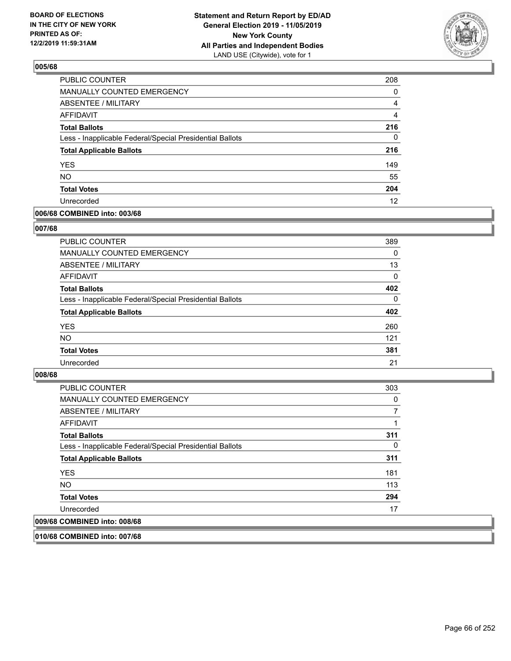

| PUBLIC COUNTER                                           | 208      |
|----------------------------------------------------------|----------|
| MANUALLY COUNTED EMERGENCY                               | $\Omega$ |
| ABSENTEE / MILITARY                                      | 4        |
| AFFIDAVIT                                                | 4        |
| <b>Total Ballots</b>                                     | 216      |
| Less - Inapplicable Federal/Special Presidential Ballots | 0        |
| <b>Total Applicable Ballots</b>                          | 216      |
| <b>YES</b>                                               | 149      |
| <b>NO</b>                                                | 55       |
| <b>Total Votes</b>                                       | 204      |
| Unrecorded                                               | 12       |

## **006/68 COMBINED into: 003/68**

#### **007/68**

| <b>PUBLIC COUNTER</b>                                    | 389      |
|----------------------------------------------------------|----------|
| <b>MANUALLY COUNTED EMERGENCY</b>                        | 0        |
| ABSENTEE / MILITARY                                      | 13       |
| AFFIDAVIT                                                | $\Omega$ |
| <b>Total Ballots</b>                                     | 402      |
| Less - Inapplicable Federal/Special Presidential Ballots | $\Omega$ |
| <b>Total Applicable Ballots</b>                          | 402      |
| <b>YES</b>                                               | 260      |
| <b>NO</b>                                                | 121      |
| <b>Total Votes</b>                                       | 381      |
| Unrecorded                                               | 21       |

## **008/68**

| <b>PUBLIC COUNTER</b>                                    | 303 |
|----------------------------------------------------------|-----|
| <b>MANUALLY COUNTED EMERGENCY</b>                        | 0   |
| ABSENTEE / MILITARY                                      |     |
| AFFIDAVIT                                                |     |
| <b>Total Ballots</b>                                     | 311 |
| Less - Inapplicable Federal/Special Presidential Ballots | 0   |
| <b>Total Applicable Ballots</b>                          | 311 |
| <b>YES</b>                                               | 181 |
| NO.                                                      | 113 |
| <b>Total Votes</b>                                       | 294 |
| Unrecorded                                               | 17  |
| 009/68 COMBINED into: 008/68                             |     |

**010/68 COMBINED into: 007/68**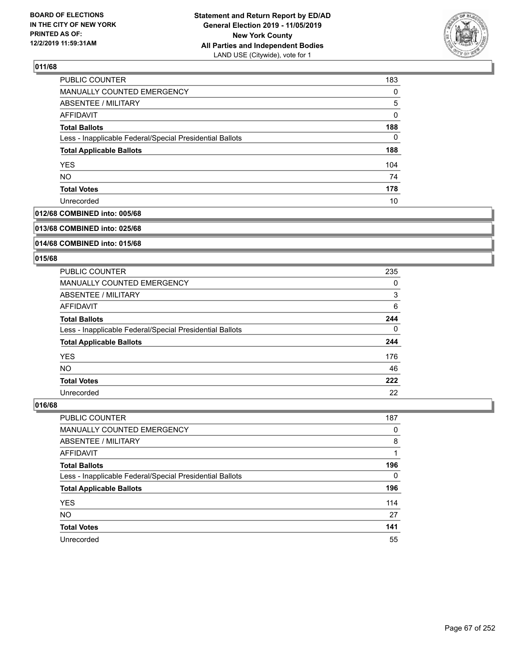

| PUBLIC COUNTER                                           | 183      |
|----------------------------------------------------------|----------|
| <b>MANUALLY COUNTED EMERGENCY</b>                        | $\Omega$ |
| ABSENTEE / MILITARY                                      | 5        |
| AFFIDAVIT                                                | 0        |
| <b>Total Ballots</b>                                     | 188      |
| Less - Inapplicable Federal/Special Presidential Ballots | 0        |
| <b>Total Applicable Ballots</b>                          | 188      |
| <b>YES</b>                                               | 104      |
| <b>NO</b>                                                | 74       |
| <b>Total Votes</b>                                       | 178      |
| Unrecorded                                               | 10       |

## **012/68 COMBINED into: 005/68**

#### **013/68 COMBINED into: 025/68**

## **014/68 COMBINED into: 015/68**

## **015/68**

| <b>PUBLIC COUNTER</b>                                    | 235 |
|----------------------------------------------------------|-----|
| <b>MANUALLY COUNTED EMERGENCY</b>                        | 0   |
| ABSENTEE / MILITARY                                      | 3   |
| AFFIDAVIT                                                | 6   |
| <b>Total Ballots</b>                                     | 244 |
| Less - Inapplicable Federal/Special Presidential Ballots | 0   |
| <b>Total Applicable Ballots</b>                          | 244 |
| <b>YES</b>                                               | 176 |
| <b>NO</b>                                                | 46  |
| <b>Total Votes</b>                                       | 222 |
| Unrecorded                                               | 22  |

| <b>PUBLIC COUNTER</b>                                    | 187      |
|----------------------------------------------------------|----------|
| MANUALLY COUNTED EMERGENCY                               | 0        |
| ABSENTEE / MILITARY                                      | 8        |
| AFFIDAVIT                                                |          |
| <b>Total Ballots</b>                                     | 196      |
| Less - Inapplicable Federal/Special Presidential Ballots | $\Omega$ |
| <b>Total Applicable Ballots</b>                          | 196      |
| <b>YES</b>                                               | 114      |
| <b>NO</b>                                                | 27       |
| <b>Total Votes</b>                                       | 141      |
| Unrecorded                                               | 55       |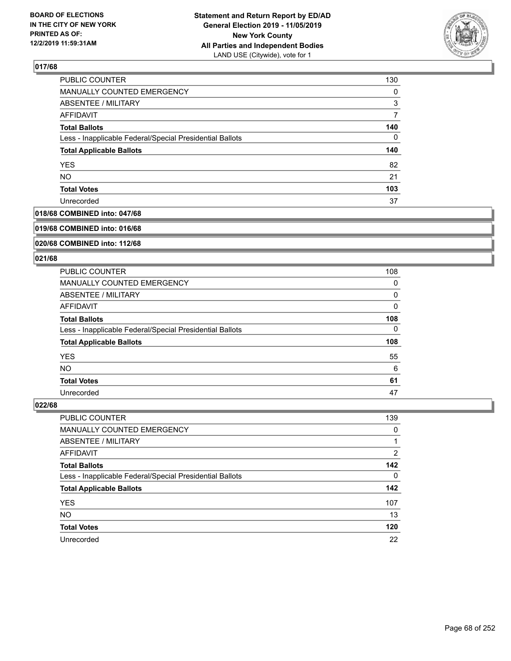

| PUBLIC COUNTER                                           | 130      |
|----------------------------------------------------------|----------|
| <b>MANUALLY COUNTED EMERGENCY</b>                        | $\Omega$ |
| ABSENTEE / MILITARY                                      | 3        |
| AFFIDAVIT                                                |          |
| <b>Total Ballots</b>                                     | 140      |
| Less - Inapplicable Federal/Special Presidential Ballots | 0        |
| <b>Total Applicable Ballots</b>                          | 140      |
| <b>YES</b>                                               | 82       |
| <b>NO</b>                                                | 21       |
| <b>Total Votes</b>                                       | 103      |
| Unrecorded                                               | 37       |

## **018/68 COMBINED into: 047/68**

#### **019/68 COMBINED into: 016/68**

## **020/68 COMBINED into: 112/68**

#### **021/68**

| PUBLIC COUNTER                                           | 108 |
|----------------------------------------------------------|-----|
| <b>MANUALLY COUNTED EMERGENCY</b>                        | 0   |
| ABSENTEE / MILITARY                                      | 0   |
| AFFIDAVIT                                                | 0   |
| <b>Total Ballots</b>                                     | 108 |
| Less - Inapplicable Federal/Special Presidential Ballots | 0   |
| <b>Total Applicable Ballots</b>                          | 108 |
| <b>YES</b>                                               | 55  |
| <b>NO</b>                                                | 6   |
| <b>Total Votes</b>                                       | 61  |
| Unrecorded                                               | 47  |

| PUBLIC COUNTER                                           | 139      |
|----------------------------------------------------------|----------|
| <b>MANUALLY COUNTED EMERGENCY</b>                        | 0        |
| ABSENTEE / MILITARY                                      |          |
| AFFIDAVIT                                                | 2        |
| <b>Total Ballots</b>                                     | 142      |
| Less - Inapplicable Federal/Special Presidential Ballots | $\Omega$ |
| <b>Total Applicable Ballots</b>                          | 142      |
| <b>YES</b>                                               | 107      |
| <b>NO</b>                                                | 13       |
| <b>Total Votes</b>                                       | 120      |
| Unrecorded                                               | 22       |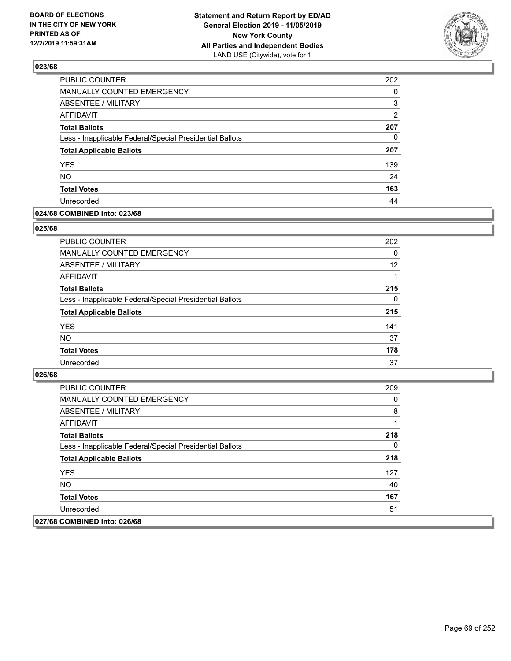

| PUBLIC COUNTER                                           | 202            |
|----------------------------------------------------------|----------------|
| <b>MANUALLY COUNTED EMERGENCY</b>                        | 0              |
| <b>ABSENTEE / MILITARY</b>                               | 3              |
| <b>AFFIDAVIT</b>                                         | $\overline{2}$ |
| <b>Total Ballots</b>                                     | 207            |
| Less - Inapplicable Federal/Special Presidential Ballots | 0              |
| <b>Total Applicable Ballots</b>                          | 207            |
| <b>YES</b>                                               | 139            |
| <b>NO</b>                                                | 24             |
| <b>Total Votes</b>                                       | 163            |
| Unrecorded                                               | 44             |

## **024/68 COMBINED into: 023/68**

#### **025/68**

| PUBLIC COUNTER                                           | 202      |
|----------------------------------------------------------|----------|
| <b>MANUALLY COUNTED EMERGENCY</b>                        | $\Omega$ |
| ABSENTEE / MILITARY                                      | 12       |
| AFFIDAVIT                                                |          |
| <b>Total Ballots</b>                                     | 215      |
| Less - Inapplicable Federal/Special Presidential Ballots | $\Omega$ |
| <b>Total Applicable Ballots</b>                          | 215      |
| <b>YES</b>                                               | 141      |
| <b>NO</b>                                                | 37       |
| <b>Total Votes</b>                                       | 178      |
| Unrecorded                                               | 37       |

| <b>PUBLIC COUNTER</b>                                    | 209 |
|----------------------------------------------------------|-----|
| <b>MANUALLY COUNTED EMERGENCY</b>                        | 0   |
| ABSENTEE / MILITARY                                      | 8   |
| AFFIDAVIT                                                |     |
| <b>Total Ballots</b>                                     | 218 |
| Less - Inapplicable Federal/Special Presidential Ballots | 0   |
| <b>Total Applicable Ballots</b>                          | 218 |
| <b>YES</b>                                               | 127 |
| NO.                                                      | 40  |
| <b>Total Votes</b>                                       | 167 |
| Unrecorded                                               | 51  |
| 027/68 COMBINED into: 026/68                             |     |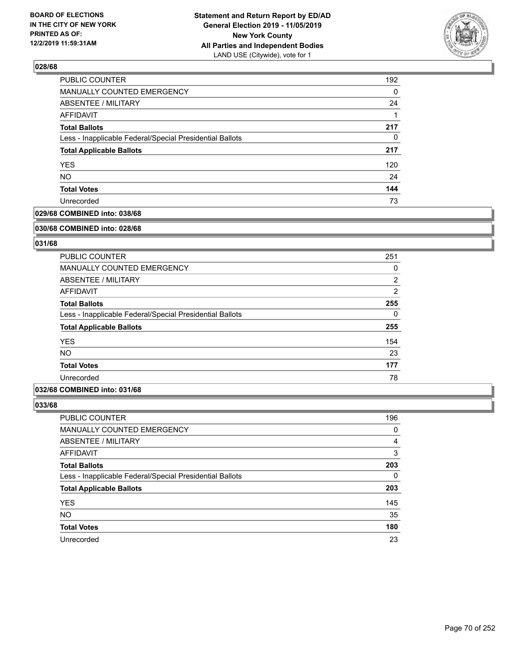

| 192 |
|-----|
| 0   |
| 24  |
|     |
| 217 |
| 0   |
| 217 |
| 120 |
| 24  |
| 144 |
| 73  |
|     |

## **029/68 COMBINED into: 038/68**

#### **030/68 COMBINED into: 028/68**

## **031/68**

| <b>PUBLIC COUNTER</b>                                    | 251            |
|----------------------------------------------------------|----------------|
| <b>MANUALLY COUNTED EMERGENCY</b>                        | 0              |
| ABSENTEE / MILITARY                                      | $\overline{2}$ |
| AFFIDAVIT                                                | $\overline{2}$ |
| <b>Total Ballots</b>                                     | 255            |
| Less - Inapplicable Federal/Special Presidential Ballots | $\Omega$       |
| <b>Total Applicable Ballots</b>                          | 255            |
| <b>YES</b>                                               | 154            |
| <b>NO</b>                                                | 23             |
| <b>Total Votes</b>                                       | 177            |
| Unrecorded                                               | 78             |

#### **032/68 COMBINED into: 031/68**

| <b>PUBLIC COUNTER</b>                                    | 196      |
|----------------------------------------------------------|----------|
| MANUALLY COUNTED EMERGENCY                               | 0        |
| ABSENTEE / MILITARY                                      | 4        |
| AFFIDAVIT                                                | 3        |
| <b>Total Ballots</b>                                     | 203      |
| Less - Inapplicable Federal/Special Presidential Ballots | $\Omega$ |
| <b>Total Applicable Ballots</b>                          | 203      |
| <b>YES</b>                                               | 145      |
| <b>NO</b>                                                | 35       |
| <b>Total Votes</b>                                       | 180      |
| Unrecorded                                               | 23       |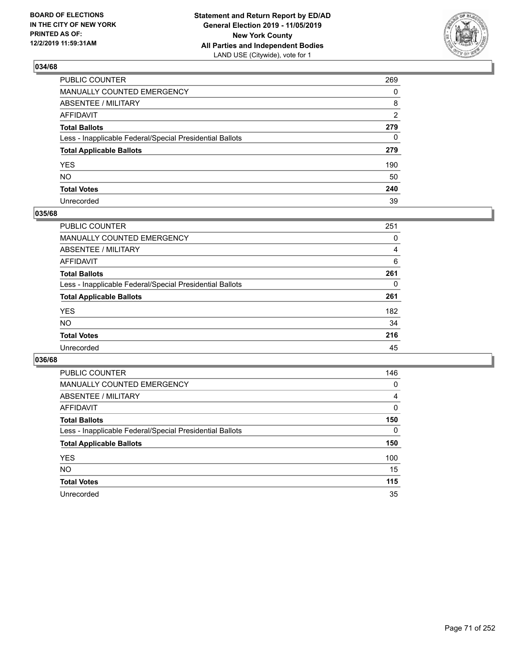

| PUBLIC COUNTER                                           | 269            |
|----------------------------------------------------------|----------------|
| MANUALLY COUNTED EMERGENCY                               | $\Omega$       |
| ABSENTEE / MILITARY                                      | 8              |
| AFFIDAVIT                                                | $\overline{2}$ |
| Total Ballots                                            | 279            |
| Less - Inapplicable Federal/Special Presidential Ballots | $\mathbf{0}$   |
| <b>Total Applicable Ballots</b>                          | 279            |
| YES                                                      | 190            |
| NO.                                                      | 50             |
| <b>Total Votes</b>                                       | 240            |
| Unrecorded                                               | 39             |

## **035/68**

| <b>PUBLIC COUNTER</b>                                    | 251      |
|----------------------------------------------------------|----------|
| <b>MANUALLY COUNTED EMERGENCY</b>                        | 0        |
| ABSENTEE / MILITARY                                      | 4        |
| AFFIDAVIT                                                | 6        |
| <b>Total Ballots</b>                                     | 261      |
| Less - Inapplicable Federal/Special Presidential Ballots | $\Omega$ |
| <b>Total Applicable Ballots</b>                          | 261      |
| <b>YES</b>                                               | 182      |
| <b>NO</b>                                                | 34       |
| <b>Total Votes</b>                                       | 216      |
| Unrecorded                                               | 45       |

| PUBLIC COUNTER                                           | 146 |
|----------------------------------------------------------|-----|
| <b>MANUALLY COUNTED EMERGENCY</b>                        | 0   |
| ABSENTEE / MILITARY                                      | 4   |
| AFFIDAVIT                                                | 0   |
| <b>Total Ballots</b>                                     | 150 |
| Less - Inapplicable Federal/Special Presidential Ballots | 0   |
| <b>Total Applicable Ballots</b>                          | 150 |
| <b>YES</b>                                               | 100 |
| NO.                                                      | 15  |
| <b>Total Votes</b>                                       | 115 |
| Unrecorded                                               | 35  |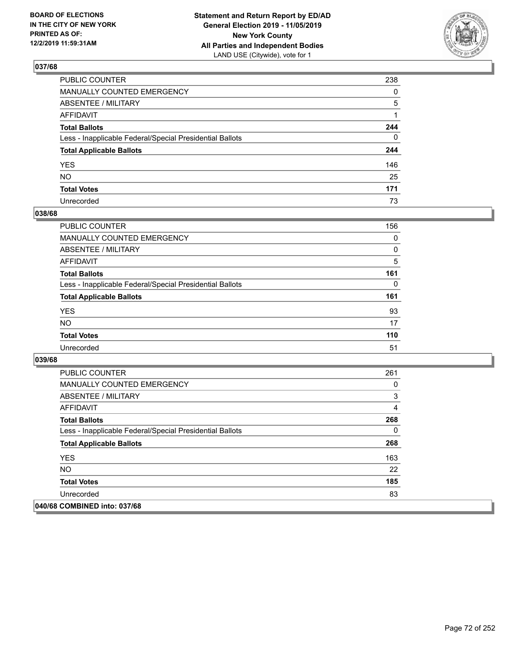

| PUBLIC COUNTER                                           | 238          |
|----------------------------------------------------------|--------------|
| MANUALLY COUNTED EMERGENCY                               | $\mathbf{0}$ |
| ABSENTEE / MILITARY                                      | 5            |
| AFFIDAVIT                                                |              |
| Total Ballots                                            | 244          |
| Less - Inapplicable Federal/Special Presidential Ballots | $\mathbf{0}$ |
| <b>Total Applicable Ballots</b>                          | 244          |
| YES                                                      | 146          |
| NO.                                                      | 25           |
| <b>Total Votes</b>                                       | 171          |
| Unrecorded                                               | 73           |

## **038/68**

| <b>PUBLIC COUNTER</b>                                    | 156      |
|----------------------------------------------------------|----------|
| <b>MANUALLY COUNTED EMERGENCY</b>                        | $\Omega$ |
| ABSENTEE / MILITARY                                      | 0        |
| AFFIDAVIT                                                | 5        |
| <b>Total Ballots</b>                                     | 161      |
| Less - Inapplicable Federal/Special Presidential Ballots | 0        |
| <b>Total Applicable Ballots</b>                          | 161      |
| <b>YES</b>                                               | 93       |
| <b>NO</b>                                                | 17       |
| <b>Total Votes</b>                                       | 110      |
| Unrecorded                                               | 51       |

| PUBLIC COUNTER                                           | 261 |
|----------------------------------------------------------|-----|
| <b>MANUALLY COUNTED EMERGENCY</b>                        | 0   |
| ABSENTEE / MILITARY                                      | 3   |
| AFFIDAVIT                                                | 4   |
| <b>Total Ballots</b>                                     | 268 |
| Less - Inapplicable Federal/Special Presidential Ballots | 0   |
| <b>Total Applicable Ballots</b>                          | 268 |
| <b>YES</b>                                               | 163 |
| <b>NO</b>                                                | 22  |
| <b>Total Votes</b>                                       | 185 |
| Unrecorded                                               | 83  |
| 040/68 COMBINED into: 037/68                             |     |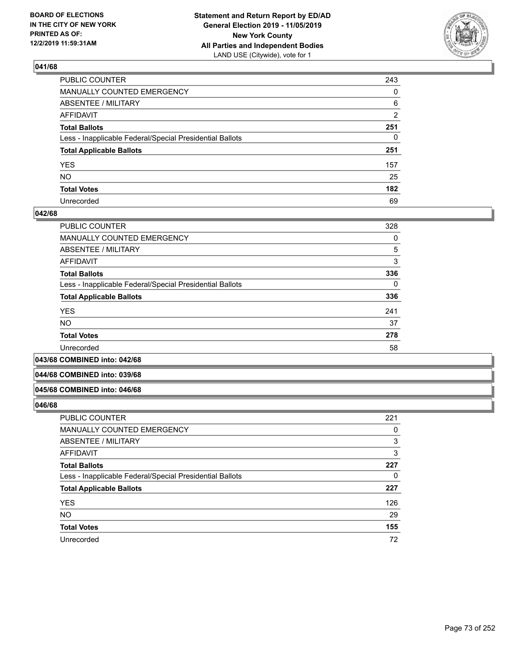

| PUBLIC COUNTER                                           | 243            |
|----------------------------------------------------------|----------------|
| MANUALLY COUNTED EMERGENCY                               | $\mathbf{0}$   |
| ABSENTEE / MILITARY                                      | 6              |
| AFFIDAVIT                                                | $\overline{2}$ |
| Total Ballots                                            | 251            |
| Less - Inapplicable Federal/Special Presidential Ballots | $\mathbf{0}$   |
| <b>Total Applicable Ballots</b>                          | 251            |
| YES                                                      | 157            |
| NO.                                                      | 25             |
| <b>Total Votes</b>                                       | 182            |
| Unrecorded                                               | 69             |

### **042/68**

| <b>PUBLIC COUNTER</b>                                    | 328      |
|----------------------------------------------------------|----------|
| <b>MANUALLY COUNTED EMERGENCY</b>                        | 0        |
| ABSENTEE / MILITARY                                      | 5        |
| <b>AFFIDAVIT</b>                                         | 3        |
| <b>Total Ballots</b>                                     | 336      |
| Less - Inapplicable Federal/Special Presidential Ballots | $\Omega$ |
| <b>Total Applicable Ballots</b>                          | 336      |
| <b>YES</b>                                               | 241      |
| <b>NO</b>                                                | 37       |
| <b>Total Votes</b>                                       | 278      |
| Unrecorded                                               | 58       |
|                                                          |          |

**043/68 COMBINED into: 042/68**

#### **044/68 COMBINED into: 039/68**

#### **045/68 COMBINED into: 046/68**

| PUBLIC COUNTER                                           | 221 |
|----------------------------------------------------------|-----|
| MANUALLY COUNTED EMERGENCY                               | 0   |
| <b>ABSENTEE / MILITARY</b>                               | 3   |
| AFFIDAVIT                                                | 3   |
| <b>Total Ballots</b>                                     | 227 |
| Less - Inapplicable Federal/Special Presidential Ballots | 0   |
| <b>Total Applicable Ballots</b>                          | 227 |
| <b>YES</b>                                               | 126 |
| <b>NO</b>                                                | 29  |
| <b>Total Votes</b>                                       | 155 |
| Unrecorded                                               | 72  |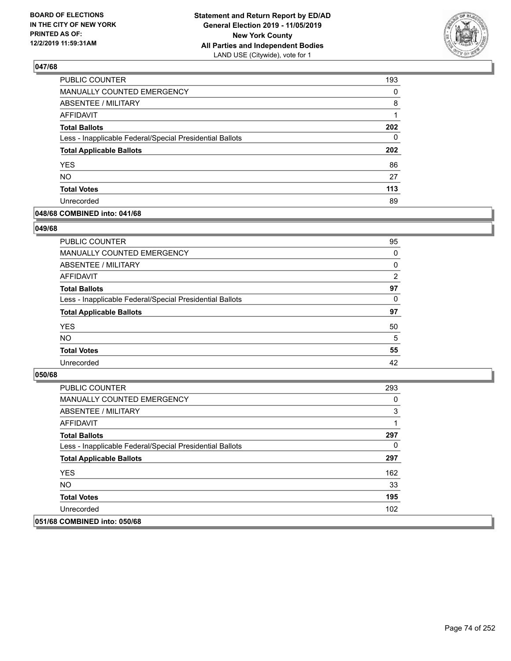

| PUBLIC COUNTER                                           | 193 |
|----------------------------------------------------------|-----|
| <b>MANUALLY COUNTED EMERGENCY</b>                        | 0   |
| <b>ABSENTEE / MILITARY</b>                               | 8   |
| <b>AFFIDAVIT</b>                                         | 1   |
| <b>Total Ballots</b>                                     | 202 |
| Less - Inapplicable Federal/Special Presidential Ballots | 0   |
| <b>Total Applicable Ballots</b>                          | 202 |
| <b>YES</b>                                               | 86  |
| <b>NO</b>                                                | 27  |
| <b>Total Votes</b>                                       | 113 |
| Unrecorded                                               | 89  |

### **048/68 COMBINED into: 041/68**

#### **049/68**

| PUBLIC COUNTER                                           | 95             |
|----------------------------------------------------------|----------------|
| <b>MANUALLY COUNTED EMERGENCY</b>                        | $\Omega$       |
| ABSENTEE / MILITARY                                      | 0              |
| AFFIDAVIT                                                | $\overline{2}$ |
| <b>Total Ballots</b>                                     | 97             |
| Less - Inapplicable Federal/Special Presidential Ballots | $\Omega$       |
| <b>Total Applicable Ballots</b>                          | 97             |
| <b>YES</b>                                               | 50             |
| <b>NO</b>                                                | 5              |
| <b>Total Votes</b>                                       | 55             |
| Unrecorded                                               | 42             |
|                                                          |                |

| <b>PUBLIC COUNTER</b>                                    | 293 |
|----------------------------------------------------------|-----|
| <b>MANUALLY COUNTED EMERGENCY</b>                        | 0   |
| ABSENTEE / MILITARY                                      | 3   |
| AFFIDAVIT                                                |     |
| <b>Total Ballots</b>                                     | 297 |
| Less - Inapplicable Federal/Special Presidential Ballots | 0   |
| <b>Total Applicable Ballots</b>                          | 297 |
| <b>YES</b>                                               | 162 |
| NO.                                                      | 33  |
| <b>Total Votes</b>                                       | 195 |
| Unrecorded                                               | 102 |
| 051/68 COMBINED into: 050/68                             |     |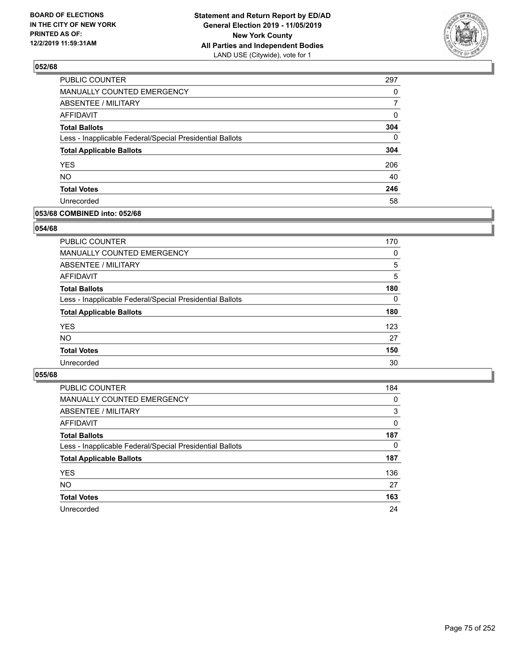

| PUBLIC COUNTER                                           | 297      |
|----------------------------------------------------------|----------|
| MANUALLY COUNTED EMERGENCY                               | 0        |
| ABSENTEE / MILITARY                                      | 7        |
| <b>AFFIDAVIT</b>                                         | 0        |
| <b>Total Ballots</b>                                     | 304      |
| Less - Inapplicable Federal/Special Presidential Ballots | $\Omega$ |
| <b>Total Applicable Ballots</b>                          | 304      |
| <b>YES</b>                                               | 206      |
| <b>NO</b>                                                | 40       |
| <b>Total Votes</b>                                       | 246      |
| Unrecorded                                               | 58       |

### **053/68 COMBINED into: 052/68**

### **054/68**

| PUBLIC COUNTER                                           | 170      |
|----------------------------------------------------------|----------|
| MANUALLY COUNTED EMERGENCY                               | 0        |
| <b>ABSENTEE / MILITARY</b>                               | 5        |
| AFFIDAVIT                                                | 5        |
| <b>Total Ballots</b>                                     | 180      |
| Less - Inapplicable Federal/Special Presidential Ballots | $\Omega$ |
| <b>Total Applicable Ballots</b>                          | 180      |
| <b>YES</b>                                               | 123      |
| <b>NO</b>                                                | 27       |
| <b>Total Votes</b>                                       | 150      |
| Unrecorded                                               | 30       |
|                                                          |          |

| <b>PUBLIC COUNTER</b>                                    | 184      |
|----------------------------------------------------------|----------|
| MANUALLY COUNTED EMERGENCY                               | 0        |
| ABSENTEE / MILITARY                                      | 3        |
| AFFIDAVIT                                                | $\Omega$ |
| <b>Total Ballots</b>                                     | 187      |
| Less - Inapplicable Federal/Special Presidential Ballots | $\Omega$ |
| <b>Total Applicable Ballots</b>                          | 187      |
| <b>YES</b>                                               | 136      |
| <b>NO</b>                                                | 27       |
| <b>Total Votes</b>                                       | 163      |
| Unrecorded                                               | 24       |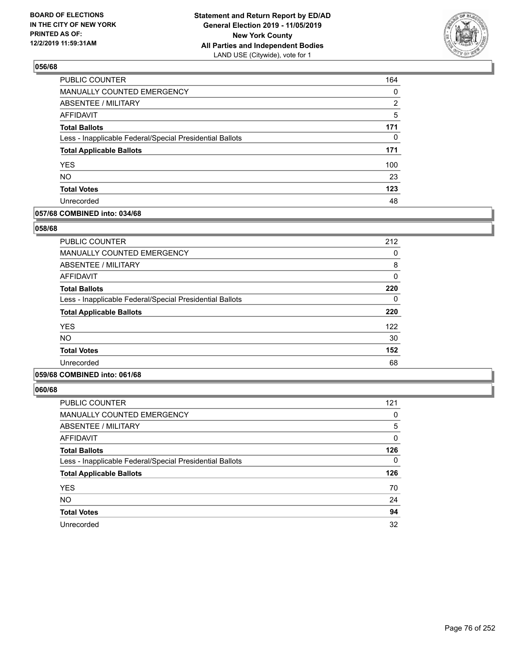

| <b>PUBLIC COUNTER</b>                                    | 164 |
|----------------------------------------------------------|-----|
| MANUALLY COUNTED EMERGENCY                               | 0   |
| ABSENTEE / MILITARY                                      | 2   |
| <b>AFFIDAVIT</b>                                         | 5   |
| <b>Total Ballots</b>                                     | 171 |
| Less - Inapplicable Federal/Special Presidential Ballots | 0   |
| <b>Total Applicable Ballots</b>                          | 171 |
| <b>YES</b>                                               | 100 |
| <b>NO</b>                                                | 23  |
| <b>Total Votes</b>                                       | 123 |
| Unrecorded                                               | 48  |

### **057/68 COMBINED into: 034/68**

### **058/68**

| <b>PUBLIC COUNTER</b>                                    | 212 |
|----------------------------------------------------------|-----|
| <b>MANUALLY COUNTED EMERGENCY</b>                        | 0   |
| ABSENTEE / MILITARY                                      | 8   |
| AFFIDAVIT                                                | 0   |
| <b>Total Ballots</b>                                     | 220 |
| Less - Inapplicable Federal/Special Presidential Ballots | 0   |
| <b>Total Applicable Ballots</b>                          | 220 |
| <b>YES</b>                                               | 122 |
| <b>NO</b>                                                | 30  |
| <b>Total Votes</b>                                       | 152 |
| Unrecorded                                               | 68  |
|                                                          |     |

# **059/68 COMBINED into: 061/68**

| <b>PUBLIC COUNTER</b>                                    | 121 |
|----------------------------------------------------------|-----|
| MANUALLY COUNTED EMERGENCY                               | 0   |
| ABSENTEE / MILITARY                                      | 5   |
| AFFIDAVIT                                                | 0   |
| <b>Total Ballots</b>                                     | 126 |
| Less - Inapplicable Federal/Special Presidential Ballots | 0   |
| <b>Total Applicable Ballots</b>                          | 126 |
| <b>YES</b>                                               | 70  |
| <b>NO</b>                                                | 24  |
| <b>Total Votes</b>                                       | 94  |
| Unrecorded                                               | 32  |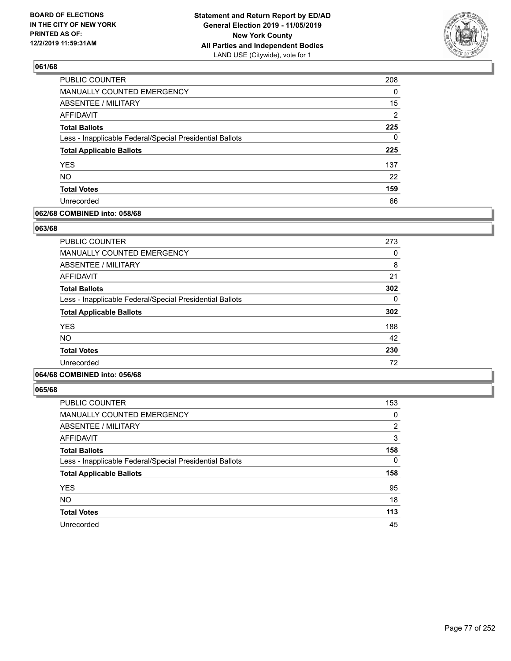

| <b>PUBLIC COUNTER</b>                                    | 208            |
|----------------------------------------------------------|----------------|
| MANUALLY COUNTED EMERGENCY                               | $\Omega$       |
| ABSENTEE / MILITARY                                      | 15             |
| <b>AFFIDAVIT</b>                                         | $\overline{2}$ |
| <b>Total Ballots</b>                                     | 225            |
| Less - Inapplicable Federal/Special Presidential Ballots | 0              |
| <b>Total Applicable Ballots</b>                          | 225            |
| <b>YES</b>                                               | 137            |
| <b>NO</b>                                                | 22             |
| <b>Total Votes</b>                                       | 159            |
| Unrecorded                                               | 66             |

### **062/68 COMBINED into: 058/68**

### **063/68**

| <b>PUBLIC COUNTER</b>                                    | 273      |
|----------------------------------------------------------|----------|
| MANUALLY COUNTED EMERGENCY                               | 0        |
| ABSENTEE / MILITARY                                      | 8        |
| AFFIDAVIT                                                | 21       |
| <b>Total Ballots</b>                                     | 302      |
| Less - Inapplicable Federal/Special Presidential Ballots | $\Omega$ |
| <b>Total Applicable Ballots</b>                          | 302      |
| <b>YES</b>                                               | 188      |
| <b>NO</b>                                                | 42       |
| <b>Total Votes</b>                                       | 230      |
| Unrecorded                                               | 72       |
|                                                          |          |

## **064/68 COMBINED into: 056/68**

| <b>PUBLIC COUNTER</b>                                    | 153      |
|----------------------------------------------------------|----------|
| <b>MANUALLY COUNTED EMERGENCY</b>                        | 0        |
| <b>ABSENTEE / MILITARY</b>                               | 2        |
| <b>AFFIDAVIT</b>                                         | 3        |
| <b>Total Ballots</b>                                     | 158      |
| Less - Inapplicable Federal/Special Presidential Ballots | $\Omega$ |
| <b>Total Applicable Ballots</b>                          | 158      |
| <b>YES</b>                                               | 95       |
| <b>NO</b>                                                | 18       |
| <b>Total Votes</b>                                       | 113      |
| Unrecorded                                               | 45       |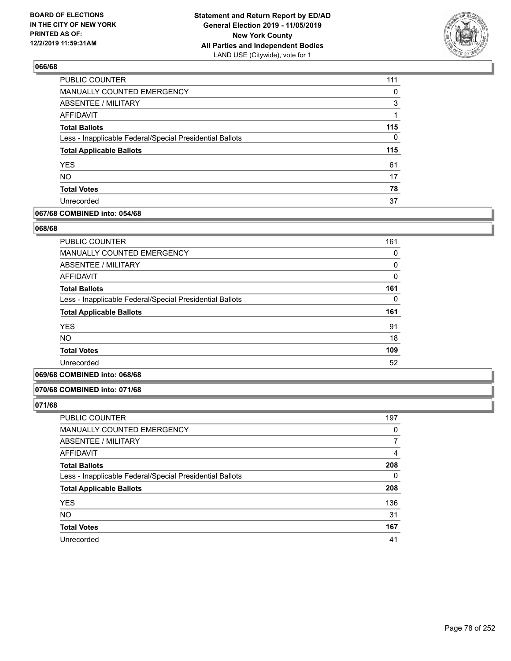

| PUBLIC COUNTER                                           | 111      |
|----------------------------------------------------------|----------|
| MANUALLY COUNTED EMERGENCY                               | 0        |
| ABSENTEE / MILITARY                                      | 3        |
| <b>AFFIDAVIT</b>                                         | 1        |
| <b>Total Ballots</b>                                     | 115      |
| Less - Inapplicable Federal/Special Presidential Ballots | $\Omega$ |
| <b>Total Applicable Ballots</b>                          | 115      |
| <b>YES</b>                                               | 61       |
| <b>NO</b>                                                | 17       |
| <b>Total Votes</b>                                       | 78       |
| Unrecorded                                               | 37       |

### **067/68 COMBINED into: 054/68**

#### **068/68**

| <b>PUBLIC COUNTER</b>                                    | 161          |
|----------------------------------------------------------|--------------|
| <b>MANUALLY COUNTED EMERGENCY</b>                        | 0            |
| ABSENTEE / MILITARY                                      | 0            |
| <b>AFFIDAVIT</b>                                         | $\mathbf{0}$ |
| <b>Total Ballots</b>                                     | 161          |
| Less - Inapplicable Federal/Special Presidential Ballots | 0            |
| <b>Total Applicable Ballots</b>                          | 161          |
| <b>YES</b>                                               | 91           |
| NO.                                                      | 18           |
| <b>Total Votes</b>                                       | 109          |
| Unrecorded                                               | 52           |
|                                                          |              |

# **069/68 COMBINED into: 068/68**

#### **070/68 COMBINED into: 071/68**

| <b>PUBLIC COUNTER</b>                                    | 197      |
|----------------------------------------------------------|----------|
| MANUALLY COUNTED EMERGENCY                               | 0        |
| ABSENTEE / MILITARY                                      |          |
| AFFIDAVIT                                                | 4        |
| <b>Total Ballots</b>                                     | 208      |
| Less - Inapplicable Federal/Special Presidential Ballots | $\Omega$ |
| <b>Total Applicable Ballots</b>                          | 208      |
| <b>YES</b>                                               | 136      |
| <b>NO</b>                                                | 31       |
| <b>Total Votes</b>                                       | 167      |
| Unrecorded                                               | 41       |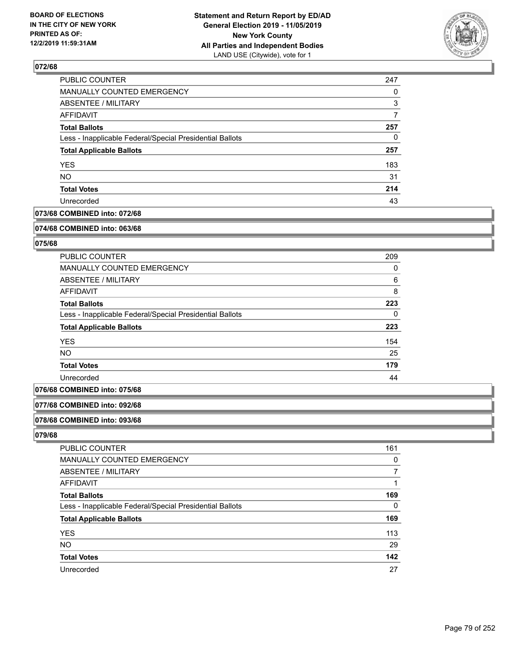

| PUBLIC COUNTER                                           | 247 |
|----------------------------------------------------------|-----|
| MANUALLY COUNTED EMERGENCY                               | 0   |
| ABSENTEE / MILITARY                                      | 3   |
| AFFIDAVIT                                                | 7   |
| <b>Total Ballots</b>                                     | 257 |
| Less - Inapplicable Federal/Special Presidential Ballots | 0   |
| <b>Total Applicable Ballots</b>                          | 257 |
| <b>YES</b>                                               | 183 |
| <b>NO</b>                                                | 31  |
| <b>Total Votes</b>                                       | 214 |
| Unrecorded                                               | 43  |

## **073/68 COMBINED into: 072/68**

#### **074/68 COMBINED into: 063/68**

## **075/68**

| PUBLIC COUNTER                                           | 209 |
|----------------------------------------------------------|-----|
| <b>MANUALLY COUNTED EMERGENCY</b>                        | 0   |
| ABSENTEE / MILITARY                                      | 6   |
| AFFIDAVIT                                                | 8   |
| <b>Total Ballots</b>                                     | 223 |
| Less - Inapplicable Federal/Special Presidential Ballots | 0   |
| <b>Total Applicable Ballots</b>                          | 223 |
| <b>YES</b>                                               | 154 |
| <b>NO</b>                                                | 25  |
| <b>Total Votes</b>                                       | 179 |
| Unrecorded                                               | 44  |

# **076/68 COMBINED into: 075/68**

### **077/68 COMBINED into: 092/68**

#### **078/68 COMBINED into: 093/68**

| <b>PUBLIC COUNTER</b>                                    | 161 |
|----------------------------------------------------------|-----|
| MANUALLY COUNTED EMERGENCY                               | 0   |
| <b>ABSENTEE / MILITARY</b>                               |     |
| AFFIDAVIT                                                |     |
| <b>Total Ballots</b>                                     | 169 |
| Less - Inapplicable Federal/Special Presidential Ballots | 0   |
| <b>Total Applicable Ballots</b>                          | 169 |
| <b>YES</b>                                               | 113 |
| <b>NO</b>                                                | 29  |
| <b>Total Votes</b>                                       | 142 |
| Unrecorded                                               | 27  |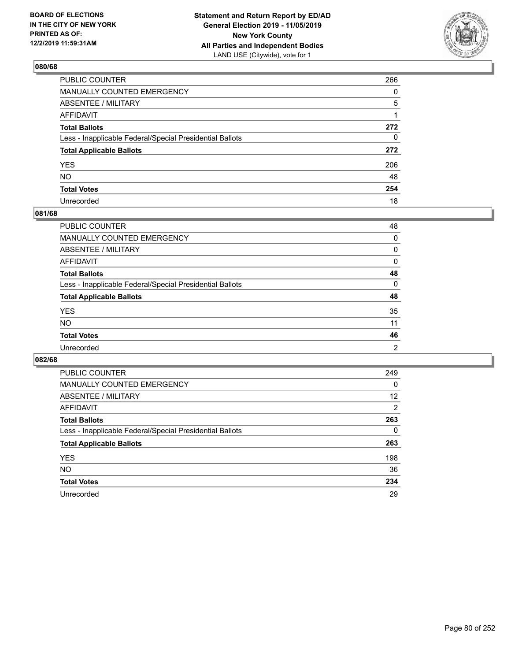

| PUBLIC COUNTER                                           | 266          |
|----------------------------------------------------------|--------------|
| MANUALLY COUNTED EMERGENCY                               | $\Omega$     |
| ABSENTEE / MILITARY                                      | 5            |
| AFFIDAVIT                                                |              |
| Total Ballots                                            | 272          |
| Less - Inapplicable Federal/Special Presidential Ballots | $\mathbf{0}$ |
| <b>Total Applicable Ballots</b>                          | 272          |
| YES                                                      | 206          |
| NO.                                                      | 48           |
| <b>Total Votes</b>                                       | 254          |
| Unrecorded                                               | 18           |

### **081/68**

| <b>PUBLIC COUNTER</b>                                    | 48             |
|----------------------------------------------------------|----------------|
| <b>MANUALLY COUNTED EMERGENCY</b>                        | $\Omega$       |
| ABSENTEE / MILITARY                                      | 0              |
| AFFIDAVIT                                                | 0              |
| <b>Total Ballots</b>                                     | 48             |
| Less - Inapplicable Federal/Special Presidential Ballots | $\Omega$       |
| <b>Total Applicable Ballots</b>                          | 48             |
| <b>YES</b>                                               | 35             |
| <b>NO</b>                                                | 11             |
| <b>Total Votes</b>                                       | 46             |
| Unrecorded                                               | $\overline{2}$ |

| <b>PUBLIC COUNTER</b>                                    | 249            |
|----------------------------------------------------------|----------------|
| <b>MANUALLY COUNTED EMERGENCY</b>                        | 0              |
| ABSENTEE / MILITARY                                      | 12             |
| AFFIDAVIT                                                | $\overline{2}$ |
| <b>Total Ballots</b>                                     | 263            |
| Less - Inapplicable Federal/Special Presidential Ballots | 0              |
| <b>Total Applicable Ballots</b>                          | 263            |
| <b>YES</b>                                               | 198            |
| NO.                                                      | 36             |
| <b>Total Votes</b>                                       | 234            |
| Unrecorded                                               | 29             |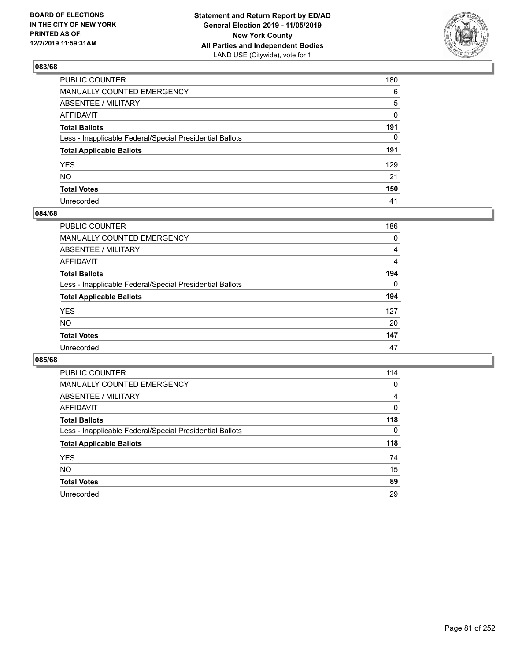

| PUBLIC COUNTER                                           | 180          |
|----------------------------------------------------------|--------------|
| MANUALLY COUNTED EMERGENCY                               | 6            |
| ABSENTEE / MILITARY                                      | 5            |
| AFFIDAVIT                                                | 0            |
| Total Ballots                                            | 191          |
| Less - Inapplicable Federal/Special Presidential Ballots | $\mathbf{0}$ |
| <b>Total Applicable Ballots</b>                          | 191          |
| YES                                                      | 129          |
| NO.                                                      | 21           |
| <b>Total Votes</b>                                       | 150          |
| Unrecorded                                               | 41           |

### **084/68**

| <b>PUBLIC COUNTER</b>                                    | 186            |
|----------------------------------------------------------|----------------|
| MANUALLY COUNTED EMERGENCY                               | 0              |
| ABSENTEE / MILITARY                                      | 4              |
| AFFIDAVIT                                                | $\overline{4}$ |
| <b>Total Ballots</b>                                     | 194            |
| Less - Inapplicable Federal/Special Presidential Ballots | $\Omega$       |
| <b>Total Applicable Ballots</b>                          | 194            |
| <b>YES</b>                                               | 127            |
| <b>NO</b>                                                | 20             |
| <b>Total Votes</b>                                       | 147            |
| Unrecorded                                               | 47             |

| <b>PUBLIC COUNTER</b>                                    | 114 |
|----------------------------------------------------------|-----|
| <b>MANUALLY COUNTED EMERGENCY</b>                        | 0   |
| ABSENTEE / MILITARY                                      | 4   |
| AFFIDAVIT                                                | 0   |
| <b>Total Ballots</b>                                     | 118 |
| Less - Inapplicable Federal/Special Presidential Ballots | 0   |
| <b>Total Applicable Ballots</b>                          | 118 |
| <b>YES</b>                                               | 74  |
| NO.                                                      | 15  |
| <b>Total Votes</b>                                       | 89  |
| Unrecorded                                               | 29  |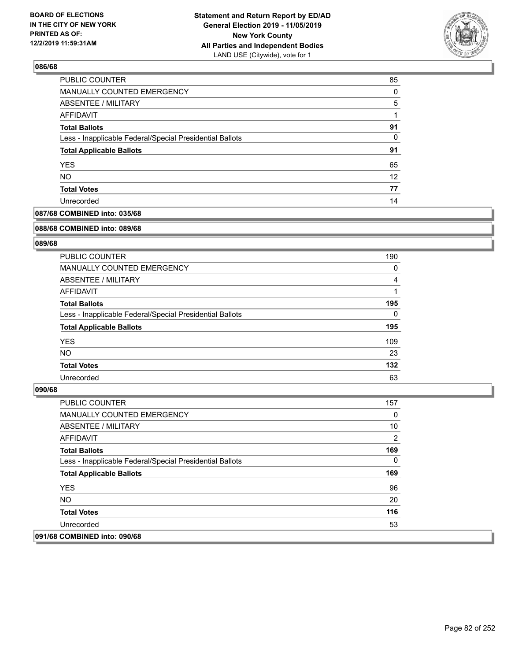

| PUBLIC COUNTER                                           | 85       |
|----------------------------------------------------------|----------|
| MANUALLY COUNTED EMERGENCY                               | $\Omega$ |
| ABSENTEE / MILITARY                                      | 5        |
| AFFIDAVIT                                                |          |
| <b>Total Ballots</b>                                     | 91       |
| Less - Inapplicable Federal/Special Presidential Ballots | 0        |
| <b>Total Applicable Ballots</b>                          | 91       |
| <b>YES</b>                                               | 65       |
| <b>NO</b>                                                | 12       |
| <b>Total Votes</b>                                       | 77       |
| Unrecorded                                               | 14       |

## **087/68 COMBINED into: 035/68**

#### **088/68 COMBINED into: 089/68**

## **089/68**

| <b>PUBLIC COUNTER</b>                                    | 190      |
|----------------------------------------------------------|----------|
| <b>MANUALLY COUNTED EMERGENCY</b>                        | 0        |
| ABSENTEE / MILITARY                                      | 4        |
| AFFIDAVIT                                                |          |
| <b>Total Ballots</b>                                     | 195      |
| Less - Inapplicable Federal/Special Presidential Ballots | $\Omega$ |
| <b>Total Applicable Ballots</b>                          | 195      |
| <b>YES</b>                                               | 109      |
| NO.                                                      | 23       |
| <b>Total Votes</b>                                       | 132      |
| Unrecorded                                               | 63       |

| <b>PUBLIC COUNTER</b>                                    | 157            |
|----------------------------------------------------------|----------------|
| <b>MANUALLY COUNTED EMERGENCY</b>                        | $\Omega$       |
| ABSENTEE / MILITARY                                      | 10             |
| AFFIDAVIT                                                | $\overline{2}$ |
| <b>Total Ballots</b>                                     | 169            |
| Less - Inapplicable Federal/Special Presidential Ballots | $\Omega$       |
| <b>Total Applicable Ballots</b>                          | 169            |
| <b>YES</b>                                               | 96             |
| NO.                                                      | 20             |
| <b>Total Votes</b>                                       | 116            |
| Unrecorded                                               | 53             |
| 091/68 COMBINED into: 090/68                             |                |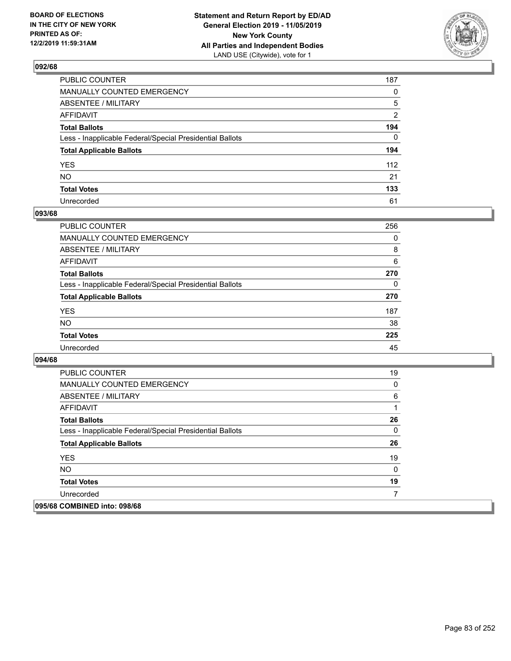

| PUBLIC COUNTER                                           | 187            |
|----------------------------------------------------------|----------------|
| MANUALLY COUNTED EMERGENCY                               | $\mathbf{0}$   |
| ABSENTEE / MILITARY                                      | 5              |
| AFFIDAVIT                                                | $\overline{2}$ |
| Total Ballots                                            | 194            |
| Less - Inapplicable Federal/Special Presidential Ballots | $\Omega$       |
| <b>Total Applicable Ballots</b>                          | 194            |
| YES                                                      | 112            |
| NΟ                                                       | 21             |
| <b>Total Votes</b>                                       | 133            |
| Unrecorded                                               | 61             |

### **093/68**

| <b>PUBLIC COUNTER</b>                                    | 256      |
|----------------------------------------------------------|----------|
| <b>MANUALLY COUNTED EMERGENCY</b>                        | $\Omega$ |
| ABSENTEE / MILITARY                                      | 8        |
| AFFIDAVIT                                                | 6        |
| <b>Total Ballots</b>                                     | 270      |
| Less - Inapplicable Federal/Special Presidential Ballots | $\Omega$ |
| <b>Total Applicable Ballots</b>                          | 270      |
| <b>YES</b>                                               | 187      |
| <b>NO</b>                                                | 38       |
| <b>Total Votes</b>                                       | 225      |
| Unrecorded                                               | 45       |

| <b>PUBLIC COUNTER</b>                                    | 19       |
|----------------------------------------------------------|----------|
| <b>MANUALLY COUNTED EMERGENCY</b>                        | 0        |
| ABSENTEE / MILITARY                                      | 6        |
| AFFIDAVIT                                                | 1        |
| <b>Total Ballots</b>                                     | 26       |
| Less - Inapplicable Federal/Special Presidential Ballots | 0        |
| <b>Total Applicable Ballots</b>                          | 26       |
| <b>YES</b>                                               | 19       |
| <b>NO</b>                                                | $\Omega$ |
| <b>Total Votes</b>                                       | 19       |
| Unrecorded                                               |          |
| 095/68 COMBINED into: 098/68                             |          |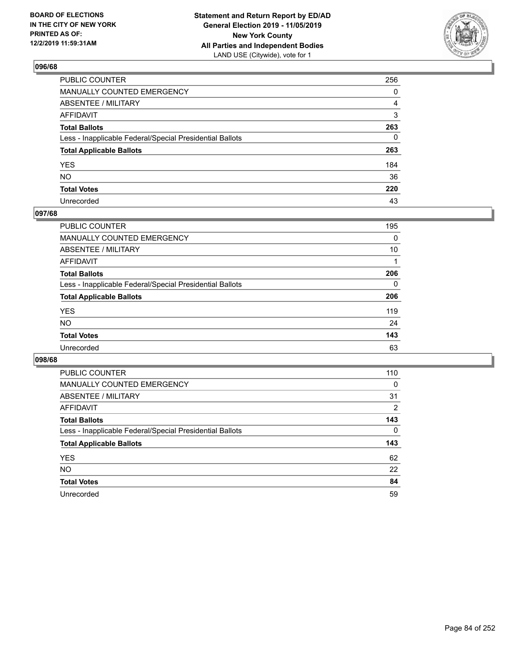

| PUBLIC COUNTER                                           | 256          |
|----------------------------------------------------------|--------------|
| MANUALLY COUNTED EMERGENCY                               | $\mathbf{0}$ |
| ABSENTEE / MILITARY                                      | 4            |
| AFFIDAVIT                                                | 3            |
| Total Ballots                                            | 263          |
| Less - Inapplicable Federal/Special Presidential Ballots | $\mathbf{0}$ |
| <b>Total Applicable Ballots</b>                          | 263          |
| YES                                                      | 184          |
| NO.                                                      | 36           |
| <b>Total Votes</b>                                       | 220          |
| Unrecorded                                               | 43           |

## **097/68**

| <b>PUBLIC COUNTER</b>                                    | 195      |
|----------------------------------------------------------|----------|
| MANUALLY COUNTED EMERGENCY                               | 0        |
| ABSENTEE / MILITARY                                      | 10       |
| AFFIDAVIT                                                |          |
| <b>Total Ballots</b>                                     | 206      |
| Less - Inapplicable Federal/Special Presidential Ballots | $\Omega$ |
| <b>Total Applicable Ballots</b>                          | 206      |
| <b>YES</b>                                               | 119      |
| <b>NO</b>                                                | 24       |
| <b>Total Votes</b>                                       | 143      |
| Unrecorded                                               | 63       |

| <b>PUBLIC COUNTER</b>                                    | 110      |
|----------------------------------------------------------|----------|
| <b>MANUALLY COUNTED EMERGENCY</b>                        | $\Omega$ |
| ABSENTEE / MILITARY                                      | 31       |
| AFFIDAVIT                                                | 2        |
| <b>Total Ballots</b>                                     | 143      |
| Less - Inapplicable Federal/Special Presidential Ballots | 0        |
| <b>Total Applicable Ballots</b>                          | 143      |
| <b>YES</b>                                               | 62       |
| NO.                                                      | 22       |
| <b>Total Votes</b>                                       | 84       |
| Unrecorded                                               | 59       |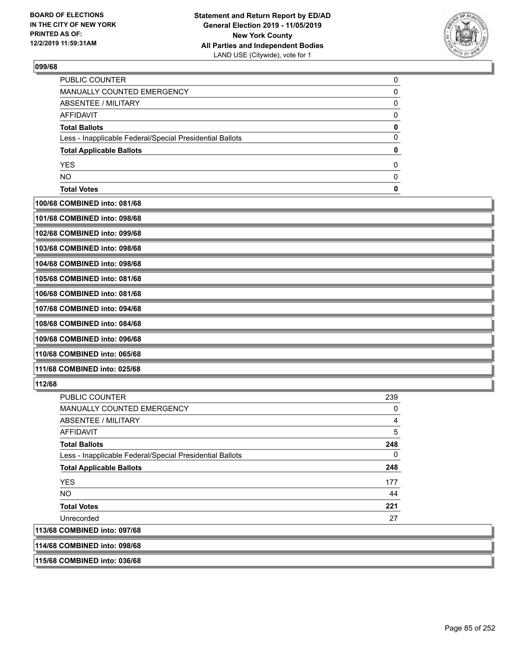

| <b>Total Votes</b>                                       |  |
|----------------------------------------------------------|--|
| NO.                                                      |  |
| <b>YES</b>                                               |  |
| <b>Total Applicable Ballots</b>                          |  |
| Less - Inapplicable Federal/Special Presidential Ballots |  |
| <b>Total Ballots</b>                                     |  |
| AFFIDAVIT                                                |  |
| ABSENTEE / MILITARY                                      |  |
| <b>MANUALLY COUNTED EMERGENCY</b>                        |  |
| PUBLIC COUNTER                                           |  |

**100/68 COMBINED into: 081/68**

|  | 101/68 COMBINED into: 098/68 |  |
|--|------------------------------|--|
|  |                              |  |
|  |                              |  |

**102/68 COMBINED into: 099/68**

**103/68 COMBINED into: 098/68**

**104/68 COMBINED into: 098/68**

**105/68 COMBINED into: 081/68 106/68 COMBINED into: 081/68**

**107/68 COMBINED into: 094/68**

**108/68 COMBINED into: 084/68**

**109/68 COMBINED into: 096/68**

**110/68 COMBINED into: 065/68**

**111/68 COMBINED into: 025/68**

## **112/68**

| <b>PUBLIC COUNTER</b>                                    | 239 |
|----------------------------------------------------------|-----|
| <b>MANUALLY COUNTED EMERGENCY</b>                        | 0   |
| ABSENTEE / MILITARY                                      | 4   |
| AFFIDAVIT                                                | 5   |
| <b>Total Ballots</b>                                     | 248 |
| Less - Inapplicable Federal/Special Presidential Ballots | 0   |
| <b>Total Applicable Ballots</b>                          | 248 |
| <b>YES</b>                                               | 177 |
| <b>NO</b>                                                | 44  |
| <b>Total Votes</b>                                       | 221 |
| Unrecorded                                               | 27  |
| 113/68 COMBINED into: 097/68                             |     |
| 114/68 COMBINED into: 098/68                             |     |

**115/68 COMBINED into: 036/68**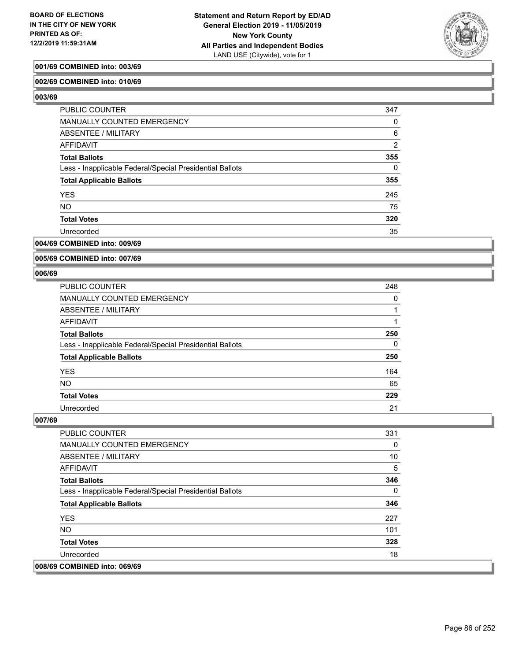

### **001/69 COMBINED into: 003/69**

### **002/69 COMBINED into: 010/69**

**003/69** 

| <b>PUBLIC COUNTER</b>                                    | 347      |
|----------------------------------------------------------|----------|
| MANUALLY COUNTED EMERGENCY                               | $\Omega$ |
| <b>ABSENTEE / MILITARY</b>                               | 6        |
| AFFIDAVIT                                                | 2        |
| <b>Total Ballots</b>                                     | 355      |
| Less - Inapplicable Federal/Special Presidential Ballots | $\Omega$ |
| <b>Total Applicable Ballots</b>                          | 355      |
| <b>YES</b>                                               | 245      |
| <b>NO</b>                                                | 75       |
| <b>Total Votes</b>                                       | 320      |
| Unrecorded                                               | 35       |

### **004/69 COMBINED into: 009/69**

**005/69 COMBINED into: 007/69**

#### **006/69**

| <b>PUBLIC COUNTER</b>                                    | 248 |
|----------------------------------------------------------|-----|
| <b>MANUALLY COUNTED EMERGENCY</b>                        | 0   |
| <b>ABSENTEE / MILITARY</b>                               |     |
| AFFIDAVIT                                                |     |
| <b>Total Ballots</b>                                     | 250 |
| Less - Inapplicable Federal/Special Presidential Ballots | 0   |
| <b>Total Applicable Ballots</b>                          | 250 |
| <b>YES</b>                                               | 164 |
| <b>NO</b>                                                | 65  |
| <b>Total Votes</b>                                       | 229 |
| Unrecorded                                               | 21  |

| <b>PUBLIC COUNTER</b>                                    | 331 |
|----------------------------------------------------------|-----|
| <b>MANUALLY COUNTED EMERGENCY</b>                        | 0   |
| ABSENTEE / MILITARY                                      | 10  |
| AFFIDAVIT                                                | 5   |
| <b>Total Ballots</b>                                     | 346 |
| Less - Inapplicable Federal/Special Presidential Ballots | 0   |
| <b>Total Applicable Ballots</b>                          | 346 |
| <b>YES</b>                                               | 227 |
| <b>NO</b>                                                | 101 |
| <b>Total Votes</b>                                       | 328 |
| Unrecorded                                               | 18  |
| 008/69 COMBINED into: 069/69                             |     |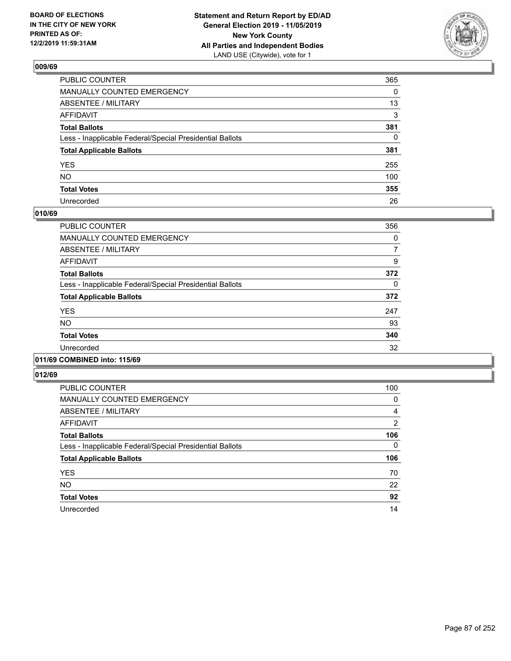

| PUBLIC COUNTER                                           | 365      |
|----------------------------------------------------------|----------|
| MANUALLY COUNTED EMERGENCY                               | $\Omega$ |
| ABSENTEE / MILITARY                                      | 13       |
| AFFIDAVIT                                                | 3        |
| Total Ballots                                            | 381      |
| Less - Inapplicable Federal/Special Presidential Ballots | 0        |
| <b>Total Applicable Ballots</b>                          | 381      |
| YES                                                      | 255      |
| NO.                                                      | 100      |
| <b>Total Votes</b>                                       | 355      |
| Unrecorded                                               | 26       |

## **010/69**

| <b>PUBLIC COUNTER</b>                                    | 356 |
|----------------------------------------------------------|-----|
| <b>MANUALLY COUNTED EMERGENCY</b>                        | 0   |
| ABSENTEE / MILITARY                                      | 7   |
| <b>AFFIDAVIT</b>                                         | 9   |
| <b>Total Ballots</b>                                     | 372 |
| Less - Inapplicable Federal/Special Presidential Ballots | 0   |
| <b>Total Applicable Ballots</b>                          | 372 |
| <b>YES</b>                                               | 247 |
| <b>NO</b>                                                | 93  |
| <b>Total Votes</b>                                       | 340 |
| Unrecorded                                               | 32  |
|                                                          |     |

### **011/69 COMBINED into: 115/69**

| <b>PUBLIC COUNTER</b>                                    | 100      |
|----------------------------------------------------------|----------|
| <b>MANUALLY COUNTED EMERGENCY</b>                        | 0        |
| ABSENTEE / MILITARY                                      | 4        |
| AFFIDAVIT                                                | 2        |
| <b>Total Ballots</b>                                     | 106      |
| Less - Inapplicable Federal/Special Presidential Ballots | $\Omega$ |
| <b>Total Applicable Ballots</b>                          | 106      |
| <b>YES</b>                                               | 70       |
| <b>NO</b>                                                | 22       |
| <b>Total Votes</b>                                       | 92       |
| Unrecorded                                               | 14       |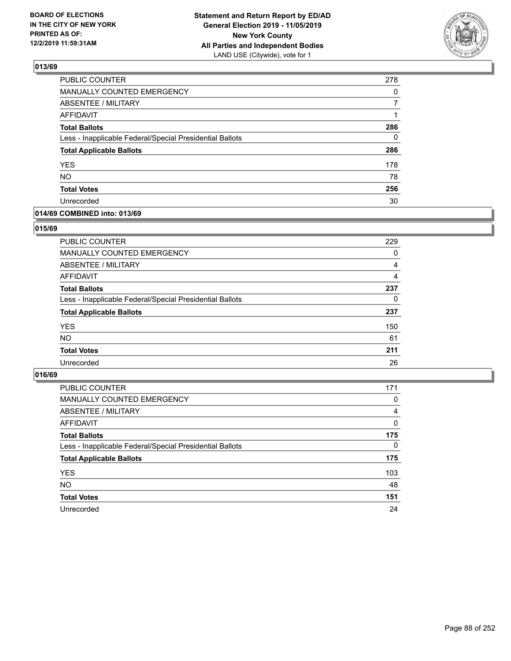

| PUBLIC COUNTER                                           | 278 |
|----------------------------------------------------------|-----|
| MANUALLY COUNTED EMERGENCY                               | 0   |
| <b>ABSENTEE / MILITARY</b>                               | 7   |
| <b>AFFIDAVIT</b>                                         | 1   |
| <b>Total Ballots</b>                                     | 286 |
| Less - Inapplicable Federal/Special Presidential Ballots | 0   |
| <b>Total Applicable Ballots</b>                          | 286 |
| <b>YES</b>                                               | 178 |
| <b>NO</b>                                                | 78  |
| <b>Total Votes</b>                                       | 256 |
| Unrecorded                                               | 30  |

### **014/69 COMBINED into: 013/69**

### **015/69**

| PUBLIC COUNTER                                           | 229 |
|----------------------------------------------------------|-----|
| MANUALLY COUNTED EMERGENCY                               | 0   |
| <b>ABSENTEE / MILITARY</b>                               | 4   |
| AFFIDAVIT                                                | 4   |
| <b>Total Ballots</b>                                     | 237 |
| Less - Inapplicable Federal/Special Presidential Ballots | 0   |
| <b>Total Applicable Ballots</b>                          | 237 |
| <b>YES</b>                                               | 150 |
| <b>NO</b>                                                | 61  |
| <b>Total Votes</b>                                       | 211 |
| Unrecorded                                               | 26  |
|                                                          |     |

| <b>PUBLIC COUNTER</b>                                    | 171      |
|----------------------------------------------------------|----------|
| MANUALLY COUNTED EMERGENCY                               | 0        |
| ABSENTEE / MILITARY                                      | 4        |
| AFFIDAVIT                                                | $\Omega$ |
| <b>Total Ballots</b>                                     | 175      |
| Less - Inapplicable Federal/Special Presidential Ballots | $\Omega$ |
| <b>Total Applicable Ballots</b>                          | 175      |
| <b>YES</b>                                               | 103      |
| <b>NO</b>                                                | 48       |
| <b>Total Votes</b>                                       | 151      |
| Unrecorded                                               | 24       |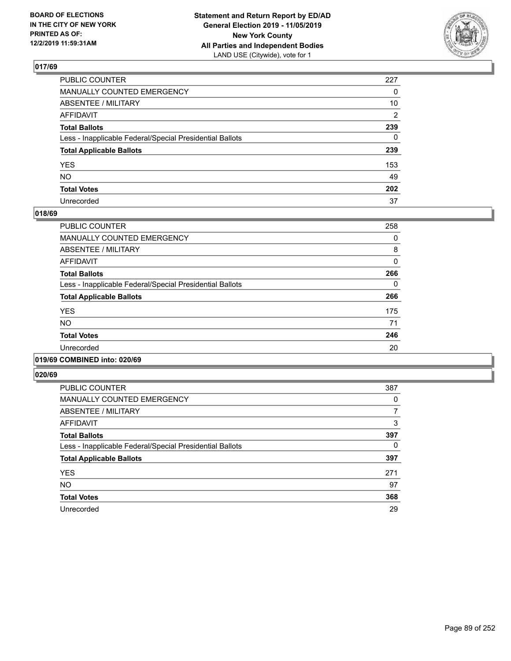

| PUBLIC COUNTER                                           | 227          |
|----------------------------------------------------------|--------------|
| MANUALLY COUNTED EMERGENCY                               | $\mathbf{0}$ |
| ABSENTEE / MILITARY                                      | 10           |
| AFFIDAVIT                                                | 2            |
| Total Ballots                                            | 239          |
| Less - Inapplicable Federal/Special Presidential Ballots | $\mathbf{0}$ |
| <b>Total Applicable Ballots</b>                          | 239          |
| YES                                                      | 153          |
| NO.                                                      | 49           |
| <b>Total Votes</b>                                       | 202          |
| Unrecorded                                               | 37           |

### **018/69**

| <b>PUBLIC COUNTER</b>                                    | 258      |
|----------------------------------------------------------|----------|
| <b>MANUALLY COUNTED EMERGENCY</b>                        | 0        |
| ABSENTEE / MILITARY                                      | 8        |
| <b>AFFIDAVIT</b>                                         | $\Omega$ |
| <b>Total Ballots</b>                                     | 266      |
| Less - Inapplicable Federal/Special Presidential Ballots | 0        |
| <b>Total Applicable Ballots</b>                          | 266      |
| <b>YES</b>                                               | 175      |
| <b>NO</b>                                                | 71       |
| <b>Total Votes</b>                                       | 246      |
| Unrecorded                                               | 20       |
|                                                          |          |

## **019/69 COMBINED into: 020/69**

| <b>PUBLIC COUNTER</b>                                    | 387 |
|----------------------------------------------------------|-----|
| <b>MANUALLY COUNTED EMERGENCY</b>                        | 0   |
| ABSENTEE / MILITARY                                      | 7   |
| <b>AFFIDAVIT</b>                                         | 3   |
| <b>Total Ballots</b>                                     | 397 |
| Less - Inapplicable Federal/Special Presidential Ballots | 0   |
| <b>Total Applicable Ballots</b>                          | 397 |
| <b>YES</b>                                               | 271 |
| <b>NO</b>                                                | 97  |
| <b>Total Votes</b>                                       | 368 |
| Unrecorded                                               | 29  |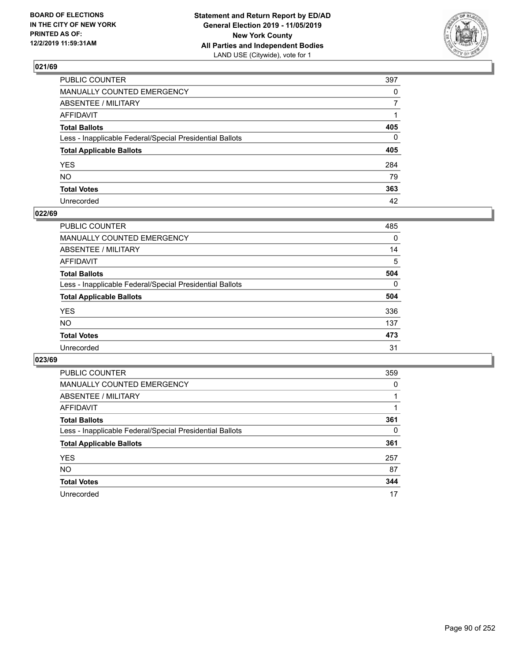

| PUBLIC COUNTER                                           | 397          |
|----------------------------------------------------------|--------------|
| MANUALLY COUNTED EMERGENCY                               | $\mathbf{0}$ |
| ABSENTEE / MILITARY                                      | 7            |
| AFFIDAVIT                                                |              |
| Total Ballots                                            | 405          |
| Less - Inapplicable Federal/Special Presidential Ballots | 0            |
| <b>Total Applicable Ballots</b>                          | 405          |
| YES                                                      | 284          |
| NO.                                                      | 79           |
| <b>Total Votes</b>                                       | 363          |
| Unrecorded                                               | 42           |

## **022/69**

| <b>PUBLIC COUNTER</b>                                    | 485      |
|----------------------------------------------------------|----------|
| <b>MANUALLY COUNTED EMERGENCY</b>                        | $\Omega$ |
| <b>ABSENTEE / MILITARY</b>                               | 14       |
| AFFIDAVIT                                                | 5        |
| <b>Total Ballots</b>                                     | 504      |
| Less - Inapplicable Federal/Special Presidential Ballots | $\Omega$ |
| <b>Total Applicable Ballots</b>                          | 504      |
| <b>YES</b>                                               | 336      |
| NO                                                       | 137      |
| <b>Total Votes</b>                                       | 473      |
| Unrecorded                                               | 31       |

| <b>PUBLIC COUNTER</b>                                    | 359      |
|----------------------------------------------------------|----------|
| <b>MANUALLY COUNTED EMERGENCY</b>                        | $\Omega$ |
| ABSENTEE / MILITARY                                      |          |
| AFFIDAVIT                                                |          |
| <b>Total Ballots</b>                                     | 361      |
| Less - Inapplicable Federal/Special Presidential Ballots | 0        |
| <b>Total Applicable Ballots</b>                          | 361      |
| <b>YES</b>                                               | 257      |
| <b>NO</b>                                                | 87       |
| <b>Total Votes</b>                                       | 344      |
| Unrecorded                                               | 17       |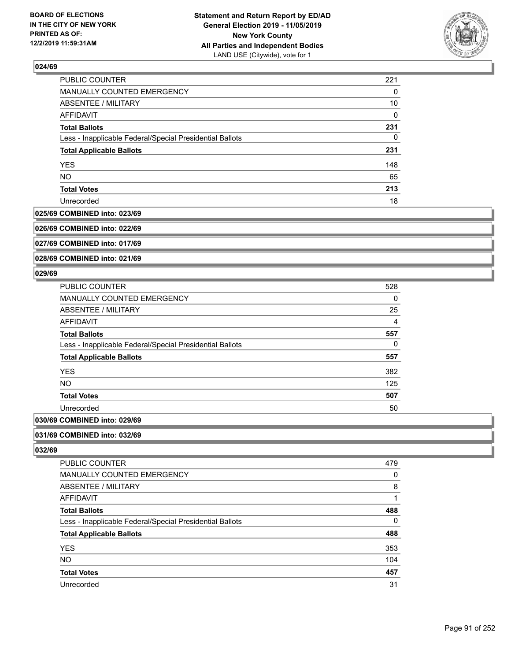

| PUBLIC COUNTER                                           | 221 |
|----------------------------------------------------------|-----|
| MANUALLY COUNTED EMERGENCY                               | 0   |
| ABSENTEE / MILITARY                                      | 10  |
| AFFIDAVIT                                                | 0   |
| <b>Total Ballots</b>                                     | 231 |
| Less - Inapplicable Federal/Special Presidential Ballots | 0   |
| <b>Total Applicable Ballots</b>                          | 231 |
| <b>YES</b>                                               | 148 |
| <b>NO</b>                                                | 65  |
| <b>Total Votes</b>                                       | 213 |
| Unrecorded                                               | 18  |

#### **025/69 COMBINED into: 023/69**

**026/69 COMBINED into: 022/69**

**027/69 COMBINED into: 017/69**

**028/69 COMBINED into: 021/69**

### **029/69**

| <b>PUBLIC COUNTER</b>                                    | 528            |
|----------------------------------------------------------|----------------|
| MANUALLY COUNTED EMERGENCY                               | 0              |
| ABSENTEE / MILITARY                                      | 25             |
| <b>AFFIDAVIT</b>                                         | $\overline{4}$ |
| <b>Total Ballots</b>                                     | 557            |
| Less - Inapplicable Federal/Special Presidential Ballots | 0              |
| <b>Total Applicable Ballots</b>                          | 557            |
| <b>YES</b>                                               | 382            |
| NO.                                                      | 125            |
| <b>Total Votes</b>                                       | 507            |
| Unrecorded                                               | 50             |
|                                                          |                |

# **030/69 COMBINED into: 029/69**

**031/69 COMBINED into: 032/69**

| <b>PUBLIC COUNTER</b>                                    | 479 |
|----------------------------------------------------------|-----|
| MANUALLY COUNTED EMERGENCY                               | 0   |
| ABSENTEE / MILITARY                                      | 8   |
| AFFIDAVIT                                                |     |
| <b>Total Ballots</b>                                     | 488 |
| Less - Inapplicable Federal/Special Presidential Ballots | 0   |
| <b>Total Applicable Ballots</b>                          | 488 |
| <b>YES</b>                                               | 353 |
| <b>NO</b>                                                | 104 |
| <b>Total Votes</b>                                       | 457 |
| Unrecorded                                               | 31  |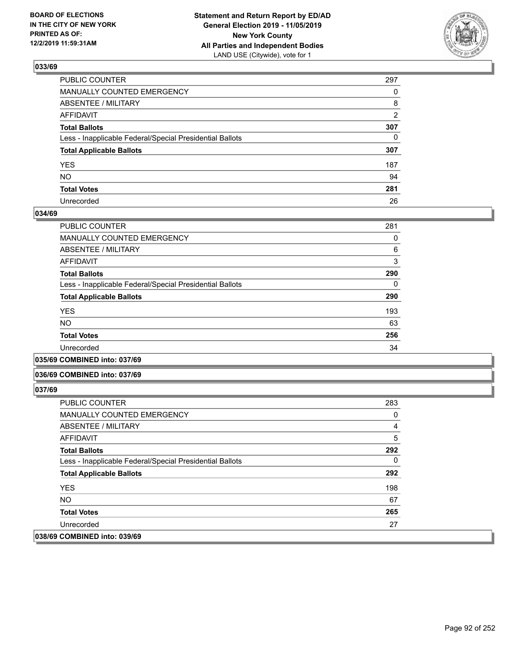

| PUBLIC COUNTER                                           | 297            |
|----------------------------------------------------------|----------------|
| MANUALLY COUNTED EMERGENCY                               | $\Omega$       |
| ABSENTEE / MILITARY                                      | 8              |
| AFFIDAVIT                                                | $\overline{2}$ |
| Total Ballots                                            | 307            |
| Less - Inapplicable Federal/Special Presidential Ballots | $\mathbf{0}$   |
| <b>Total Applicable Ballots</b>                          | 307            |
| YES                                                      | 187            |
| NO.                                                      | 94             |
| <b>Total Votes</b>                                       | 281            |
| Unrecorded                                               | 26             |

### **034/69**

| PUBLIC COUNTER                                           | 281 |
|----------------------------------------------------------|-----|
| <b>MANUALLY COUNTED EMERGENCY</b>                        | 0   |
| ABSENTEE / MILITARY                                      | 6   |
| <b>AFFIDAVIT</b>                                         | 3   |
| <b>Total Ballots</b>                                     | 290 |
| Less - Inapplicable Federal/Special Presidential Ballots | 0   |
| <b>Total Applicable Ballots</b>                          | 290 |
| <b>YES</b>                                               | 193 |
| <b>NO</b>                                                | 63  |
| <b>Total Votes</b>                                       | 256 |
| Unrecorded                                               | 34  |
|                                                          |     |

**035/69 COMBINED into: 037/69**

#### **036/69 COMBINED into: 037/69**

| <b>PUBLIC COUNTER</b>                                    | 283 |
|----------------------------------------------------------|-----|
| <b>MANUALLY COUNTED EMERGENCY</b>                        | 0   |
| ABSENTEE / MILITARY                                      | 4   |
| AFFIDAVIT                                                | 5   |
| <b>Total Ballots</b>                                     | 292 |
| Less - Inapplicable Federal/Special Presidential Ballots | 0   |
| <b>Total Applicable Ballots</b>                          | 292 |
| <b>YES</b>                                               | 198 |
| NO.                                                      | 67  |
| <b>Total Votes</b>                                       | 265 |
| Unrecorded                                               | 27  |
| 038/69 COMBINED into: 039/69                             |     |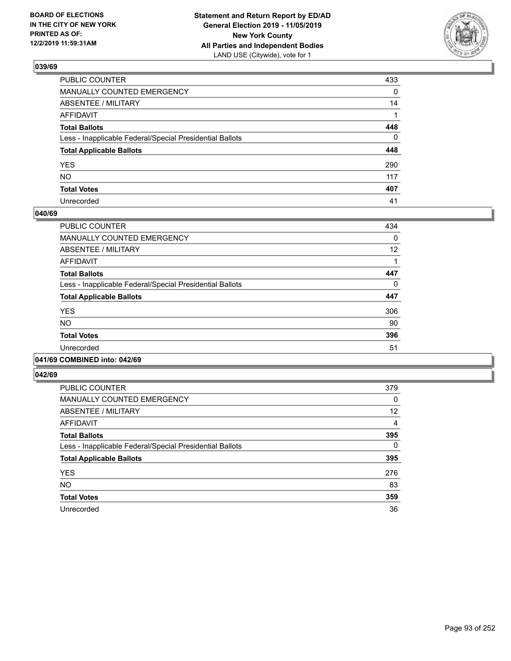

| PUBLIC COUNTER                                           | 433          |
|----------------------------------------------------------|--------------|
| MANUALLY COUNTED EMERGENCY                               | $\mathbf{0}$ |
| ABSENTEE / MILITARY                                      | 14           |
| AFFIDAVIT                                                |              |
| Total Ballots                                            | 448          |
| Less - Inapplicable Federal/Special Presidential Ballots | $\mathbf{0}$ |
| <b>Total Applicable Ballots</b>                          | 448          |
| YES                                                      | 290          |
| NO.                                                      | 117          |
| <b>Total Votes</b>                                       | 407          |
| Unrecorded                                               | 41           |

### **040/69**

| PUBLIC COUNTER                                           | 434 |
|----------------------------------------------------------|-----|
| <b>MANUALLY COUNTED EMERGENCY</b>                        | 0   |
| ABSENTEE / MILITARY                                      | 12  |
| <b>AFFIDAVIT</b>                                         |     |
| <b>Total Ballots</b>                                     | 447 |
| Less - Inapplicable Federal/Special Presidential Ballots | 0   |
| <b>Total Applicable Ballots</b>                          | 447 |
| <b>YES</b>                                               | 306 |
| NO.                                                      | 90  |
| <b>Total Votes</b>                                       | 396 |
| Unrecorded                                               | 51  |
|                                                          |     |

#### **041/69 COMBINED into: 042/69**

| <b>PUBLIC COUNTER</b>                                    | 379      |
|----------------------------------------------------------|----------|
| <b>MANUALLY COUNTED EMERGENCY</b>                        | 0        |
| ABSENTEE / MILITARY                                      | 12       |
| <b>AFFIDAVIT</b>                                         | 4        |
| <b>Total Ballots</b>                                     | 395      |
| Less - Inapplicable Federal/Special Presidential Ballots | $\Omega$ |
| <b>Total Applicable Ballots</b>                          | 395      |
| <b>YES</b>                                               | 276      |
| <b>NO</b>                                                | 83       |
| <b>Total Votes</b>                                       | 359      |
| Unrecorded                                               | 36       |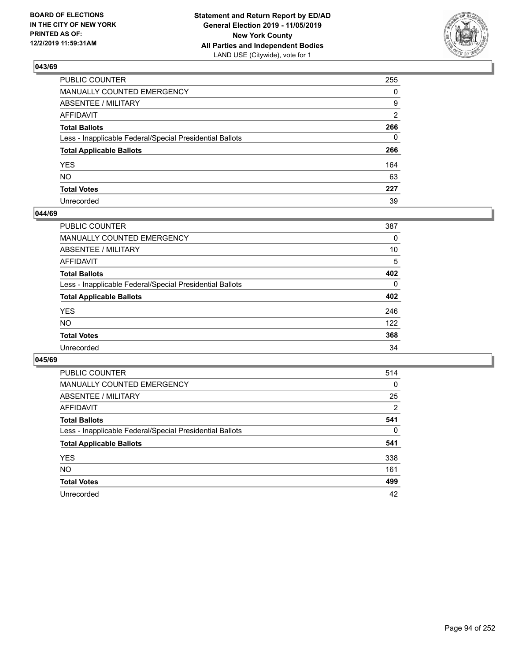

| PUBLIC COUNTER                                           | 255            |
|----------------------------------------------------------|----------------|
| MANUALLY COUNTED EMERGENCY                               | $\Omega$       |
| ABSENTEE / MILITARY                                      | 9              |
| AFFIDAVIT                                                | $\overline{2}$ |
| Total Ballots                                            | 266            |
| Less - Inapplicable Federal/Special Presidential Ballots | $\Omega$       |
| <b>Total Applicable Ballots</b>                          | 266            |
| YES                                                      | 164            |
| NO.                                                      | 63             |
| <b>Total Votes</b>                                       | 227            |
| Unrecorded                                               | 39             |

### **044/69**

| <b>PUBLIC COUNTER</b>                                    | 387          |
|----------------------------------------------------------|--------------|
| <b>MANUALLY COUNTED EMERGENCY</b>                        | 0            |
| ABSENTEE / MILITARY                                      | 10           |
| AFFIDAVIT                                                | 5            |
| <b>Total Ballots</b>                                     | 402          |
| Less - Inapplicable Federal/Special Presidential Ballots | $\mathbf{0}$ |
| <b>Total Applicable Ballots</b>                          | 402          |
| <b>YES</b>                                               | 246          |
| <b>NO</b>                                                | 122          |
| <b>Total Votes</b>                                       | 368          |
| Unrecorded                                               | 34           |

| <b>PUBLIC COUNTER</b>                                    | 514      |
|----------------------------------------------------------|----------|
| MANUALLY COUNTED EMERGENCY                               | 0        |
| ABSENTEE / MILITARY                                      | 25       |
| AFFIDAVIT                                                | 2        |
| <b>Total Ballots</b>                                     | 541      |
| Less - Inapplicable Federal/Special Presidential Ballots | $\Omega$ |
| <b>Total Applicable Ballots</b>                          | 541      |
| <b>YES</b>                                               | 338      |
| <b>NO</b>                                                | 161      |
| <b>Total Votes</b>                                       | 499      |
| Unrecorded                                               | 42       |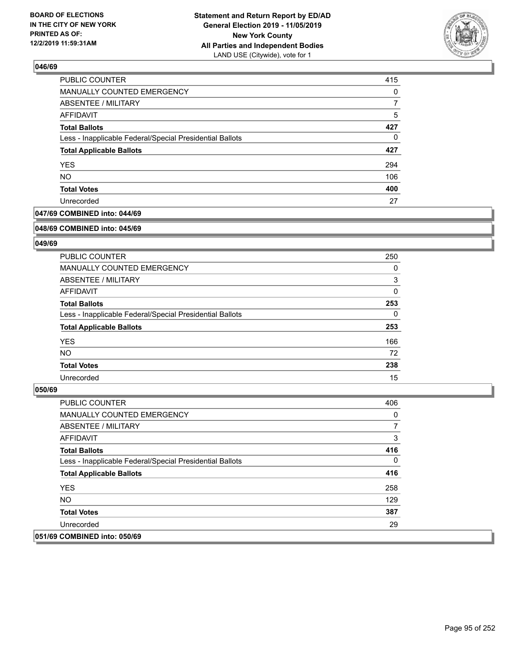

| PUBLIC COUNTER                                           | 415 |
|----------------------------------------------------------|-----|
| MANUALLY COUNTED EMERGENCY                               | 0   |
| ABSENTEE / MILITARY                                      |     |
| AFFIDAVIT                                                | 5   |
| <b>Total Ballots</b>                                     | 427 |
| Less - Inapplicable Federal/Special Presidential Ballots | 0   |
| <b>Total Applicable Ballots</b>                          | 427 |
| <b>YES</b>                                               | 294 |
| <b>NO</b>                                                | 106 |
| <b>Total Votes</b>                                       | 400 |
| Unrecorded                                               | 27  |

## **047/69 COMBINED into: 044/69**

#### **048/69 COMBINED into: 045/69**

## **049/69**

| <b>PUBLIC COUNTER</b>                                    | 250      |
|----------------------------------------------------------|----------|
| <b>MANUALLY COUNTED EMERGENCY</b>                        | 0        |
| ABSENTEE / MILITARY                                      | 3        |
| AFFIDAVIT                                                | 0        |
| <b>Total Ballots</b>                                     | 253      |
| Less - Inapplicable Federal/Special Presidential Ballots | $\Omega$ |
| <b>Total Applicable Ballots</b>                          | 253      |
| <b>YES</b>                                               | 166      |
| NO.                                                      | 72       |
| <b>Total Votes</b>                                       | 238      |
| Unrecorded                                               | 15       |

| <b>PUBLIC COUNTER</b>                                    | 406      |
|----------------------------------------------------------|----------|
| <b>MANUALLY COUNTED EMERGENCY</b>                        | 0        |
| ABSENTEE / MILITARY                                      | 7        |
| AFFIDAVIT                                                | 3        |
| <b>Total Ballots</b>                                     | 416      |
| Less - Inapplicable Federal/Special Presidential Ballots | $\Omega$ |
| <b>Total Applicable Ballots</b>                          | 416      |
| <b>YES</b>                                               | 258      |
| NO.                                                      | 129      |
| <b>Total Votes</b>                                       | 387      |
| Unrecorded                                               | 29       |
| 051/69 COMBINED into: 050/69                             |          |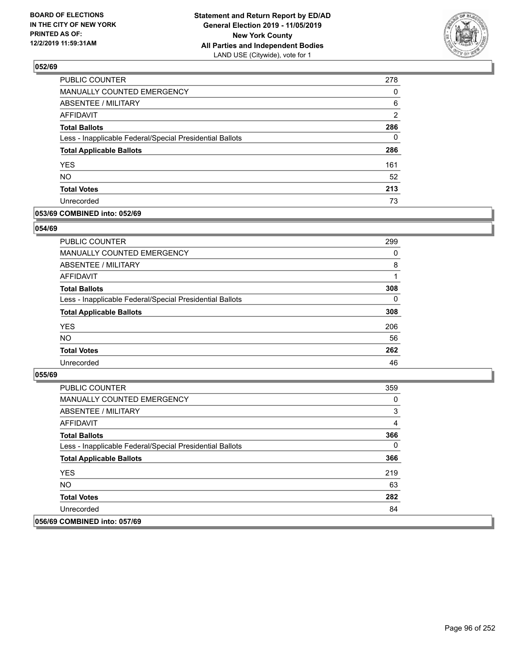

| PUBLIC COUNTER                                           | 278            |
|----------------------------------------------------------|----------------|
| <b>MANUALLY COUNTED EMERGENCY</b>                        | 0              |
| <b>ABSENTEE / MILITARY</b>                               | 6              |
| <b>AFFIDAVIT</b>                                         | $\overline{2}$ |
| <b>Total Ballots</b>                                     | 286            |
| Less - Inapplicable Federal/Special Presidential Ballots | $\Omega$       |
| <b>Total Applicable Ballots</b>                          | 286            |
| <b>YES</b>                                               | 161            |
| <b>NO</b>                                                | 52             |
| <b>Total Votes</b>                                       | 213            |
| Unrecorded                                               | 73             |

### **053/69 COMBINED into: 052/69**

### **054/69**

| PUBLIC COUNTER                                           | 299      |
|----------------------------------------------------------|----------|
| <b>MANUALLY COUNTED EMERGENCY</b>                        | $\Omega$ |
| ABSENTEE / MILITARY                                      | 8        |
| AFFIDAVIT                                                |          |
| <b>Total Ballots</b>                                     | 308      |
| Less - Inapplicable Federal/Special Presidential Ballots | $\Omega$ |
| <b>Total Applicable Ballots</b>                          | 308      |
| <b>YES</b>                                               | 206      |
| <b>NO</b>                                                | 56       |
| <b>Total Votes</b>                                       | 262      |
| Unrecorded                                               | 46       |

| <b>PUBLIC COUNTER</b>                                    | 359 |
|----------------------------------------------------------|-----|
| <b>MANUALLY COUNTED EMERGENCY</b>                        | 0   |
| ABSENTEE / MILITARY                                      | 3   |
| AFFIDAVIT                                                | 4   |
| <b>Total Ballots</b>                                     | 366 |
| Less - Inapplicable Federal/Special Presidential Ballots | 0   |
| <b>Total Applicable Ballots</b>                          | 366 |
| <b>YES</b>                                               | 219 |
| NO.                                                      | 63  |
| <b>Total Votes</b>                                       | 282 |
| Unrecorded                                               | 84  |
| 056/69 COMBINED into: 057/69                             |     |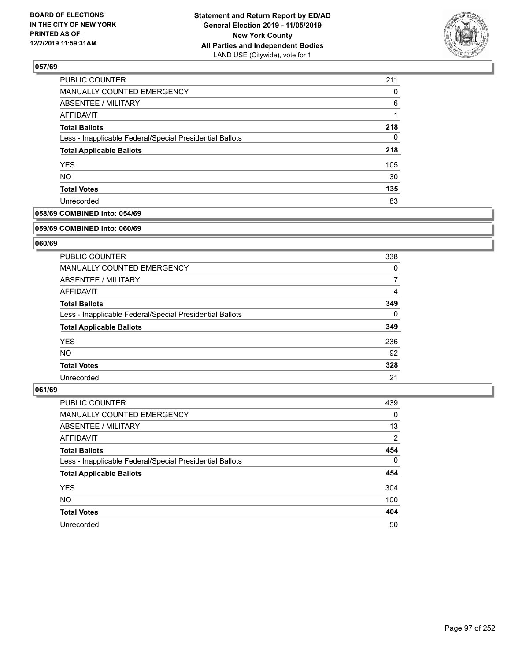

| PUBLIC COUNTER                                           | 211      |
|----------------------------------------------------------|----------|
| <b>MANUALLY COUNTED EMERGENCY</b>                        | $\Omega$ |
| ABSENTEE / MILITARY                                      | 6        |
| AFFIDAVIT                                                |          |
| <b>Total Ballots</b>                                     | 218      |
| Less - Inapplicable Federal/Special Presidential Ballots | $\Omega$ |
| <b>Total Applicable Ballots</b>                          | 218      |
| <b>YES</b>                                               | 105      |
| <b>NO</b>                                                | 30       |
| <b>Total Votes</b>                                       | 135      |
| Unrecorded                                               | 83       |

## **058/69 COMBINED into: 054/69**

#### **059/69 COMBINED into: 060/69**

## **060/69**

| PUBLIC COUNTER                                           | 338      |
|----------------------------------------------------------|----------|
| <b>MANUALLY COUNTED EMERGENCY</b>                        | $\Omega$ |
| ABSENTEE / MILITARY                                      | 7        |
| AFFIDAVIT                                                | 4        |
| <b>Total Ballots</b>                                     | 349      |
| Less - Inapplicable Federal/Special Presidential Ballots | $\Omega$ |
| <b>Total Applicable Ballots</b>                          | 349      |
| <b>YES</b>                                               | 236      |
| <b>NO</b>                                                | 92       |
| <b>Total Votes</b>                                       | 328      |
| Unrecorded                                               | 21       |

| <b>PUBLIC COUNTER</b>                                    | 439            |
|----------------------------------------------------------|----------------|
| <b>MANUALLY COUNTED EMERGENCY</b>                        | $\Omega$       |
| ABSENTEE / MILITARY                                      | 13             |
| AFFIDAVIT                                                | $\overline{2}$ |
| <b>Total Ballots</b>                                     | 454            |
| Less - Inapplicable Federal/Special Presidential Ballots | $\mathbf{0}$   |
| <b>Total Applicable Ballots</b>                          | 454            |
| <b>YES</b>                                               | 304            |
| <b>NO</b>                                                | 100            |
| <b>Total Votes</b>                                       | 404            |
| Unrecorded                                               | 50             |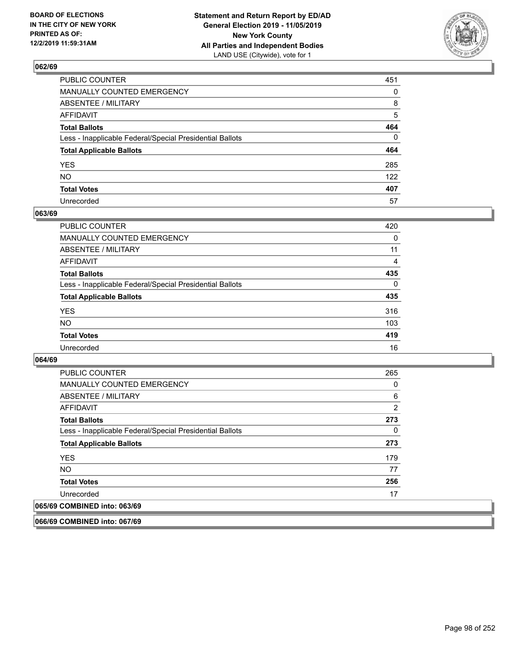

| PUBLIC COUNTER                                           | 451      |
|----------------------------------------------------------|----------|
| MANUALLY COUNTED EMERGENCY                               | $\Omega$ |
| ABSENTEE / MILITARY                                      | 8        |
| AFFIDAVIT                                                | 5        |
| Total Ballots                                            | 464      |
| Less - Inapplicable Federal/Special Presidential Ballots | $\Omega$ |
| <b>Total Applicable Ballots</b>                          | 464      |
| YES                                                      | 285      |
| NO.                                                      | 122      |
| <b>Total Votes</b>                                       | 407      |
| Unrecorded                                               | 57       |

### **063/69**

| <b>PUBLIC COUNTER</b>                                    | 420      |
|----------------------------------------------------------|----------|
| <b>MANUALLY COUNTED EMERGENCY</b>                        | $\Omega$ |
| ABSENTEE / MILITARY                                      | 11       |
| AFFIDAVIT                                                | 4        |
| <b>Total Ballots</b>                                     | 435      |
| Less - Inapplicable Federal/Special Presidential Ballots | $\Omega$ |
| <b>Total Applicable Ballots</b>                          | 435      |
| <b>YES</b>                                               | 316      |
| <b>NO</b>                                                | 103      |
| <b>Total Votes</b>                                       | 419      |
| Unrecorded                                               | 16       |

### **064/69**

| <b>PUBLIC COUNTER</b>                                    | 265      |
|----------------------------------------------------------|----------|
| <b>MANUALLY COUNTED EMERGENCY</b>                        | $\Omega$ |
| ABSENTEE / MILITARY                                      | 6        |
| AFFIDAVIT                                                | 2        |
| <b>Total Ballots</b>                                     | 273      |
| Less - Inapplicable Federal/Special Presidential Ballots | $\Omega$ |
| <b>Total Applicable Ballots</b>                          | 273      |
| <b>YES</b>                                               | 179      |
| NO.                                                      | 77       |
| <b>Total Votes</b>                                       | 256      |
| Unrecorded                                               | 17       |
| 065/69 COMBINED into: 063/69                             |          |

**066/69 COMBINED into: 067/69**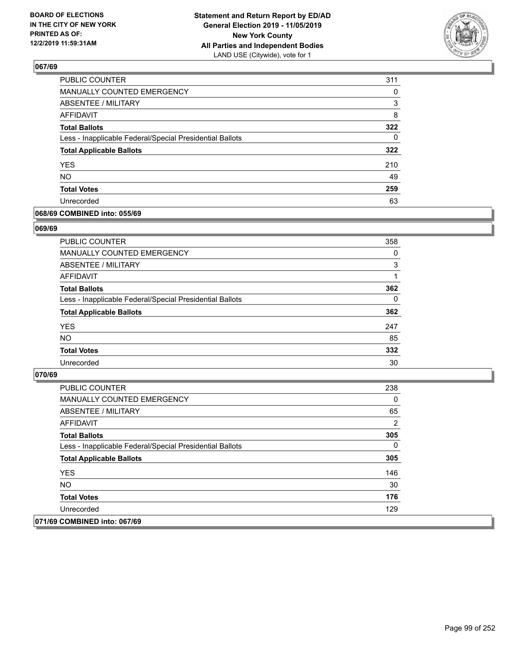

| PUBLIC COUNTER                                           | 311      |
|----------------------------------------------------------|----------|
| <b>MANUALLY COUNTED EMERGENCY</b>                        | $\Omega$ |
| <b>ABSENTEE / MILITARY</b>                               | 3        |
| <b>AFFIDAVIT</b>                                         | 8        |
| <b>Total Ballots</b>                                     | 322      |
| Less - Inapplicable Federal/Special Presidential Ballots | 0        |
| <b>Total Applicable Ballots</b>                          | 322      |
| <b>YES</b>                                               | 210      |
| <b>NO</b>                                                | 49       |
| <b>Total Votes</b>                                       | 259      |
| Unrecorded                                               | 63       |

### **068/69 COMBINED into: 055/69**

#### **069/69**

| <b>PUBLIC COUNTER</b>                                    | 358      |
|----------------------------------------------------------|----------|
| <b>MANUALLY COUNTED EMERGENCY</b>                        | 0        |
| ABSENTEE / MILITARY                                      | 3        |
| AFFIDAVIT                                                |          |
| <b>Total Ballots</b>                                     | 362      |
| Less - Inapplicable Federal/Special Presidential Ballots | $\Omega$ |
| <b>Total Applicable Ballots</b>                          | 362      |
| <b>YES</b>                                               | 247      |
| <b>NO</b>                                                | 85       |
| <b>Total Votes</b>                                       | 332      |
| Unrecorded                                               | 30       |

| <b>PUBLIC COUNTER</b>                                    | 238            |
|----------------------------------------------------------|----------------|
| <b>MANUALLY COUNTED EMERGENCY</b>                        | 0              |
| ABSENTEE / MILITARY                                      | 65             |
| AFFIDAVIT                                                | $\overline{2}$ |
| <b>Total Ballots</b>                                     | 305            |
| Less - Inapplicable Federal/Special Presidential Ballots | 0              |
| <b>Total Applicable Ballots</b>                          | 305            |
| <b>YES</b>                                               | 146            |
| NO.                                                      | 30             |
| <b>Total Votes</b>                                       | 176            |
| Unrecorded                                               | 129            |
| 071/69 COMBINED into: 067/69                             |                |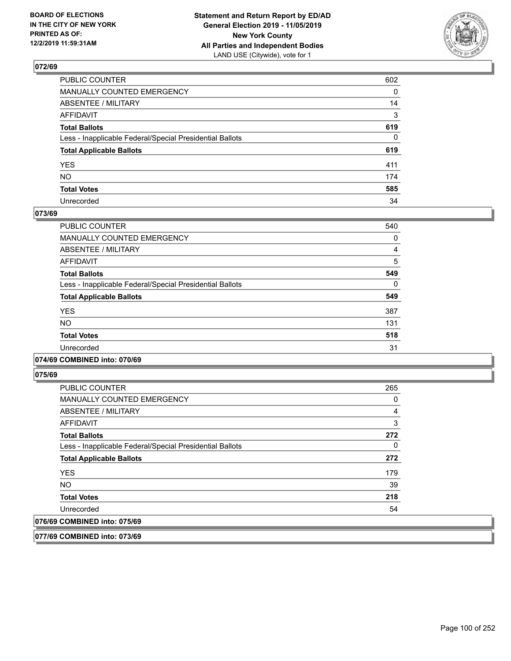

| PUBLIC COUNTER                                           | 602          |
|----------------------------------------------------------|--------------|
| MANUALLY COUNTED EMERGENCY                               | $\mathbf{0}$ |
| ABSENTEE / MILITARY                                      | 14           |
| AFFIDAVIT                                                | 3            |
| Total Ballots                                            | 619          |
| Less - Inapplicable Federal/Special Presidential Ballots | $\Omega$     |
| <b>Total Applicable Ballots</b>                          | 619          |
| YES                                                      | 411          |
| NΟ                                                       | 174          |
| <b>Total Votes</b>                                       | 585          |
| Unrecorded                                               | 34           |

### **073/69**

| PUBLIC COUNTER                                           | 540      |
|----------------------------------------------------------|----------|
| <b>MANUALLY COUNTED EMERGENCY</b>                        | 0        |
| ABSENTEE / MILITARY                                      | 4        |
| <b>AFFIDAVIT</b>                                         | 5        |
| <b>Total Ballots</b>                                     | 549      |
| Less - Inapplicable Federal/Special Presidential Ballots | $\Omega$ |
| <b>Total Applicable Ballots</b>                          | 549      |
| <b>YES</b>                                               | 387      |
| <b>NO</b>                                                | 131      |
| <b>Total Votes</b>                                       | 518      |
| Unrecorded                                               | 31       |

### **074/69 COMBINED into: 070/69**

**075/69** 

| <b>PUBLIC COUNTER</b>                                    | 265 |
|----------------------------------------------------------|-----|
| <b>MANUALLY COUNTED EMERGENCY</b>                        | 0   |
| ABSENTEE / MILITARY                                      | 4   |
| AFFIDAVIT                                                | 3   |
| <b>Total Ballots</b>                                     | 272 |
| Less - Inapplicable Federal/Special Presidential Ballots | 0   |
| <b>Total Applicable Ballots</b>                          | 272 |
| <b>YES</b>                                               | 179 |
| <b>NO</b>                                                | 39  |
| <b>Total Votes</b>                                       | 218 |
| Unrecorded                                               | 54  |
| 076/69 COMBINED into: 075/69                             |     |

**077/69 COMBINED into: 073/69**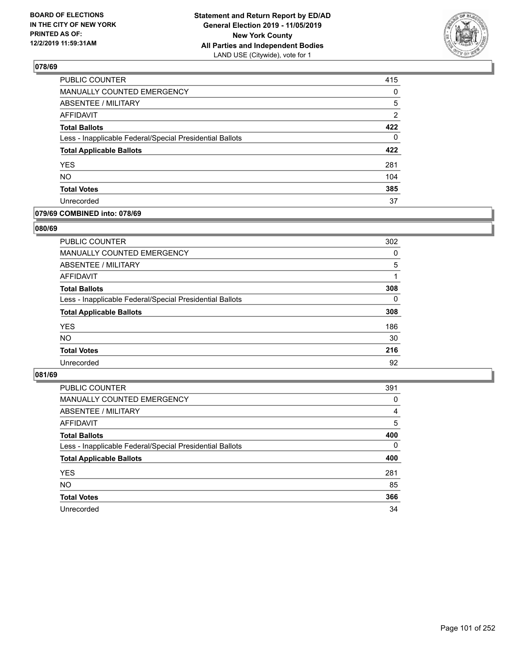

| PUBLIC COUNTER                                           | 415            |
|----------------------------------------------------------|----------------|
| MANUALLY COUNTED EMERGENCY                               | 0              |
| ABSENTEE / MILITARY                                      | 5              |
| AFFIDAVIT                                                | $\overline{2}$ |
| <b>Total Ballots</b>                                     | 422            |
| Less - Inapplicable Federal/Special Presidential Ballots | $\Omega$       |
| <b>Total Applicable Ballots</b>                          | 422            |
| <b>YES</b>                                               | 281            |
| <b>NO</b>                                                | 104            |
| <b>Total Votes</b>                                       | 385            |
| Unrecorded                                               | 37             |

### **079/69 COMBINED into: 078/69**

#### **080/69**

| PUBLIC COUNTER                                           | 302      |
|----------------------------------------------------------|----------|
| <b>MANUALLY COUNTED EMERGENCY</b>                        | $\Omega$ |
| ABSENTEE / MILITARY                                      | 5        |
| AFFIDAVIT                                                | 1        |
| <b>Total Ballots</b>                                     | 308      |
| Less - Inapplicable Federal/Special Presidential Ballots | 0        |
| <b>Total Applicable Ballots</b>                          | 308      |
| <b>YES</b>                                               | 186      |
| <b>NO</b>                                                | 30       |
| <b>Total Votes</b>                                       | 216      |
| Unrecorded                                               | 92       |
|                                                          |          |

| PUBLIC COUNTER                                           | 391      |
|----------------------------------------------------------|----------|
| MANUALLY COUNTED EMERGENCY                               | 0        |
| ABSENTEE / MILITARY                                      | 4        |
| AFFIDAVIT                                                | 5        |
| <b>Total Ballots</b>                                     | 400      |
| Less - Inapplicable Federal/Special Presidential Ballots | $\Omega$ |
| <b>Total Applicable Ballots</b>                          | 400      |
| <b>YES</b>                                               | 281      |
| <b>NO</b>                                                | 85       |
| <b>Total Votes</b>                                       | 366      |
| Unrecorded                                               | 34       |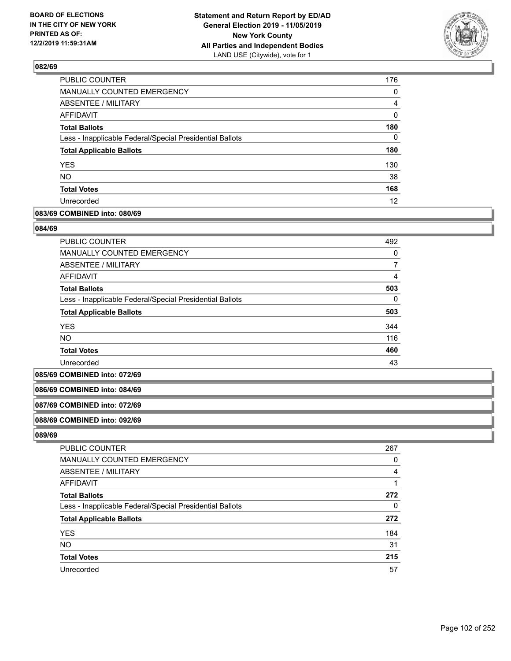

| <b>PUBLIC COUNTER</b>                                    | 176      |
|----------------------------------------------------------|----------|
| <b>MANUALLY COUNTED EMERGENCY</b>                        | 0        |
| ABSENTEE / MILITARY                                      | 4        |
| <b>AFFIDAVIT</b>                                         | 0        |
| <b>Total Ballots</b>                                     | 180      |
| Less - Inapplicable Federal/Special Presidential Ballots | $\Omega$ |
| <b>Total Applicable Ballots</b>                          | 180      |
| <b>YES</b>                                               | 130      |
| <b>NO</b>                                                | 38       |
| <b>Total Votes</b>                                       | 168      |
| Unrecorded                                               | 12       |

### **083/69 COMBINED into: 080/69**

#### **084/69**

| <b>PUBLIC COUNTER</b>                                    | 492 |
|----------------------------------------------------------|-----|
| MANUALLY COUNTED EMERGENCY                               | 0   |
| ABSENTEE / MILITARY                                      |     |
| AFFIDAVIT                                                | 4   |
| <b>Total Ballots</b>                                     | 503 |
| Less - Inapplicable Federal/Special Presidential Ballots | 0   |
| <b>Total Applicable Ballots</b>                          | 503 |
| <b>YES</b>                                               | 344 |
| <b>NO</b>                                                | 116 |
| <b>Total Votes</b>                                       | 460 |
| Unrecorded                                               | 43  |

#### **085/69 COMBINED into: 072/69**

### **086/69 COMBINED into: 084/69**

#### **087/69 COMBINED into: 072/69**

#### **088/69 COMBINED into: 092/69**

| <b>PUBLIC COUNTER</b>                                    | 267 |
|----------------------------------------------------------|-----|
| MANUALLY COUNTED EMERGENCY                               | 0   |
| ABSENTEE / MILITARY                                      | 4   |
| AFFIDAVIT                                                |     |
| <b>Total Ballots</b>                                     | 272 |
| Less - Inapplicable Federal/Special Presidential Ballots | 0   |
| <b>Total Applicable Ballots</b>                          | 272 |
| <b>YES</b>                                               | 184 |
| <b>NO</b>                                                | 31  |
| <b>Total Votes</b>                                       | 215 |
| Unrecorded                                               | 57  |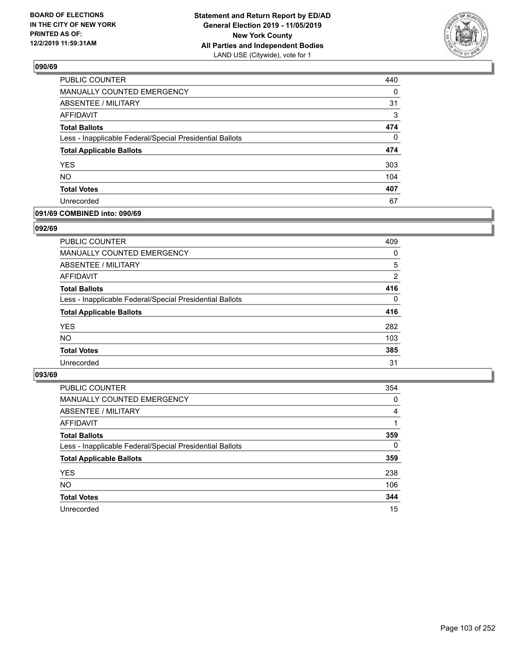

| PUBLIC COUNTER                                           | 440      |
|----------------------------------------------------------|----------|
| MANUALLY COUNTED EMERGENCY                               | 0        |
| ABSENTEE / MILITARY                                      | 31       |
| <b>AFFIDAVIT</b>                                         | 3        |
| <b>Total Ballots</b>                                     | 474      |
| Less - Inapplicable Federal/Special Presidential Ballots | $\Omega$ |
| <b>Total Applicable Ballots</b>                          | 474      |
| <b>YES</b>                                               | 303      |
| <b>NO</b>                                                | 104      |
| <b>Total Votes</b>                                       | 407      |
| Unrecorded                                               | 67       |

### **091/69 COMBINED into: 090/69**

### **092/69**

| <b>PUBLIC COUNTER</b>                                    | 409      |
|----------------------------------------------------------|----------|
| MANUALLY COUNTED EMERGENCY                               | $\Omega$ |
| <b>ABSENTEE / MILITARY</b>                               | 5        |
| AFFIDAVIT                                                | 2        |
| <b>Total Ballots</b>                                     | 416      |
| Less - Inapplicable Federal/Special Presidential Ballots | $\Omega$ |
| <b>Total Applicable Ballots</b>                          | 416      |
| <b>YES</b>                                               | 282      |
| <b>NO</b>                                                | 103      |
| <b>Total Votes</b>                                       | 385      |
| Unrecorded                                               | 31       |
|                                                          |          |

| <b>PUBLIC COUNTER</b>                                    | 354      |
|----------------------------------------------------------|----------|
| <b>MANUALLY COUNTED EMERGENCY</b>                        | 0        |
| ABSENTEE / MILITARY                                      | 4        |
| AFFIDAVIT                                                |          |
| <b>Total Ballots</b>                                     | 359      |
| Less - Inapplicable Federal/Special Presidential Ballots | $\Omega$ |
| <b>Total Applicable Ballots</b>                          | 359      |
| <b>YES</b>                                               | 238      |
| <b>NO</b>                                                | 106      |
| <b>Total Votes</b>                                       | 344      |
| Unrecorded                                               | 15       |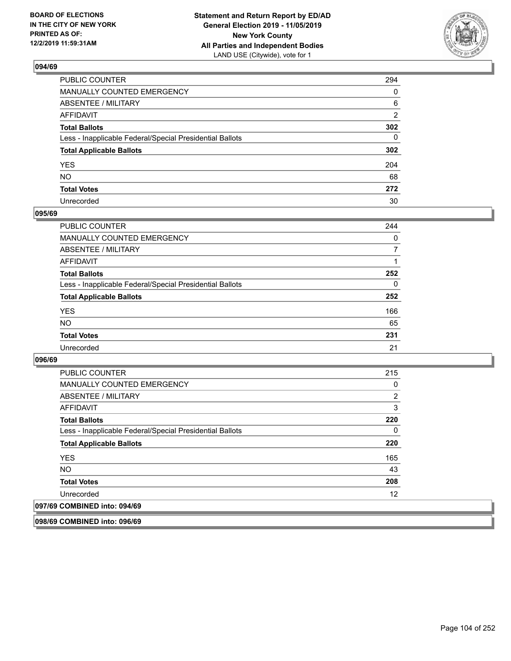

| PUBLIC COUNTER                                           | 294            |
|----------------------------------------------------------|----------------|
| MANUALLY COUNTED EMERGENCY                               | $\mathbf{0}$   |
| ABSENTEE / MILITARY                                      | 6              |
| AFFIDAVIT                                                | $\overline{2}$ |
| Total Ballots                                            | 302            |
| Less - Inapplicable Federal/Special Presidential Ballots | $\Omega$       |
| <b>Total Applicable Ballots</b>                          | 302            |
| YES                                                      | 204            |
| NO.                                                      | 68             |
| <b>Total Votes</b>                                       | 272            |
| Unrecorded                                               | 30             |

### **095/69**

| <b>PUBLIC COUNTER</b>                                    | 244      |
|----------------------------------------------------------|----------|
| <b>MANUALLY COUNTED EMERGENCY</b>                        | $\Omega$ |
| ABSENTEE / MILITARY                                      | 7        |
| AFFIDAVIT                                                |          |
| <b>Total Ballots</b>                                     | 252      |
| Less - Inapplicable Federal/Special Presidential Ballots | $\Omega$ |
| <b>Total Applicable Ballots</b>                          | 252      |
| <b>YES</b>                                               | 166      |
| <b>NO</b>                                                | 65       |
| <b>Total Votes</b>                                       | 231      |
| Unrecorded                                               | 21       |

### **096/69**

| <b>PUBLIC COUNTER</b>                                    | 215      |
|----------------------------------------------------------|----------|
| <b>MANUALLY COUNTED EMERGENCY</b>                        | 0        |
| ABSENTEE / MILITARY                                      | 2        |
| AFFIDAVIT                                                | 3        |
| <b>Total Ballots</b>                                     | 220      |
| Less - Inapplicable Federal/Special Presidential Ballots | $\Omega$ |
| <b>Total Applicable Ballots</b>                          | 220      |
| <b>YES</b>                                               | 165      |
| <b>NO</b>                                                | 43       |
| <b>Total Votes</b>                                       | 208      |
| Unrecorded                                               | 12       |
| 097/69 COMBINED into: 094/69                             |          |

**098/69 COMBINED into: 096/69**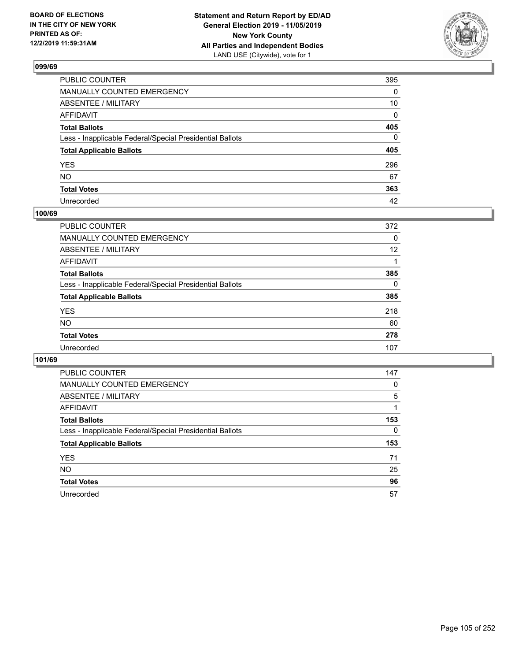

| PUBLIC COUNTER                                           | 395          |
|----------------------------------------------------------|--------------|
| MANUALLY COUNTED EMERGENCY                               | $\mathbf{0}$ |
| ABSENTEE / MILITARY                                      | 10           |
| AFFIDAVIT                                                | $\Omega$     |
| Total Ballots                                            | 405          |
| Less - Inapplicable Federal/Special Presidential Ballots | $\Omega$     |
| <b>Total Applicable Ballots</b>                          | 405          |
| YES                                                      | 296          |
| NO.                                                      | 67           |
| <b>Total Votes</b>                                       | 363          |
| Unrecorded                                               | 42           |

## **100/69**

| <b>PUBLIC COUNTER</b>                                    | 372      |
|----------------------------------------------------------|----------|
| <b>MANUALLY COUNTED EMERGENCY</b>                        | $\Omega$ |
| ABSENTEE / MILITARY                                      | 12       |
| AFFIDAVIT                                                |          |
| <b>Total Ballots</b>                                     | 385      |
| Less - Inapplicable Federal/Special Presidential Ballots | $\Omega$ |
| <b>Total Applicable Ballots</b>                          | 385      |
| <b>YES</b>                                               | 218      |
| <b>NO</b>                                                | 60       |
| <b>Total Votes</b>                                       | 278      |
| Unrecorded                                               | 107      |

| <b>PUBLIC COUNTER</b>                                    | 147      |
|----------------------------------------------------------|----------|
| <b>MANUALLY COUNTED EMERGENCY</b>                        | $\Omega$ |
| ABSENTEE / MILITARY                                      | 5        |
| AFFIDAVIT                                                |          |
| <b>Total Ballots</b>                                     | 153      |
| Less - Inapplicable Federal/Special Presidential Ballots | $\Omega$ |
| <b>Total Applicable Ballots</b>                          | 153      |
| <b>YES</b>                                               | 71       |
| <b>NO</b>                                                | 25       |
| <b>Total Votes</b>                                       | 96       |
| Unrecorded                                               | 57       |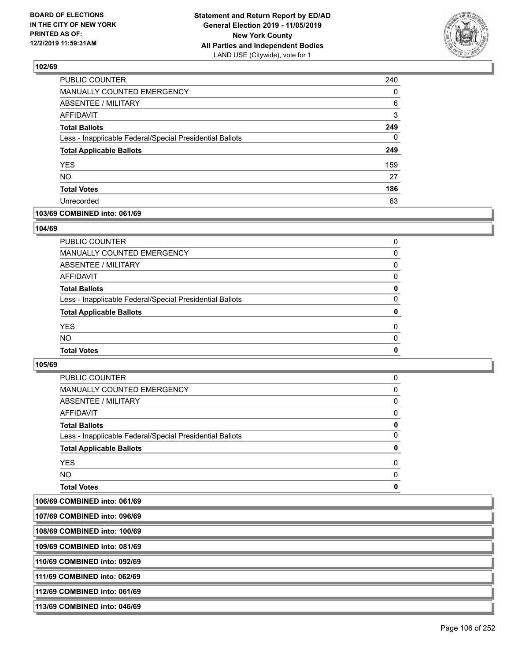

| PUBLIC COUNTER                                           | 240      |
|----------------------------------------------------------|----------|
| <b>MANUALLY COUNTED EMERGENCY</b>                        | $\Omega$ |
| <b>ABSENTEE / MILITARY</b>                               | 6        |
| <b>AFFIDAVIT</b>                                         | 3        |
| <b>Total Ballots</b>                                     | 249      |
| Less - Inapplicable Federal/Special Presidential Ballots | 0        |
| <b>Total Applicable Ballots</b>                          | 249      |
| <b>YES</b>                                               | 159      |
| <b>NO</b>                                                | 27       |
| <b>Total Votes</b>                                       | 186      |
| Unrecorded                                               | 63       |

## **103/69 COMBINED into: 061/69**

### **104/69**

| <b>Total Ballots</b>                                     | 0        |
|----------------------------------------------------------|----------|
| Less - Inapplicable Federal/Special Presidential Ballots | $\Omega$ |
| <b>Total Applicable Ballots</b>                          | 0        |
| <b>YES</b>                                               | $\Omega$ |
| <b>NO</b>                                                | $\Omega$ |
| <b>Total Votes</b>                                       | 0        |
|                                                          |          |

| <b>Total Votes</b>                                       | 0        |
|----------------------------------------------------------|----------|
| NO.                                                      | $\Omega$ |
| <b>YES</b>                                               | 0        |
| <b>Total Applicable Ballots</b>                          | 0        |
| Less - Inapplicable Federal/Special Presidential Ballots | 0        |
| <b>Total Ballots</b>                                     | 0        |
| AFFIDAVIT                                                | 0        |
| ABSENTEE / MILITARY                                      | 0        |
| <b>MANUALLY COUNTED EMERGENCY</b>                        | 0        |
| PUBLIC COUNTER                                           | 0        |

| 107/69 COMBINED into: 096/69  |  |
|-------------------------------|--|
| 108/69 COMBINED into: 100/69  |  |
| 109/69 COMBINED into: 081/69  |  |
| 110/69 COMBINED into: 092/69  |  |
| 1111/69 COMBINED into: 062/69 |  |
| 112/69 COMBINED into: 061/69  |  |
| 113/69 COMBINED into: 046/69  |  |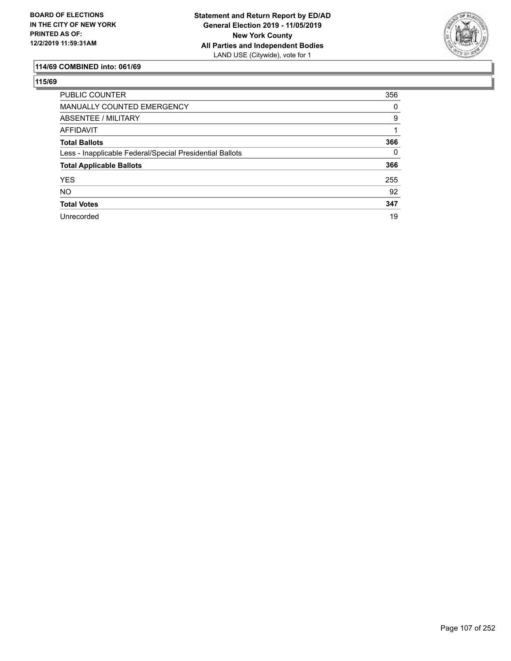

# **114/69 COMBINED into: 061/69**

| <b>PUBLIC COUNTER</b>                                    | 356      |
|----------------------------------------------------------|----------|
| <b>MANUALLY COUNTED EMERGENCY</b>                        | 0        |
| ABSENTEE / MILITARY                                      | 9        |
| AFFIDAVIT                                                |          |
| <b>Total Ballots</b>                                     | 366      |
| Less - Inapplicable Federal/Special Presidential Ballots | $\Omega$ |
| <b>Total Applicable Ballots</b>                          | 366      |
| <b>YES</b>                                               | 255      |
| <b>NO</b>                                                | 92       |
| <b>Total Votes</b>                                       | 347      |
| Unrecorded                                               | 19       |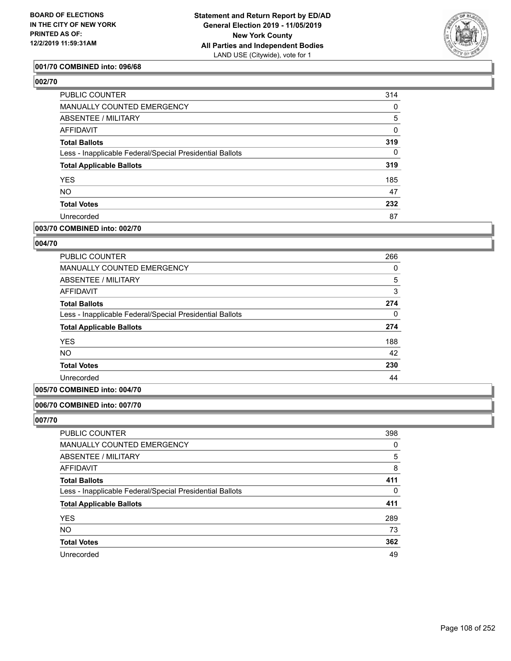

### **001/70 COMBINED into: 096/68**

**002/70** 

| PUBLIC COUNTER                                           | 314      |
|----------------------------------------------------------|----------|
| MANUALLY COUNTED EMERGENCY                               | 0        |
| <b>ABSENTEE / MILITARY</b>                               | 5        |
| AFFIDAVIT                                                | 0        |
| <b>Total Ballots</b>                                     | 319      |
| Less - Inapplicable Federal/Special Presidential Ballots | $\Omega$ |
| <b>Total Applicable Ballots</b>                          | 319      |
| <b>YES</b>                                               | 185      |
| <b>NO</b>                                                | 47       |
| <b>Total Votes</b>                                       | 232      |
| Unrecorded                                               | 87       |

### **003/70 COMBINED into: 002/70**

### **004/70**

| PUBLIC COUNTER                                           | 266      |
|----------------------------------------------------------|----------|
| <b>MANUALLY COUNTED EMERGENCY</b>                        | 0        |
| ABSENTEE / MILITARY                                      | 5        |
| <b>AFFIDAVIT</b>                                         | 3        |
| <b>Total Ballots</b>                                     | 274      |
| Less - Inapplicable Federal/Special Presidential Ballots | $\Omega$ |
| <b>Total Applicable Ballots</b>                          | 274      |
| <b>YES</b>                                               | 188      |
| <b>NO</b>                                                | 42       |
| <b>Total Votes</b>                                       | 230      |
| Unrecorded                                               | 44       |

### **005/70 COMBINED into: 004/70**

### **006/70 COMBINED into: 007/70**

| PUBLIC COUNTER                                           | 398      |
|----------------------------------------------------------|----------|
| MANUALLY COUNTED EMERGENCY                               | 0        |
| ABSENTEE / MILITARY                                      | 5        |
| AFFIDAVIT                                                | 8        |
| <b>Total Ballots</b>                                     | 411      |
| Less - Inapplicable Federal/Special Presidential Ballots | $\Omega$ |
| <b>Total Applicable Ballots</b>                          | 411      |
| <b>YES</b>                                               | 289      |
| <b>NO</b>                                                | 73       |
| <b>Total Votes</b>                                       | 362      |
| Unrecorded                                               | 49       |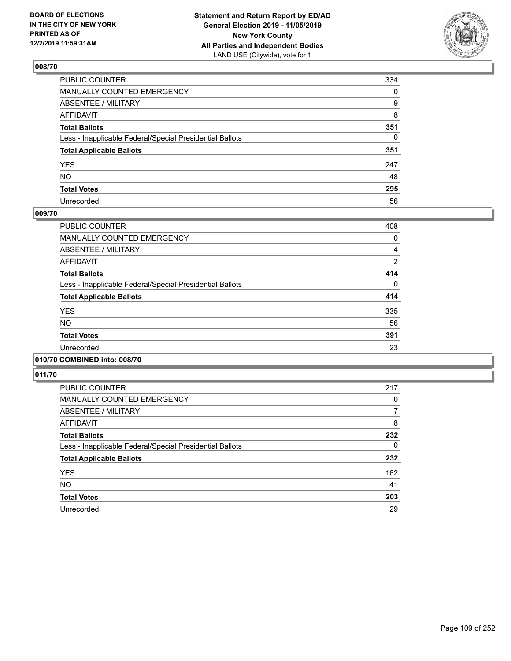

| PUBLIC COUNTER                                           | 334          |
|----------------------------------------------------------|--------------|
| MANUALLY COUNTED EMERGENCY                               | $\mathbf{0}$ |
| ABSENTEE / MILITARY                                      | 9            |
| AFFIDAVIT                                                | 8            |
| Total Ballots                                            | 351          |
| Less - Inapplicable Federal/Special Presidential Ballots | $\mathbf{0}$ |
| <b>Total Applicable Ballots</b>                          | 351          |
| YES                                                      | 247          |
| NO.                                                      | 48           |
| <b>Total Votes</b>                                       | 295          |
| Unrecorded                                               | 56           |

#### **009/70**

| <b>PUBLIC COUNTER</b>                                    | 408      |
|----------------------------------------------------------|----------|
| <b>MANUALLY COUNTED EMERGENCY</b>                        | 0        |
| ABSENTEE / MILITARY                                      | 4        |
| <b>AFFIDAVIT</b>                                         | 2        |
| <b>Total Ballots</b>                                     | 414      |
| Less - Inapplicable Federal/Special Presidential Ballots | $\Omega$ |
| <b>Total Applicable Ballots</b>                          | 414      |
| <b>YES</b>                                               | 335      |
| <b>NO</b>                                                | 56       |
| <b>Total Votes</b>                                       | 391      |
| Unrecorded                                               | 23       |
|                                                          |          |

# **010/70 COMBINED into: 008/70**

| <b>PUBLIC COUNTER</b>                                    | 217 |
|----------------------------------------------------------|-----|
| MANUALLY COUNTED EMERGENCY                               | 0   |
| ABSENTEE / MILITARY                                      | 7   |
| AFFIDAVIT                                                | 8   |
| <b>Total Ballots</b>                                     | 232 |
| Less - Inapplicable Federal/Special Presidential Ballots | 0   |
| <b>Total Applicable Ballots</b>                          | 232 |
| <b>YES</b>                                               | 162 |
| <b>NO</b>                                                | 41  |
| <b>Total Votes</b>                                       | 203 |
| Unrecorded                                               | 29  |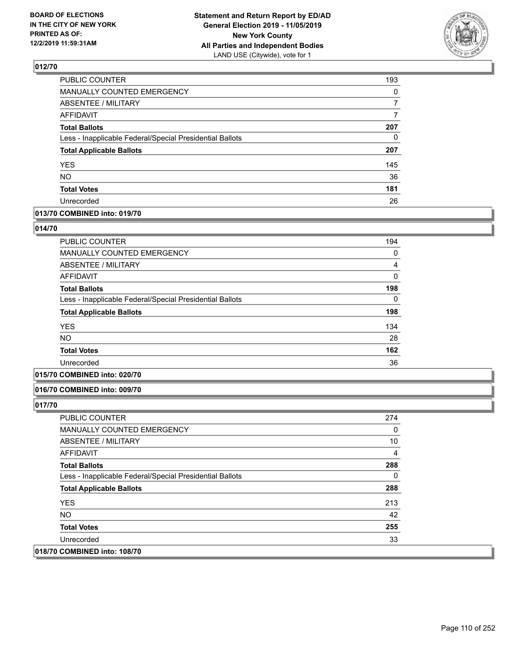

| PUBLIC COUNTER                                           | 193 |
|----------------------------------------------------------|-----|
| MANUALLY COUNTED EMERGENCY                               | 0   |
| <b>ABSENTEE / MILITARY</b>                               | 7   |
| <b>AFFIDAVIT</b>                                         | 7   |
| <b>Total Ballots</b>                                     | 207 |
| Less - Inapplicable Federal/Special Presidential Ballots | 0   |
| <b>Total Applicable Ballots</b>                          | 207 |
| <b>YES</b>                                               | 145 |
| <b>NO</b>                                                | 36  |
| <b>Total Votes</b>                                       | 181 |
| Unrecorded                                               | 26  |

### **013/70 COMBINED into: 019/70**

#### **014/70**

| <b>PUBLIC COUNTER</b>                                    | 194 |
|----------------------------------------------------------|-----|
| <b>MANUALLY COUNTED EMERGENCY</b>                        | 0   |
| <b>ABSENTEE / MILITARY</b>                               | 4   |
| <b>AFFIDAVIT</b>                                         | 0   |
| <b>Total Ballots</b>                                     | 198 |
| Less - Inapplicable Federal/Special Presidential Ballots | 0   |
| <b>Total Applicable Ballots</b>                          | 198 |
| <b>YES</b>                                               | 134 |
| <b>NO</b>                                                | 28  |
| <b>Total Votes</b>                                       | 162 |
| Unrecorded                                               | 36  |
|                                                          |     |

## **015/70 COMBINED into: 020/70**

#### **016/70 COMBINED into: 009/70**

| <b>PUBLIC COUNTER</b>                                    | 274 |
|----------------------------------------------------------|-----|
| <b>MANUALLY COUNTED EMERGENCY</b>                        | 0   |
| ABSENTEE / MILITARY                                      | 10  |
| AFFIDAVIT                                                | 4   |
| <b>Total Ballots</b>                                     | 288 |
| Less - Inapplicable Federal/Special Presidential Ballots | 0   |
| <b>Total Applicable Ballots</b>                          | 288 |
| <b>YES</b>                                               | 213 |
| NO.                                                      | 42  |
| <b>Total Votes</b>                                       | 255 |
| Unrecorded                                               | 33  |
| 018/70 COMBINED into: 108/70                             |     |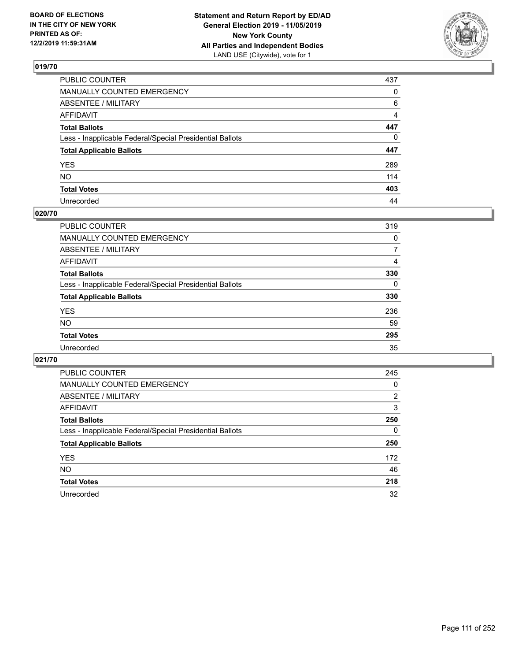

| PUBLIC COUNTER                                           | 437            |
|----------------------------------------------------------|----------------|
| MANUALLY COUNTED EMERGENCY                               | 0              |
| ABSENTEE / MILITARY                                      | 6              |
| AFFIDAVIT                                                | $\overline{4}$ |
| Total Ballots                                            | 447            |
| Less - Inapplicable Federal/Special Presidential Ballots | $\Omega$       |
| <b>Total Applicable Ballots</b>                          | 447            |
| YES                                                      | 289            |
| NO.                                                      | 114            |
| <b>Total Votes</b>                                       | 403            |
| Unrecorded                                               | 44             |

## **020/70**

| <b>PUBLIC COUNTER</b>                                    | 319      |
|----------------------------------------------------------|----------|
| <b>MANUALLY COUNTED EMERGENCY</b>                        | 0        |
| ABSENTEE / MILITARY                                      | 7        |
| AFFIDAVIT                                                | 4        |
| <b>Total Ballots</b>                                     | 330      |
| Less - Inapplicable Federal/Special Presidential Ballots | $\Omega$ |
| <b>Total Applicable Ballots</b>                          | 330      |
| <b>YES</b>                                               | 236      |
| <b>NO</b>                                                | 59       |
| <b>Total Votes</b>                                       | 295      |
| Unrecorded                                               | 35       |

| <b>PUBLIC COUNTER</b>                                    | 245 |
|----------------------------------------------------------|-----|
| <b>MANUALLY COUNTED EMERGENCY</b>                        | 0   |
| ABSENTEE / MILITARY                                      | 2   |
| AFFIDAVIT                                                | 3   |
| <b>Total Ballots</b>                                     | 250 |
| Less - Inapplicable Federal/Special Presidential Ballots | 0   |
| <b>Total Applicable Ballots</b>                          | 250 |
| <b>YES</b>                                               | 172 |
| NO.                                                      | 46  |
| <b>Total Votes</b>                                       | 218 |
| Unrecorded                                               | 32  |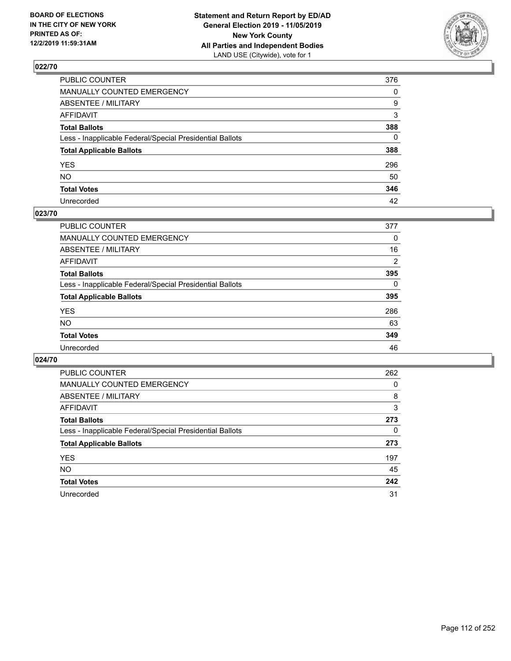

| PUBLIC COUNTER                                           | 376          |
|----------------------------------------------------------|--------------|
| MANUALLY COUNTED EMERGENCY                               | $\Omega$     |
| ABSENTEE / MILITARY                                      | 9            |
| AFFIDAVIT                                                | 3            |
| Total Ballots                                            | 388          |
| Less - Inapplicable Federal/Special Presidential Ballots | $\mathbf{0}$ |
| <b>Total Applicable Ballots</b>                          | 388          |
| YES                                                      | 296          |
| NO.                                                      | 50           |
| <b>Total Votes</b>                                       | 346          |
| Unrecorded                                               | 42           |

#### **023/70**

| <b>PUBLIC COUNTER</b>                                    | 377      |
|----------------------------------------------------------|----------|
| MANUALLY COUNTED EMERGENCY                               | 0        |
| ABSENTEE / MILITARY                                      | 16       |
| AFFIDAVIT                                                | 2        |
| <b>Total Ballots</b>                                     | 395      |
| Less - Inapplicable Federal/Special Presidential Ballots | $\Omega$ |
| <b>Total Applicable Ballots</b>                          | 395      |
| <b>YES</b>                                               | 286      |
| <b>NO</b>                                                | 63       |
| <b>Total Votes</b>                                       | 349      |
| Unrecorded                                               | 46       |

| <b>PUBLIC COUNTER</b>                                    | 262 |
|----------------------------------------------------------|-----|
| MANUALLY COUNTED EMERGENCY                               | 0   |
| ABSENTEE / MILITARY                                      | 8   |
| AFFIDAVIT                                                | 3   |
| <b>Total Ballots</b>                                     | 273 |
| Less - Inapplicable Federal/Special Presidential Ballots | 0   |
| <b>Total Applicable Ballots</b>                          | 273 |
| <b>YES</b>                                               | 197 |
| NO.                                                      | 45  |
| <b>Total Votes</b>                                       | 242 |
| Unrecorded                                               | 31  |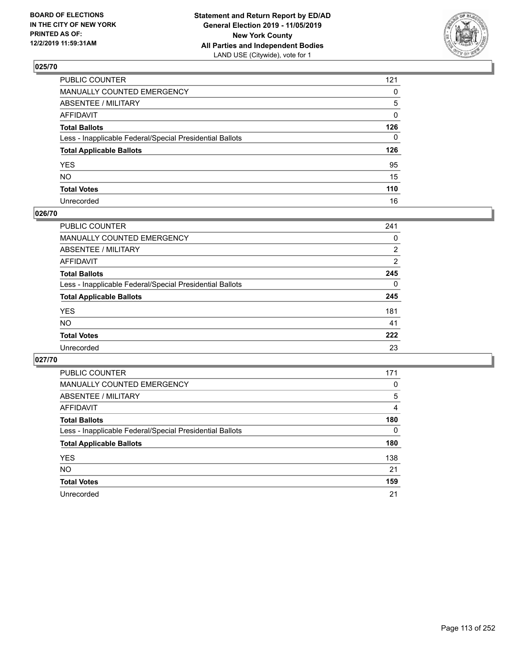

| PUBLIC COUNTER                                           | 121          |
|----------------------------------------------------------|--------------|
| MANUALLY COUNTED EMERGENCY                               | $\mathbf{0}$ |
| ABSENTEE / MILITARY                                      | 5            |
| AFFIDAVIT                                                | 0            |
| Total Ballots                                            | 126          |
| Less - Inapplicable Federal/Special Presidential Ballots | $\Omega$     |
| <b>Total Applicable Ballots</b>                          | 126          |
| YES                                                      | 95           |
| NO.                                                      | 15           |
| <b>Total Votes</b>                                       | 110          |
| Unrecorded                                               | 16           |

#### **026/70**

| <b>PUBLIC COUNTER</b>                                    | 241      |
|----------------------------------------------------------|----------|
| MANUALLY COUNTED EMERGENCY                               | 0        |
| ABSENTEE / MILITARY                                      | 2        |
| AFFIDAVIT                                                | 2        |
| <b>Total Ballots</b>                                     | 245      |
| Less - Inapplicable Federal/Special Presidential Ballots | $\Omega$ |
| <b>Total Applicable Ballots</b>                          | 245      |
| <b>YES</b>                                               | 181      |
| <b>NO</b>                                                | 41       |
| <b>Total Votes</b>                                       | 222      |
| Unrecorded                                               | 23       |

| PUBLIC COUNTER                                           | 171      |
|----------------------------------------------------------|----------|
| MANUALLY COUNTED EMERGENCY                               | 0        |
| ABSENTEE / MILITARY                                      | 5        |
| AFFIDAVIT                                                | 4        |
| <b>Total Ballots</b>                                     | 180      |
| Less - Inapplicable Federal/Special Presidential Ballots | $\Omega$ |
| <b>Total Applicable Ballots</b>                          | 180      |
| <b>YES</b>                                               | 138      |
| <b>NO</b>                                                | 21       |
| <b>Total Votes</b>                                       | 159      |
| Unrecorded                                               | 21       |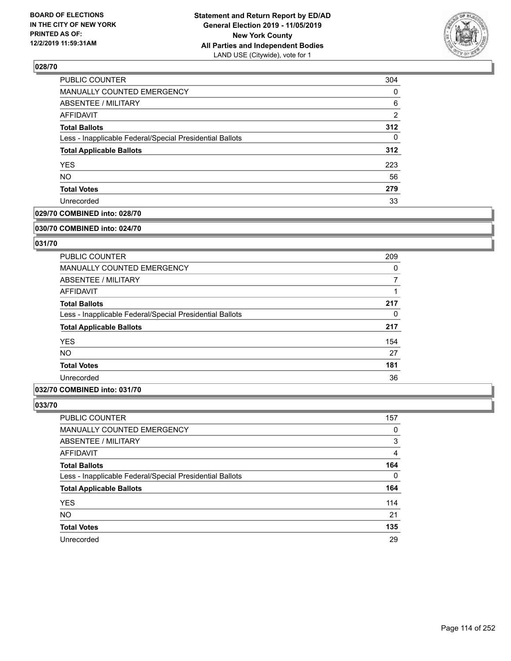

| 304            |
|----------------|
| 0              |
| 6              |
| $\overline{2}$ |
| 312            |
| 0              |
| 312            |
| 223            |
| 56             |
| 279            |
| 33             |
|                |

## **029/70 COMBINED into: 028/70**

#### **030/70 COMBINED into: 024/70**

## **031/70**

| <b>PUBLIC COUNTER</b>                                    | 209      |
|----------------------------------------------------------|----------|
| <b>MANUALLY COUNTED EMERGENCY</b>                        | $\Omega$ |
| ABSENTEE / MILITARY                                      | 7        |
| AFFIDAVIT                                                |          |
| <b>Total Ballots</b>                                     | 217      |
| Less - Inapplicable Federal/Special Presidential Ballots | 0        |
| <b>Total Applicable Ballots</b>                          | 217      |
| <b>YES</b>                                               | 154      |
| <b>NO</b>                                                | 27       |
| <b>Total Votes</b>                                       | 181      |
| Unrecorded                                               | 36       |

## **032/70 COMBINED into: 031/70**

| <b>PUBLIC COUNTER</b>                                    | 157 |
|----------------------------------------------------------|-----|
| MANUALLY COUNTED EMERGENCY                               | 0   |
| ABSENTEE / MILITARY                                      | 3   |
| AFFIDAVIT                                                | 4   |
| <b>Total Ballots</b>                                     | 164 |
| Less - Inapplicable Federal/Special Presidential Ballots | 0   |
| <b>Total Applicable Ballots</b>                          | 164 |
| <b>YES</b>                                               | 114 |
| <b>NO</b>                                                | 21  |
| <b>Total Votes</b>                                       | 135 |
| Unrecorded                                               | 29  |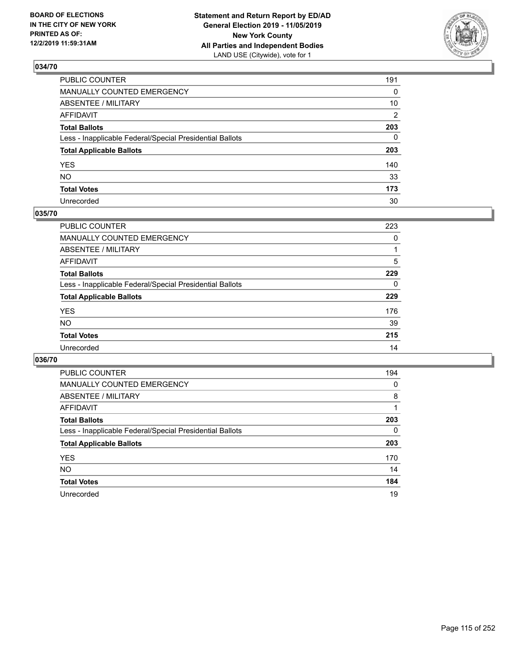

| PUBLIC COUNTER                                           | 191            |
|----------------------------------------------------------|----------------|
| MANUALLY COUNTED EMERGENCY                               | $\mathbf{0}$   |
| ABSENTEE / MILITARY                                      | 10             |
| AFFIDAVIT                                                | $\overline{2}$ |
| Total Ballots                                            | 203            |
| Less - Inapplicable Federal/Special Presidential Ballots | $\Omega$       |
| <b>Total Applicable Ballots</b>                          | 203            |
| YES                                                      | 140            |
| NO.                                                      | 33             |
| <b>Total Votes</b>                                       | 173            |
| Unrecorded                                               | 30             |

## **035/70**

| <b>PUBLIC COUNTER</b>                                    | 223      |
|----------------------------------------------------------|----------|
| <b>MANUALLY COUNTED EMERGENCY</b>                        | 0        |
| ABSENTEE / MILITARY                                      |          |
| AFFIDAVIT                                                | 5        |
| <b>Total Ballots</b>                                     | 229      |
| Less - Inapplicable Federal/Special Presidential Ballots | $\Omega$ |
| <b>Total Applicable Ballots</b>                          | 229      |
| <b>YES</b>                                               | 176      |
| <b>NO</b>                                                | 39       |
| <b>Total Votes</b>                                       | 215      |
| Unrecorded                                               | 14       |

| PUBLIC COUNTER                                           | 194      |
|----------------------------------------------------------|----------|
| <b>MANUALLY COUNTED EMERGENCY</b>                        | $\Omega$ |
| ABSENTEE / MILITARY                                      | 8        |
| AFFIDAVIT                                                |          |
| <b>Total Ballots</b>                                     | 203      |
| Less - Inapplicable Federal/Special Presidential Ballots | $\Omega$ |
| <b>Total Applicable Ballots</b>                          | 203      |
| <b>YES</b>                                               | 170      |
| <b>NO</b>                                                | 14       |
| <b>Total Votes</b>                                       | 184      |
| Unrecorded                                               | 19       |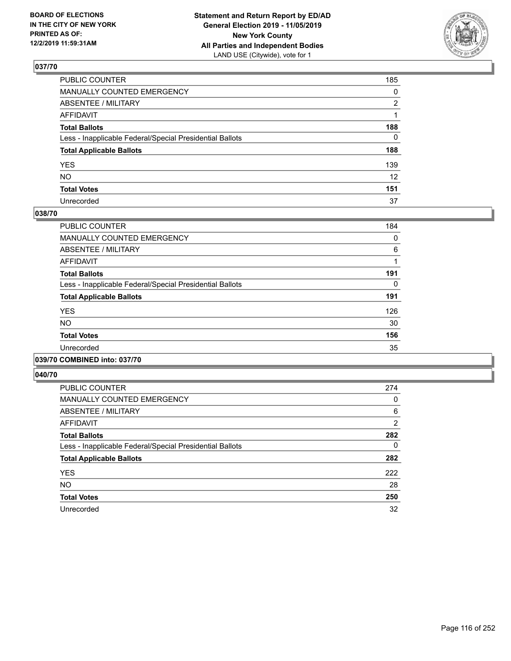

| PUBLIC COUNTER                                           | 185             |
|----------------------------------------------------------|-----------------|
| MANUALLY COUNTED EMERGENCY                               | $\mathbf{0}$    |
| ABSENTEE / MILITARY                                      | 2               |
| AFFIDAVIT                                                |                 |
| Total Ballots                                            | 188             |
| Less - Inapplicable Federal/Special Presidential Ballots | $\mathbf{0}$    |
| <b>Total Applicable Ballots</b>                          | 188             |
| YES                                                      | 139             |
| NO.                                                      | 12 <sup>2</sup> |
| <b>Total Votes</b>                                       | 151             |
| Unrecorded                                               | 37              |

#### **038/70**

| <b>PUBLIC COUNTER</b>                                    | 184 |
|----------------------------------------------------------|-----|
| <b>MANUALLY COUNTED EMERGENCY</b>                        | 0   |
| ABSENTEE / MILITARY                                      | 6   |
| <b>AFFIDAVIT</b>                                         |     |
| <b>Total Ballots</b>                                     | 191 |
| Less - Inapplicable Federal/Special Presidential Ballots | 0   |
| <b>Total Applicable Ballots</b>                          | 191 |
| <b>YES</b>                                               | 126 |
| <b>NO</b>                                                | 30  |
| <b>Total Votes</b>                                       | 156 |
| Unrecorded                                               | 35  |
|                                                          |     |

# **039/70 COMBINED into: 037/70**

| <b>PUBLIC COUNTER</b>                                    | 274            |
|----------------------------------------------------------|----------------|
| MANUALLY COUNTED EMERGENCY                               | 0              |
| ABSENTEE / MILITARY                                      | 6              |
| AFFIDAVIT                                                | $\overline{2}$ |
| <b>Total Ballots</b>                                     | 282            |
| Less - Inapplicable Federal/Special Presidential Ballots | $\Omega$       |
| <b>Total Applicable Ballots</b>                          | 282            |
| <b>YES</b>                                               | 222            |
| NO.                                                      | 28             |
| <b>Total Votes</b>                                       | 250            |
| Unrecorded                                               | 32             |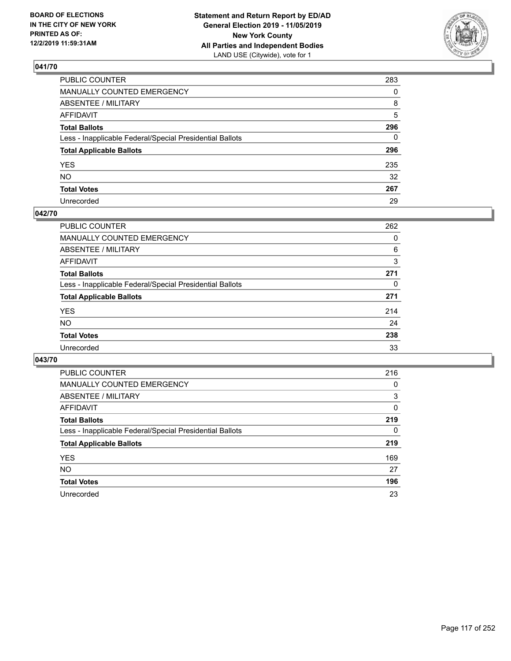

| PUBLIC COUNTER                                           | 283      |
|----------------------------------------------------------|----------|
| MANUALLY COUNTED EMERGENCY                               | $\Omega$ |
| ABSENTEE / MILITARY                                      | 8        |
| AFFIDAVIT                                                | 5        |
| Total Ballots                                            | 296      |
| Less - Inapplicable Federal/Special Presidential Ballots | 0        |
| <b>Total Applicable Ballots</b>                          | 296      |
| YES                                                      | 235      |
| NO.                                                      | 32       |
| <b>Total Votes</b>                                       | 267      |
| Unrecorded                                               | 29       |

#### **042/70**

| <b>PUBLIC COUNTER</b>                                    | 262      |
|----------------------------------------------------------|----------|
| MANUALLY COUNTED EMERGENCY                               | 0        |
| ABSENTEE / MILITARY                                      | 6        |
| AFFIDAVIT                                                | 3        |
| <b>Total Ballots</b>                                     | 271      |
| Less - Inapplicable Federal/Special Presidential Ballots | $\Omega$ |
| <b>Total Applicable Ballots</b>                          | 271      |
| <b>YES</b>                                               | 214      |
| <b>NO</b>                                                | 24       |
| <b>Total Votes</b>                                       | 238      |
| Unrecorded                                               | 33       |

| <b>PUBLIC COUNTER</b>                                    | 216 |
|----------------------------------------------------------|-----|
| MANUALLY COUNTED EMERGENCY                               | 0   |
| ABSENTEE / MILITARY                                      | 3   |
| AFFIDAVIT                                                | 0   |
| <b>Total Ballots</b>                                     | 219 |
| Less - Inapplicable Federal/Special Presidential Ballots | 0   |
| <b>Total Applicable Ballots</b>                          | 219 |
| <b>YES</b>                                               | 169 |
| NO.                                                      | 27  |
| <b>Total Votes</b>                                       | 196 |
| Unrecorded                                               | 23  |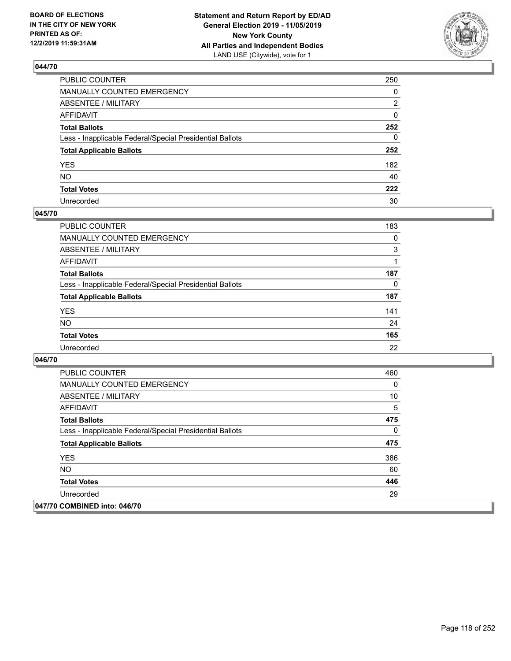

| PUBLIC COUNTER                                           | 250          |
|----------------------------------------------------------|--------------|
| MANUALLY COUNTED EMERGENCY                               | $\mathbf{0}$ |
| ABSENTEE / MILITARY                                      | 2            |
| AFFIDAVIT                                                | $\mathbf{0}$ |
| Total Ballots                                            | 252          |
| Less - Inapplicable Federal/Special Presidential Ballots | $\mathbf{0}$ |
| <b>Total Applicable Ballots</b>                          | 252          |
| YES                                                      | 182          |
| NO.                                                      | 40           |
| <b>Total Votes</b>                                       | 222          |
| Unrecorded                                               | 30           |

### **045/70**

| <b>PUBLIC COUNTER</b>                                    | 183      |
|----------------------------------------------------------|----------|
| MANUALLY COUNTED EMERGENCY                               | $\Omega$ |
| ABSENTEE / MILITARY                                      | 3        |
| AFFIDAVIT                                                |          |
| <b>Total Ballots</b>                                     | 187      |
| Less - Inapplicable Federal/Special Presidential Ballots | 0        |
| <b>Total Applicable Ballots</b>                          | 187      |
| <b>YES</b>                                               | 141      |
| <b>NO</b>                                                | 24       |
| <b>Total Votes</b>                                       | 165      |
| Unrecorded                                               | 22       |

| <b>PUBLIC COUNTER</b>                                    | 460 |
|----------------------------------------------------------|-----|
| <b>MANUALLY COUNTED EMERGENCY</b>                        | 0   |
| ABSENTEE / MILITARY                                      | 10  |
| AFFIDAVIT                                                | 5   |
| <b>Total Ballots</b>                                     | 475 |
| Less - Inapplicable Federal/Special Presidential Ballots | 0   |
| <b>Total Applicable Ballots</b>                          | 475 |
| <b>YES</b>                                               | 386 |
| <b>NO</b>                                                | 60  |
| <b>Total Votes</b>                                       | 446 |
| Unrecorded                                               | 29  |
| 047/70 COMBINED into: 046/70                             |     |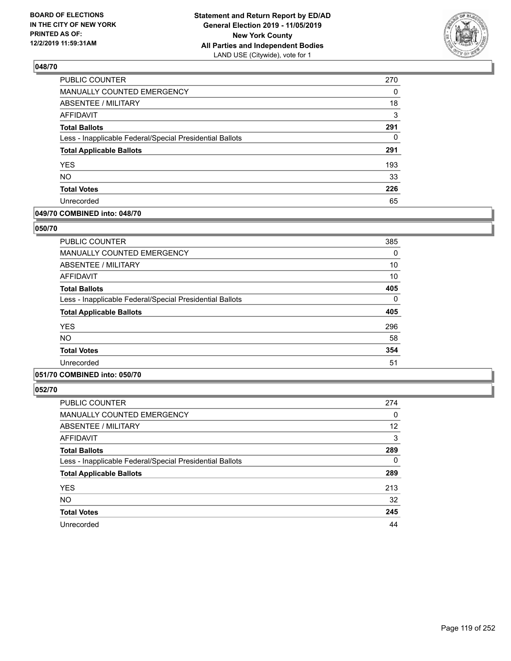

| PUBLIC COUNTER                                           | 270 |
|----------------------------------------------------------|-----|
| <b>MANUALLY COUNTED EMERGENCY</b>                        | 0   |
| <b>ABSENTEE / MILITARY</b>                               | 18  |
| <b>AFFIDAVIT</b>                                         | 3   |
| <b>Total Ballots</b>                                     | 291 |
| Less - Inapplicable Federal/Special Presidential Ballots | 0   |
| <b>Total Applicable Ballots</b>                          | 291 |
| <b>YES</b>                                               | 193 |
| <b>NO</b>                                                | 33  |
| <b>Total Votes</b>                                       | 226 |
| Unrecorded                                               | 65  |

#### **049/70 COMBINED into: 048/70**

#### **050/70**

| <b>PUBLIC COUNTER</b>                                    | 385 |
|----------------------------------------------------------|-----|
| <b>MANUALLY COUNTED EMERGENCY</b>                        | 0   |
| ABSENTEE / MILITARY                                      | 10  |
| AFFIDAVIT                                                | 10  |
| <b>Total Ballots</b>                                     | 405 |
| Less - Inapplicable Federal/Special Presidential Ballots | 0   |
| <b>Total Applicable Ballots</b>                          | 405 |
| <b>YES</b>                                               | 296 |
| <b>NO</b>                                                | 58  |
| <b>Total Votes</b>                                       | 354 |
| Unrecorded                                               | 51  |

## **051/70 COMBINED into: 050/70**

| <b>PUBLIC COUNTER</b>                                    | 274      |
|----------------------------------------------------------|----------|
| <b>MANUALLY COUNTED EMERGENCY</b>                        | 0        |
| <b>ABSENTEE / MILITARY</b>                               | 12       |
| AFFIDAVIT                                                | 3        |
| <b>Total Ballots</b>                                     | 289      |
| Less - Inapplicable Federal/Special Presidential Ballots | $\Omega$ |
| <b>Total Applicable Ballots</b>                          | 289      |
| <b>YES</b>                                               | 213      |
| <b>NO</b>                                                | 32       |
| <b>Total Votes</b>                                       | 245      |
| Unrecorded                                               | 44       |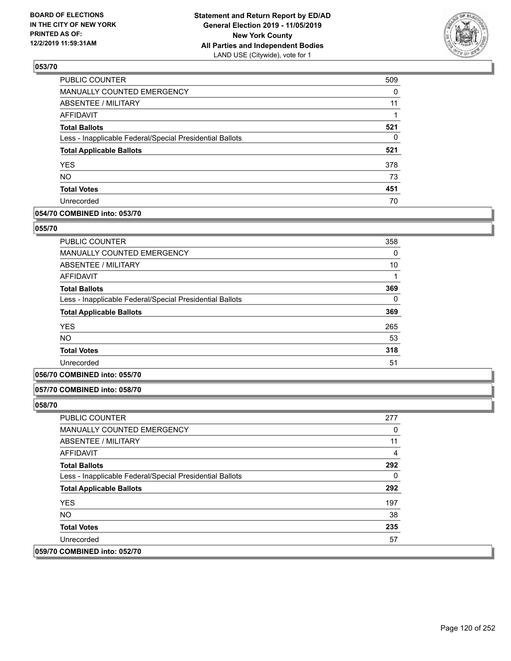

| <b>PUBLIC COUNTER</b>                                    | 509      |
|----------------------------------------------------------|----------|
| <b>MANUALLY COUNTED EMERGENCY</b>                        | $\Omega$ |
| <b>ABSENTEE / MILITARY</b>                               | 11       |
| <b>AFFIDAVIT</b>                                         |          |
| <b>Total Ballots</b>                                     | 521      |
| Less - Inapplicable Federal/Special Presidential Ballots | 0        |
| <b>Total Applicable Ballots</b>                          | 521      |
| <b>YES</b>                                               | 378      |
| <b>NO</b>                                                | 73       |
| <b>Total Votes</b>                                       | 451      |
| Unrecorded                                               | 70       |

### **054/70 COMBINED into: 053/70**

#### **055/70**

| <b>PUBLIC COUNTER</b>                                    | 358 |
|----------------------------------------------------------|-----|
| <b>MANUALLY COUNTED EMERGENCY</b>                        | 0   |
| <b>ABSENTEE / MILITARY</b>                               | 10  |
| <b>AFFIDAVIT</b>                                         |     |
| <b>Total Ballots</b>                                     | 369 |
| Less - Inapplicable Federal/Special Presidential Ballots | 0   |
| <b>Total Applicable Ballots</b>                          | 369 |
| <b>YES</b>                                               | 265 |
| <b>NO</b>                                                | 53  |
| <b>Total Votes</b>                                       | 318 |
| Unrecorded                                               | 51  |

### **056/70 COMBINED into: 055/70**

#### **057/70 COMBINED into: 058/70**

| <b>PUBLIC COUNTER</b>                                    | 277 |
|----------------------------------------------------------|-----|
| <b>MANUALLY COUNTED EMERGENCY</b>                        | 0   |
| ABSENTEE / MILITARY                                      | 11  |
| AFFIDAVIT                                                | 4   |
| <b>Total Ballots</b>                                     | 292 |
| Less - Inapplicable Federal/Special Presidential Ballots | 0   |
| <b>Total Applicable Ballots</b>                          | 292 |
| <b>YES</b>                                               | 197 |
| NO.                                                      | 38  |
| <b>Total Votes</b>                                       | 235 |
| Unrecorded                                               | 57  |
| 059/70 COMBINED into: 052/70                             |     |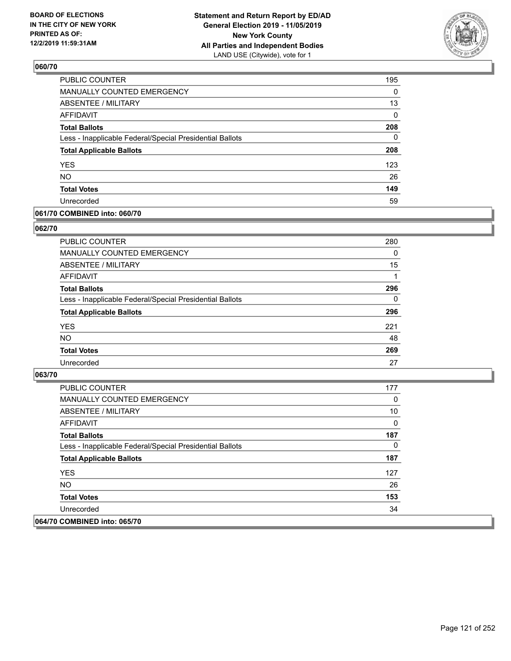

| <b>PUBLIC COUNTER</b>                                    | 195      |
|----------------------------------------------------------|----------|
| MANUALLY COUNTED EMERGENCY                               | 0        |
| <b>ABSENTEE / MILITARY</b>                               | 13       |
| <b>AFFIDAVIT</b>                                         | 0        |
| <b>Total Ballots</b>                                     | 208      |
| Less - Inapplicable Federal/Special Presidential Ballots | $\Omega$ |
| <b>Total Applicable Ballots</b>                          | 208      |
| <b>YES</b>                                               | 123      |
| <b>NO</b>                                                | 26       |
| <b>Total Votes</b>                                       | 149      |
| Unrecorded                                               | 59       |

#### **061/70 COMBINED into: 060/70**

#### **062/70**

| <b>PUBLIC COUNTER</b>                                    | 280      |
|----------------------------------------------------------|----------|
| <b>MANUALLY COUNTED EMERGENCY</b>                        | $\Omega$ |
| ABSENTEE / MILITARY                                      | 15       |
| AFFIDAVIT                                                |          |
| <b>Total Ballots</b>                                     | 296      |
| Less - Inapplicable Federal/Special Presidential Ballots | $\Omega$ |
| <b>Total Applicable Ballots</b>                          | 296      |
| <b>YES</b>                                               | 221      |
| <b>NO</b>                                                | 48       |
| <b>Total Votes</b>                                       | 269      |
| Unrecorded                                               | 27       |

| <b>PUBLIC COUNTER</b>                                    | 177 |
|----------------------------------------------------------|-----|
| <b>MANUALLY COUNTED EMERGENCY</b>                        | 0   |
| ABSENTEE / MILITARY                                      | 10  |
| AFFIDAVIT                                                | 0   |
| <b>Total Ballots</b>                                     | 187 |
| Less - Inapplicable Federal/Special Presidential Ballots | 0   |
| <b>Total Applicable Ballots</b>                          | 187 |
| <b>YES</b>                                               | 127 |
| NO.                                                      | 26  |
| <b>Total Votes</b>                                       | 153 |
| Unrecorded                                               | 34  |
| 064/70 COMBINED into: 065/70                             |     |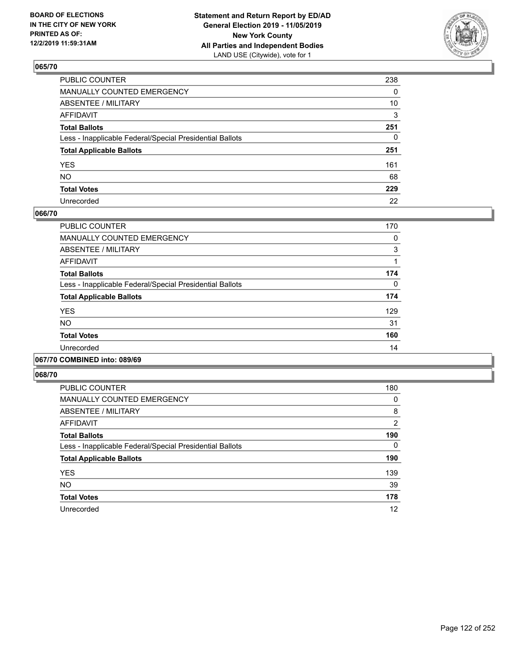

| PUBLIC COUNTER                                           | 238          |
|----------------------------------------------------------|--------------|
| MANUALLY COUNTED EMERGENCY                               | $\mathbf{0}$ |
| ABSENTEE / MILITARY                                      | 10           |
| AFFIDAVIT                                                | 3            |
| Total Ballots                                            | 251          |
| Less - Inapplicable Federal/Special Presidential Ballots | $\mathbf{0}$ |
| <b>Total Applicable Ballots</b>                          | 251          |
| YES                                                      | 161          |
| NO.                                                      | 68           |
| <b>Total Votes</b>                                       | 229          |
| Unrecorded                                               | 22           |

### **066/70**

| PUBLIC COUNTER                                           | 170 |
|----------------------------------------------------------|-----|
| <b>MANUALLY COUNTED EMERGENCY</b>                        | 0   |
| ABSENTEE / MILITARY                                      | 3   |
| <b>AFFIDAVIT</b>                                         |     |
| <b>Total Ballots</b>                                     | 174 |
| Less - Inapplicable Federal/Special Presidential Ballots | 0   |
| <b>Total Applicable Ballots</b>                          | 174 |
| <b>YES</b>                                               | 129 |
| <b>NO</b>                                                | 31  |
| <b>Total Votes</b>                                       | 160 |
| Unrecorded                                               | 14  |
|                                                          |     |

#### **067/70 COMBINED into: 089/69**

| <b>PUBLIC COUNTER</b>                                    | 180            |
|----------------------------------------------------------|----------------|
| <b>MANUALLY COUNTED EMERGENCY</b>                        | 0              |
| ABSENTEE / MILITARY                                      | 8              |
| AFFIDAVIT                                                | $\overline{2}$ |
| <b>Total Ballots</b>                                     | 190            |
| Less - Inapplicable Federal/Special Presidential Ballots | 0              |
| <b>Total Applicable Ballots</b>                          | 190            |
| <b>YES</b>                                               | 139            |
| <b>NO</b>                                                | 39             |
| <b>Total Votes</b>                                       | 178            |
| Unrecorded                                               | 12             |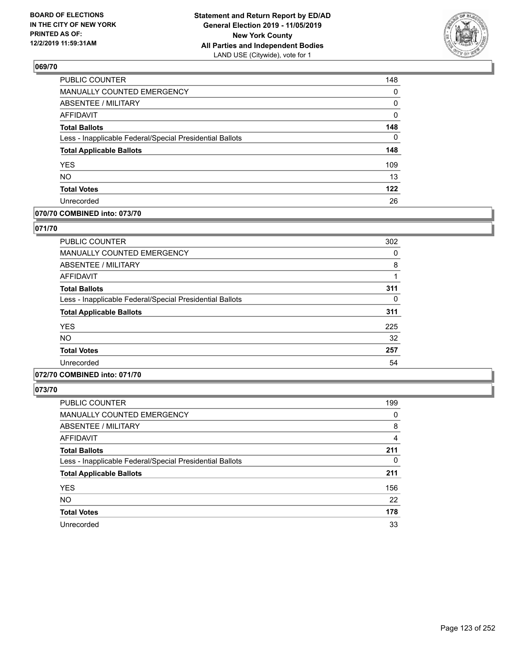

| 148 |
|-----|
| 0   |
| 0   |
| 0   |
| 148 |
| 0   |
| 148 |
| 109 |
| 13  |
| 122 |
| 26  |
|     |

## **070/70 COMBINED into: 073/70**

### **071/70**

| <b>PUBLIC COUNTER</b>                                    | 302 |
|----------------------------------------------------------|-----|
| <b>MANUALLY COUNTED EMERGENCY</b>                        | 0   |
| ABSENTEE / MILITARY                                      | 8   |
| <b>AFFIDAVIT</b>                                         |     |
| <b>Total Ballots</b>                                     | 311 |
| Less - Inapplicable Federal/Special Presidential Ballots | 0   |
| <b>Total Applicable Ballots</b>                          | 311 |
| <b>YES</b>                                               | 225 |
| <b>NO</b>                                                | 32  |
| <b>Total Votes</b>                                       | 257 |
| Unrecorded                                               | 54  |

# **072/70 COMBINED into: 071/70**

| <b>PUBLIC COUNTER</b>                                    | 199 |
|----------------------------------------------------------|-----|
| MANUALLY COUNTED EMERGENCY                               | 0   |
| ABSENTEE / MILITARY                                      | 8   |
| AFFIDAVIT                                                | 4   |
| <b>Total Ballots</b>                                     | 211 |
| Less - Inapplicable Federal/Special Presidential Ballots | 0   |
| <b>Total Applicable Ballots</b>                          | 211 |
| <b>YES</b>                                               | 156 |
| <b>NO</b>                                                | 22  |
| <b>Total Votes</b>                                       | 178 |
| Unrecorded                                               | 33  |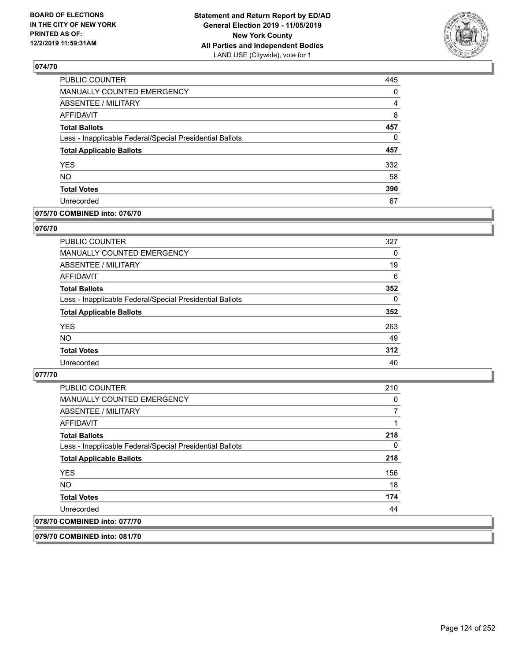

| PUBLIC COUNTER                                           | 445 |
|----------------------------------------------------------|-----|
| <b>MANUALLY COUNTED EMERGENCY</b>                        | 0   |
| <b>ABSENTEE / MILITARY</b>                               | 4   |
| <b>AFFIDAVIT</b>                                         | 8   |
| <b>Total Ballots</b>                                     | 457 |
| Less - Inapplicable Federal/Special Presidential Ballots | 0   |
| <b>Total Applicable Ballots</b>                          | 457 |
| <b>YES</b>                                               | 332 |
| <b>NO</b>                                                | 58  |
| <b>Total Votes</b>                                       | 390 |
| Unrecorded                                               | 67  |

#### **075/70 COMBINED into: 076/70**

#### **076/70**

| <b>PUBLIC COUNTER</b>                                    | 327      |
|----------------------------------------------------------|----------|
| MANUALLY COUNTED EMERGENCY                               | 0        |
| ABSENTEE / MILITARY                                      | 19       |
| AFFIDAVIT                                                | 6        |
| <b>Total Ballots</b>                                     | 352      |
| Less - Inapplicable Federal/Special Presidential Ballots | $\Omega$ |
| <b>Total Applicable Ballots</b>                          | 352      |
| <b>YES</b>                                               | 263      |
| <b>NO</b>                                                | 49       |
| <b>Total Votes</b>                                       | 312      |
| Unrecorded                                               | 40       |

## **077/70**

| <b>PUBLIC COUNTER</b>                                    | 210 |
|----------------------------------------------------------|-----|
| <b>MANUALLY COUNTED EMERGENCY</b>                        | 0   |
| ABSENTEE / MILITARY                                      |     |
| AFFIDAVIT                                                |     |
| <b>Total Ballots</b>                                     | 218 |
| Less - Inapplicable Federal/Special Presidential Ballots | 0   |
| <b>Total Applicable Ballots</b>                          | 218 |
| <b>YES</b>                                               | 156 |
| NO.                                                      | 18  |
| <b>Total Votes</b>                                       | 174 |
| Unrecorded                                               | 44  |
| 078/70 COMBINED into: 077/70                             |     |
|                                                          |     |

**079/70 COMBINED into: 081/70**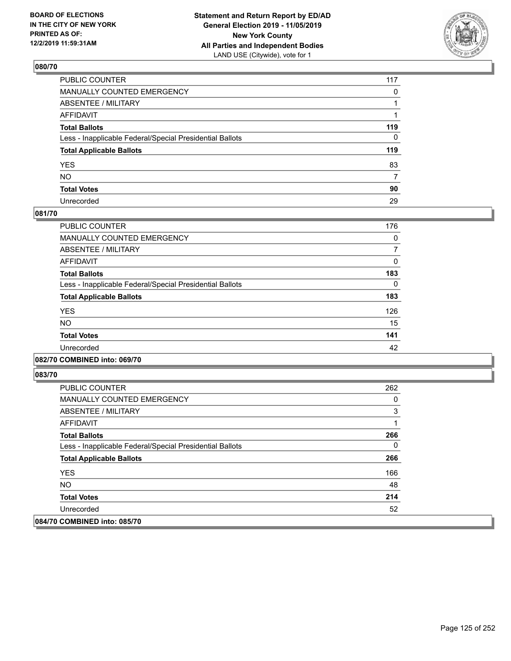

| PUBLIC COUNTER                                           | 117          |
|----------------------------------------------------------|--------------|
| MANUALLY COUNTED EMERGENCY                               | $\mathbf{0}$ |
| ABSENTEE / MILITARY                                      |              |
| AFFIDAVIT                                                |              |
| Total Ballots                                            | 119          |
| Less - Inapplicable Federal/Special Presidential Ballots | 0            |
| <b>Total Applicable Ballots</b>                          | 119          |
| YES                                                      | 83           |
| NO.                                                      | 7            |
| <b>Total Votes</b>                                       | 90           |
| Unrecorded                                               | 29           |

#### **081/70**

| <b>PUBLIC COUNTER</b>                                    | 176 |
|----------------------------------------------------------|-----|
| <b>MANUALLY COUNTED EMERGENCY</b>                        | 0   |
| ABSENTEE / MILITARY                                      |     |
| <b>AFFIDAVIT</b>                                         | 0   |
| <b>Total Ballots</b>                                     | 183 |
| Less - Inapplicable Federal/Special Presidential Ballots | 0   |
| <b>Total Applicable Ballots</b>                          | 183 |
| <b>YES</b>                                               | 126 |
| NO.                                                      | 15  |
| <b>Total Votes</b>                                       | 141 |
| Unrecorded                                               | 42  |
|                                                          |     |

## **082/70 COMBINED into: 069/70**

| <b>PUBLIC COUNTER</b>                                    | 262 |
|----------------------------------------------------------|-----|
| <b>MANUALLY COUNTED EMERGENCY</b>                        | 0   |
| ABSENTEE / MILITARY                                      | 3   |
| AFFIDAVIT                                                |     |
| <b>Total Ballots</b>                                     | 266 |
| Less - Inapplicable Federal/Special Presidential Ballots | 0   |
| <b>Total Applicable Ballots</b>                          | 266 |
| <b>YES</b>                                               | 166 |
| NO.                                                      | 48  |
| <b>Total Votes</b>                                       | 214 |
| Unrecorded                                               | 52  |
| 084/70 COMBINED into: 085/70                             |     |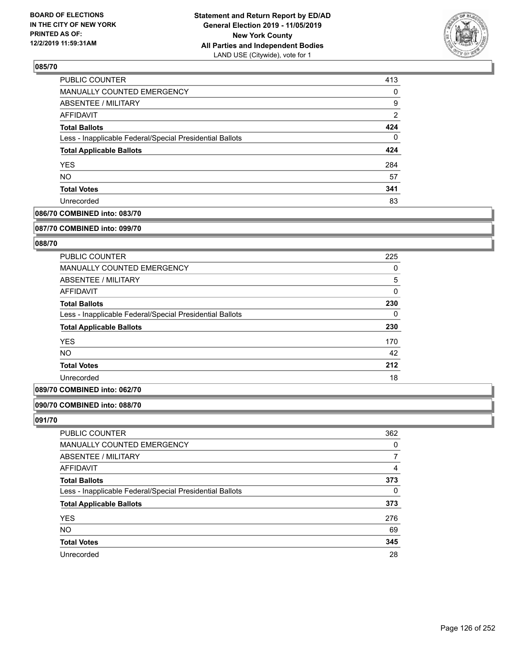

| <b>PUBLIC COUNTER</b>                                    | 413            |
|----------------------------------------------------------|----------------|
| MANUALLY COUNTED EMERGENCY                               | 0              |
| ABSENTEE / MILITARY                                      | 9              |
| AFFIDAVIT                                                | $\overline{2}$ |
| <b>Total Ballots</b>                                     | 424            |
| Less - Inapplicable Federal/Special Presidential Ballots | 0              |
| <b>Total Applicable Ballots</b>                          | 424            |
| <b>YES</b>                                               | 284            |
| <b>NO</b>                                                | 57             |
| <b>Total Votes</b>                                       | 341            |
| Unrecorded                                               | 83             |

## **086/70 COMBINED into: 083/70**

#### **087/70 COMBINED into: 099/70**

## **088/70**

| <b>PUBLIC COUNTER</b>                                    | 225      |
|----------------------------------------------------------|----------|
| <b>MANUALLY COUNTED EMERGENCY</b>                        | 0        |
| ABSENTEE / MILITARY                                      | 5        |
| AFFIDAVIT                                                | 0        |
| <b>Total Ballots</b>                                     | 230      |
| Less - Inapplicable Federal/Special Presidential Ballots | $\Omega$ |
| <b>Total Applicable Ballots</b>                          | 230      |
| <b>YES</b>                                               | 170      |
| <b>NO</b>                                                | 42       |
| <b>Total Votes</b>                                       | 212      |
| Unrecorded                                               | 18       |

### **089/70 COMBINED into: 062/70**

### **090/70 COMBINED into: 088/70**

| PUBLIC COUNTER                                           | 362 |
|----------------------------------------------------------|-----|
| <b>MANUALLY COUNTED EMERGENCY</b>                        | 0   |
| ABSENTEE / MILITARY                                      |     |
| AFFIDAVIT                                                | 4   |
| <b>Total Ballots</b>                                     | 373 |
| Less - Inapplicable Federal/Special Presidential Ballots | 0   |
| <b>Total Applicable Ballots</b>                          | 373 |
| <b>YES</b>                                               | 276 |
| <b>NO</b>                                                | 69  |
| <b>Total Votes</b>                                       | 345 |
| Unrecorded                                               | 28  |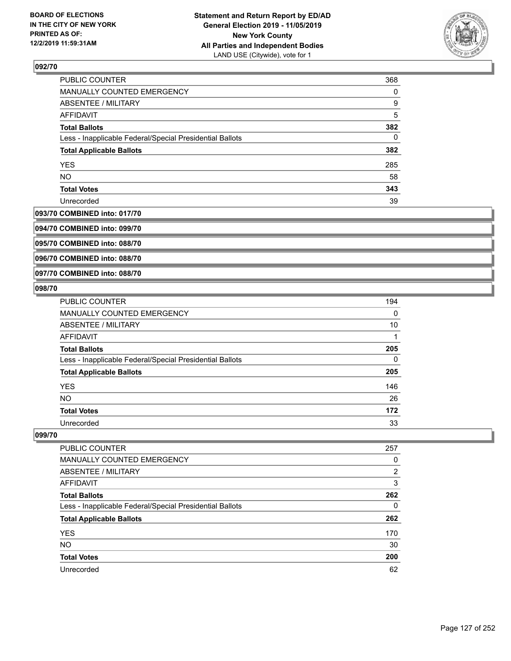

| PUBLIC COUNTER                                           | 368      |
|----------------------------------------------------------|----------|
| MANUALLY COUNTED EMERGENCY                               | $\Omega$ |
| ABSENTEE / MILITARY                                      | 9        |
| <b>AFFIDAVIT</b>                                         | 5        |
| <b>Total Ballots</b>                                     | 382      |
| Less - Inapplicable Federal/Special Presidential Ballots | 0        |
| <b>Total Applicable Ballots</b>                          | 382      |
| <b>YES</b>                                               | 285      |
| <b>NO</b>                                                | 58       |
| <b>Total Votes</b>                                       | 343      |
| Unrecorded                                               | 39       |

## **093/70 COMBINED into: 017/70**

**094/70 COMBINED into: 099/70**

**095/70 COMBINED into: 088/70**

**096/70 COMBINED into: 088/70**

#### **097/70 COMBINED into: 088/70**

### **098/70**

| <b>PUBLIC COUNTER</b>                                    | 194      |
|----------------------------------------------------------|----------|
| MANUALLY COUNTED EMERGENCY                               | $\Omega$ |
| ABSENTEE / MILITARY                                      | 10       |
| <b>AFFIDAVIT</b>                                         |          |
| <b>Total Ballots</b>                                     | 205      |
| Less - Inapplicable Federal/Special Presidential Ballots | 0        |
| <b>Total Applicable Ballots</b>                          | 205      |
| <b>YES</b>                                               | 146      |
| NO.                                                      | 26       |
| <b>Total Votes</b>                                       | 172      |
| Unrecorded                                               | 33       |

| <b>PUBLIC COUNTER</b>                                    | 257           |
|----------------------------------------------------------|---------------|
| MANUALLY COUNTED EMERGENCY                               | 0             |
| ABSENTEE / MILITARY                                      | $\mathcal{P}$ |
| AFFIDAVIT                                                | 3             |
| <b>Total Ballots</b>                                     | 262           |
| Less - Inapplicable Federal/Special Presidential Ballots | 0             |
| <b>Total Applicable Ballots</b>                          | 262           |
| <b>YES</b>                                               | 170           |
| <b>NO</b>                                                | 30            |
| <b>Total Votes</b>                                       | 200           |
| Unrecorded                                               | 62            |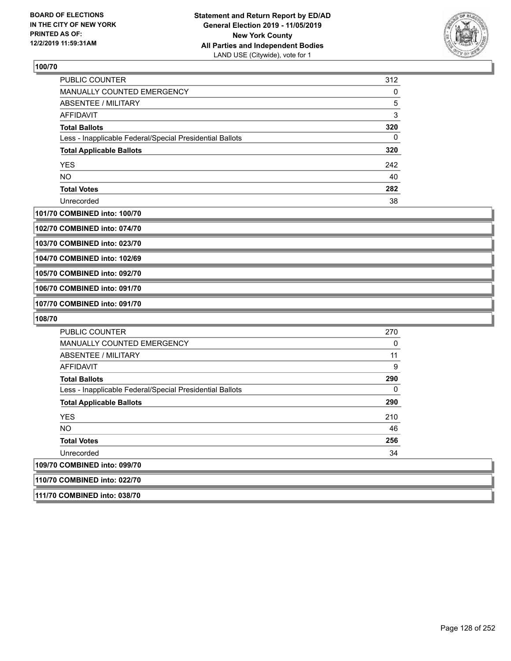

| <b>PUBLIC COUNTER</b>                                    | 312 |
|----------------------------------------------------------|-----|
| <b>MANUALLY COUNTED EMERGENCY</b>                        | 0   |
| ABSENTEE / MILITARY                                      | 5   |
| AFFIDAVIT                                                | 3   |
| <b>Total Ballots</b>                                     | 320 |
| Less - Inapplicable Federal/Special Presidential Ballots | 0   |
| <b>Total Applicable Ballots</b>                          | 320 |
| <b>YES</b>                                               | 242 |
| <b>NO</b>                                                | 40  |
| <b>Total Votes</b>                                       | 282 |
| Unrecorded                                               | 38  |

#### **101/70 COMBINED into: 100/70**

**102/70 COMBINED into: 074/70**

**103/70 COMBINED into: 023/70**

**104/70 COMBINED into: 102/69**

**105/70 COMBINED into: 092/70**

**106/70 COMBINED into: 091/70**

**107/70 COMBINED into: 091/70**

**108/70** 

| <b>PUBLIC COUNTER</b>                                    | 270          |
|----------------------------------------------------------|--------------|
| <b>MANUALLY COUNTED EMERGENCY</b>                        | 0            |
| ABSENTEE / MILITARY                                      | 11           |
| AFFIDAVIT                                                | 9            |
| <b>Total Ballots</b>                                     | 290          |
| Less - Inapplicable Federal/Special Presidential Ballots | $\mathbf{0}$ |
| <b>Total Applicable Ballots</b>                          | 290          |
| <b>YES</b>                                               | 210          |
| <b>NO</b>                                                | 46           |
| <b>Total Votes</b>                                       | 256          |
| Unrecorded                                               | 34           |
| 109/70 COMBINED into: 099/70                             |              |
| 110/70 COMBINED into: 022/70                             |              |

**111/70 COMBINED into: 038/70**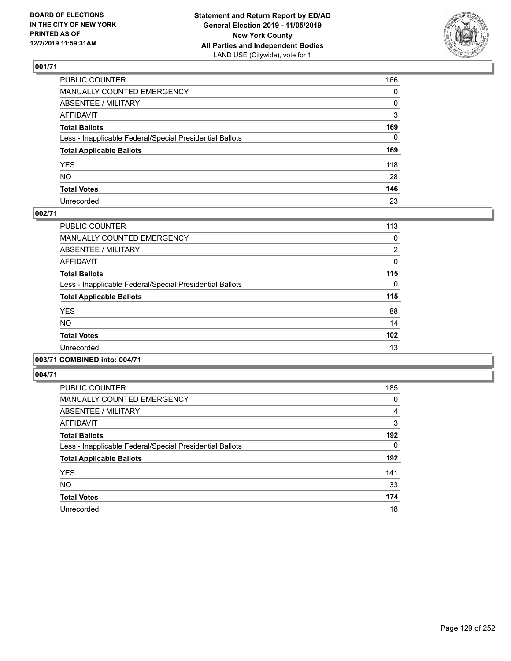

| PUBLIC COUNTER                                           | 166 |
|----------------------------------------------------------|-----|
| MANUALLY COUNTED EMERGENCY                               | 0   |
| ABSENTEE / MILITARY                                      | 0   |
| AFFIDAVIT                                                | 3   |
| Total Ballots                                            | 169 |
| Less - Inapplicable Federal/Special Presidential Ballots | 0   |
| <b>Total Applicable Ballots</b>                          | 169 |
| YES                                                      | 118 |
| NΟ                                                       | 28  |
| <b>Total Votes</b>                                       | 146 |
| Unrecorded                                               | 23  |

## **002/71**

| <b>PUBLIC COUNTER</b>                                    | 113      |
|----------------------------------------------------------|----------|
| <b>MANUALLY COUNTED EMERGENCY</b>                        | 0        |
| ABSENTEE / MILITARY                                      | 2        |
| <b>AFFIDAVIT</b>                                         | 0        |
| <b>Total Ballots</b>                                     | 115      |
| Less - Inapplicable Federal/Special Presidential Ballots | $\Omega$ |
| <b>Total Applicable Ballots</b>                          | 115      |
| <b>YES</b>                                               | 88       |
| <b>NO</b>                                                | 14       |
| <b>Total Votes</b>                                       | 102      |
| Unrecorded                                               | 13       |
|                                                          |          |

# **003/71 COMBINED into: 004/71**

| PUBLIC COUNTER                                           | 185            |
|----------------------------------------------------------|----------------|
| MANUALLY COUNTED EMERGENCY                               | 0              |
| ABSENTEE / MILITARY                                      | $\overline{4}$ |
| AFFIDAVIT                                                | 3              |
| <b>Total Ballots</b>                                     | 192            |
| Less - Inapplicable Federal/Special Presidential Ballots | 0              |
| <b>Total Applicable Ballots</b>                          | 192            |
| <b>YES</b>                                               | 141            |
| <b>NO</b>                                                | 33             |
| <b>Total Votes</b>                                       | 174            |
| Unrecorded                                               | 18             |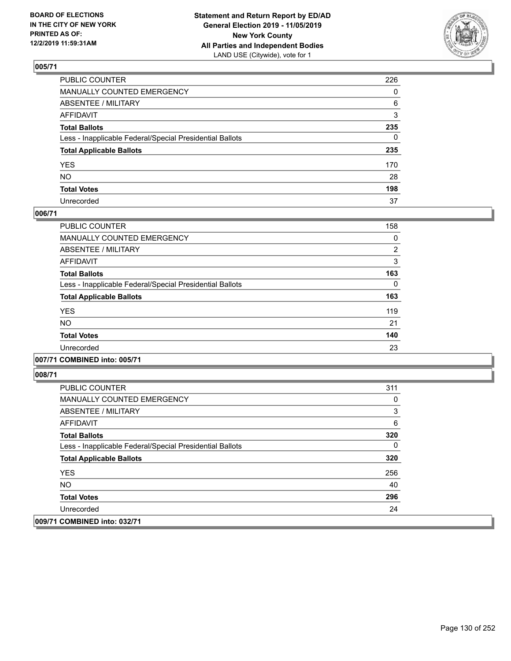

| PUBLIC COUNTER                                           | 226          |
|----------------------------------------------------------|--------------|
| MANUALLY COUNTED EMERGENCY                               | $\mathbf{0}$ |
| ABSENTEE / MILITARY                                      | 6            |
| AFFIDAVIT                                                | 3            |
| Total Ballots                                            | 235          |
| Less - Inapplicable Federal/Special Presidential Ballots | 0            |
| <b>Total Applicable Ballots</b>                          | 235          |
| YES                                                      | 170          |
| NO.                                                      | 28           |
| <b>Total Votes</b>                                       | 198          |
| Unrecorded                                               | 37           |

### **006/71**

| <b>PUBLIC COUNTER</b>                                    | 158      |
|----------------------------------------------------------|----------|
| <b>MANUALLY COUNTED EMERGENCY</b>                        | 0        |
| ABSENTEE / MILITARY                                      | 2        |
| <b>AFFIDAVIT</b>                                         | 3        |
| <b>Total Ballots</b>                                     | 163      |
| Less - Inapplicable Federal/Special Presidential Ballots | $\Omega$ |
| <b>Total Applicable Ballots</b>                          | 163      |
| <b>YES</b>                                               | 119      |
| <b>NO</b>                                                | 21       |
| <b>Total Votes</b>                                       | 140      |
| Unrecorded                                               | 23       |
|                                                          |          |

#### **007/71 COMBINED into: 005/71**

| <b>PUBLIC COUNTER</b>                                    | 311 |
|----------------------------------------------------------|-----|
| MANUALLY COUNTED EMERGENCY                               | 0   |
| ABSENTEE / MILITARY                                      | 3   |
| AFFIDAVIT                                                | 6   |
| <b>Total Ballots</b>                                     | 320 |
| Less - Inapplicable Federal/Special Presidential Ballots | 0   |
| <b>Total Applicable Ballots</b>                          | 320 |
| <b>YES</b>                                               | 256 |
| NO.                                                      | 40  |
| <b>Total Votes</b>                                       | 296 |
| Unrecorded                                               | 24  |
| 009/71 COMBINED into: 032/71                             |     |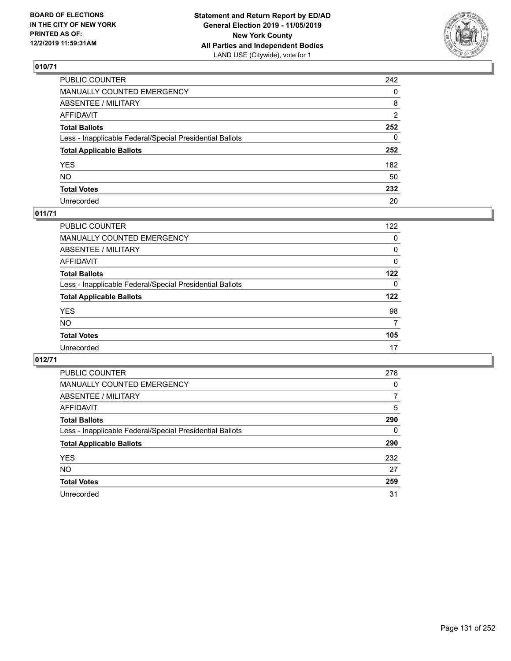

| PUBLIC COUNTER                                           | 242          |
|----------------------------------------------------------|--------------|
| MANUALLY COUNTED EMERGENCY                               | $\mathbf{0}$ |
| ABSENTEE / MILITARY                                      | 8            |
| AFFIDAVIT                                                | 2            |
| Total Ballots                                            | 252          |
| Less - Inapplicable Federal/Special Presidential Ballots | 0            |
| <b>Total Applicable Ballots</b>                          | 252          |
| YES                                                      | 182          |
| NO.                                                      | 50           |
| <b>Total Votes</b>                                       | 232          |
| Unrecorded                                               | 20           |

## **011/71**

| PUBLIC COUNTER                                           | 122      |
|----------------------------------------------------------|----------|
| MANUALLY COUNTED EMERGENCY                               | 0        |
| ABSENTEE / MILITARY                                      | 0        |
| AFFIDAVIT                                                | $\Omega$ |
| <b>Total Ballots</b>                                     | 122      |
| Less - Inapplicable Federal/Special Presidential Ballots | $\Omega$ |
| <b>Total Applicable Ballots</b>                          | 122      |
| <b>YES</b>                                               | 98       |
| <b>NO</b>                                                | 7        |
| <b>Total Votes</b>                                       | 105      |
| Unrecorded                                               | 17       |

| PUBLIC COUNTER                                           | 278 |
|----------------------------------------------------------|-----|
| MANUALLY COUNTED EMERGENCY                               | 0   |
| ABSENTEE / MILITARY                                      | 7   |
| <b>AFFIDAVIT</b>                                         | 5   |
| <b>Total Ballots</b>                                     | 290 |
| Less - Inapplicable Federal/Special Presidential Ballots | 0   |
| <b>Total Applicable Ballots</b>                          | 290 |
| <b>YES</b>                                               | 232 |
| <b>NO</b>                                                | 27  |
| <b>Total Votes</b>                                       | 259 |
| Unrecorded                                               | 31  |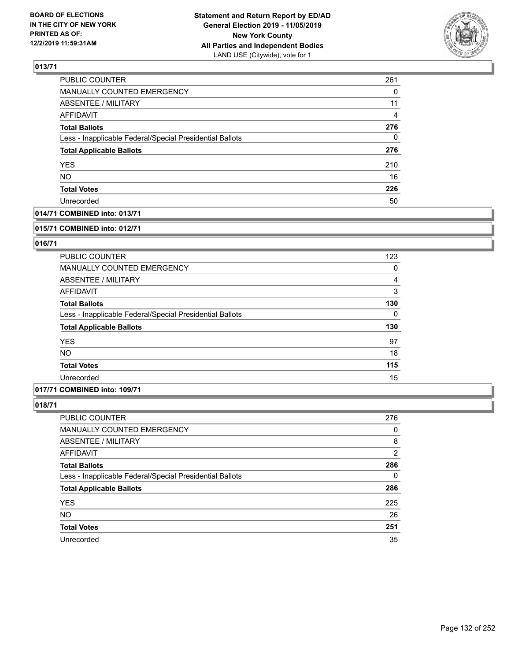

| <b>PUBLIC COUNTER</b>                                    | 261 |
|----------------------------------------------------------|-----|
| MANUALLY COUNTED EMERGENCY                               | 0   |
| ABSENTEE / MILITARY                                      | 11  |
| <b>AFFIDAVIT</b>                                         | 4   |
| <b>Total Ballots</b>                                     | 276 |
| Less - Inapplicable Federal/Special Presidential Ballots | 0   |
| <b>Total Applicable Ballots</b>                          | 276 |
| <b>YES</b>                                               | 210 |
| <b>NO</b>                                                | 16  |
| <b>Total Votes</b>                                       | 226 |
| Unrecorded                                               | 50  |

## **014/71 COMBINED into: 013/71**

#### **015/71 COMBINED into: 012/71**

## **016/71**

| PUBLIC COUNTER                                           | 123      |
|----------------------------------------------------------|----------|
| <b>MANUALLY COUNTED EMERGENCY</b>                        | 0        |
| ABSENTEE / MILITARY                                      | 4        |
| AFFIDAVIT                                                | 3        |
| <b>Total Ballots</b>                                     | 130      |
| Less - Inapplicable Federal/Special Presidential Ballots | $\Omega$ |
| <b>Total Applicable Ballots</b>                          | 130      |
| <b>YES</b>                                               | 97       |
| <b>NO</b>                                                | 18       |
| <b>Total Votes</b>                                       | 115      |
| Unrecorded                                               | 15       |

#### **017/71 COMBINED into: 109/71**

| <b>PUBLIC COUNTER</b>                                    | 276 |
|----------------------------------------------------------|-----|
| <b>MANUALLY COUNTED EMERGENCY</b>                        | 0   |
| ABSENTEE / MILITARY                                      | 8   |
| AFFIDAVIT                                                | 2   |
| <b>Total Ballots</b>                                     | 286 |
| Less - Inapplicable Federal/Special Presidential Ballots | 0   |
| <b>Total Applicable Ballots</b>                          | 286 |
| <b>YES</b>                                               | 225 |
| <b>NO</b>                                                | 26  |
| <b>Total Votes</b>                                       | 251 |
| Unrecorded                                               | 35  |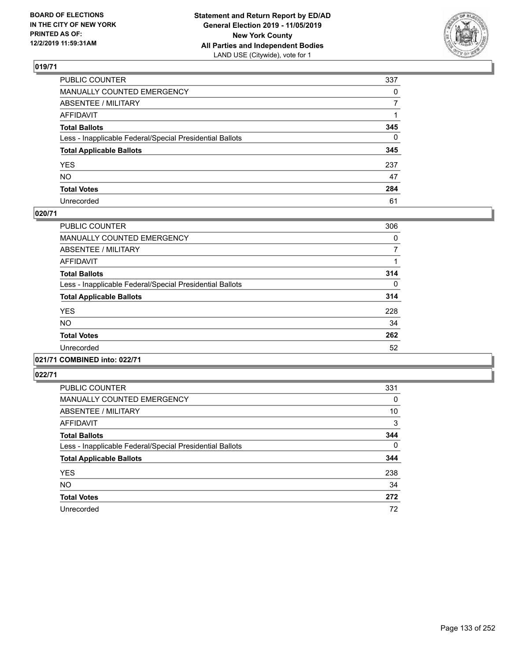

| PUBLIC COUNTER                                           | 337          |
|----------------------------------------------------------|--------------|
| MANUALLY COUNTED EMERGENCY                               | $\mathbf{0}$ |
| ABSENTEE / MILITARY                                      | 7            |
| AFFIDAVIT                                                |              |
| Total Ballots                                            | 345          |
| Less - Inapplicable Federal/Special Presidential Ballots | 0            |
| <b>Total Applicable Ballots</b>                          | 345          |
| YES                                                      | 237          |
| NO.                                                      | 47           |
| <b>Total Votes</b>                                       | 284          |
| Unrecorded                                               | 61           |

### **020/71**

| PUBLIC COUNTER                                           | 306      |
|----------------------------------------------------------|----------|
| <b>MANUALLY COUNTED EMERGENCY</b>                        | 0        |
| ABSENTEE / MILITARY                                      | 7        |
| <b>AFFIDAVIT</b>                                         |          |
| <b>Total Ballots</b>                                     | 314      |
| Less - Inapplicable Federal/Special Presidential Ballots | $\Omega$ |
| <b>Total Applicable Ballots</b>                          | 314      |
| <b>YES</b>                                               | 228      |
| NO                                                       | 34       |
| <b>Total Votes</b>                                       | 262      |
| Unrecorded                                               | 52       |
|                                                          |          |

# **021/71 COMBINED into: 022/71**

| <b>PUBLIC COUNTER</b>                                    | 331 |
|----------------------------------------------------------|-----|
| <b>MANUALLY COUNTED EMERGENCY</b>                        | 0   |
| ABSENTEE / MILITARY                                      | 10  |
| AFFIDAVIT                                                | 3   |
| <b>Total Ballots</b>                                     | 344 |
| Less - Inapplicable Federal/Special Presidential Ballots | 0   |
| <b>Total Applicable Ballots</b>                          | 344 |
| <b>YES</b>                                               | 238 |
| <b>NO</b>                                                | 34  |
| <b>Total Votes</b>                                       | 272 |
| Unrecorded                                               | 72  |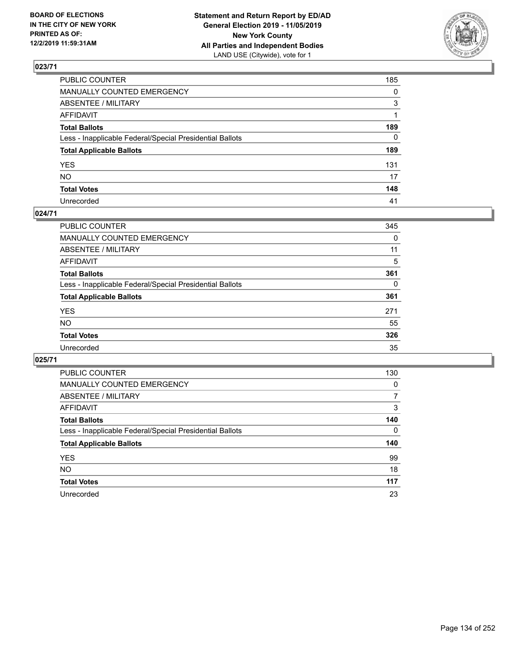

| PUBLIC COUNTER                                           | 185          |
|----------------------------------------------------------|--------------|
| MANUALLY COUNTED EMERGENCY                               | $\mathbf{0}$ |
| ABSENTEE / MILITARY                                      | 3            |
| AFFIDAVIT                                                |              |
| Total Ballots                                            | 189          |
| Less - Inapplicable Federal/Special Presidential Ballots | $\mathbf{0}$ |
| <b>Total Applicable Ballots</b>                          | 189          |
| YES                                                      | 131          |
| NO.                                                      | 17           |
| <b>Total Votes</b>                                       | 148          |
| Unrecorded                                               | 41           |

### **024/71**

| <b>PUBLIC COUNTER</b>                                    | 345 |
|----------------------------------------------------------|-----|
| MANUALLY COUNTED EMERGENCY                               | 0   |
| ABSENTEE / MILITARY                                      | 11  |
| AFFIDAVIT                                                | 5   |
| <b>Total Ballots</b>                                     | 361 |
| Less - Inapplicable Federal/Special Presidential Ballots | 0   |
| <b>Total Applicable Ballots</b>                          | 361 |
| <b>YES</b>                                               | 271 |
| <b>NO</b>                                                | 55  |
| <b>Total Votes</b>                                       | 326 |
| Unrecorded                                               | 35  |

| PUBLIC COUNTER                                           | 130      |
|----------------------------------------------------------|----------|
| MANUALLY COUNTED EMERGENCY                               | $\Omega$ |
| ABSENTEE / MILITARY                                      | 7        |
| AFFIDAVIT                                                | 3        |
| <b>Total Ballots</b>                                     | 140      |
| Less - Inapplicable Federal/Special Presidential Ballots | 0        |
| <b>Total Applicable Ballots</b>                          | 140      |
| <b>YES</b>                                               | 99       |
| NO.                                                      | 18       |
| <b>Total Votes</b>                                       | 117      |
| Unrecorded                                               | 23       |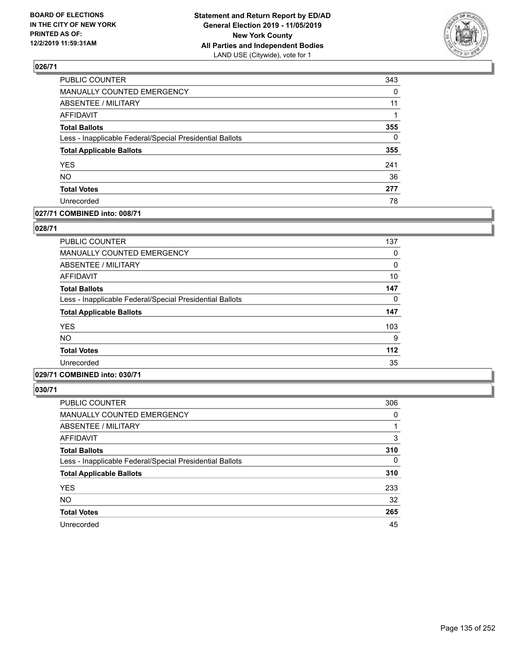

| PUBLIC COUNTER                                           | 343      |
|----------------------------------------------------------|----------|
| MANUALLY COUNTED EMERGENCY                               | 0        |
| <b>ABSENTEE / MILITARY</b>                               | 11       |
| <b>AFFIDAVIT</b>                                         |          |
| <b>Total Ballots</b>                                     | 355      |
| Less - Inapplicable Federal/Special Presidential Ballots | $\Omega$ |
| <b>Total Applicable Ballots</b>                          | 355      |
| <b>YES</b>                                               | 241      |
| <b>NO</b>                                                | 36       |
| <b>Total Votes</b>                                       | 277      |
| Unrecorded                                               | 78       |

### **027/71 COMBINED into: 008/71**

#### **028/71**

| <b>PUBLIC COUNTER</b>                                    | 137 |
|----------------------------------------------------------|-----|
| <b>MANUALLY COUNTED EMERGENCY</b>                        | 0   |
| <b>ABSENTEE / MILITARY</b>                               | 0   |
| <b>AFFIDAVIT</b>                                         | 10  |
| <b>Total Ballots</b>                                     | 147 |
| Less - Inapplicable Federal/Special Presidential Ballots | 0   |
| <b>Total Applicable Ballots</b>                          | 147 |
| <b>YES</b>                                               | 103 |
| <b>NO</b>                                                | 9   |
| <b>Total Votes</b>                                       | 112 |
| Unrecorded                                               | 35  |
|                                                          |     |

# **029/71 COMBINED into: 030/71**

| <b>PUBLIC COUNTER</b>                                    | 306      |
|----------------------------------------------------------|----------|
| <b>MANUALLY COUNTED EMERGENCY</b>                        | 0        |
| ABSENTEE / MILITARY                                      |          |
| AFFIDAVIT                                                | 3        |
| <b>Total Ballots</b>                                     | 310      |
| Less - Inapplicable Federal/Special Presidential Ballots | $\Omega$ |
| <b>Total Applicable Ballots</b>                          | 310      |
| <b>YES</b>                                               | 233      |
| <b>NO</b>                                                | 32       |
| <b>Total Votes</b>                                       | 265      |
| Unrecorded                                               | 45       |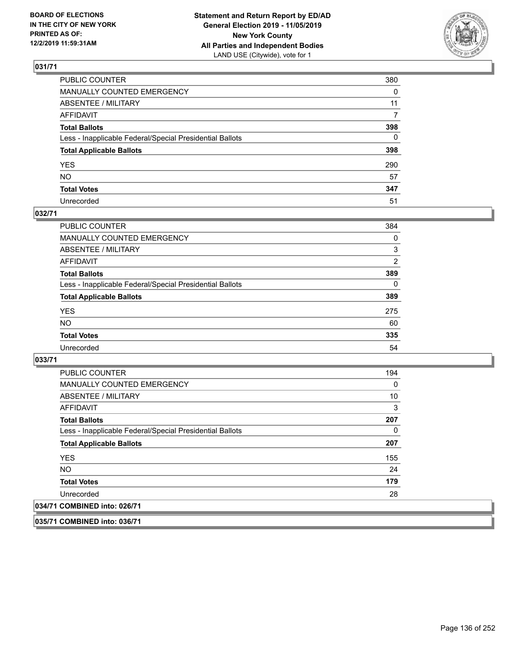

| PUBLIC COUNTER                                           | 380      |
|----------------------------------------------------------|----------|
| MANUALLY COUNTED EMERGENCY                               | $\Omega$ |
| ABSENTEE / MILITARY                                      | 11       |
| AFFIDAVIT                                                | 7        |
| Total Ballots                                            | 398      |
| Less - Inapplicable Federal/Special Presidential Ballots | 0        |
| <b>Total Applicable Ballots</b>                          | 398      |
| YES                                                      | 290      |
| NO.                                                      | 57       |
| <b>Total Votes</b>                                       | 347      |
| Unrecorded                                               | 51       |

### **032/71**

| <b>PUBLIC COUNTER</b>                                    | 384      |
|----------------------------------------------------------|----------|
| <b>MANUALLY COUNTED EMERGENCY</b>                        | 0        |
| ABSENTEE / MILITARY                                      | 3        |
| AFFIDAVIT                                                | 2        |
| <b>Total Ballots</b>                                     | 389      |
| Less - Inapplicable Federal/Special Presidential Ballots | $\Omega$ |
| <b>Total Applicable Ballots</b>                          | 389      |
| <b>YES</b>                                               | 275      |
| <b>NO</b>                                                | 60       |
| <b>Total Votes</b>                                       | 335      |
| Unrecorded                                               | 54       |

**033/71** 

| PUBLIC COUNTER                                           | 194 |
|----------------------------------------------------------|-----|
| <b>MANUALLY COUNTED EMERGENCY</b>                        | 0   |
| ABSENTEE / MILITARY                                      | 10  |
| AFFIDAVIT                                                | 3   |
| <b>Total Ballots</b>                                     | 207 |
| Less - Inapplicable Federal/Special Presidential Ballots | 0   |
| <b>Total Applicable Ballots</b>                          | 207 |
| <b>YES</b>                                               | 155 |
| NO.                                                      | 24  |
| <b>Total Votes</b>                                       | 179 |
| Unrecorded                                               | 28  |
| 034/71 COMBINED into: 026/71                             |     |

**035/71 COMBINED into: 036/71**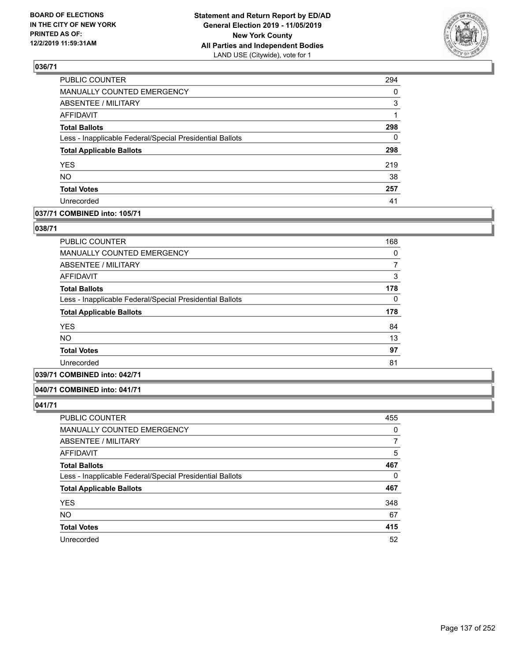

| PUBLIC COUNTER                                           | 294      |
|----------------------------------------------------------|----------|
| MANUALLY COUNTED EMERGENCY                               | 0        |
| <b>ABSENTEE / MILITARY</b>                               | 3        |
| <b>AFFIDAVIT</b>                                         | 1        |
| <b>Total Ballots</b>                                     | 298      |
| Less - Inapplicable Federal/Special Presidential Ballots | $\Omega$ |
| <b>Total Applicable Ballots</b>                          | 298      |
| <b>YES</b>                                               | 219      |
| <b>NO</b>                                                | 38       |
| <b>Total Votes</b>                                       | 257      |
| Unrecorded                                               | 41       |

## **037/71 COMBINED into: 105/71**

### **038/71**

| PUBLIC COUNTER                                           | 168 |
|----------------------------------------------------------|-----|
| <b>MANUALLY COUNTED EMERGENCY</b>                        | 0   |
| ABSENTEE / MILITARY                                      | 7   |
| AFFIDAVIT                                                | 3   |
| <b>Total Ballots</b>                                     | 178 |
| Less - Inapplicable Federal/Special Presidential Ballots | 0   |
| <b>Total Applicable Ballots</b>                          | 178 |
| <b>YES</b>                                               | 84  |
| NO.                                                      | 13  |
| <b>Total Votes</b>                                       | 97  |
| Unrecorded                                               | 81  |
|                                                          |     |

# **039/71 COMBINED into: 042/71**

#### **040/71 COMBINED into: 041/71**

| <b>PUBLIC COUNTER</b>                                    | 455 |
|----------------------------------------------------------|-----|
| MANUALLY COUNTED EMERGENCY                               | 0   |
| ABSENTEE / MILITARY                                      | 7   |
| AFFIDAVIT                                                | 5   |
| <b>Total Ballots</b>                                     | 467 |
| Less - Inapplicable Federal/Special Presidential Ballots | 0   |
| <b>Total Applicable Ballots</b>                          | 467 |
| <b>YES</b>                                               | 348 |
| <b>NO</b>                                                | 67  |
| <b>Total Votes</b>                                       | 415 |
| Unrecorded                                               | 52  |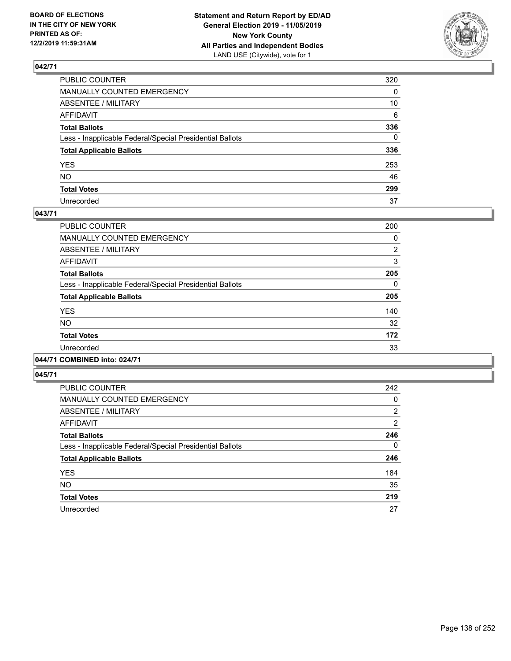

| PUBLIC COUNTER                                           | 320 |
|----------------------------------------------------------|-----|
| MANUALLY COUNTED EMERGENCY                               | 0   |
| ABSENTEE / MILITARY                                      | 10  |
| AFFIDAVIT                                                | 6   |
| Total Ballots                                            | 336 |
| Less - Inapplicable Federal/Special Presidential Ballots | 0   |
| <b>Total Applicable Ballots</b>                          | 336 |
| YES                                                      | 253 |
| NO.                                                      | 46  |
| <b>Total Votes</b>                                       | 299 |
| Unrecorded                                               | 37  |

### **043/71**

| <b>PUBLIC COUNTER</b>                                    | 200            |
|----------------------------------------------------------|----------------|
| <b>MANUALLY COUNTED EMERGENCY</b>                        | 0              |
| ABSENTEE / MILITARY                                      | $\overline{2}$ |
| <b>AFFIDAVIT</b>                                         | 3              |
| <b>Total Ballots</b>                                     | 205            |
| Less - Inapplicable Federal/Special Presidential Ballots | $\Omega$       |
| <b>Total Applicable Ballots</b>                          | 205            |
| <b>YES</b>                                               | 140            |
| <b>NO</b>                                                | 32             |
| <b>Total Votes</b>                                       | 172            |
| Unrecorded                                               | 33             |
|                                                          |                |

# **044/71 COMBINED into: 024/71**

| <b>PUBLIC COUNTER</b>                                    | 242            |
|----------------------------------------------------------|----------------|
| <b>MANUALLY COUNTED EMERGENCY</b>                        | 0              |
| ABSENTEE / MILITARY                                      | $\overline{2}$ |
| AFFIDAVIT                                                | 2              |
| <b>Total Ballots</b>                                     | 246            |
| Less - Inapplicable Federal/Special Presidential Ballots | $\Omega$       |
| <b>Total Applicable Ballots</b>                          | 246            |
| <b>YES</b>                                               | 184            |
| <b>NO</b>                                                | 35             |
| <b>Total Votes</b>                                       | 219            |
| Unrecorded                                               | 27             |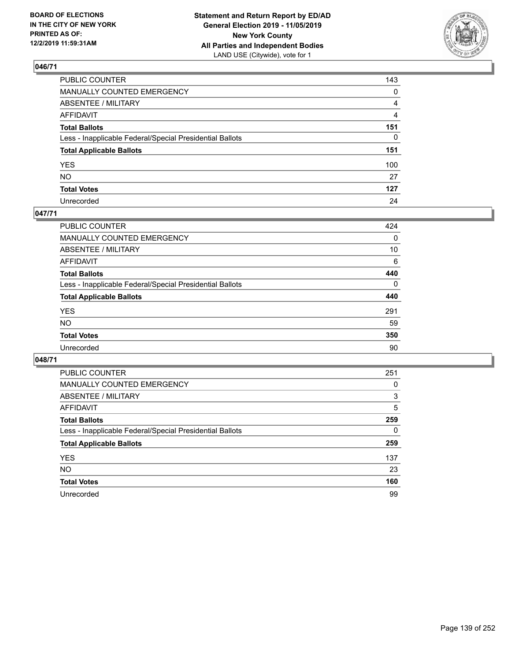

| PUBLIC COUNTER                                           | 143          |
|----------------------------------------------------------|--------------|
| MANUALLY COUNTED EMERGENCY                               | $\mathbf{0}$ |
| ABSENTEE / MILITARY                                      | 4            |
| AFFIDAVIT                                                | 4            |
| Total Ballots                                            | 151          |
| Less - Inapplicable Federal/Special Presidential Ballots | $\mathbf{0}$ |
| <b>Total Applicable Ballots</b>                          | 151          |
| YES                                                      | 100          |
| NO.                                                      | 27           |
| <b>Total Votes</b>                                       | 127          |
| Unrecorded                                               | 24           |

### **047/71**

| <b>PUBLIC COUNTER</b>                                    | 424      |
|----------------------------------------------------------|----------|
| <b>MANUALLY COUNTED EMERGENCY</b>                        | 0        |
| ABSENTEE / MILITARY                                      | 10       |
| AFFIDAVIT                                                | 6        |
| <b>Total Ballots</b>                                     | 440      |
| Less - Inapplicable Federal/Special Presidential Ballots | $\Omega$ |
| <b>Total Applicable Ballots</b>                          | 440      |
| <b>YES</b>                                               | 291      |
| <b>NO</b>                                                | 59       |
| <b>Total Votes</b>                                       | 350      |
| Unrecorded                                               | 90       |

| PUBLIC COUNTER                                           | 251 |
|----------------------------------------------------------|-----|
| MANUALLY COUNTED EMERGENCY                               | 0   |
| ABSENTEE / MILITARY                                      | 3   |
| AFFIDAVIT                                                | 5   |
| <b>Total Ballots</b>                                     | 259 |
| Less - Inapplicable Federal/Special Presidential Ballots | 0   |
| <b>Total Applicable Ballots</b>                          | 259 |
| <b>YES</b>                                               | 137 |
| <b>NO</b>                                                | 23  |
| <b>Total Votes</b>                                       | 160 |
| Unrecorded                                               | 99  |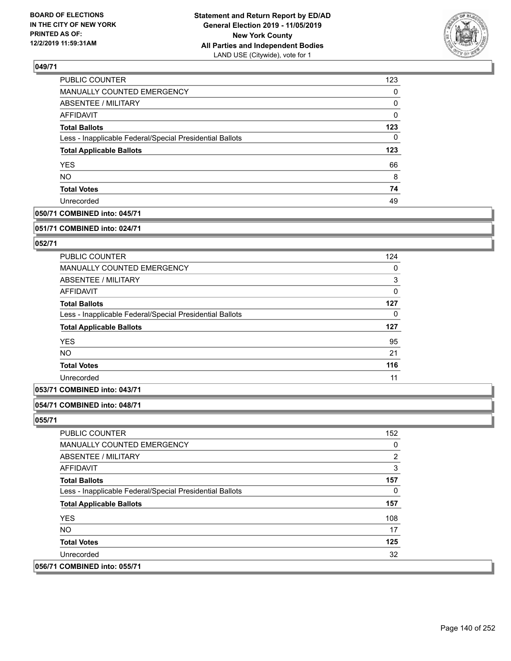

| 123      |
|----------|
| 0        |
| 0        |
| $\Omega$ |
| 123      |
| 0        |
| 123      |
| 66       |
| 8        |
| 74       |
| 49       |
|          |

## **050/71 COMBINED into: 045/71**

#### **051/71 COMBINED into: 024/71**

## **052/71**

| <b>PUBLIC COUNTER</b>                                    | 124 |
|----------------------------------------------------------|-----|
| <b>MANUALLY COUNTED EMERGENCY</b>                        | 0   |
| ABSENTEE / MILITARY                                      | 3   |
| AFFIDAVIT                                                | 0   |
| <b>Total Ballots</b>                                     | 127 |
| Less - Inapplicable Federal/Special Presidential Ballots | 0   |
| <b>Total Applicable Ballots</b>                          | 127 |
| <b>YES</b>                                               | 95  |
| <b>NO</b>                                                | 21  |
| <b>Total Votes</b>                                       | 116 |
| Unrecorded                                               | 11  |

## **053/71 COMBINED into: 043/71**

### **054/71 COMBINED into: 048/71**

| PUBLIC COUNTER                                           | 152            |
|----------------------------------------------------------|----------------|
| <b>MANUALLY COUNTED EMERGENCY</b>                        | 0              |
| ABSENTEE / MILITARY                                      | $\overline{2}$ |
| AFFIDAVIT                                                | 3              |
| <b>Total Ballots</b>                                     | 157            |
| Less - Inapplicable Federal/Special Presidential Ballots | 0              |
| <b>Total Applicable Ballots</b>                          | 157            |
| <b>YES</b>                                               | 108            |
| NO.                                                      | 17             |
| <b>Total Votes</b>                                       | 125            |
| Unrecorded                                               | 32             |
| 056/71 COMBINED into: 055/71                             |                |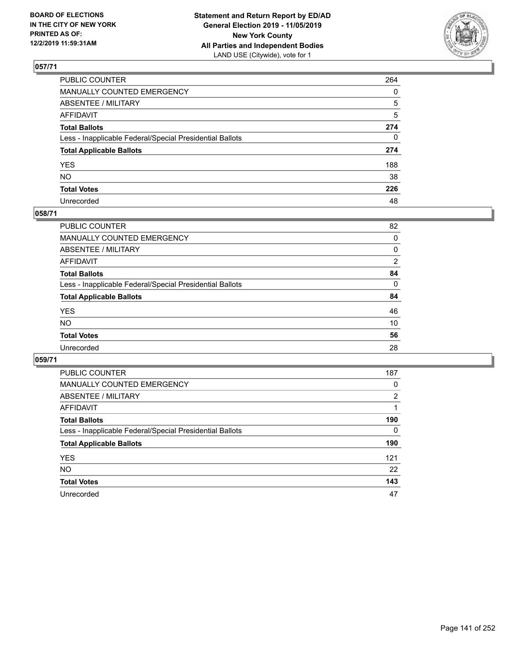

| PUBLIC COUNTER                                           | 264          |
|----------------------------------------------------------|--------------|
| MANUALLY COUNTED EMERGENCY                               | $\mathbf{0}$ |
| ABSENTEE / MILITARY                                      | 5            |
| AFFIDAVIT                                                | 5            |
| Total Ballots                                            | 274          |
| Less - Inapplicable Federal/Special Presidential Ballots | 0            |
| <b>Total Applicable Ballots</b>                          | 274          |
| YES                                                      | 188          |
| NO.                                                      | 38           |
| <b>Total Votes</b>                                       | 226          |
| Unrecorded                                               | 48           |

## **058/71**

| <b>PUBLIC COUNTER</b>                                    | 82             |
|----------------------------------------------------------|----------------|
| <b>MANUALLY COUNTED EMERGENCY</b>                        | 0              |
| ABSENTEE / MILITARY                                      | 0              |
| AFFIDAVIT                                                | $\overline{2}$ |
| <b>Total Ballots</b>                                     | 84             |
| Less - Inapplicable Federal/Special Presidential Ballots | $\Omega$       |
| <b>Total Applicable Ballots</b>                          | 84             |
| <b>YES</b>                                               | 46             |
| <b>NO</b>                                                | 10             |
| <b>Total Votes</b>                                       | 56             |
| Unrecorded                                               | 28             |

| PUBLIC COUNTER                                           | 187      |
|----------------------------------------------------------|----------|
| <b>MANUALLY COUNTED EMERGENCY</b>                        | 0        |
| ABSENTEE / MILITARY                                      | 2        |
| AFFIDAVIT                                                |          |
| <b>Total Ballots</b>                                     | 190      |
| Less - Inapplicable Federal/Special Presidential Ballots | $\Omega$ |
| <b>Total Applicable Ballots</b>                          | 190      |
| <b>YES</b>                                               | 121      |
| <b>NO</b>                                                | 22       |
| <b>Total Votes</b>                                       | 143      |
| Unrecorded                                               | 47       |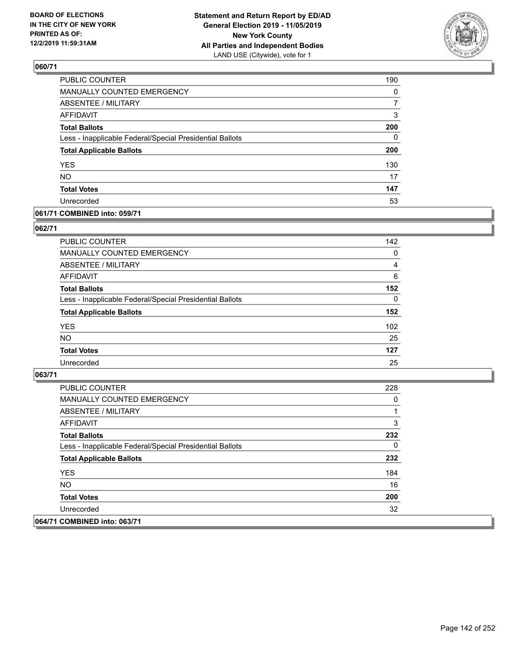

| PUBLIC COUNTER                                           | 190      |
|----------------------------------------------------------|----------|
| MANUALLY COUNTED EMERGENCY                               | $\Omega$ |
| <b>ABSENTEE / MILITARY</b>                               | 7        |
| <b>AFFIDAVIT</b>                                         | 3        |
| <b>Total Ballots</b>                                     | 200      |
| Less - Inapplicable Federal/Special Presidential Ballots | $\Omega$ |
| <b>Total Applicable Ballots</b>                          | 200      |
| <b>YES</b>                                               | 130      |
| <b>NO</b>                                                | 17       |
| <b>Total Votes</b>                                       | 147      |
| Unrecorded                                               | 53       |

### **061/71 COMBINED into: 059/71**

#### **062/71**

| <b>PUBLIC COUNTER</b>                                    | 142      |
|----------------------------------------------------------|----------|
| <b>MANUALLY COUNTED EMERGENCY</b>                        | $\Omega$ |
| ABSENTEE / MILITARY                                      | 4        |
| AFFIDAVIT                                                | 6        |
| <b>Total Ballots</b>                                     | 152      |
| Less - Inapplicable Federal/Special Presidential Ballots | $\Omega$ |
| <b>Total Applicable Ballots</b>                          | 152      |
| <b>YES</b>                                               | 102      |
| <b>NO</b>                                                | 25       |
| <b>Total Votes</b>                                       | 127      |
| Unrecorded                                               | 25       |

| PUBLIC COUNTER                                           | 228 |
|----------------------------------------------------------|-----|
| MANUALLY COUNTED EMERGENCY                               | 0   |
| ABSENTEE / MILITARY                                      |     |
| AFFIDAVIT                                                | 3   |
| <b>Total Ballots</b>                                     | 232 |
| Less - Inapplicable Federal/Special Presidential Ballots | 0   |
| <b>Total Applicable Ballots</b>                          | 232 |
| <b>YES</b>                                               | 184 |
| NO.                                                      | 16  |
| <b>Total Votes</b>                                       | 200 |
| Unrecorded                                               | 32  |
| 064/71 COMBINED into: 063/71                             |     |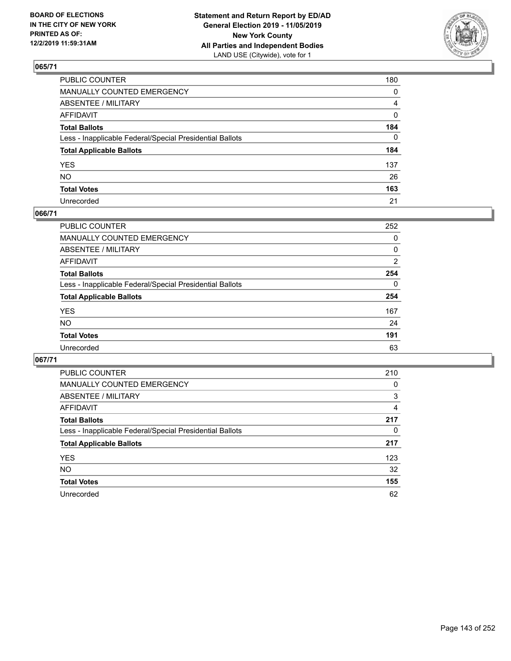

| PUBLIC COUNTER                                           | 180            |
|----------------------------------------------------------|----------------|
| MANUALLY COUNTED EMERGENCY                               | $\mathbf{0}$   |
| ABSENTEE / MILITARY                                      | $\overline{4}$ |
| AFFIDAVIT                                                | $\mathbf 0$    |
| Total Ballots                                            | 184            |
| Less - Inapplicable Federal/Special Presidential Ballots | $\Omega$       |
| <b>Total Applicable Ballots</b>                          | 184            |
| YES                                                      | 137            |
| NO.                                                      | 26             |
| <b>Total Votes</b>                                       | 163            |
| Unrecorded                                               | 21             |

### **066/71**

| PUBLIC COUNTER                                           | 252      |
|----------------------------------------------------------|----------|
| MANUALLY COUNTED EMERGENCY                               | 0        |
| ABSENTEE / MILITARY                                      | 0        |
| AFFIDAVIT                                                | 2        |
| <b>Total Ballots</b>                                     | 254      |
| Less - Inapplicable Federal/Special Presidential Ballots | $\Omega$ |
| <b>Total Applicable Ballots</b>                          | 254      |
| <b>YES</b>                                               | 167      |
| <b>NO</b>                                                | 24       |
| <b>Total Votes</b>                                       | 191      |
| Unrecorded                                               | 63       |

| PUBLIC COUNTER                                           | 210 |
|----------------------------------------------------------|-----|
| MANUALLY COUNTED EMERGENCY                               | 0   |
| ABSENTEE / MILITARY                                      | 3   |
| AFFIDAVIT                                                | 4   |
| <b>Total Ballots</b>                                     | 217 |
| Less - Inapplicable Federal/Special Presidential Ballots | 0   |
| <b>Total Applicable Ballots</b>                          | 217 |
| <b>YES</b>                                               | 123 |
| <b>NO</b>                                                | 32  |
| <b>Total Votes</b>                                       | 155 |
| Unrecorded                                               | 62  |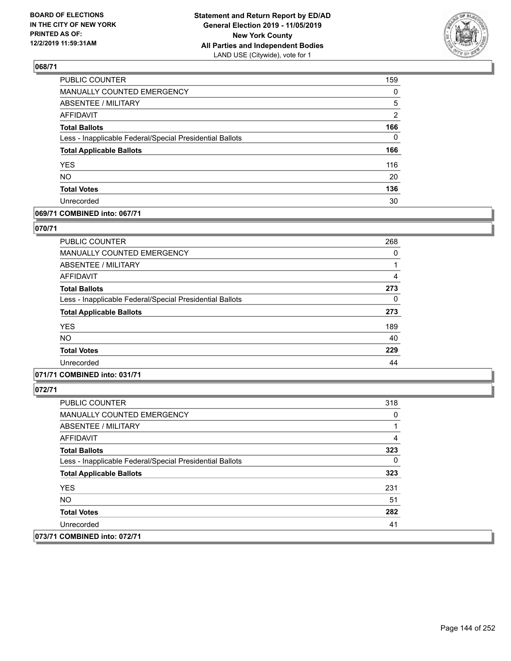

| PUBLIC COUNTER                                           | 159      |
|----------------------------------------------------------|----------|
| <b>MANUALLY COUNTED EMERGENCY</b>                        | $\Omega$ |
| <b>ABSENTEE / MILITARY</b>                               | 5        |
| <b>AFFIDAVIT</b>                                         | 2        |
| <b>Total Ballots</b>                                     | 166      |
| Less - Inapplicable Federal/Special Presidential Ballots | $\Omega$ |
| <b>Total Applicable Ballots</b>                          | 166      |
| <b>YES</b>                                               | 116      |
| NO.                                                      | 20       |
| <b>Total Votes</b>                                       | 136      |
| Unrecorded                                               | 30       |

## **069/71 COMBINED into: 067/71**

#### **070/71**

| <b>PUBLIC COUNTER</b>                                    | 268 |
|----------------------------------------------------------|-----|
| MANUALLY COUNTED EMERGENCY                               | 0   |
| ABSENTEE / MILITARY                                      |     |
| AFFIDAVIT                                                | 4   |
| <b>Total Ballots</b>                                     | 273 |
| Less - Inapplicable Federal/Special Presidential Ballots | 0   |
| <b>Total Applicable Ballots</b>                          | 273 |
| <b>YES</b>                                               | 189 |
| <b>NO</b>                                                | 40  |
| <b>Total Votes</b>                                       | 229 |
| Unrecorded                                               | 44  |
|                                                          |     |

# **071/71 COMBINED into: 031/71**

| PUBLIC COUNTER                                           | 318 |
|----------------------------------------------------------|-----|
| <b>MANUALLY COUNTED EMERGENCY</b>                        | 0   |
| ABSENTEE / MILITARY                                      |     |
| AFFIDAVIT                                                | 4   |
| <b>Total Ballots</b>                                     | 323 |
| Less - Inapplicable Federal/Special Presidential Ballots | 0   |
| <b>Total Applicable Ballots</b>                          | 323 |
| <b>YES</b>                                               | 231 |
| NO.                                                      | 51  |
| <b>Total Votes</b>                                       | 282 |
| Unrecorded                                               | 41  |
| 073/71 COMBINED into: 072/71                             |     |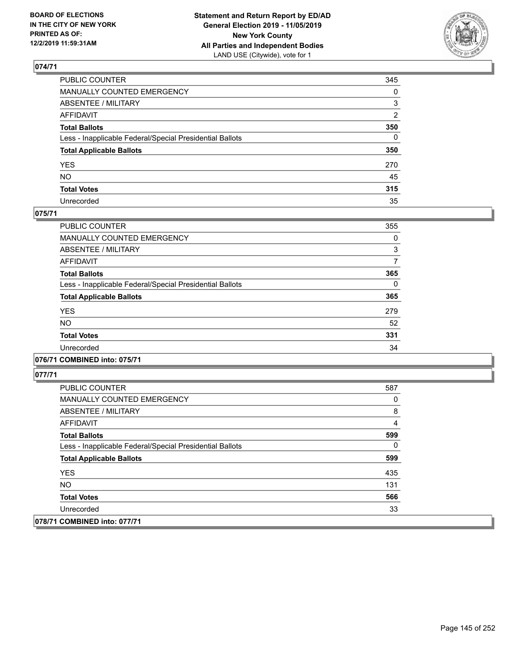

| PUBLIC COUNTER                                           | 345 |
|----------------------------------------------------------|-----|
| MANUALLY COUNTED EMERGENCY                               | 0   |
| ABSENTEE / MILITARY                                      | 3   |
| AFFIDAVIT                                                | 2   |
| Total Ballots                                            | 350 |
| Less - Inapplicable Federal/Special Presidential Ballots | 0   |
| <b>Total Applicable Ballots</b>                          | 350 |
| YES                                                      | 270 |
| NO.                                                      | 45  |
| <b>Total Votes</b>                                       | 315 |
| Unrecorded                                               | 35  |

### **075/71**

| <b>PUBLIC COUNTER</b>                                    | 355      |
|----------------------------------------------------------|----------|
| <b>MANUALLY COUNTED EMERGENCY</b>                        | 0        |
| ABSENTEE / MILITARY                                      | 3        |
| <b>AFFIDAVIT</b>                                         | 7        |
| <b>Total Ballots</b>                                     | 365      |
| Less - Inapplicable Federal/Special Presidential Ballots | $\Omega$ |
| <b>Total Applicable Ballots</b>                          | 365      |
| <b>YES</b>                                               | 279      |
| <b>NO</b>                                                | 52       |
| <b>Total Votes</b>                                       | 331      |
| Unrecorded                                               | 34       |

### **076/71 COMBINED into: 075/71**

| <b>PUBLIC COUNTER</b>                                    | 587 |
|----------------------------------------------------------|-----|
| <b>MANUALLY COUNTED EMERGENCY</b>                        | 0   |
| ABSENTEE / MILITARY                                      | 8   |
| AFFIDAVIT                                                | 4   |
| <b>Total Ballots</b>                                     | 599 |
| Less - Inapplicable Federal/Special Presidential Ballots | 0   |
| <b>Total Applicable Ballots</b>                          | 599 |
| <b>YES</b>                                               | 435 |
| NO.                                                      | 131 |
| <b>Total Votes</b>                                       | 566 |
| Unrecorded                                               | 33  |
| 078/71 COMBINED into: 077/71                             |     |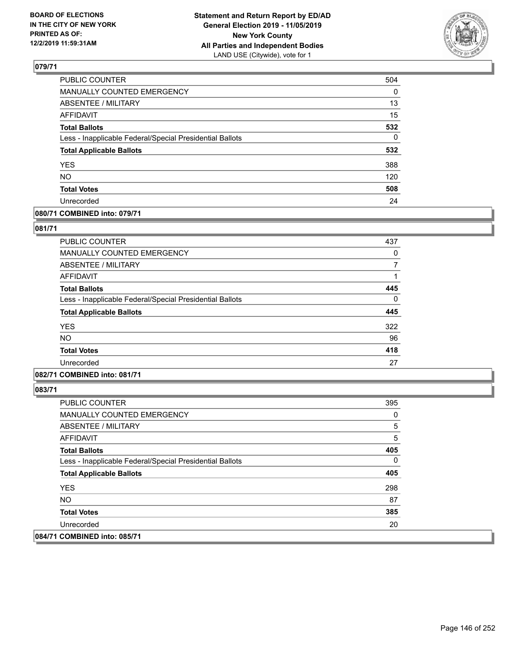

| PUBLIC COUNTER                                           | 504          |
|----------------------------------------------------------|--------------|
| MANUALLY COUNTED EMERGENCY                               | 0            |
| <b>ABSENTEE / MILITARY</b>                               | 13           |
| <b>AFFIDAVIT</b>                                         | 15           |
| <b>Total Ballots</b>                                     | 532          |
| Less - Inapplicable Federal/Special Presidential Ballots | $\mathbf{0}$ |
| <b>Total Applicable Ballots</b>                          | 532          |
| <b>YES</b>                                               | 388          |
| <b>NO</b>                                                | 120          |
| <b>Total Votes</b>                                       | 508          |
| Unrecorded                                               | 24           |

### **080/71 COMBINED into: 079/71**

#### **081/71**

| <b>PUBLIC COUNTER</b>                                    | 437 |
|----------------------------------------------------------|-----|
| MANUALLY COUNTED EMERGENCY                               | 0   |
| ABSENTEE / MILITARY                                      |     |
| AFFIDAVIT                                                |     |
| <b>Total Ballots</b>                                     | 445 |
| Less - Inapplicable Federal/Special Presidential Ballots | 0   |
| <b>Total Applicable Ballots</b>                          | 445 |
| <b>YES</b>                                               | 322 |
| <b>NO</b>                                                | 96  |
| <b>Total Votes</b>                                       | 418 |
| Unrecorded                                               | 27  |

# **082/71 COMBINED into: 081/71**

| <b>PUBLIC COUNTER</b>                                    | 395 |
|----------------------------------------------------------|-----|
| <b>MANUALLY COUNTED EMERGENCY</b>                        | 0   |
| ABSENTEE / MILITARY                                      | 5   |
| AFFIDAVIT                                                | 5   |
| <b>Total Ballots</b>                                     | 405 |
| Less - Inapplicable Federal/Special Presidential Ballots | 0   |
| <b>Total Applicable Ballots</b>                          | 405 |
| <b>YES</b>                                               | 298 |
| NO.                                                      | 87  |
| <b>Total Votes</b>                                       | 385 |
| Unrecorded                                               | 20  |
| 084/71 COMBINED into: 085/71                             |     |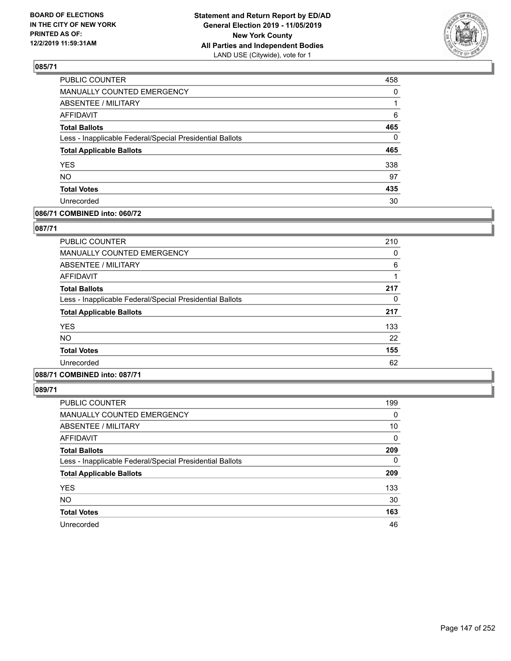

| 458      |
|----------|
| 0        |
|          |
| 6        |
| 465      |
| $\Omega$ |
| 465      |
| 338      |
| 97       |
| 435      |
| 30       |
|          |

### **086/71 COMBINED into: 060/72**

### **087/71**

| PUBLIC COUNTER                                           | 210 |
|----------------------------------------------------------|-----|
| MANUALLY COUNTED EMERGENCY                               | 0   |
| ABSENTEE / MILITARY                                      | 6   |
| AFFIDAVIT                                                |     |
| <b>Total Ballots</b>                                     | 217 |
| Less - Inapplicable Federal/Special Presidential Ballots | 0   |
| <b>Total Applicable Ballots</b>                          | 217 |
| <b>YES</b>                                               | 133 |
| NO.                                                      | 22  |
| <b>Total Votes</b>                                       | 155 |
| Unrecorded                                               | 62  |
|                                                          |     |

# **088/71 COMBINED into: 087/71**

| <b>PUBLIC COUNTER</b>                                    | 199      |
|----------------------------------------------------------|----------|
| <b>MANUALLY COUNTED EMERGENCY</b>                        | 0        |
| ABSENTEE / MILITARY                                      | 10       |
| <b>AFFIDAVIT</b>                                         | $\Omega$ |
| <b>Total Ballots</b>                                     | 209      |
| Less - Inapplicable Federal/Special Presidential Ballots | $\Omega$ |
| <b>Total Applicable Ballots</b>                          | 209      |
| <b>YES</b>                                               | 133      |
| <b>NO</b>                                                | 30       |
| <b>Total Votes</b>                                       | 163      |
| Unrecorded                                               | 46       |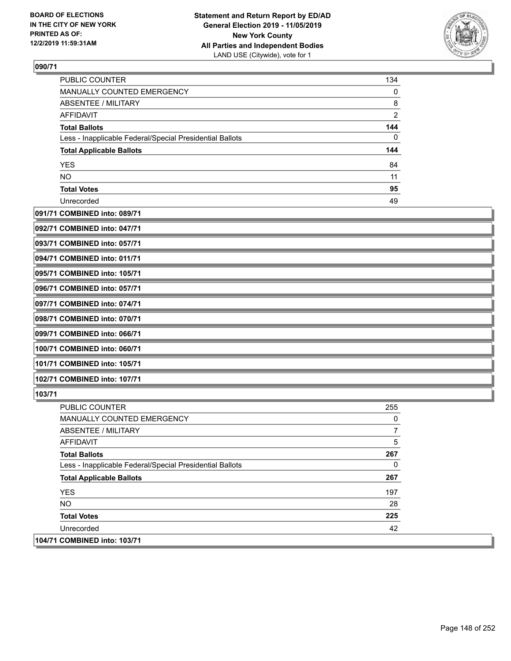

| <b>PUBLIC COUNTER</b>                                    | 134            |
|----------------------------------------------------------|----------------|
| <b>MANUALLY COUNTED EMERGENCY</b>                        | 0              |
| ABSENTEE / MILITARY                                      | 8              |
| AFFIDAVIT                                                | $\overline{2}$ |
| <b>Total Ballots</b>                                     | 144            |
| Less - Inapplicable Federal/Special Presidential Ballots | 0              |
| <b>Total Applicable Ballots</b>                          | 144            |
| <b>YES</b>                                               | 84             |
| <b>NO</b>                                                | 11             |
| <b>Total Votes</b>                                       | 95             |
| Unrecorded                                               | 49             |

### **091/71 COMBINED into: 089/71**

| 092/71 COMBINED into: 047/71 |  |
|------------------------------|--|
| 093/71 COMBINED into: 057/71 |  |
| 094/71 COMBINED into: 011/71 |  |
| 095/71 COMBINED into: 105/71 |  |
| 096/71 COMBINED into: 057/71 |  |
| 097/71 COMBINED into: 074/71 |  |
| 098/71 COMBINED into: 070/71 |  |
| 099/71 COMBINED into: 066/71 |  |
| 100/71 COMBINED into: 060/71 |  |
| 101/71 COMBINED into: 105/71 |  |
| 102/71 COMBINED into: 107/71 |  |

| <b>PUBLIC COUNTER</b>                                    | 255 |
|----------------------------------------------------------|-----|
| <b>MANUALLY COUNTED EMERGENCY</b>                        | 0   |
| ABSENTEE / MILITARY                                      |     |
| AFFIDAVIT                                                | 5   |
| <b>Total Ballots</b>                                     | 267 |
| Less - Inapplicable Federal/Special Presidential Ballots | 0   |
| <b>Total Applicable Ballots</b>                          | 267 |
| <b>YES</b>                                               | 197 |
| NO.                                                      | 28  |
| <b>Total Votes</b>                                       | 225 |
| Unrecorded                                               | 42  |
| 104/71 COMBINED into: 103/71                             |     |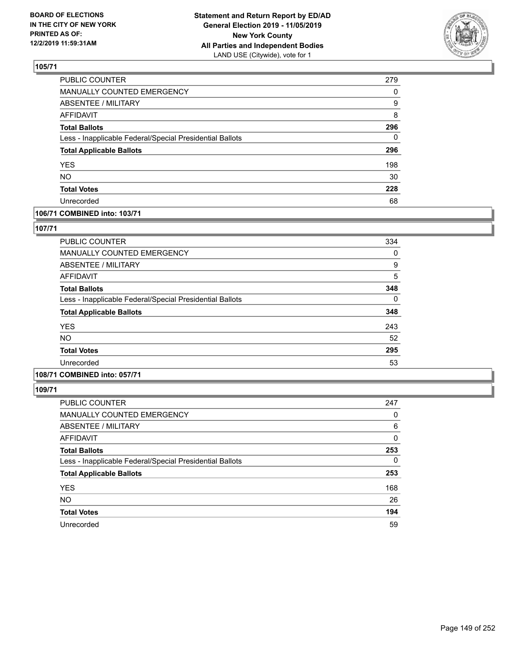

| PUBLIC COUNTER                                           | 279 |
|----------------------------------------------------------|-----|
| <b>MANUALLY COUNTED EMERGENCY</b>                        | 0   |
| <b>ABSENTEE / MILITARY</b>                               | 9   |
| <b>AFFIDAVIT</b>                                         | 8   |
| <b>Total Ballots</b>                                     | 296 |
| Less - Inapplicable Federal/Special Presidential Ballots | 0   |
| <b>Total Applicable Ballots</b>                          | 296 |
| <b>YES</b>                                               | 198 |
| <b>NO</b>                                                | 30  |
| <b>Total Votes</b>                                       | 228 |
| Unrecorded                                               | 68  |

## **106/71 COMBINED into: 103/71**

### **107/71**

| PUBLIC COUNTER                                           | 334 |
|----------------------------------------------------------|-----|
| MANUALLY COUNTED EMERGENCY                               | 0   |
| ABSENTEE / MILITARY                                      | 9   |
| AFFIDAVIT                                                | 5   |
| <b>Total Ballots</b>                                     | 348 |
| Less - Inapplicable Federal/Special Presidential Ballots | 0   |
| <b>Total Applicable Ballots</b>                          | 348 |
| <b>YES</b>                                               | 243 |
| <b>NO</b>                                                | 52  |
| <b>Total Votes</b>                                       | 295 |
| Unrecorded                                               | 53  |
|                                                          |     |

# **108/71 COMBINED into: 057/71**

| <b>PUBLIC COUNTER</b>                                    | 247      |
|----------------------------------------------------------|----------|
| MANUALLY COUNTED EMERGENCY                               | 0        |
| ABSENTEE / MILITARY                                      | 6        |
| AFFIDAVIT                                                | 0        |
| <b>Total Ballots</b>                                     | 253      |
| Less - Inapplicable Federal/Special Presidential Ballots | $\Omega$ |
| <b>Total Applicable Ballots</b>                          | 253      |
| <b>YES</b>                                               | 168      |
| <b>NO</b>                                                | 26       |
| <b>Total Votes</b>                                       | 194      |
| Unrecorded                                               | 59       |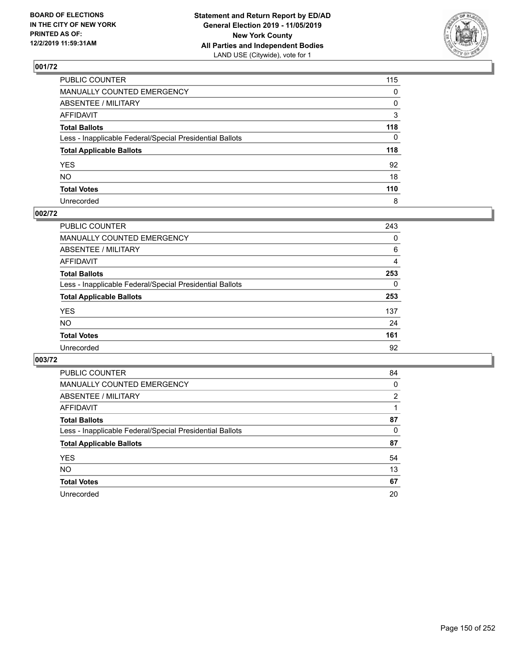

| PUBLIC COUNTER                                           | 115          |
|----------------------------------------------------------|--------------|
| MANUALLY COUNTED EMERGENCY                               | $\mathbf{0}$ |
| ABSENTEE / MILITARY                                      | 0            |
| AFFIDAVIT                                                | 3            |
| Total Ballots                                            | 118          |
| Less - Inapplicable Federal/Special Presidential Ballots | $\Omega$     |
| <b>Total Applicable Ballots</b>                          | 118          |
| YES                                                      | 92           |
| NO.                                                      | 18           |
| <b>Total Votes</b>                                       | 110          |
| Unrecorded                                               | 8            |

## **002/72**

| <b>PUBLIC COUNTER</b>                                    | 243      |
|----------------------------------------------------------|----------|
| MANUALLY COUNTED EMERGENCY                               | 0        |
| ABSENTEE / MILITARY                                      | 6        |
| AFFIDAVIT                                                | 4        |
| <b>Total Ballots</b>                                     | 253      |
| Less - Inapplicable Federal/Special Presidential Ballots | $\Omega$ |
| <b>Total Applicable Ballots</b>                          | 253      |
| <b>YES</b>                                               | 137      |
| <b>NO</b>                                                | 24       |
| <b>Total Votes</b>                                       | 161      |
| Unrecorded                                               | 92       |

| PUBLIC COUNTER                                           | 84       |
|----------------------------------------------------------|----------|
| <b>MANUALLY COUNTED EMERGENCY</b>                        | $\Omega$ |
| ABSENTEE / MILITARY                                      | 2        |
| AFFIDAVIT                                                |          |
| <b>Total Ballots</b>                                     | 87       |
| Less - Inapplicable Federal/Special Presidential Ballots | 0        |
| <b>Total Applicable Ballots</b>                          | 87       |
| <b>YES</b>                                               | 54       |
| <b>NO</b>                                                | 13       |
| <b>Total Votes</b>                                       | 67       |
| Unrecorded                                               | 20       |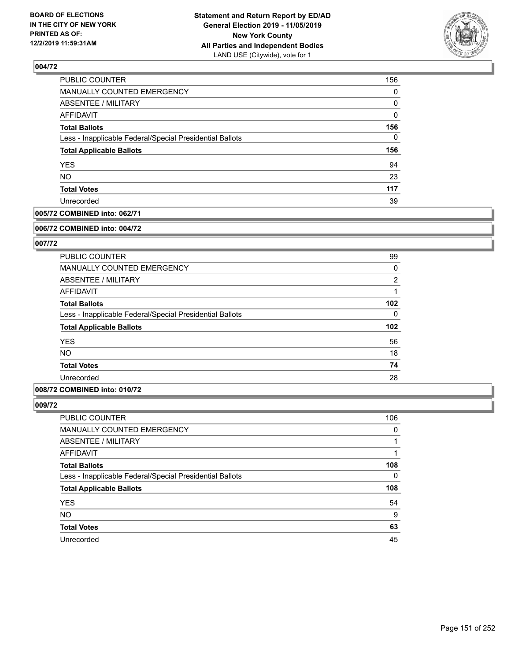

| <b>PUBLIC COUNTER</b>                                    | 156      |
|----------------------------------------------------------|----------|
| MANUALLY COUNTED EMERGENCY                               | 0        |
| ABSENTEE / MILITARY                                      | 0        |
| <b>AFFIDAVIT</b>                                         | 0        |
| <b>Total Ballots</b>                                     | 156      |
| Less - Inapplicable Federal/Special Presidential Ballots | $\Omega$ |
| <b>Total Applicable Ballots</b>                          | 156      |
| <b>YES</b>                                               | 94       |
| <b>NO</b>                                                | 23       |
| <b>Total Votes</b>                                       | 117      |
| Unrecorded                                               | 39       |

### **005/72 COMBINED into: 062/71**

#### **006/72 COMBINED into: 004/72**

### **007/72**

| <b>PUBLIC COUNTER</b>                                    | 99             |
|----------------------------------------------------------|----------------|
| <b>MANUALLY COUNTED EMERGENCY</b>                        | 0              |
| ABSENTEE / MILITARY                                      | $\overline{2}$ |
| AFFIDAVIT                                                |                |
| <b>Total Ballots</b>                                     | 102            |
| Less - Inapplicable Federal/Special Presidential Ballots | $\Omega$       |
| <b>Total Applicable Ballots</b>                          | 102            |
| <b>YES</b>                                               | 56             |
| <b>NO</b>                                                | 18             |
| <b>Total Votes</b>                                       | 74             |
| Unrecorded                                               | 28             |

## **008/72 COMBINED into: 010/72**

| PUBLIC COUNTER                                           | 106      |
|----------------------------------------------------------|----------|
| MANUALLY COUNTED EMERGENCY                               | $\Omega$ |
| ABSENTEE / MILITARY                                      |          |
| AFFIDAVIT                                                |          |
| <b>Total Ballots</b>                                     | 108      |
| Less - Inapplicable Federal/Special Presidential Ballots | 0        |
| <b>Total Applicable Ballots</b>                          | 108      |
| <b>YES</b>                                               | 54       |
| <b>NO</b>                                                | 9        |
| <b>Total Votes</b>                                       | 63       |
| Unrecorded                                               | 45       |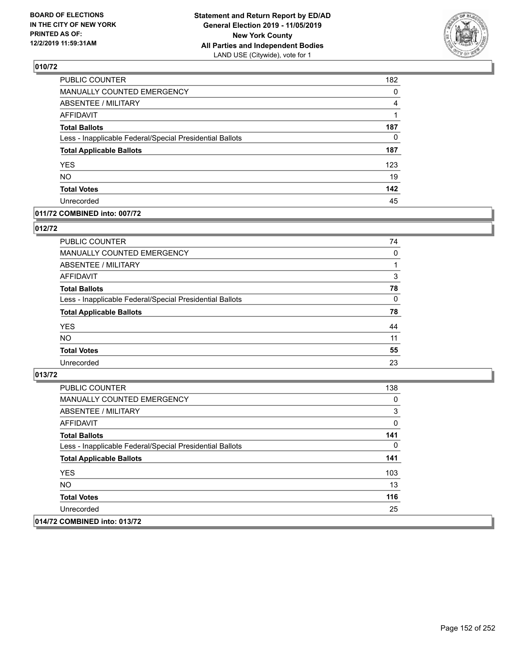

| PUBLIC COUNTER                                           | 182 |
|----------------------------------------------------------|-----|
| MANUALLY COUNTED EMERGENCY                               | 0   |
| <b>ABSENTEE / MILITARY</b>                               | 4   |
| <b>AFFIDAVIT</b>                                         | 1   |
| <b>Total Ballots</b>                                     | 187 |
| Less - Inapplicable Federal/Special Presidential Ballots | 0   |
| <b>Total Applicable Ballots</b>                          | 187 |
| <b>YES</b>                                               | 123 |
| <b>NO</b>                                                | 19  |
| <b>Total Votes</b>                                       | 142 |
| Unrecorded                                               | 45  |

### **011/72 COMBINED into: 007/72**

### **012/72**

| PUBLIC COUNTER                                           | 74       |
|----------------------------------------------------------|----------|
| MANUALLY COUNTED EMERGENCY                               | 0        |
| <b>ABSENTEE / MILITARY</b>                               |          |
| AFFIDAVIT                                                | 3        |
| <b>Total Ballots</b>                                     | 78       |
| Less - Inapplicable Federal/Special Presidential Ballots | $\Omega$ |
| <b>Total Applicable Ballots</b>                          | 78       |
| <b>YES</b>                                               | 44       |
| <b>NO</b>                                                | 11       |
| <b>Total Votes</b>                                       | 55       |
| Unrecorded                                               | 23       |

| <b>PUBLIC COUNTER</b>                                    | 138 |
|----------------------------------------------------------|-----|
| <b>MANUALLY COUNTED EMERGENCY</b>                        | 0   |
| ABSENTEE / MILITARY                                      | 3   |
| AFFIDAVIT                                                | 0   |
| <b>Total Ballots</b>                                     | 141 |
| Less - Inapplicable Federal/Special Presidential Ballots | 0   |
| <b>Total Applicable Ballots</b>                          | 141 |
| <b>YES</b>                                               | 103 |
| NO.                                                      | 13  |
| <b>Total Votes</b>                                       | 116 |
| Unrecorded                                               | 25  |
| 014/72 COMBINED into: 013/72                             |     |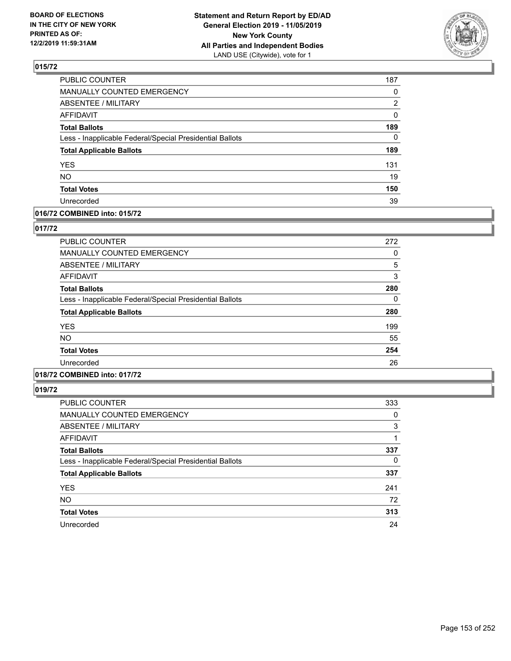

| PUBLIC COUNTER                                           | 187 |
|----------------------------------------------------------|-----|
| <b>MANUALLY COUNTED EMERGENCY</b>                        | 0   |
| <b>ABSENTEE / MILITARY</b>                               | 2   |
| <b>AFFIDAVIT</b>                                         | 0   |
| <b>Total Ballots</b>                                     | 189 |
| Less - Inapplicable Federal/Special Presidential Ballots | 0   |
| <b>Total Applicable Ballots</b>                          | 189 |
| <b>YES</b>                                               | 131 |
| <b>NO</b>                                                | 19  |
| <b>Total Votes</b>                                       | 150 |
| Unrecorded                                               | 39  |

### **016/72 COMBINED into: 015/72**

### **017/72**

| PUBLIC COUNTER                                           | 272 |
|----------------------------------------------------------|-----|
| MANUALLY COUNTED EMERGENCY                               | 0   |
| ABSENTEE / MILITARY                                      | 5   |
| AFFIDAVIT                                                | 3   |
| <b>Total Ballots</b>                                     | 280 |
| Less - Inapplicable Federal/Special Presidential Ballots | 0   |
| <b>Total Applicable Ballots</b>                          | 280 |
| <b>YES</b>                                               | 199 |
| <b>NO</b>                                                | 55  |
| <b>Total Votes</b>                                       | 254 |
| Unrecorded                                               | 26  |

# **018/72 COMBINED into: 017/72**

| <b>PUBLIC COUNTER</b>                                    | 333      |
|----------------------------------------------------------|----------|
| MANUALLY COUNTED EMERGENCY                               | 0        |
| ABSENTEE / MILITARY                                      | 3        |
| AFFIDAVIT                                                |          |
| <b>Total Ballots</b>                                     | 337      |
| Less - Inapplicable Federal/Special Presidential Ballots | $\Omega$ |
| <b>Total Applicable Ballots</b>                          | 337      |
| <b>YES</b>                                               | 241      |
| <b>NO</b>                                                | 72       |
| <b>Total Votes</b>                                       | 313      |
| Unrecorded                                               | 24       |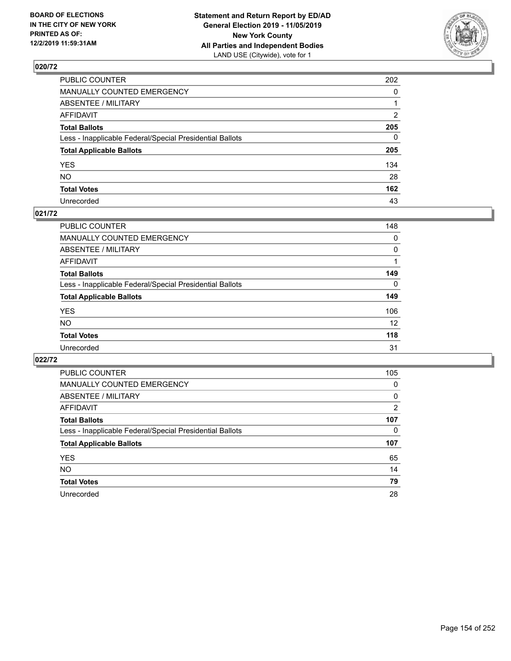

| PUBLIC COUNTER                                           | 202          |
|----------------------------------------------------------|--------------|
| MANUALLY COUNTED EMERGENCY                               | $\mathbf{0}$ |
| ABSENTEE / MILITARY                                      |              |
| AFFIDAVIT                                                | 2            |
| Total Ballots                                            | 205          |
| Less - Inapplicable Federal/Special Presidential Ballots | $\Omega$     |
| <b>Total Applicable Ballots</b>                          | 205          |
| YES                                                      | 134          |
| NO.                                                      | 28           |
| <b>Total Votes</b>                                       | 162          |
| Unrecorded                                               | 43           |

### **021/72**

| PUBLIC COUNTER                                           | 148      |
|----------------------------------------------------------|----------|
| <b>MANUALLY COUNTED EMERGENCY</b>                        | 0        |
| ABSENTEE / MILITARY                                      | $\Omega$ |
| AFFIDAVIT                                                |          |
| <b>Total Ballots</b>                                     | 149      |
| Less - Inapplicable Federal/Special Presidential Ballots | 0        |
| <b>Total Applicable Ballots</b>                          | 149      |
| <b>YES</b>                                               | 106      |
| <b>NO</b>                                                | 12       |
| <b>Total Votes</b>                                       | 118      |
| Unrecorded                                               | 31       |

| PUBLIC COUNTER                                           | 105      |
|----------------------------------------------------------|----------|
| <b>MANUALLY COUNTED EMERGENCY</b>                        | $\Omega$ |
| ABSENTEE / MILITARY                                      | 0        |
| <b>AFFIDAVIT</b>                                         | 2        |
| <b>Total Ballots</b>                                     | 107      |
| Less - Inapplicable Federal/Special Presidential Ballots | 0        |
| <b>Total Applicable Ballots</b>                          | 107      |
| <b>YES</b>                                               | 65       |
| <b>NO</b>                                                | 14       |
| <b>Total Votes</b>                                       | 79       |
| Unrecorded                                               | 28       |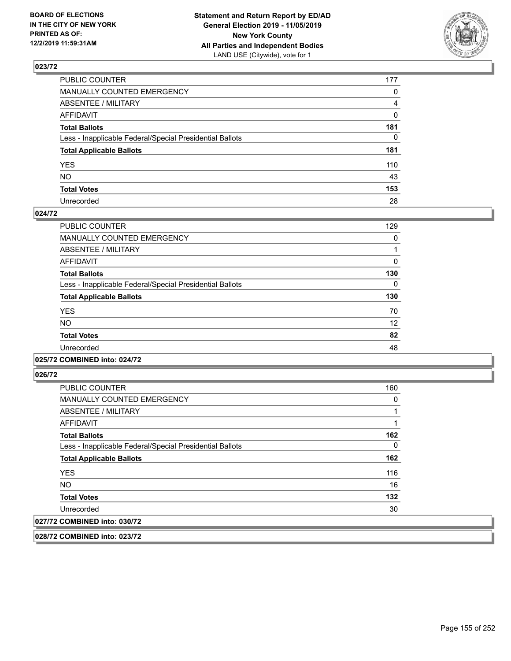

| PUBLIC COUNTER                                           | 177            |
|----------------------------------------------------------|----------------|
| MANUALLY COUNTED EMERGENCY                               | $\mathbf{0}$   |
| ABSENTEE / MILITARY                                      | $\overline{4}$ |
| AFFIDAVIT                                                | $\mathbf 0$    |
| Total Ballots                                            | 181            |
| Less - Inapplicable Federal/Special Presidential Ballots | $\mathbf{0}$   |
| <b>Total Applicable Ballots</b>                          | 181            |
| YES                                                      | 110            |
| NΟ                                                       | 43             |
| <b>Total Votes</b>                                       | 153            |
| Unrecorded                                               | 28             |

#### **024/72**

| <b>PUBLIC COUNTER</b>                                    | 129 |
|----------------------------------------------------------|-----|
| <b>MANUALLY COUNTED EMERGENCY</b>                        | 0   |
| ABSENTEE / MILITARY                                      |     |
| <b>AFFIDAVIT</b>                                         | 0   |
| <b>Total Ballots</b>                                     | 130 |
| Less - Inapplicable Federal/Special Presidential Ballots | 0   |
| <b>Total Applicable Ballots</b>                          | 130 |
| <b>YES</b>                                               | 70  |
| <b>NO</b>                                                | 12  |
| <b>Total Votes</b>                                       | 82  |
| Unrecorded                                               | 48  |
|                                                          |     |

#### **025/72 COMBINED into: 024/72**

**026/72** 

| <b>PUBLIC COUNTER</b>                                    | 160      |
|----------------------------------------------------------|----------|
| MANUALLY COUNTED EMERGENCY                               | 0        |
| ABSENTEE / MILITARY                                      |          |
| AFFIDAVIT                                                |          |
| <b>Total Ballots</b>                                     | 162      |
| Less - Inapplicable Federal/Special Presidential Ballots | $\Omega$ |
| <b>Total Applicable Ballots</b>                          | 162      |
| <b>YES</b>                                               | 116      |
| <b>NO</b>                                                | 16       |
| <b>Total Votes</b>                                       | 132      |
| Unrecorded                                               | 30       |
| 027/72 COMBINED into: 030/72                             |          |

**028/72 COMBINED into: 023/72**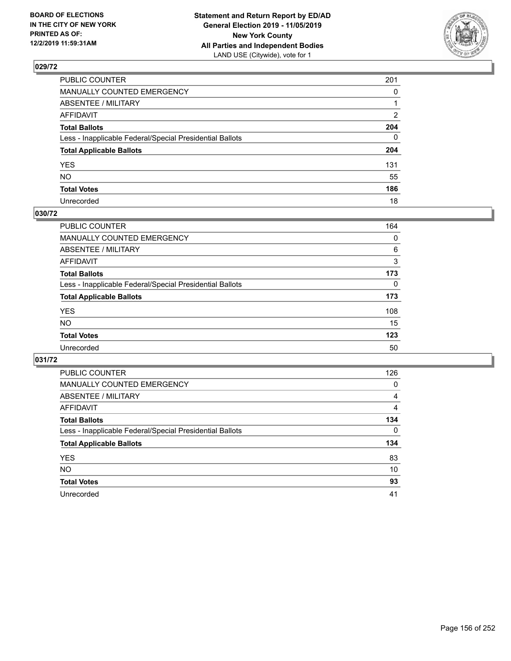

| PUBLIC COUNTER                                           | 201          |
|----------------------------------------------------------|--------------|
| MANUALLY COUNTED EMERGENCY                               | $\mathbf{0}$ |
| ABSENTEE / MILITARY                                      |              |
| AFFIDAVIT                                                | 2            |
| Total Ballots                                            | 204          |
| Less - Inapplicable Federal/Special Presidential Ballots | $\Omega$     |
| <b>Total Applicable Ballots</b>                          | 204          |
| YES                                                      | 131          |
| NO.                                                      | 55           |
| <b>Total Votes</b>                                       | 186          |
| Unrecorded                                               | 18           |

## **030/72**

| PUBLIC COUNTER                                           | 164      |
|----------------------------------------------------------|----------|
| MANUALLY COUNTED EMERGENCY                               | 0        |
| ABSENTEE / MILITARY                                      | 6        |
| AFFIDAVIT                                                | 3        |
| <b>Total Ballots</b>                                     | 173      |
| Less - Inapplicable Federal/Special Presidential Ballots | $\Omega$ |
| <b>Total Applicable Ballots</b>                          | 173      |
| <b>YES</b>                                               | 108      |
| <b>NO</b>                                                | 15       |
| <b>Total Votes</b>                                       | 123      |
| Unrecorded                                               | 50       |

| <b>PUBLIC COUNTER</b>                                    | 126      |
|----------------------------------------------------------|----------|
| <b>MANUALLY COUNTED EMERGENCY</b>                        | $\Omega$ |
| <b>ABSENTEE / MILITARY</b>                               | 4        |
| <b>AFFIDAVIT</b>                                         | 4        |
| <b>Total Ballots</b>                                     | 134      |
| Less - Inapplicable Federal/Special Presidential Ballots | $\Omega$ |
| <b>Total Applicable Ballots</b>                          | 134      |
| <b>YES</b>                                               | 83       |
| <b>NO</b>                                                | 10       |
| <b>Total Votes</b>                                       | 93       |
| Unrecorded                                               | 41       |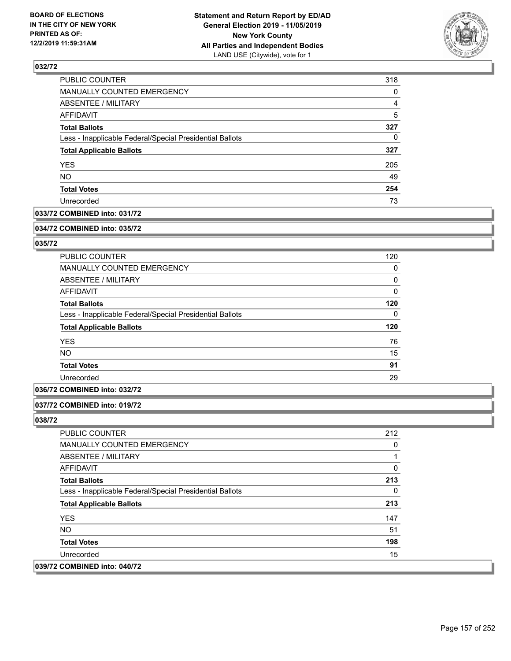

| PUBLIC COUNTER                                           | 318 |
|----------------------------------------------------------|-----|
| MANUALLY COUNTED EMERGENCY                               | 0   |
| ABSENTEE / MILITARY                                      | 4   |
| <b>AFFIDAVIT</b>                                         | 5   |
| <b>Total Ballots</b>                                     | 327 |
| Less - Inapplicable Federal/Special Presidential Ballots | 0   |
| <b>Total Applicable Ballots</b>                          | 327 |
| <b>YES</b>                                               | 205 |
| <b>NO</b>                                                | 49  |
| <b>Total Votes</b>                                       | 254 |
| Unrecorded                                               | 73  |

### **033/72 COMBINED into: 031/72**

#### **034/72 COMBINED into: 035/72**

### **035/72**

| <b>PUBLIC COUNTER</b>                                    | 120 |
|----------------------------------------------------------|-----|
| <b>MANUALLY COUNTED EMERGENCY</b>                        | 0   |
| ABSENTEE / MILITARY                                      | 0   |
| AFFIDAVIT                                                | 0   |
| <b>Total Ballots</b>                                     | 120 |
| Less - Inapplicable Federal/Special Presidential Ballots | 0   |
| <b>Total Applicable Ballots</b>                          | 120 |
| <b>YES</b>                                               | 76  |
| <b>NO</b>                                                | 15  |
| <b>Total Votes</b>                                       | 91  |
| Unrecorded                                               | 29  |
|                                                          |     |

### **036/72 COMBINED into: 032/72**

### **037/72 COMBINED into: 019/72**

| <b>PUBLIC COUNTER</b>                                    | 212 |
|----------------------------------------------------------|-----|
| <b>MANUALLY COUNTED EMERGENCY</b>                        | 0   |
| ABSENTEE / MILITARY                                      |     |
| AFFIDAVIT                                                | 0   |
| <b>Total Ballots</b>                                     | 213 |
| Less - Inapplicable Federal/Special Presidential Ballots | 0   |
| <b>Total Applicable Ballots</b>                          | 213 |
| <b>YES</b>                                               | 147 |
| NO.                                                      | 51  |
| <b>Total Votes</b>                                       | 198 |
| Unrecorded                                               | 15  |
| 039/72 COMBINED into: 040/72                             |     |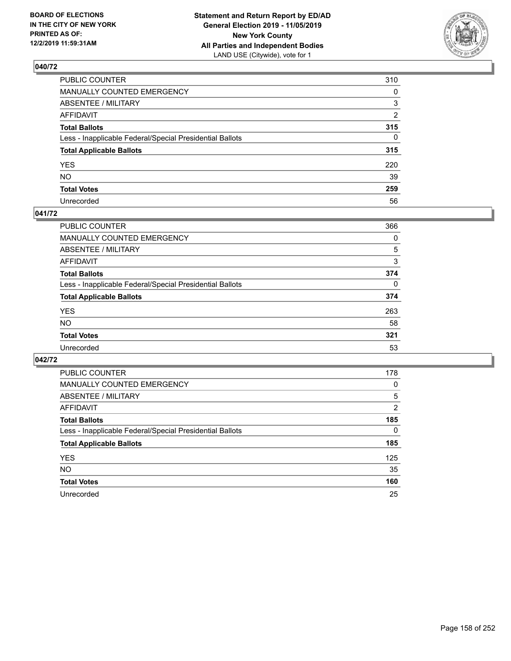

| PUBLIC COUNTER                                           | 310          |
|----------------------------------------------------------|--------------|
| MANUALLY COUNTED EMERGENCY                               | 0            |
| ABSENTEE / MILITARY                                      | 3            |
| AFFIDAVIT                                                | 2            |
| Total Ballots                                            | 315          |
| Less - Inapplicable Federal/Special Presidential Ballots | $\mathbf{0}$ |
| <b>Total Applicable Ballots</b>                          | 315          |
| YES                                                      | 220          |
| NO.                                                      | 39           |
| <b>Total Votes</b>                                       | 259          |
| Unrecorded                                               | 56           |

### **041/72**

| <b>PUBLIC COUNTER</b>                                    | 366      |
|----------------------------------------------------------|----------|
| MANUALLY COUNTED EMERGENCY                               | 0        |
| ABSENTEE / MILITARY                                      | 5        |
| AFFIDAVIT                                                | 3        |
| <b>Total Ballots</b>                                     | 374      |
| Less - Inapplicable Federal/Special Presidential Ballots | $\Omega$ |
| <b>Total Applicable Ballots</b>                          | 374      |
| <b>YES</b>                                               | 263      |
| <b>NO</b>                                                | 58       |
| <b>Total Votes</b>                                       | 321      |
| Unrecorded                                               | 53       |

| <b>PUBLIC COUNTER</b>                                    | 178      |
|----------------------------------------------------------|----------|
| <b>MANUALLY COUNTED EMERGENCY</b>                        | 0        |
| ABSENTEE / MILITARY                                      | 5        |
| AFFIDAVIT                                                | 2        |
| <b>Total Ballots</b>                                     | 185      |
| Less - Inapplicable Federal/Special Presidential Ballots | $\Omega$ |
| <b>Total Applicable Ballots</b>                          | 185      |
| <b>YES</b>                                               | 125      |
| <b>NO</b>                                                | 35       |
| <b>Total Votes</b>                                       | 160      |
| Unrecorded                                               | 25       |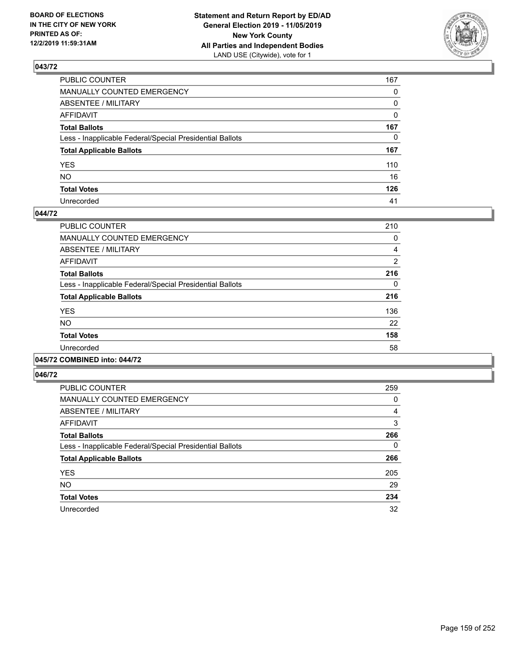

| PUBLIC COUNTER                                           | 167          |
|----------------------------------------------------------|--------------|
| MANUALLY COUNTED EMERGENCY                               | $\mathbf{0}$ |
| ABSENTEE / MILITARY                                      | 0            |
| AFFIDAVIT                                                | $\mathbf{0}$ |
| Total Ballots                                            | 167          |
| Less - Inapplicable Federal/Special Presidential Ballots | $\mathbf{0}$ |
| <b>Total Applicable Ballots</b>                          | 167          |
| YES                                                      | 110          |
| NΟ                                                       | 16           |
| <b>Total Votes</b>                                       | 126          |
| Unrecorded                                               | 41           |

#### **044/72**

| <b>PUBLIC COUNTER</b>                                    | 210      |
|----------------------------------------------------------|----------|
| <b>MANUALLY COUNTED EMERGENCY</b>                        | 0        |
| ABSENTEE / MILITARY                                      | 4        |
| <b>AFFIDAVIT</b>                                         | 2        |
| <b>Total Ballots</b>                                     | 216      |
| Less - Inapplicable Federal/Special Presidential Ballots | $\Omega$ |
| <b>Total Applicable Ballots</b>                          | 216      |
| <b>YES</b>                                               | 136      |
| <b>NO</b>                                                | 22       |
| <b>Total Votes</b>                                       | 158      |
| Unrecorded                                               | 58       |
|                                                          |          |

#### **045/72 COMBINED into: 044/72**

| <b>PUBLIC COUNTER</b>                                    | 259      |
|----------------------------------------------------------|----------|
| <b>MANUALLY COUNTED EMERGENCY</b>                        | 0        |
| ABSENTEE / MILITARY                                      | 4        |
| <b>AFFIDAVIT</b>                                         | 3        |
| <b>Total Ballots</b>                                     | 266      |
| Less - Inapplicable Federal/Special Presidential Ballots | $\Omega$ |
| <b>Total Applicable Ballots</b>                          | 266      |
| <b>YES</b>                                               | 205      |
| <b>NO</b>                                                | 29       |
| <b>Total Votes</b>                                       | 234      |
| Unrecorded                                               | 32       |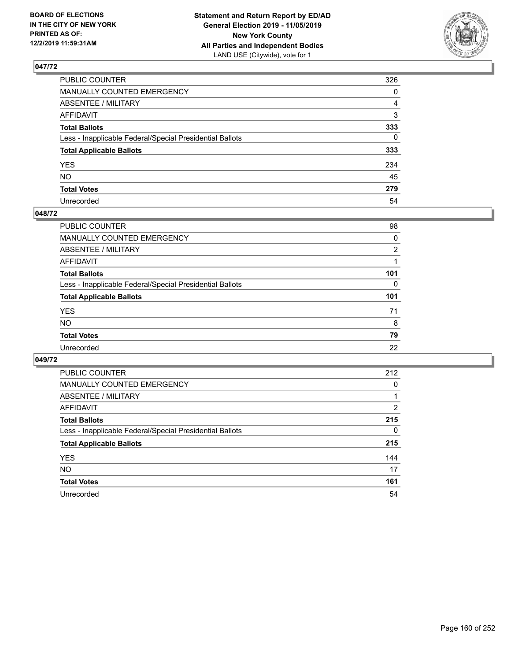

| PUBLIC COUNTER                                           | 326          |
|----------------------------------------------------------|--------------|
| MANUALLY COUNTED EMERGENCY                               | $\mathbf{0}$ |
| ABSENTEE / MILITARY                                      | 4            |
| AFFIDAVIT                                                | 3            |
| Total Ballots                                            | 333          |
| Less - Inapplicable Federal/Special Presidential Ballots | $\mathbf{0}$ |
| <b>Total Applicable Ballots</b>                          | 333          |
| YES                                                      | 234          |
| NO.                                                      | 45           |
| <b>Total Votes</b>                                       | 279          |
| Unrecorded                                               | 54           |

#### **048/72**

| <b>PUBLIC COUNTER</b>                                    | 98       |
|----------------------------------------------------------|----------|
| <b>MANUALLY COUNTED EMERGENCY</b>                        | $\Omega$ |
| ABSENTEE / MILITARY                                      | 2        |
| AFFIDAVIT                                                |          |
| <b>Total Ballots</b>                                     | 101      |
| Less - Inapplicable Federal/Special Presidential Ballots | $\Omega$ |
| <b>Total Applicable Ballots</b>                          | 101      |
| <b>YES</b>                                               | 71       |
| <b>NO</b>                                                | 8        |
| <b>Total Votes</b>                                       | 79       |
| Unrecorded                                               | 22       |

| <b>PUBLIC COUNTER</b>                                    | 212            |
|----------------------------------------------------------|----------------|
| <b>MANUALLY COUNTED EMERGENCY</b>                        | 0              |
| ABSENTEE / MILITARY                                      |                |
| AFFIDAVIT                                                | $\overline{2}$ |
| <b>Total Ballots</b>                                     | 215            |
| Less - Inapplicable Federal/Special Presidential Ballots | 0              |
| <b>Total Applicable Ballots</b>                          | 215            |
| <b>YES</b>                                               | 144            |
| NO.                                                      | 17             |
| <b>Total Votes</b>                                       | 161            |
| Unrecorded                                               | 54             |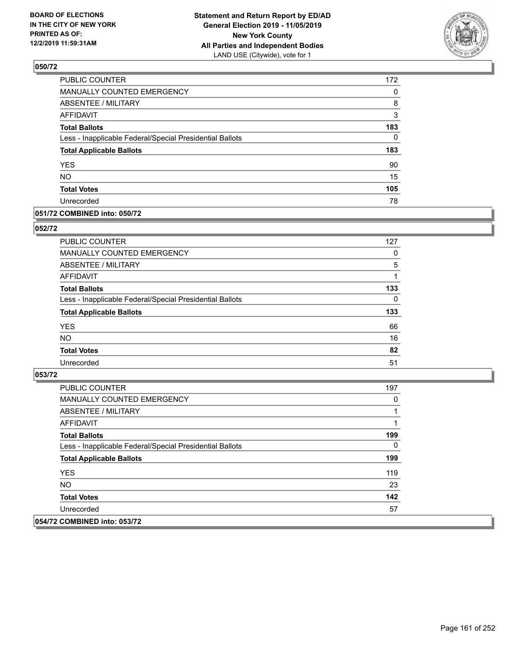

| PUBLIC COUNTER                                           | 172 |
|----------------------------------------------------------|-----|
| MANUALLY COUNTED EMERGENCY                               | 0   |
| <b>ABSENTEE / MILITARY</b>                               | 8   |
| <b>AFFIDAVIT</b>                                         | 3   |
| <b>Total Ballots</b>                                     | 183 |
| Less - Inapplicable Federal/Special Presidential Ballots | 0   |
| <b>Total Applicable Ballots</b>                          | 183 |
| <b>YES</b>                                               | 90  |
| <b>NO</b>                                                | 15  |
| <b>Total Votes</b>                                       | 105 |
| Unrecorded                                               | 78  |

### **051/72 COMBINED into: 050/72**

#### **052/72**

| PUBLIC COUNTER                                           | 127      |
|----------------------------------------------------------|----------|
| MANUALLY COUNTED EMERGENCY                               | 0        |
| <b>ABSENTEE / MILITARY</b>                               | 5        |
| AFFIDAVIT                                                |          |
| <b>Total Ballots</b>                                     | 133      |
| Less - Inapplicable Federal/Special Presidential Ballots | $\Omega$ |
| <b>Total Applicable Ballots</b>                          | 133      |
| <b>YES</b>                                               | 66       |
| <b>NO</b>                                                | 16       |
| <b>Total Votes</b>                                       | 82       |
| Unrecorded                                               | 51       |

| <b>PUBLIC COUNTER</b>                                    | 197 |
|----------------------------------------------------------|-----|
| <b>MANUALLY COUNTED EMERGENCY</b>                        | 0   |
| ABSENTEE / MILITARY                                      |     |
| AFFIDAVIT                                                |     |
| <b>Total Ballots</b>                                     | 199 |
| Less - Inapplicable Federal/Special Presidential Ballots | 0   |
| <b>Total Applicable Ballots</b>                          | 199 |
| <b>YES</b>                                               | 119 |
| NO.                                                      | 23  |
| <b>Total Votes</b>                                       | 142 |
| Unrecorded                                               | 57  |
| 054/72 COMBINED into: 053/72                             |     |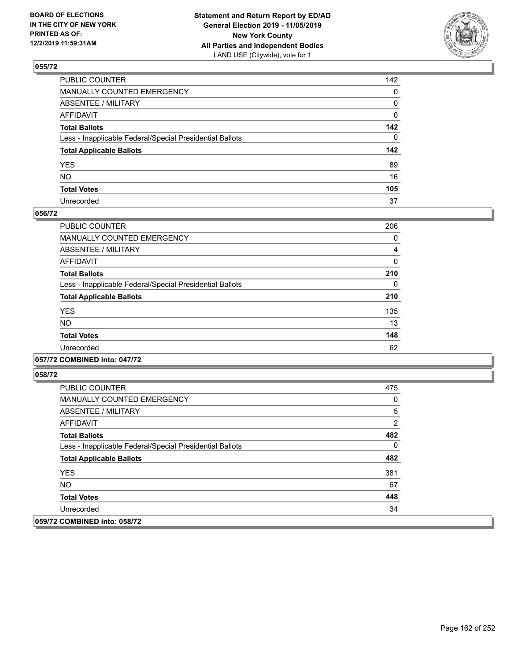

| PUBLIC COUNTER                                           | 142          |
|----------------------------------------------------------|--------------|
| MANUALLY COUNTED EMERGENCY                               | $\mathbf{0}$ |
| ABSENTEE / MILITARY                                      | 0            |
| AFFIDAVIT                                                | 0            |
| Total Ballots                                            | 142          |
| Less - Inapplicable Federal/Special Presidential Ballots | $\Omega$     |
| <b>Total Applicable Ballots</b>                          | 142          |
| YES                                                      | 89           |
| NO.                                                      | 16           |
| <b>Total Votes</b>                                       | 105          |
| Unrecorded                                               | 37           |

#### **056/72**

| PUBLIC COUNTER                                           | 206 |
|----------------------------------------------------------|-----|
| <b>MANUALLY COUNTED EMERGENCY</b>                        | 0   |
| ABSENTEE / MILITARY                                      | 4   |
| <b>AFFIDAVIT</b>                                         | 0   |
| <b>Total Ballots</b>                                     | 210 |
| Less - Inapplicable Federal/Special Presidential Ballots | 0   |
| <b>Total Applicable Ballots</b>                          | 210 |
| <b>YES</b>                                               | 135 |
| NO.                                                      | 13  |
| <b>Total Votes</b>                                       | 148 |
| Unrecorded                                               | 62  |
|                                                          |     |

### **057/72 COMBINED into: 047/72**

| <b>PUBLIC COUNTER</b>                                    | 475 |
|----------------------------------------------------------|-----|
| <b>MANUALLY COUNTED EMERGENCY</b>                        | 0   |
| ABSENTEE / MILITARY                                      | 5   |
| AFFIDAVIT                                                | 2   |
| <b>Total Ballots</b>                                     | 482 |
| Less - Inapplicable Federal/Special Presidential Ballots | 0   |
| <b>Total Applicable Ballots</b>                          | 482 |
| <b>YES</b>                                               | 381 |
| NO.                                                      | 67  |
| <b>Total Votes</b>                                       | 448 |
| Unrecorded                                               | 34  |
| 059/72 COMBINED into: 058/72                             |     |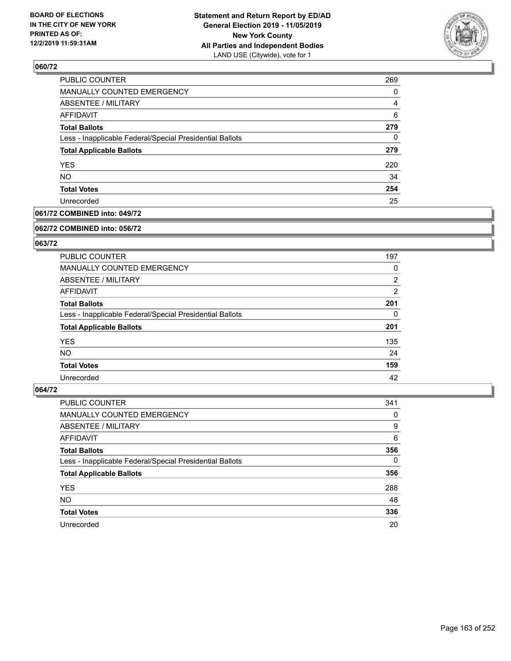

| <b>PUBLIC COUNTER</b>                                    | 269      |
|----------------------------------------------------------|----------|
| <b>MANUALLY COUNTED EMERGENCY</b>                        | 0        |
| <b>ABSENTEE / MILITARY</b>                               | 4        |
| <b>AFFIDAVIT</b>                                         | 6        |
| <b>Total Ballots</b>                                     | 279      |
| Less - Inapplicable Federal/Special Presidential Ballots | $\Omega$ |
| <b>Total Applicable Ballots</b>                          | 279      |
| <b>YES</b>                                               | 220      |
| <b>NO</b>                                                | 34       |
| <b>Total Votes</b>                                       | 254      |
| Unrecorded                                               | 25       |

### **061/72 COMBINED into: 049/72**

#### **062/72 COMBINED into: 056/72**

### **063/72**

| PUBLIC COUNTER                                           | 197            |
|----------------------------------------------------------|----------------|
| <b>MANUALLY COUNTED EMERGENCY</b>                        | 0              |
| ABSENTEE / MILITARY                                      | 2              |
| AFFIDAVIT                                                | $\overline{2}$ |
| <b>Total Ballots</b>                                     | 201            |
| Less - Inapplicable Federal/Special Presidential Ballots | 0              |
| <b>Total Applicable Ballots</b>                          | 201            |
| <b>YES</b>                                               | 135            |
| NO.                                                      | 24             |
| <b>Total Votes</b>                                       | 159            |
| Unrecorded                                               | 42             |

| <b>PUBLIC COUNTER</b>                                    | 341      |
|----------------------------------------------------------|----------|
| <b>MANUALLY COUNTED EMERGENCY</b>                        | 0        |
| ABSENTEE / MILITARY                                      | 9        |
| AFFIDAVIT                                                | 6        |
| <b>Total Ballots</b>                                     | 356      |
| Less - Inapplicable Federal/Special Presidential Ballots | $\Omega$ |
| <b>Total Applicable Ballots</b>                          | 356      |
| <b>YES</b>                                               | 288      |
| <b>NO</b>                                                | 48       |
| <b>Total Votes</b>                                       | 336      |
| Unrecorded                                               | 20       |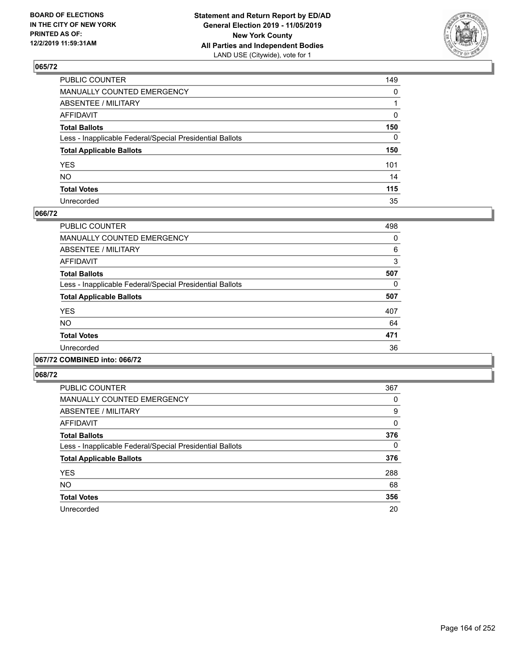

| PUBLIC COUNTER                                           | 149          |
|----------------------------------------------------------|--------------|
| MANUALLY COUNTED EMERGENCY                               | $\mathbf{0}$ |
| ABSENTEE / MILITARY                                      |              |
| AFFIDAVIT                                                | 0            |
| Total Ballots                                            | 150          |
| Less - Inapplicable Federal/Special Presidential Ballots | $\mathbf{0}$ |
| <b>Total Applicable Ballots</b>                          | 150          |
| YES                                                      | 101          |
| NO.                                                      | 14           |
| <b>Total Votes</b>                                       | 115          |
| Unrecorded                                               | 35           |

#### **066/72**

| <b>PUBLIC COUNTER</b>                                    | 498 |
|----------------------------------------------------------|-----|
| <b>MANUALLY COUNTED EMERGENCY</b>                        | 0   |
| ABSENTEE / MILITARY                                      | 6   |
| <b>AFFIDAVIT</b>                                         | 3   |
| <b>Total Ballots</b>                                     | 507 |
| Less - Inapplicable Federal/Special Presidential Ballots | 0   |
| <b>Total Applicable Ballots</b>                          | 507 |
| <b>YES</b>                                               | 407 |
| NO.                                                      | 64  |
| <b>Total Votes</b>                                       | 471 |
| Unrecorded                                               | 36  |
|                                                          |     |

#### **067/72 COMBINED into: 066/72**

| <b>PUBLIC COUNTER</b>                                    | 367 |
|----------------------------------------------------------|-----|
| <b>MANUALLY COUNTED EMERGENCY</b>                        | 0   |
| ABSENTEE / MILITARY                                      | 9   |
| <b>AFFIDAVIT</b>                                         | 0   |
| <b>Total Ballots</b>                                     | 376 |
| Less - Inapplicable Federal/Special Presidential Ballots | 0   |
| <b>Total Applicable Ballots</b>                          | 376 |
| <b>YES</b>                                               | 288 |
| <b>NO</b>                                                | 68  |
| <b>Total Votes</b>                                       | 356 |
| Unrecorded                                               | 20  |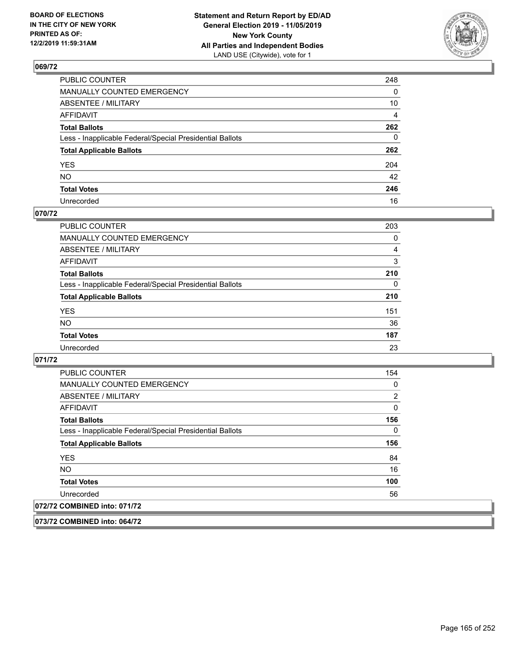

| PUBLIC COUNTER                                           | 248            |
|----------------------------------------------------------|----------------|
| MANUALLY COUNTED EMERGENCY                               | 0              |
| ABSENTEE / MILITARY                                      | 10             |
| AFFIDAVIT                                                | $\overline{4}$ |
| Total Ballots                                            | 262            |
| Less - Inapplicable Federal/Special Presidential Ballots | $\mathbf{0}$   |
| <b>Total Applicable Ballots</b>                          | 262            |
| YES                                                      | 204            |
| NO.                                                      | 42             |
| <b>Total Votes</b>                                       | 246            |
| Unrecorded                                               | 16             |

### **070/72**

| <b>PUBLIC COUNTER</b>                                    | 203      |
|----------------------------------------------------------|----------|
| <b>MANUALLY COUNTED EMERGENCY</b>                        | 0        |
| ABSENTEE / MILITARY                                      | 4        |
| AFFIDAVIT                                                | 3        |
| <b>Total Ballots</b>                                     | 210      |
| Less - Inapplicable Federal/Special Presidential Ballots | $\Omega$ |
| <b>Total Applicable Ballots</b>                          | 210      |
| <b>YES</b>                                               | 151      |
| <b>NO</b>                                                | 36       |
| <b>Total Votes</b>                                       | 187      |
| Unrecorded                                               | 23       |

#### **071/72**

**073/72 COMBINED into: 064/72**

| <b>PUBLIC COUNTER</b>                                    | 154 |
|----------------------------------------------------------|-----|
| <b>MANUALLY COUNTED EMERGENCY</b>                        | 0   |
| ABSENTEE / MILITARY                                      | 2   |
| <b>AFFIDAVIT</b>                                         | 0   |
| <b>Total Ballots</b>                                     | 156 |
| Less - Inapplicable Federal/Special Presidential Ballots | 0   |
| <b>Total Applicable Ballots</b>                          | 156 |
| <b>YES</b>                                               | 84  |
| NO.                                                      | 16  |
| <b>Total Votes</b>                                       | 100 |
| Unrecorded                                               | 56  |
| 072/72 COMBINED into: 071/72                             |     |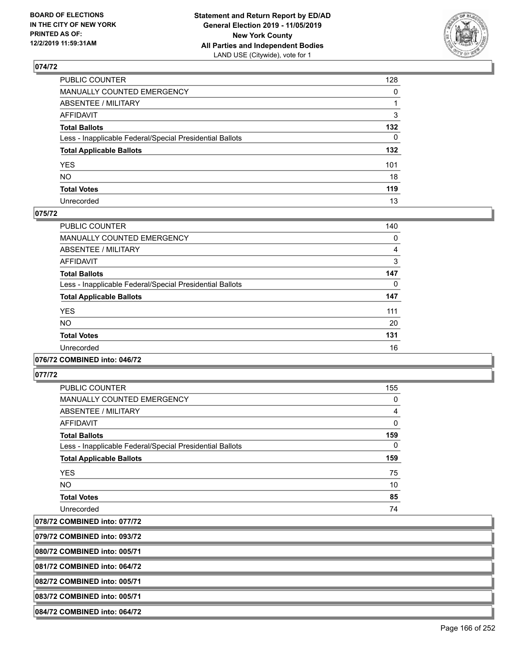

| PUBLIC COUNTER                                           | 128          |
|----------------------------------------------------------|--------------|
| MANUALLY COUNTED EMERGENCY                               | $\mathbf{0}$ |
| ABSENTEE / MILITARY                                      |              |
| AFFIDAVIT                                                | 3            |
| Total Ballots                                            | 132          |
| Less - Inapplicable Federal/Special Presidential Ballots | $\mathbf{0}$ |
| <b>Total Applicable Ballots</b>                          | 132          |
| YES                                                      | 101          |
| NO.                                                      | 18           |
| <b>Total Votes</b>                                       | 119          |
| Unrecorded                                               | 13           |

### **075/72**

| <b>PUBLIC COUNTER</b>                                    | 140 |
|----------------------------------------------------------|-----|
| <b>MANUALLY COUNTED EMERGENCY</b>                        | 0   |
| ABSENTEE / MILITARY                                      | 4   |
| <b>AFFIDAVIT</b>                                         | 3   |
| <b>Total Ballots</b>                                     | 147 |
| Less - Inapplicable Federal/Special Presidential Ballots | 0   |
| <b>Total Applicable Ballots</b>                          | 147 |
| <b>YES</b>                                               | 111 |
| NO.                                                      | 20  |
| <b>Total Votes</b>                                       | 131 |
| Unrecorded                                               | 16  |
|                                                          |     |

#### **076/72 COMBINED into: 046/72**

**077/72** 

| <b>PUBLIC COUNTER</b>                                    | 155          |
|----------------------------------------------------------|--------------|
| <b>MANUALLY COUNTED EMERGENCY</b>                        | 0            |
| ABSENTEE / MILITARY                                      | 4            |
| AFFIDAVIT                                                | $\mathbf{0}$ |
| <b>Total Ballots</b>                                     | 159          |
| Less - Inapplicable Federal/Special Presidential Ballots | 0            |
| <b>Total Applicable Ballots</b>                          | 159          |
| <b>YES</b>                                               | 75           |
| <b>NO</b>                                                | 10           |
| <b>Total Votes</b>                                       | 85           |
| Unrecorded                                               | 74           |

**078/72 COMBINED into: 077/72**

**079/72 COMBINED into: 093/72**

**080/72 COMBINED into: 005/71**

**081/72 COMBINED into: 064/72**

**082/72 COMBINED into: 005/71**

**083/72 COMBINED into: 005/71**

**084/72 COMBINED into: 064/72**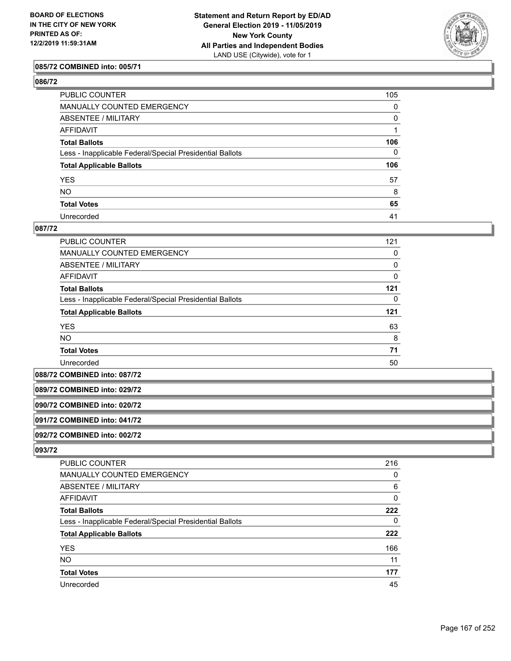

### **085/72 COMBINED into: 005/71**

| PUBLIC COUNTER                                           | 105          |
|----------------------------------------------------------|--------------|
| MANUALLY COUNTED EMERGENCY                               | $\mathbf{0}$ |
| ABSENTEE / MILITARY                                      | 0            |
| AFFIDAVIT                                                |              |
| Total Ballots                                            | 106          |
| Less - Inapplicable Federal/Special Presidential Ballots | 0            |
| <b>Total Applicable Ballots</b>                          | 106          |
| YES                                                      | 57           |
| NO.                                                      | 8            |
| <b>Total Votes</b>                                       | 65           |
| Unrecorded                                               | 41           |

#### **087/72**

| PUBLIC COUNTER                                           | 121 |
|----------------------------------------------------------|-----|
| MANUALLY COUNTED EMERGENCY                               | 0   |
| ABSENTEE / MILITARY                                      | 0   |
| AFFIDAVIT                                                | 0   |
| <b>Total Ballots</b>                                     | 121 |
| Less - Inapplicable Federal/Special Presidential Ballots | 0   |
| <b>Total Applicable Ballots</b>                          | 121 |
| <b>YES</b>                                               | 63  |
| <b>NO</b>                                                | 8   |
| <b>Total Votes</b>                                       | 71  |
| Unrecorded                                               | 50  |

**088/72 COMBINED into: 087/72**

#### **089/72 COMBINED into: 029/72**

**090/72 COMBINED into: 020/72**

### **091/72 COMBINED into: 041/72**

**092/72 COMBINED into: 002/72**

| PUBLIC COUNTER                                           | 216 |
|----------------------------------------------------------|-----|
| <b>MANUALLY COUNTED EMERGENCY</b>                        | 0   |
| ABSENTEE / MILITARY                                      | 6   |
| AFFIDAVIT                                                | 0   |
| <b>Total Ballots</b>                                     | 222 |
| Less - Inapplicable Federal/Special Presidential Ballots | 0   |
| <b>Total Applicable Ballots</b>                          | 222 |
| <b>YES</b>                                               | 166 |
| <b>NO</b>                                                | 11  |
| <b>Total Votes</b>                                       | 177 |
| Unrecorded                                               | 45  |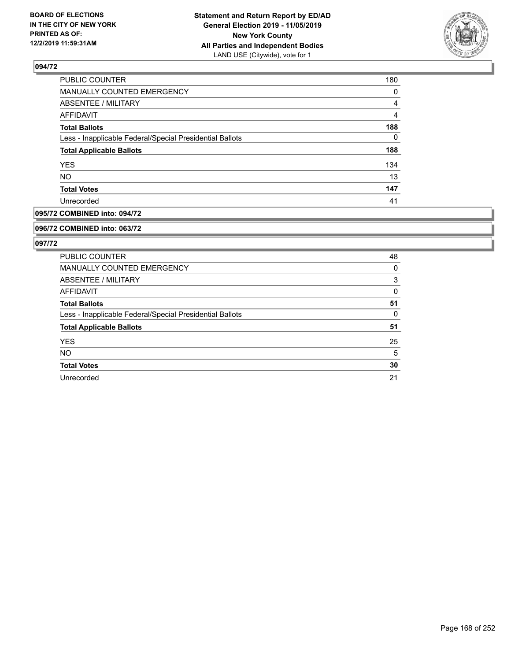

| <b>PUBLIC COUNTER</b>                                    | 180      |
|----------------------------------------------------------|----------|
| MANUALLY COUNTED EMERGENCY                               | $\Omega$ |
| <b>ABSENTEE / MILITARY</b>                               | 4        |
| AFFIDAVIT                                                | 4        |
| <b>Total Ballots</b>                                     | 188      |
| Less - Inapplicable Federal/Special Presidential Ballots | 0        |
| <b>Total Applicable Ballots</b>                          | 188      |
| <b>YES</b>                                               | 134      |
| <b>NO</b>                                                | 13       |
| <b>Total Votes</b>                                       | 147      |
| Unrecorded                                               | 41       |

### **095/72 COMBINED into: 094/72**

#### **096/72 COMBINED into: 063/72**

| <b>PUBLIC COUNTER</b>                                    | 48 |
|----------------------------------------------------------|----|
| <b>MANUALLY COUNTED EMERGENCY</b>                        | 0  |
| ABSENTEE / MILITARY                                      | 3  |
| AFFIDAVIT                                                | 0  |
| <b>Total Ballots</b>                                     | 51 |
| Less - Inapplicable Federal/Special Presidential Ballots | 0  |
| <b>Total Applicable Ballots</b>                          | 51 |
| <b>YES</b>                                               | 25 |
| <b>NO</b>                                                | 5  |
| <b>Total Votes</b>                                       | 30 |
| Unrecorded                                               | 21 |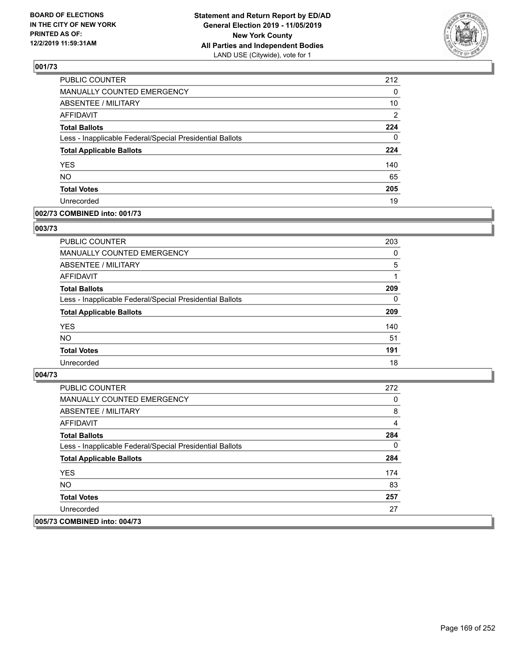

| PUBLIC COUNTER                                           | 212            |
|----------------------------------------------------------|----------------|
| MANUALLY COUNTED EMERGENCY                               | 0              |
| <b>ABSENTEE / MILITARY</b>                               | 10             |
| <b>AFFIDAVIT</b>                                         | $\overline{2}$ |
| <b>Total Ballots</b>                                     | 224            |
| Less - Inapplicable Federal/Special Presidential Ballots | 0              |
| <b>Total Applicable Ballots</b>                          | 224            |
| <b>YES</b>                                               | 140            |
| <b>NO</b>                                                | 65             |
| <b>Total Votes</b>                                       | 205            |
| Unrecorded                                               | 19             |

#### **002/73 COMBINED into: 001/73**

#### **003/73**

| <b>PUBLIC COUNTER</b>                                    | 203      |
|----------------------------------------------------------|----------|
| <b>MANUALLY COUNTED EMERGENCY</b>                        | $\Omega$ |
| ABSENTEE / MILITARY                                      | 5        |
| AFFIDAVIT                                                |          |
| <b>Total Ballots</b>                                     | 209      |
| Less - Inapplicable Federal/Special Presidential Ballots | $\Omega$ |
| <b>Total Applicable Ballots</b>                          | 209      |
| <b>YES</b>                                               | 140      |
| <b>NO</b>                                                | 51       |
| <b>Total Votes</b>                                       | 191      |
| Unrecorded                                               | 18       |

| <b>PUBLIC COUNTER</b>                                    | 272 |
|----------------------------------------------------------|-----|
| <b>MANUALLY COUNTED EMERGENCY</b>                        | 0   |
| ABSENTEE / MILITARY                                      | 8   |
| AFFIDAVIT                                                | 4   |
| <b>Total Ballots</b>                                     | 284 |
| Less - Inapplicable Federal/Special Presidential Ballots | 0   |
| <b>Total Applicable Ballots</b>                          | 284 |
| <b>YES</b>                                               | 174 |
| NO.                                                      | 83  |
| <b>Total Votes</b>                                       | 257 |
| Unrecorded                                               | 27  |
| 005/73 COMBINED into: 004/73                             |     |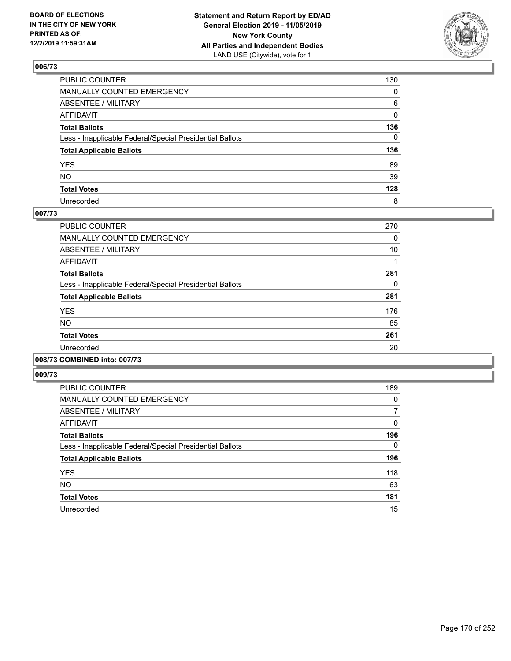

| PUBLIC COUNTER                                           | 130          |
|----------------------------------------------------------|--------------|
| MANUALLY COUNTED EMERGENCY                               | $\mathbf{0}$ |
| ABSENTEE / MILITARY                                      | 6            |
| AFFIDAVIT                                                | $\Omega$     |
| Total Ballots                                            | 136          |
| Less - Inapplicable Federal/Special Presidential Ballots | $\mathbf{0}$ |
| <b>Total Applicable Ballots</b>                          | 136          |
| YES                                                      | 89           |
| NO.                                                      | 39           |
| <b>Total Votes</b>                                       | 128          |
| Unrecorded                                               | 8            |

### **007/73**

| <b>PUBLIC COUNTER</b>                                    | 270 |
|----------------------------------------------------------|-----|
| <b>MANUALLY COUNTED EMERGENCY</b>                        | 0   |
| ABSENTEE / MILITARY                                      | 10  |
| <b>AFFIDAVIT</b>                                         |     |
| <b>Total Ballots</b>                                     | 281 |
| Less - Inapplicable Federal/Special Presidential Ballots | 0   |
| <b>Total Applicable Ballots</b>                          | 281 |
| <b>YES</b>                                               | 176 |
| NO.                                                      | 85  |
| <b>Total Votes</b>                                       | 261 |
| Unrecorded                                               | 20  |
|                                                          |     |

### **008/73 COMBINED into: 007/73**

| <b>PUBLIC COUNTER</b>                                    | 189      |
|----------------------------------------------------------|----------|
| <b>MANUALLY COUNTED EMERGENCY</b>                        | 0        |
| ABSENTEE / MILITARY                                      | 7        |
| AFFIDAVIT                                                | 0        |
| <b>Total Ballots</b>                                     | 196      |
| Less - Inapplicable Federal/Special Presidential Ballots | $\Omega$ |
| <b>Total Applicable Ballots</b>                          | 196      |
| <b>YES</b>                                               | 118      |
| <b>NO</b>                                                | 63       |
| <b>Total Votes</b>                                       | 181      |
| Unrecorded                                               | 15       |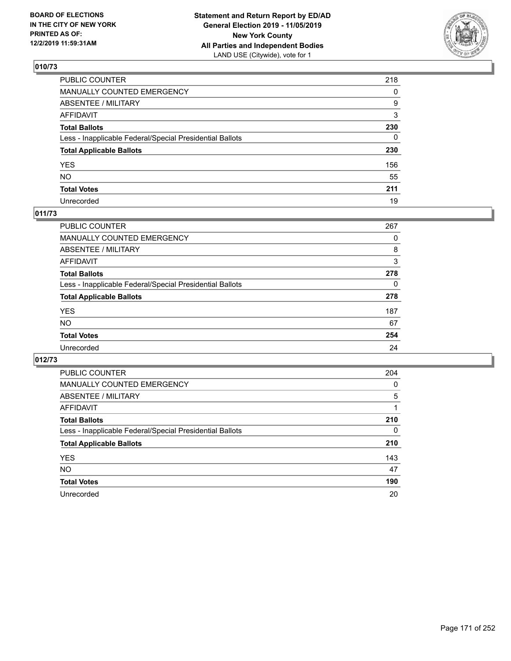

| PUBLIC COUNTER                                           | 218          |
|----------------------------------------------------------|--------------|
| MANUALLY COUNTED EMERGENCY                               | $\Omega$     |
| ABSENTEE / MILITARY                                      | 9            |
| AFFIDAVIT                                                | 3            |
| Total Ballots                                            | 230          |
| Less - Inapplicable Federal/Special Presidential Ballots | $\mathbf{0}$ |
| <b>Total Applicable Ballots</b>                          | 230          |
| YES                                                      | 156          |
| NO.                                                      | 55           |
| <b>Total Votes</b>                                       | 211          |
| Unrecorded                                               | 19           |

## **011/73**

| <b>PUBLIC COUNTER</b>                                    | 267 |
|----------------------------------------------------------|-----|
| <b>MANUALLY COUNTED EMERGENCY</b>                        | 0   |
| ABSENTEE / MILITARY                                      | 8   |
| AFFIDAVIT                                                | 3   |
| <b>Total Ballots</b>                                     | 278 |
| Less - Inapplicable Federal/Special Presidential Ballots | 0   |
| <b>Total Applicable Ballots</b>                          | 278 |
| <b>YES</b>                                               | 187 |
| <b>NO</b>                                                | 67  |
| <b>Total Votes</b>                                       | 254 |
| Unrecorded                                               | 24  |

| <b>PUBLIC COUNTER</b>                                    | 204 |
|----------------------------------------------------------|-----|
| <b>MANUALLY COUNTED EMERGENCY</b>                        | 0   |
| ABSENTEE / MILITARY                                      | 5   |
| <b>AFFIDAVIT</b>                                         |     |
| <b>Total Ballots</b>                                     | 210 |
| Less - Inapplicable Federal/Special Presidential Ballots | 0   |
| <b>Total Applicable Ballots</b>                          | 210 |
| <b>YES</b>                                               | 143 |
| <b>NO</b>                                                | 47  |
| <b>Total Votes</b>                                       | 190 |
| Unrecorded                                               | 20  |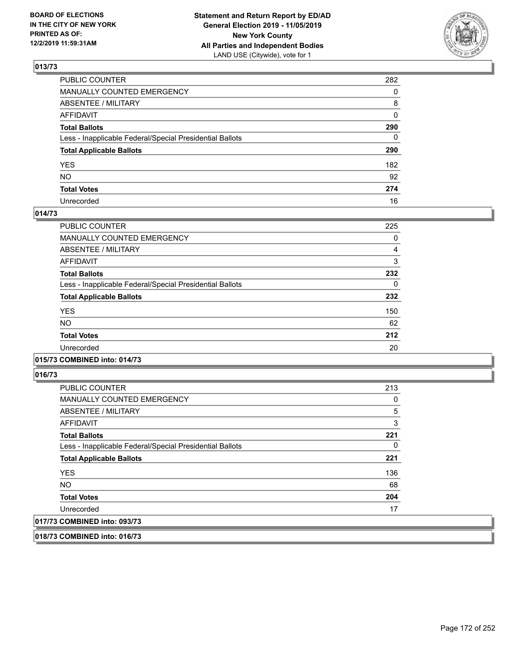

| PUBLIC COUNTER                                           | 282          |
|----------------------------------------------------------|--------------|
| MANUALLY COUNTED EMERGENCY                               | $\Omega$     |
| ABSENTEE / MILITARY                                      | 8            |
| AFFIDAVIT                                                | $\mathbf{0}$ |
| Total Ballots                                            | 290          |
| Less - Inapplicable Federal/Special Presidential Ballots | $\mathbf{0}$ |
| <b>Total Applicable Ballots</b>                          | 290          |
| YES                                                      | 182          |
| NO.                                                      | 92           |
| <b>Total Votes</b>                                       | 274          |
| Unrecorded                                               | 16           |

#### **014/73**

| PUBLIC COUNTER                                           | 225 |
|----------------------------------------------------------|-----|
| <b>MANUALLY COUNTED EMERGENCY</b>                        | 0   |
| ABSENTEE / MILITARY                                      | 4   |
| <b>AFFIDAVIT</b>                                         | 3   |
| <b>Total Ballots</b>                                     | 232 |
| Less - Inapplicable Federal/Special Presidential Ballots | 0   |
| <b>Total Applicable Ballots</b>                          | 232 |
| <b>YES</b>                                               | 150 |
| <b>NO</b>                                                | 62  |
| <b>Total Votes</b>                                       | 212 |
| Unrecorded                                               | 20  |
|                                                          |     |

### **015/73 COMBINED into: 014/73**

**016/73** 

| <b>PUBLIC COUNTER</b>                                    | 213      |
|----------------------------------------------------------|----------|
| <b>MANUALLY COUNTED EMERGENCY</b>                        | 0        |
| ABSENTEE / MILITARY                                      | 5        |
| AFFIDAVIT                                                | 3        |
| <b>Total Ballots</b>                                     | 221      |
| Less - Inapplicable Federal/Special Presidential Ballots | $\Omega$ |
| <b>Total Applicable Ballots</b>                          | 221      |
| <b>YES</b>                                               | 136      |
| <b>NO</b>                                                | 68       |
| <b>Total Votes</b>                                       | 204      |
| Unrecorded                                               | 17       |
| 017/73 COMBINED into: 093/73                             |          |

**018/73 COMBINED into: 016/73**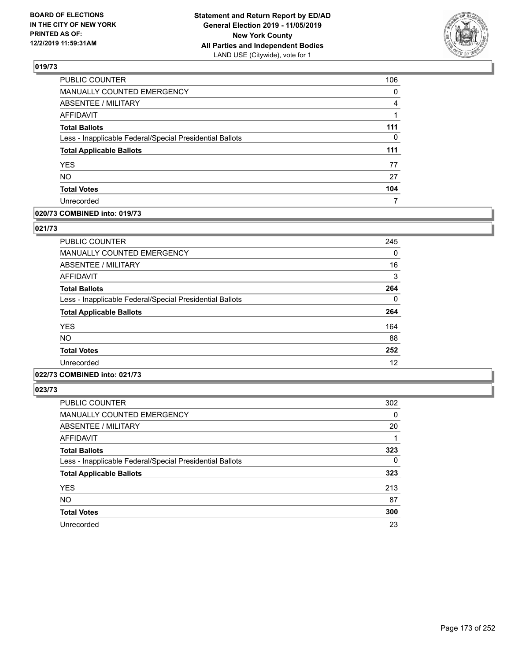

| PUBLIC COUNTER                                           | 106      |
|----------------------------------------------------------|----------|
| MANUALLY COUNTED EMERGENCY                               | $\Omega$ |
| <b>ABSENTEE / MILITARY</b>                               | 4        |
| <b>AFFIDAVIT</b>                                         |          |
| <b>Total Ballots</b>                                     | 111      |
| Less - Inapplicable Federal/Special Presidential Ballots | 0        |
| <b>Total Applicable Ballots</b>                          | 111      |
| YES                                                      | 77       |
| <b>NO</b>                                                | 27       |
| <b>Total Votes</b>                                       | 104      |
| Unrecorded                                               |          |

### **020/73 COMBINED into: 019/73**

### **021/73**

| <b>PUBLIC COUNTER</b>                                    | 245 |
|----------------------------------------------------------|-----|
| <b>MANUALLY COUNTED EMERGENCY</b>                        | 0   |
| ABSENTEE / MILITARY                                      | 16  |
| <b>AFFIDAVIT</b>                                         | 3   |
| <b>Total Ballots</b>                                     | 264 |
| Less - Inapplicable Federal/Special Presidential Ballots | 0   |
| <b>Total Applicable Ballots</b>                          | 264 |
| <b>YES</b>                                               | 164 |
| NO.                                                      | 88  |
| <b>Total Votes</b>                                       | 252 |
| Unrecorded                                               | 12  |

# **022/73 COMBINED into: 021/73**

| <b>PUBLIC COUNTER</b>                                    | 302 |
|----------------------------------------------------------|-----|
| MANUALLY COUNTED EMERGENCY                               | 0   |
| <b>ABSENTEE / MILITARY</b>                               | 20  |
| AFFIDAVIT                                                | 1   |
| <b>Total Ballots</b>                                     | 323 |
| Less - Inapplicable Federal/Special Presidential Ballots | 0   |
| <b>Total Applicable Ballots</b>                          | 323 |
| <b>YES</b>                                               | 213 |
| <b>NO</b>                                                | 87  |
| <b>Total Votes</b>                                       | 300 |
| Unrecorded                                               | 23  |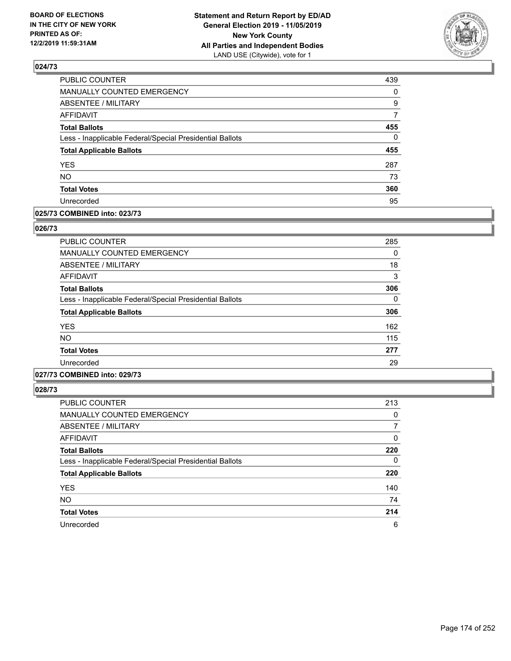

| PUBLIC COUNTER                                           | 439      |
|----------------------------------------------------------|----------|
| MANUALLY COUNTED EMERGENCY                               | 0        |
| <b>ABSENTEE / MILITARY</b>                               | 9        |
| <b>AFFIDAVIT</b>                                         | 7        |
| <b>Total Ballots</b>                                     | 455      |
| Less - Inapplicable Federal/Special Presidential Ballots | $\Omega$ |
| <b>Total Applicable Ballots</b>                          | 455      |
| <b>YES</b>                                               | 287      |
| <b>NO</b>                                                | 73       |
| <b>Total Votes</b>                                       | 360      |
| Unrecorded                                               | 95       |

#### **025/73 COMBINED into: 023/73**

#### **026/73**

| <b>PUBLIC COUNTER</b>                                    | 285 |
|----------------------------------------------------------|-----|
| <b>MANUALLY COUNTED EMERGENCY</b>                        | 0   |
| ABSENTEE / MILITARY                                      | 18  |
| <b>AFFIDAVIT</b>                                         | 3   |
| <b>Total Ballots</b>                                     | 306 |
| Less - Inapplicable Federal/Special Presidential Ballots | 0   |
| <b>Total Applicable Ballots</b>                          | 306 |
| <b>YES</b>                                               | 162 |
| <b>NO</b>                                                | 115 |
| <b>Total Votes</b>                                       | 277 |
| Unrecorded                                               | 29  |

## **027/73 COMBINED into: 029/73**

| <b>PUBLIC COUNTER</b>                                    | 213 |
|----------------------------------------------------------|-----|
| MANUALLY COUNTED EMERGENCY                               | 0   |
| ABSENTEE / MILITARY                                      | 7   |
| <b>AFFIDAVIT</b>                                         | 0   |
| <b>Total Ballots</b>                                     | 220 |
| Less - Inapplicable Federal/Special Presidential Ballots | 0   |
| <b>Total Applicable Ballots</b>                          | 220 |
| <b>YES</b>                                               | 140 |
| <b>NO</b>                                                | 74  |
| <b>Total Votes</b>                                       | 214 |
| Unrecorded                                               | 6   |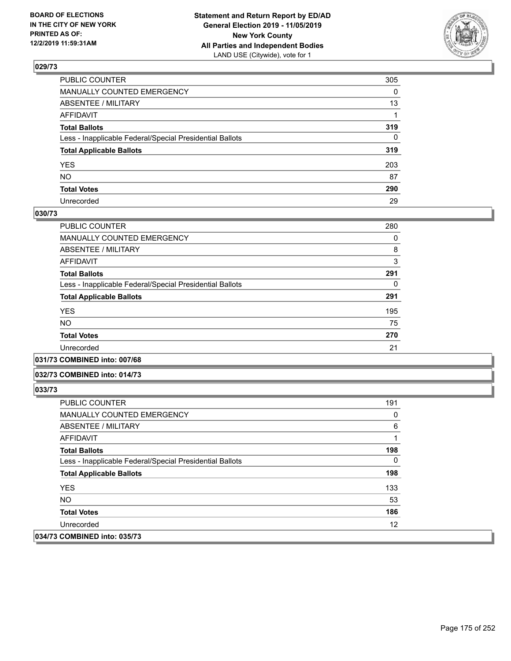

| PUBLIC COUNTER                                           | 305          |
|----------------------------------------------------------|--------------|
| MANUALLY COUNTED EMERGENCY                               | $\mathbf{0}$ |
| ABSENTEE / MILITARY                                      | 13           |
| AFFIDAVIT                                                |              |
| Total Ballots                                            | 319          |
| Less - Inapplicable Federal/Special Presidential Ballots | $\mathbf{0}$ |
| <b>Total Applicable Ballots</b>                          | 319          |
| YES                                                      | 203          |
| NO.                                                      | 87           |
| <b>Total Votes</b>                                       | 290          |
| Unrecorded                                               | 29           |

#### **030/73**

| <b>PUBLIC COUNTER</b>                                    | 280 |
|----------------------------------------------------------|-----|
| <b>MANUALLY COUNTED EMERGENCY</b>                        | 0   |
| ABSENTEE / MILITARY                                      | 8   |
| <b>AFFIDAVIT</b>                                         | 3   |
| <b>Total Ballots</b>                                     | 291 |
| Less - Inapplicable Federal/Special Presidential Ballots | 0   |
| <b>Total Applicable Ballots</b>                          | 291 |
| <b>YES</b>                                               | 195 |
| <b>NO</b>                                                | 75  |
| <b>Total Votes</b>                                       | 270 |
| Unrecorded                                               | 21  |
|                                                          |     |

#### **031/73 COMBINED into: 007/68**

#### **032/73 COMBINED into: 014/73**

| <b>PUBLIC COUNTER</b>                                    | 191      |
|----------------------------------------------------------|----------|
| <b>MANUALLY COUNTED EMERGENCY</b>                        | 0        |
| ABSENTEE / MILITARY                                      | 6        |
| AFFIDAVIT                                                |          |
| <b>Total Ballots</b>                                     | 198      |
| Less - Inapplicable Federal/Special Presidential Ballots | $\Omega$ |
| <b>Total Applicable Ballots</b>                          | 198      |
| <b>YES</b>                                               | 133      |
| NO.                                                      | 53       |
| <b>Total Votes</b>                                       | 186      |
| Unrecorded                                               | 12       |
| 034/73 COMBINED into: 035/73                             |          |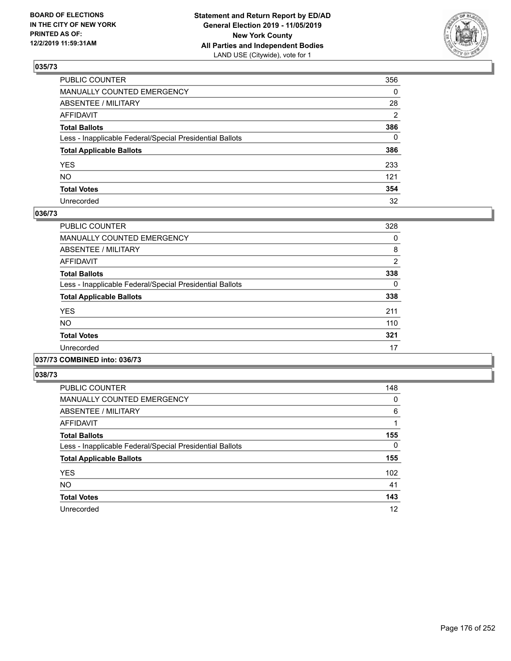

| PUBLIC COUNTER                                           | 356          |
|----------------------------------------------------------|--------------|
| MANUALLY COUNTED EMERGENCY                               | $\mathbf{0}$ |
| ABSENTEE / MILITARY                                      | 28           |
| AFFIDAVIT                                                | 2            |
| Total Ballots                                            | 386          |
| Less - Inapplicable Federal/Special Presidential Ballots | $\Omega$     |
| <b>Total Applicable Ballots</b>                          | 386          |
| YES                                                      | 233          |
| NO.                                                      | 121          |
| <b>Total Votes</b>                                       | 354          |
| Unrecorded                                               | 32           |

#### **036/73**

| <b>PUBLIC COUNTER</b>                                    | 328            |
|----------------------------------------------------------|----------------|
| <b>MANUALLY COUNTED EMERGENCY</b>                        | 0              |
| ABSENTEE / MILITARY                                      | 8              |
| <b>AFFIDAVIT</b>                                         | $\overline{2}$ |
| <b>Total Ballots</b>                                     | 338            |
| Less - Inapplicable Federal/Special Presidential Ballots | 0              |
| <b>Total Applicable Ballots</b>                          | 338            |
| <b>YES</b>                                               | 211            |
| <b>NO</b>                                                | 110            |
| <b>Total Votes</b>                                       | 321            |
| Unrecorded                                               | 17             |
|                                                          |                |

#### **037/73 COMBINED into: 036/73**

| <b>PUBLIC COUNTER</b>                                    | 148 |
|----------------------------------------------------------|-----|
| MANUALLY COUNTED EMERGENCY                               | 0   |
| ABSENTEE / MILITARY                                      | 6   |
| AFFIDAVIT                                                | 1   |
| <b>Total Ballots</b>                                     | 155 |
| Less - Inapplicable Federal/Special Presidential Ballots | 0   |
| <b>Total Applicable Ballots</b>                          | 155 |
| <b>YES</b>                                               | 102 |
| <b>NO</b>                                                | 41  |
| <b>Total Votes</b>                                       | 143 |
| Unrecorded                                               | 12  |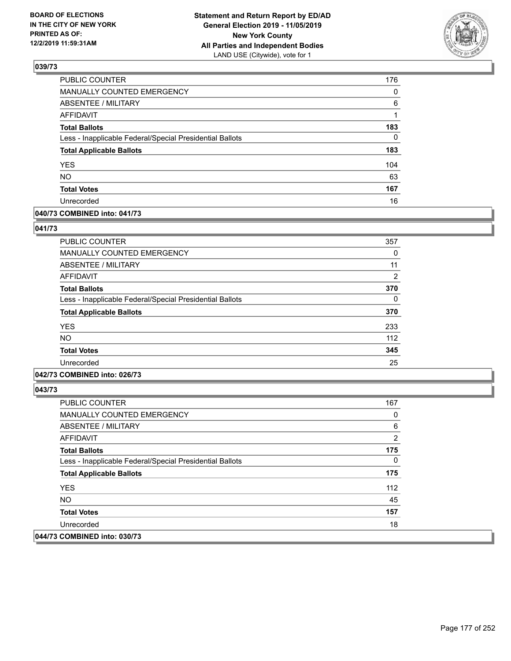

| <b>PUBLIC COUNTER</b>                                    | 176      |
|----------------------------------------------------------|----------|
| MANUALLY COUNTED EMERGENCY                               | 0        |
| ABSENTEE / MILITARY                                      | 6        |
| <b>AFFIDAVIT</b>                                         | 1        |
| <b>Total Ballots</b>                                     | 183      |
| Less - Inapplicable Federal/Special Presidential Ballots | $\Omega$ |
| <b>Total Applicable Ballots</b>                          | 183      |
| <b>YES</b>                                               | 104      |
| <b>NO</b>                                                | 63       |
| <b>Total Votes</b>                                       | 167      |
| Unrecorded                                               | 16       |

### **040/73 COMBINED into: 041/73**

### **041/73**

| <b>PUBLIC COUNTER</b>                                    | 357 |
|----------------------------------------------------------|-----|
| <b>MANUALLY COUNTED EMERGENCY</b>                        | 0   |
| ABSENTEE / MILITARY                                      | 11  |
| AFFIDAVIT                                                | 2   |
| <b>Total Ballots</b>                                     | 370 |
| Less - Inapplicable Federal/Special Presidential Ballots | 0   |
| <b>Total Applicable Ballots</b>                          | 370 |
| <b>YES</b>                                               | 233 |
| <b>NO</b>                                                | 112 |
| <b>Total Votes</b>                                       | 345 |
| Unrecorded                                               | 25  |

### **042/73 COMBINED into: 026/73**

| <b>PUBLIC COUNTER</b>                                    | 167 |
|----------------------------------------------------------|-----|
| <b>MANUALLY COUNTED EMERGENCY</b>                        | 0   |
| ABSENTEE / MILITARY                                      | 6   |
| AFFIDAVIT                                                | 2   |
| <b>Total Ballots</b>                                     | 175 |
| Less - Inapplicable Federal/Special Presidential Ballots | 0   |
| <b>Total Applicable Ballots</b>                          | 175 |
| <b>YES</b>                                               | 112 |
| NO.                                                      | 45  |
| <b>Total Votes</b>                                       | 157 |
| Unrecorded                                               | 18  |
| 044/73 COMBINED into: 030/73                             |     |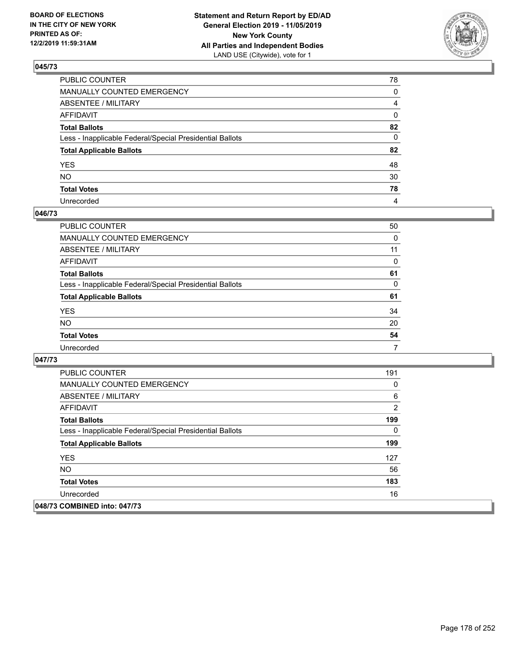

| PUBLIC COUNTER                                           | 78           |
|----------------------------------------------------------|--------------|
| MANUALLY COUNTED EMERGENCY                               | $\mathbf{0}$ |
| ABSENTEE / MILITARY                                      | 4            |
| AFFIDAVIT                                                | 0            |
| Total Ballots                                            | 82           |
| Less - Inapplicable Federal/Special Presidential Ballots | $\mathbf{0}$ |
| <b>Total Applicable Ballots</b>                          | 82           |
| YES                                                      | 48           |
| NO.                                                      | 30           |
| <b>Total Votes</b>                                       | 78           |
| Unrecorded                                               | 4            |

### **046/73**

| <b>PUBLIC COUNTER</b>                                    | 50       |
|----------------------------------------------------------|----------|
| <b>MANUALLY COUNTED EMERGENCY</b>                        | 0        |
| ABSENTEE / MILITARY                                      | 11       |
| AFFIDAVIT                                                | $\Omega$ |
| <b>Total Ballots</b>                                     | 61       |
| Less - Inapplicable Federal/Special Presidential Ballots | 0        |
| <b>Total Applicable Ballots</b>                          | 61       |
| <b>YES</b>                                               | 34       |
| <b>NO</b>                                                | 20       |
| <b>Total Votes</b>                                       | 54       |
| Unrecorded                                               | 7        |

| <b>PUBLIC COUNTER</b>                                    | 191 |
|----------------------------------------------------------|-----|
| <b>MANUALLY COUNTED EMERGENCY</b>                        | 0   |
| ABSENTEE / MILITARY                                      | 6   |
| AFFIDAVIT                                                | 2   |
| <b>Total Ballots</b>                                     | 199 |
| Less - Inapplicable Federal/Special Presidential Ballots | 0   |
| <b>Total Applicable Ballots</b>                          | 199 |
| <b>YES</b>                                               | 127 |
| NO.                                                      | 56  |
| <b>Total Votes</b>                                       | 183 |
| Unrecorded                                               | 16  |
| 048/73 COMBINED into: 047/73                             |     |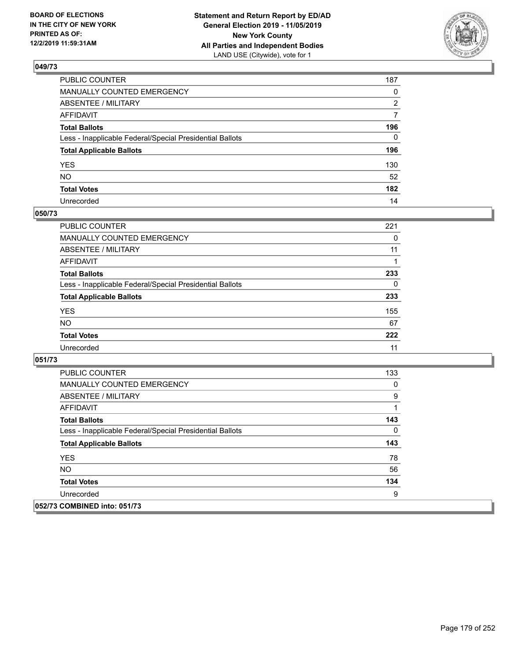

| PUBLIC COUNTER                                           | 187          |
|----------------------------------------------------------|--------------|
| MANUALLY COUNTED EMERGENCY                               | $\mathbf{0}$ |
| ABSENTEE / MILITARY                                      | 2            |
| AFFIDAVIT                                                | 7            |
| Total Ballots                                            | 196          |
| Less - Inapplicable Federal/Special Presidential Ballots | $\Omega$     |
| <b>Total Applicable Ballots</b>                          | 196          |
| YES                                                      | 130          |
| NO.                                                      | 52           |
| <b>Total Votes</b>                                       | 182          |
| Unrecorded                                               | 14           |

### **050/73**

| <b>PUBLIC COUNTER</b>                                    | 221 |
|----------------------------------------------------------|-----|
| <b>MANUALLY COUNTED EMERGENCY</b>                        | 0   |
| ABSENTEE / MILITARY                                      | 11  |
| AFFIDAVIT                                                |     |
| <b>Total Ballots</b>                                     | 233 |
| Less - Inapplicable Federal/Special Presidential Ballots | 0   |
| <b>Total Applicable Ballots</b>                          | 233 |
| <b>YES</b>                                               | 155 |
| <b>NO</b>                                                | 67  |
| <b>Total Votes</b>                                       | 222 |
| Unrecorded                                               | 11  |

| <b>PUBLIC COUNTER</b>                                    | 133 |
|----------------------------------------------------------|-----|
| <b>MANUALLY COUNTED EMERGENCY</b>                        | 0   |
| ABSENTEE / MILITARY                                      | 9   |
| AFFIDAVIT                                                | 1   |
| <b>Total Ballots</b>                                     | 143 |
| Less - Inapplicable Federal/Special Presidential Ballots | 0   |
| <b>Total Applicable Ballots</b>                          | 143 |
| <b>YES</b>                                               | 78  |
| NO.                                                      | 56  |
| <b>Total Votes</b>                                       | 134 |
| Unrecorded                                               | 9   |
| 052/73 COMBINED into: 051/73                             |     |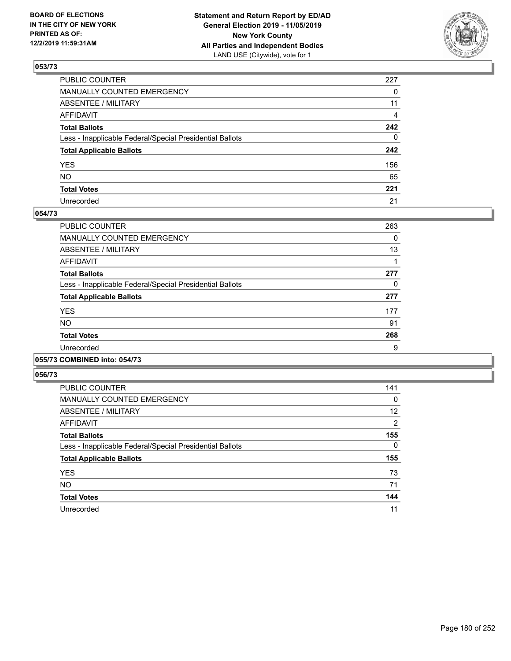

| PUBLIC COUNTER                                           | 227          |
|----------------------------------------------------------|--------------|
| MANUALLY COUNTED EMERGENCY                               | $\mathbf{0}$ |
| ABSENTEE / MILITARY                                      | 11           |
| AFFIDAVIT                                                | 4            |
| Total Ballots                                            | 242          |
| Less - Inapplicable Federal/Special Presidential Ballots | $\mathbf{0}$ |
| <b>Total Applicable Ballots</b>                          | 242          |
| YES                                                      | 156          |
| NO.                                                      | 65           |
| <b>Total Votes</b>                                       | 221          |
| Unrecorded                                               | 21           |

### **054/73**

| <b>PUBLIC COUNTER</b>                                    | 263 |
|----------------------------------------------------------|-----|
| <b>MANUALLY COUNTED EMERGENCY</b>                        | 0   |
| ABSENTEE / MILITARY                                      | 13  |
| <b>AFFIDAVIT</b>                                         |     |
| <b>Total Ballots</b>                                     | 277 |
| Less - Inapplicable Federal/Special Presidential Ballots | 0   |
| <b>Total Applicable Ballots</b>                          | 277 |
| <b>YES</b>                                               | 177 |
| <b>NO</b>                                                | 91  |
| <b>Total Votes</b>                                       | 268 |
| Unrecorded                                               | 9   |
|                                                          |     |

#### **055/73 COMBINED into: 054/73**

| <b>PUBLIC COUNTER</b>                                    | 141      |
|----------------------------------------------------------|----------|
| <b>MANUALLY COUNTED EMERGENCY</b>                        | 0        |
| ABSENTEE / MILITARY                                      | 12       |
| AFFIDAVIT                                                | 2        |
| <b>Total Ballots</b>                                     | 155      |
| Less - Inapplicable Federal/Special Presidential Ballots | $\Omega$ |
| <b>Total Applicable Ballots</b>                          | 155      |
| <b>YES</b>                                               | 73       |
| <b>NO</b>                                                | 71       |
| <b>Total Votes</b>                                       | 144      |
| Unrecorded                                               | 11       |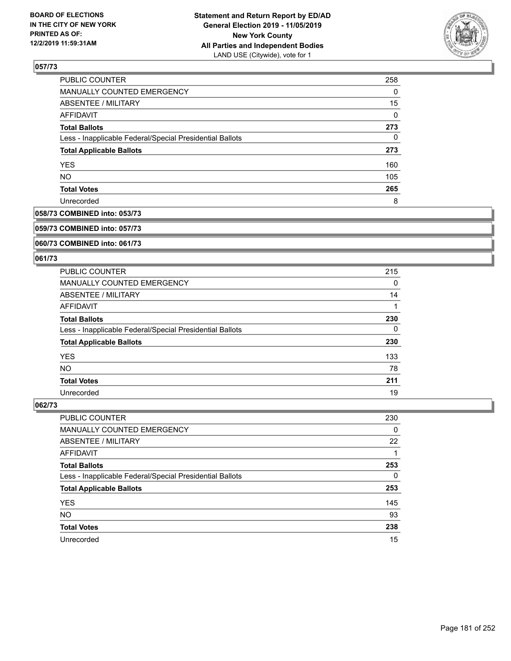

| <b>PUBLIC COUNTER</b>                                    | 258 |
|----------------------------------------------------------|-----|
| MANUALLY COUNTED EMERGENCY                               | 0   |
| <b>ABSENTEE / MILITARY</b>                               | 15  |
| AFFIDAVIT                                                | 0   |
| <b>Total Ballots</b>                                     | 273 |
| Less - Inapplicable Federal/Special Presidential Ballots | 0   |
| <b>Total Applicable Ballots</b>                          | 273 |
| <b>YES</b>                                               | 160 |
| <b>NO</b>                                                | 105 |
| <b>Total Votes</b>                                       | 265 |
| Unrecorded                                               | 8   |

## **058/73 COMBINED into: 053/73**

#### **059/73 COMBINED into: 057/73**

## **060/73 COMBINED into: 061/73**

## **061/73**

| <b>PUBLIC COUNTER</b>                                    | 215 |
|----------------------------------------------------------|-----|
| MANUALLY COUNTED EMERGENCY                               | 0   |
| ABSENTEE / MILITARY                                      | 14  |
| AFFIDAVIT                                                |     |
| <b>Total Ballots</b>                                     | 230 |
| Less - Inapplicable Federal/Special Presidential Ballots | 0   |
| <b>Total Applicable Ballots</b>                          | 230 |
| <b>YES</b>                                               | 133 |
| <b>NO</b>                                                | 78  |
| <b>Total Votes</b>                                       | 211 |
| Unrecorded                                               | 19  |

| <b>PUBLIC COUNTER</b>                                    | 230 |
|----------------------------------------------------------|-----|
| <b>MANUALLY COUNTED EMERGENCY</b>                        | 0   |
| ABSENTEE / MILITARY                                      | 22  |
| AFFIDAVIT                                                |     |
| <b>Total Ballots</b>                                     | 253 |
| Less - Inapplicable Federal/Special Presidential Ballots | 0   |
| <b>Total Applicable Ballots</b>                          | 253 |
| <b>YES</b>                                               | 145 |
| <b>NO</b>                                                | 93  |
| <b>Total Votes</b>                                       | 238 |
| Unrecorded                                               | 15  |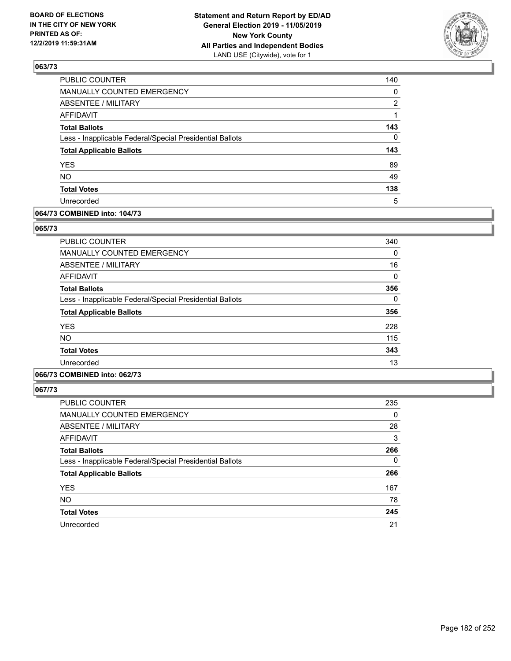

| PUBLIC COUNTER                                           | 140 |
|----------------------------------------------------------|-----|
| MANUALLY COUNTED EMERGENCY                               | 0   |
| <b>ABSENTEE / MILITARY</b>                               | 2   |
| <b>AFFIDAVIT</b>                                         |     |
| <b>Total Ballots</b>                                     | 143 |
| Less - Inapplicable Federal/Special Presidential Ballots | 0   |
| <b>Total Applicable Ballots</b>                          | 143 |
| <b>YES</b>                                               | 89  |
| <b>NO</b>                                                | 49  |
| <b>Total Votes</b>                                       | 138 |
| Unrecorded                                               | 5   |

### **064/73 COMBINED into: 104/73**

#### **065/73**

| <b>PUBLIC COUNTER</b>                                    | 340 |
|----------------------------------------------------------|-----|
| <b>MANUALLY COUNTED EMERGENCY</b>                        | 0   |
| ABSENTEE / MILITARY                                      | 16  |
| <b>AFFIDAVIT</b>                                         | 0   |
| <b>Total Ballots</b>                                     | 356 |
| Less - Inapplicable Federal/Special Presidential Ballots | 0   |
| <b>Total Applicable Ballots</b>                          | 356 |
| <b>YES</b>                                               | 228 |
| NO.                                                      | 115 |
| <b>Total Votes</b>                                       | 343 |
| Unrecorded                                               | 13  |

## **066/73 COMBINED into: 062/73**

| <b>PUBLIC COUNTER</b>                                    | 235      |
|----------------------------------------------------------|----------|
| MANUALLY COUNTED EMERGENCY                               | 0        |
| ABSENTEE / MILITARY                                      | 28       |
| AFFIDAVIT                                                | 3        |
| <b>Total Ballots</b>                                     | 266      |
| Less - Inapplicable Federal/Special Presidential Ballots | $\Omega$ |
| <b>Total Applicable Ballots</b>                          | 266      |
| <b>YES</b>                                               | 167      |
| <b>NO</b>                                                | 78       |
| <b>Total Votes</b>                                       | 245      |
| Unrecorded                                               | 21       |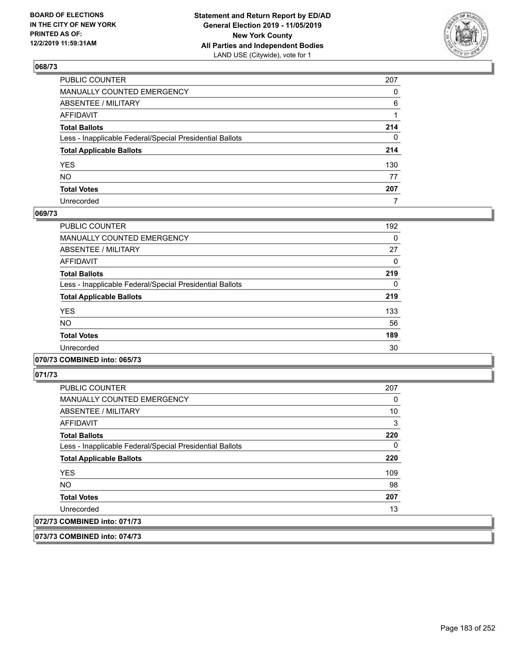

| PUBLIC COUNTER                                           | 207          |
|----------------------------------------------------------|--------------|
| MANUALLY COUNTED EMERGENCY                               | $\Omega$     |
| ABSENTEE / MILITARY                                      | 6            |
| AFFIDAVIT                                                |              |
| Total Ballots                                            | 214          |
| Less - Inapplicable Federal/Special Presidential Ballots | $\mathbf{0}$ |
| <b>Total Applicable Ballots</b>                          | 214          |
| YES                                                      | 130          |
| NO.                                                      | 77           |
| <b>Total Votes</b>                                       | 207          |
| Unrecorded                                               | 7            |

### **069/73**

| <b>PUBLIC COUNTER</b>                                    | 192      |
|----------------------------------------------------------|----------|
| <b>MANUALLY COUNTED EMERGENCY</b>                        | $\Omega$ |
| ABSENTEE / MILITARY                                      | 27       |
| <b>AFFIDAVIT</b>                                         | 0        |
| <b>Total Ballots</b>                                     | 219      |
| Less - Inapplicable Federal/Special Presidential Ballots | $\Omega$ |
| <b>Total Applicable Ballots</b>                          | 219      |
| <b>YES</b>                                               | 133      |
| <b>NO</b>                                                | 56       |
| <b>Total Votes</b>                                       | 189      |
| Unrecorded                                               | 30       |
|                                                          |          |

### **070/73 COMBINED into: 065/73**

**071/73** 

| <b>PUBLIC COUNTER</b>                                    | 207 |
|----------------------------------------------------------|-----|
| MANUALLY COUNTED EMERGENCY                               | 0   |
| ABSENTEE / MILITARY                                      | 10  |
| AFFIDAVIT                                                | 3   |
| <b>Total Ballots</b>                                     | 220 |
| Less - Inapplicable Federal/Special Presidential Ballots | 0   |
| <b>Total Applicable Ballots</b>                          | 220 |
| <b>YES</b>                                               | 109 |
| <b>NO</b>                                                | 98  |
| <b>Total Votes</b>                                       | 207 |
| Unrecorded                                               | 13  |
| 072/73 COMBINED into: 071/73                             |     |

**073/73 COMBINED into: 074/73**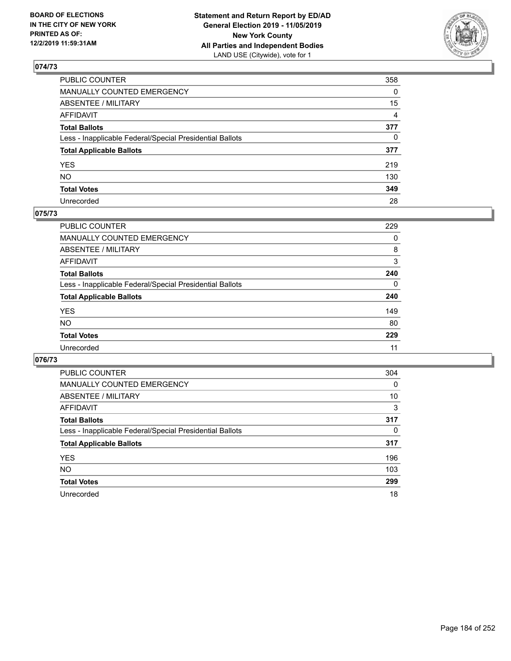

| PUBLIC COUNTER                                           | 358            |
|----------------------------------------------------------|----------------|
| MANUALLY COUNTED EMERGENCY                               | $\Omega$       |
| ABSENTEE / MILITARY                                      | 15             |
| AFFIDAVIT                                                | $\overline{4}$ |
| Total Ballots                                            | 377            |
| Less - Inapplicable Federal/Special Presidential Ballots | $\mathbf{0}$   |
| <b>Total Applicable Ballots</b>                          | 377            |
| YES                                                      | 219            |
| NO.                                                      | 130            |
| <b>Total Votes</b>                                       | 349            |
| Unrecorded                                               | 28             |

### **075/73**

| <b>PUBLIC COUNTER</b>                                    | 229      |
|----------------------------------------------------------|----------|
| MANUALLY COUNTED EMERGENCY                               | 0        |
| ABSENTEE / MILITARY                                      | 8        |
| AFFIDAVIT                                                | 3        |
| <b>Total Ballots</b>                                     | 240      |
| Less - Inapplicable Federal/Special Presidential Ballots | $\Omega$ |
| <b>Total Applicable Ballots</b>                          | 240      |
| <b>YES</b>                                               | 149      |
| <b>NO</b>                                                | 80       |
| <b>Total Votes</b>                                       | 229      |
| Unrecorded                                               | 11       |

| <b>PUBLIC COUNTER</b>                                    | 304 |
|----------------------------------------------------------|-----|
| MANUALLY COUNTED EMERGENCY                               | 0   |
| ABSENTEE / MILITARY                                      | 10  |
| AFFIDAVIT                                                | 3   |
| <b>Total Ballots</b>                                     | 317 |
| Less - Inapplicable Federal/Special Presidential Ballots | 0   |
| <b>Total Applicable Ballots</b>                          | 317 |
| <b>YES</b>                                               | 196 |
| NO.                                                      | 103 |
| <b>Total Votes</b>                                       | 299 |
| Unrecorded                                               | 18  |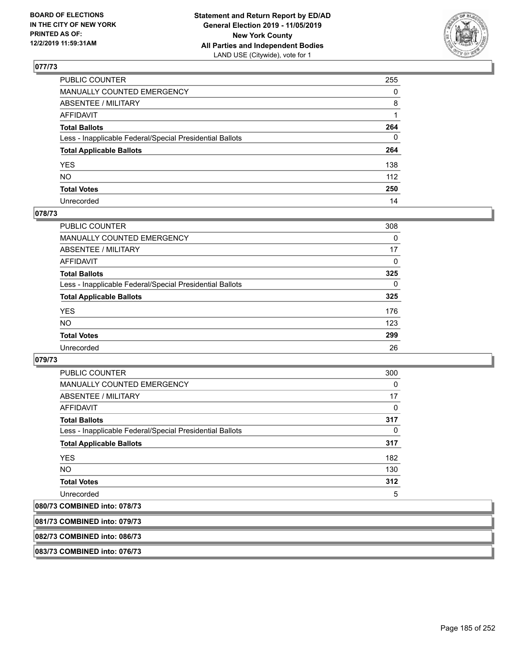

| PUBLIC COUNTER                                           | 255          |
|----------------------------------------------------------|--------------|
| MANUALLY COUNTED EMERGENCY                               | $\mathbf{0}$ |
| ABSENTEE / MILITARY                                      | 8            |
| AFFIDAVIT                                                |              |
| Total Ballots                                            | 264          |
| Less - Inapplicable Federal/Special Presidential Ballots | 0            |
| <b>Total Applicable Ballots</b>                          | 264          |
| YES                                                      | 138          |
| NO.                                                      | 112          |
| <b>Total Votes</b>                                       | 250          |
| Unrecorded                                               | 14           |

## **078/73**

| <b>PUBLIC COUNTER</b>                                    | 308          |
|----------------------------------------------------------|--------------|
| <b>MANUALLY COUNTED EMERGENCY</b>                        | 0            |
| ABSENTEE / MILITARY                                      | 17           |
| AFFIDAVIT                                                | $\Omega$     |
| <b>Total Ballots</b>                                     | 325          |
| Less - Inapplicable Federal/Special Presidential Ballots | $\mathbf{0}$ |
| <b>Total Applicable Ballots</b>                          | 325          |
| <b>YES</b>                                               | 176          |
| NO                                                       | 123          |
| <b>Total Votes</b>                                       | 299          |
| Unrecorded                                               | 26           |

### **079/73**

| <b>PUBLIC COUNTER</b>                                    | 300      |
|----------------------------------------------------------|----------|
| <b>MANUALLY COUNTED EMERGENCY</b>                        | 0        |
| <b>ABSENTEE / MILITARY</b>                               | 17       |
| AFFIDAVIT                                                | 0        |
| <b>Total Ballots</b>                                     | 317      |
| Less - Inapplicable Federal/Special Presidential Ballots | $\Omega$ |
| <b>Total Applicable Ballots</b>                          | 317      |
| <b>YES</b>                                               | 182      |
| <b>NO</b>                                                | 130      |
| <b>Total Votes</b>                                       | 312      |
| Unrecorded                                               | 5        |

## **080/73 COMBINED into: 078/73**

| 081/73 COMBINED into: 079/73 |  |
|------------------------------|--|
|                              |  |
|                              |  |

# **082/73 COMBINED into: 086/73**

**083/73 COMBINED into: 076/73**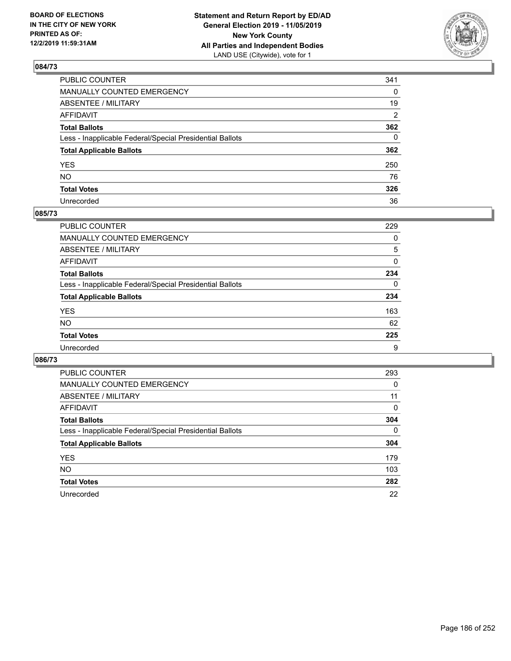

| PUBLIC COUNTER                                           | 341            |
|----------------------------------------------------------|----------------|
| MANUALLY COUNTED EMERGENCY                               | $\Omega$       |
| ABSENTEE / MILITARY                                      | 19             |
| AFFIDAVIT                                                | $\overline{2}$ |
| Total Ballots                                            | 362            |
| Less - Inapplicable Federal/Special Presidential Ballots | $\mathbf{0}$   |
| <b>Total Applicable Ballots</b>                          | 362            |
| YES                                                      | 250            |
| NO.                                                      | 76             |
| <b>Total Votes</b>                                       | 326            |
| Unrecorded                                               | 36             |

### **085/73**

| <b>PUBLIC COUNTER</b>                                    | 229 |
|----------------------------------------------------------|-----|
| <b>MANUALLY COUNTED EMERGENCY</b>                        | 0   |
| ABSENTEE / MILITARY                                      | 5   |
| AFFIDAVIT                                                | 0   |
| <b>Total Ballots</b>                                     | 234 |
| Less - Inapplicable Federal/Special Presidential Ballots | 0   |
| <b>Total Applicable Ballots</b>                          | 234 |
| <b>YES</b>                                               | 163 |
| <b>NO</b>                                                | 62  |
| <b>Total Votes</b>                                       | 225 |
| Unrecorded                                               | 9   |

| <b>PUBLIC COUNTER</b>                                    | 293          |
|----------------------------------------------------------|--------------|
| <b>MANUALLY COUNTED EMERGENCY</b>                        | 0            |
| ABSENTEE / MILITARY                                      | 11           |
| AFFIDAVIT                                                | $\Omega$     |
| <b>Total Ballots</b>                                     | 304          |
| Less - Inapplicable Federal/Special Presidential Ballots | $\mathbf{0}$ |
| <b>Total Applicable Ballots</b>                          | 304          |
| <b>YES</b>                                               | 179          |
| NO.                                                      | 103          |
| <b>Total Votes</b>                                       | 282          |
| Unrecorded                                               | 22           |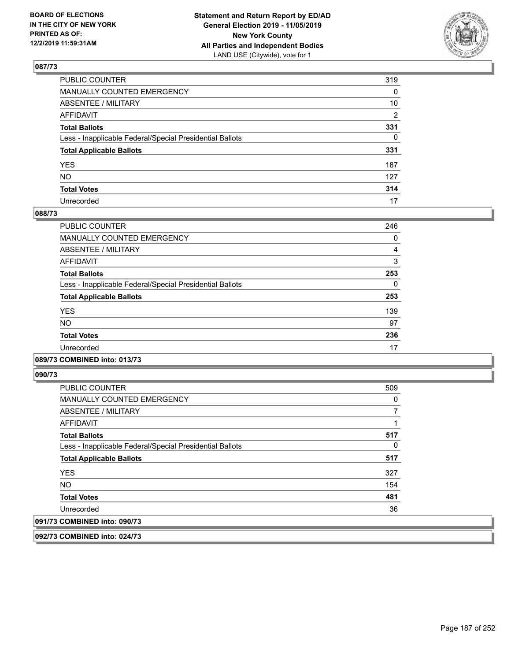

| PUBLIC COUNTER                                           | 319          |
|----------------------------------------------------------|--------------|
| MANUALLY COUNTED EMERGENCY                               | 0            |
| ABSENTEE / MILITARY                                      | 10           |
| AFFIDAVIT                                                | 2            |
| Total Ballots                                            | 331          |
| Less - Inapplicable Federal/Special Presidential Ballots | $\mathbf{0}$ |
| <b>Total Applicable Ballots</b>                          | 331          |
| YES                                                      | 187          |
| NO.                                                      | 127          |
| <b>Total Votes</b>                                       | 314          |
| Unrecorded                                               | 17           |

### **088/73**

| <b>PUBLIC COUNTER</b>                                    | 246 |
|----------------------------------------------------------|-----|
| <b>MANUALLY COUNTED EMERGENCY</b>                        | 0   |
| ABSENTEE / MILITARY                                      | 4   |
| <b>AFFIDAVIT</b>                                         | 3   |
| <b>Total Ballots</b>                                     | 253 |
| Less - Inapplicable Federal/Special Presidential Ballots | 0   |
| <b>Total Applicable Ballots</b>                          | 253 |
| <b>YES</b>                                               | 139 |
| <b>NO</b>                                                | 97  |
| <b>Total Votes</b>                                       | 236 |
| Unrecorded                                               | 17  |
|                                                          |     |

## **089/73 COMBINED into: 013/73**

**090/73** 

| <b>PUBLIC COUNTER</b>                                    | 509 |
|----------------------------------------------------------|-----|
| MANUALLY COUNTED EMERGENCY                               | 0   |
| ABSENTEE / MILITARY                                      |     |
| AFFIDAVIT                                                |     |
| <b>Total Ballots</b>                                     | 517 |
| Less - Inapplicable Federal/Special Presidential Ballots | 0   |
| <b>Total Applicable Ballots</b>                          | 517 |
| <b>YES</b>                                               | 327 |
| <b>NO</b>                                                | 154 |
| <b>Total Votes</b>                                       | 481 |
| Unrecorded                                               | 36  |
| 091/73 COMBINED into: 090/73                             |     |

**092/73 COMBINED into: 024/73**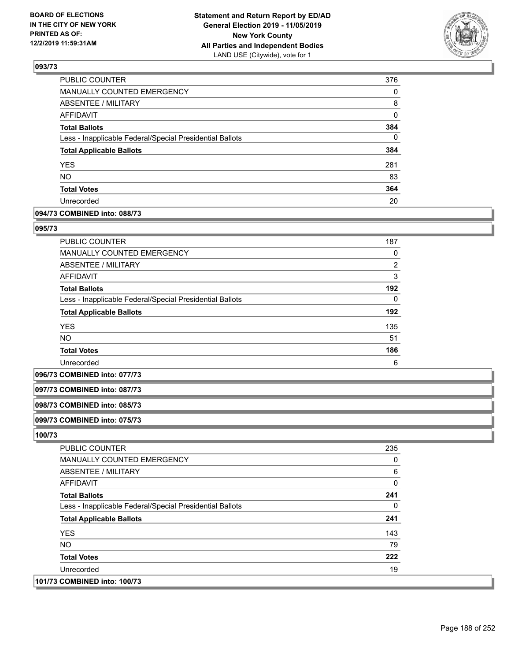

| PUBLIC COUNTER                                           | 376      |
|----------------------------------------------------------|----------|
| <b>MANUALLY COUNTED EMERGENCY</b>                        | 0        |
| <b>ABSENTEE / MILITARY</b>                               | 8        |
| <b>AFFIDAVIT</b>                                         | 0        |
| <b>Total Ballots</b>                                     | 384      |
| Less - Inapplicable Federal/Special Presidential Ballots | $\Omega$ |
| <b>Total Applicable Ballots</b>                          | 384      |
| <b>YES</b>                                               | 281      |
| <b>NO</b>                                                | 83       |
| <b>Total Votes</b>                                       | 364      |
| Unrecorded                                               | 20       |

## **094/73 COMBINED into: 088/73**

#### **095/73**

| <b>PUBLIC COUNTER</b>                                    | 187            |
|----------------------------------------------------------|----------------|
| <b>MANUALLY COUNTED EMERGENCY</b>                        | 0              |
| <b>ABSENTEE / MILITARY</b>                               | $\overline{2}$ |
| <b>AFFIDAVIT</b>                                         | 3              |
| <b>Total Ballots</b>                                     | 192            |
| Less - Inapplicable Federal/Special Presidential Ballots | $\Omega$       |
| <b>Total Applicable Ballots</b>                          | 192            |
| <b>YES</b>                                               | 135            |
| <b>NO</b>                                                | 51             |
| <b>Total Votes</b>                                       | 186            |
| Unrecorded                                               | 6              |

#### **096/73 COMBINED into: 077/73**

#### **097/73 COMBINED into: 087/73**

#### **098/73 COMBINED into: 085/73**

### **099/73 COMBINED into: 075/73**

| <b>PUBLIC COUNTER</b>                                    | 235 |
|----------------------------------------------------------|-----|
| <b>MANUALLY COUNTED EMERGENCY</b>                        | 0   |
| ABSENTEE / MILITARY                                      | 6   |
| AFFIDAVIT                                                | 0   |
| <b>Total Ballots</b>                                     | 241 |
| Less - Inapplicable Federal/Special Presidential Ballots | 0   |
| <b>Total Applicable Ballots</b>                          | 241 |
| <b>YES</b>                                               | 143 |
| NO.                                                      | 79  |
| <b>Total Votes</b>                                       | 222 |
| Unrecorded                                               | 19  |
| 101/73 COMBINED into: 100/73                             |     |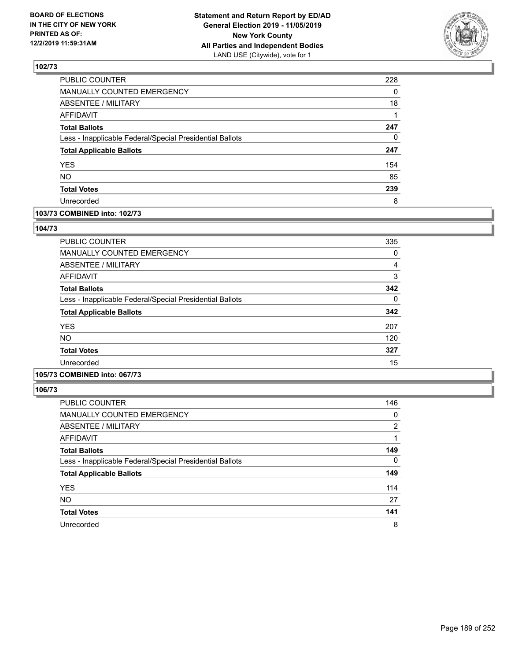

| PUBLIC COUNTER                                           | 228 |
|----------------------------------------------------------|-----|
| MANUALLY COUNTED EMERGENCY                               | 0   |
| <b>ABSENTEE / MILITARY</b>                               | 18  |
| <b>AFFIDAVIT</b>                                         |     |
| <b>Total Ballots</b>                                     | 247 |
| Less - Inapplicable Federal/Special Presidential Ballots | 0   |
| <b>Total Applicable Ballots</b>                          | 247 |
| <b>YES</b>                                               | 154 |
| <b>NO</b>                                                | 85  |
| <b>Total Votes</b>                                       | 239 |
| Unrecorded                                               | 8   |

### **103/73 COMBINED into: 102/73**

#### **104/73**

| PUBLIC COUNTER                                           | 335 |
|----------------------------------------------------------|-----|
| MANUALLY COUNTED EMERGENCY                               | 0   |
| ABSENTEE / MILITARY                                      | 4   |
| AFFIDAVIT                                                | 3   |
| <b>Total Ballots</b>                                     | 342 |
| Less - Inapplicable Federal/Special Presidential Ballots | 0   |
| <b>Total Applicable Ballots</b>                          | 342 |
| <b>YES</b>                                               | 207 |
| NO.                                                      | 120 |
| <b>Total Votes</b>                                       | 327 |
| Unrecorded                                               | 15  |

## **105/73 COMBINED into: 067/73**

| <b>PUBLIC COUNTER</b>                                    | 146            |
|----------------------------------------------------------|----------------|
| <b>MANUALLY COUNTED EMERGENCY</b>                        | 0              |
| ABSENTEE / MILITARY                                      | $\overline{2}$ |
| AFFIDAVIT                                                |                |
| <b>Total Ballots</b>                                     | 149            |
| Less - Inapplicable Federal/Special Presidential Ballots | $\Omega$       |
| <b>Total Applicable Ballots</b>                          | 149            |
| <b>YES</b>                                               | 114            |
| <b>NO</b>                                                | 27             |
| <b>Total Votes</b>                                       | 141            |
| Unrecorded                                               | 8              |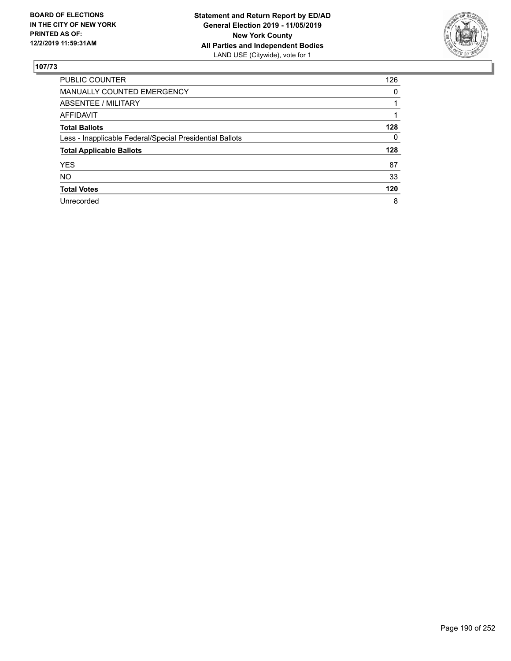

| <b>PUBLIC COUNTER</b>                                    | 126 |
|----------------------------------------------------------|-----|
| <b>MANUALLY COUNTED EMERGENCY</b>                        | 0   |
| ABSENTEE / MILITARY                                      |     |
| AFFIDAVIT                                                |     |
| <b>Total Ballots</b>                                     | 128 |
| Less - Inapplicable Federal/Special Presidential Ballots | 0   |
| <b>Total Applicable Ballots</b>                          | 128 |
| <b>YES</b>                                               | 87  |
| <b>NO</b>                                                | 33  |
| <b>Total Votes</b>                                       | 120 |
| Unrecorded                                               | 8   |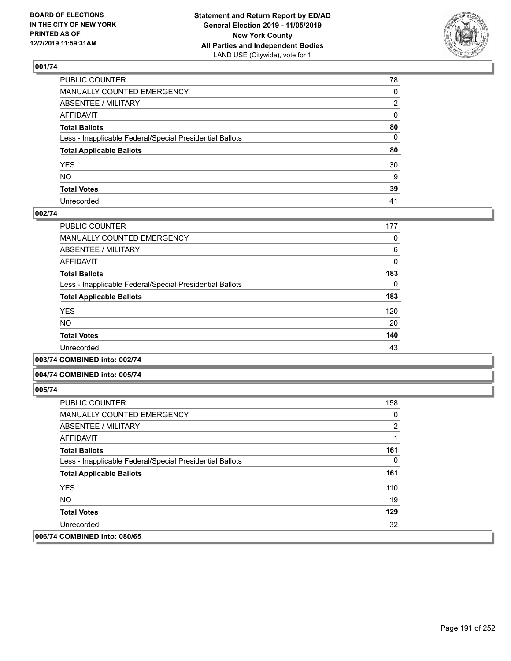

| PUBLIC COUNTER                                           | 78 |
|----------------------------------------------------------|----|
| MANUALLY COUNTED EMERGENCY                               | 0  |
| ABSENTEE / MILITARY                                      | 2  |
| AFFIDAVIT                                                | 0  |
| Total Ballots                                            | 80 |
| Less - Inapplicable Federal/Special Presidential Ballots | 0  |
| <b>Total Applicable Ballots</b>                          | 80 |
| YES                                                      | 30 |
| NO.                                                      | 9  |
| <b>Total Votes</b>                                       | 39 |
| Unrecorded                                               | 41 |

## **002/74**

| PUBLIC COUNTER                                           | 177 |
|----------------------------------------------------------|-----|
| <b>MANUALLY COUNTED EMERGENCY</b>                        | 0   |
| ABSENTEE / MILITARY                                      | 6   |
| AFFIDAVIT                                                | 0   |
| <b>Total Ballots</b>                                     | 183 |
| Less - Inapplicable Federal/Special Presidential Ballots | 0   |
| <b>Total Applicable Ballots</b>                          | 183 |
| <b>YES</b>                                               | 120 |
| NO.                                                      | 20  |
| <b>Total Votes</b>                                       | 140 |
| Unrecorded                                               | 43  |
|                                                          |     |

**003/74 COMBINED into: 002/74**

### **004/74 COMBINED into: 005/74**

| <b>PUBLIC COUNTER</b>                                    | 158            |
|----------------------------------------------------------|----------------|
| <b>MANUALLY COUNTED EMERGENCY</b>                        | 0              |
| ABSENTEE / MILITARY                                      | $\overline{2}$ |
| AFFIDAVIT                                                |                |
| <b>Total Ballots</b>                                     | 161            |
| Less - Inapplicable Federal/Special Presidential Ballots | 0              |
| <b>Total Applicable Ballots</b>                          | 161            |
| <b>YES</b>                                               | 110            |
| NO.                                                      | 19             |
| <b>Total Votes</b>                                       | 129            |
| Unrecorded                                               | 32             |
| 006/74 COMBINED into: 080/65                             |                |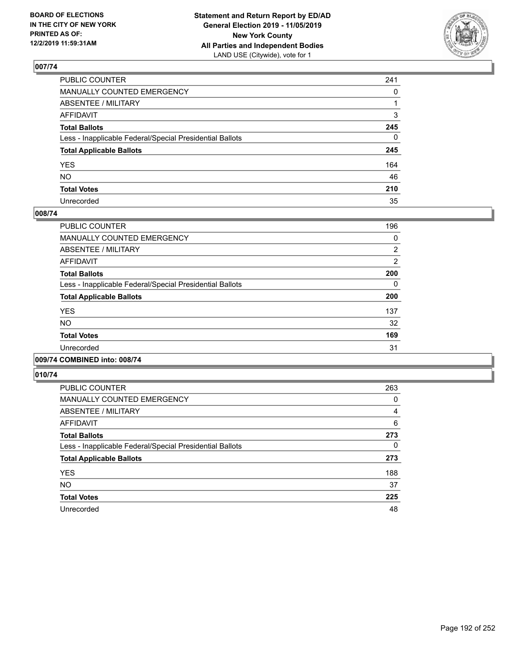

| PUBLIC COUNTER                                           | 241          |
|----------------------------------------------------------|--------------|
| MANUALLY COUNTED EMERGENCY                               | $\mathbf{0}$ |
| ABSENTEE / MILITARY                                      |              |
| AFFIDAVIT                                                | 3            |
| Total Ballots                                            | 245          |
| Less - Inapplicable Federal/Special Presidential Ballots | $\mathbf{0}$ |
| <b>Total Applicable Ballots</b>                          | 245          |
| YES                                                      | 164          |
| NO.                                                      | 46           |
| <b>Total Votes</b>                                       | 210          |
| Unrecorded                                               | 35           |

## **008/74**

| PUBLIC COUNTER                                           | 196            |
|----------------------------------------------------------|----------------|
| <b>MANUALLY COUNTED EMERGENCY</b>                        | 0              |
| ABSENTEE / MILITARY                                      | 2              |
| <b>AFFIDAVIT</b>                                         | $\overline{2}$ |
| <b>Total Ballots</b>                                     | 200            |
| Less - Inapplicable Federal/Special Presidential Ballots | 0              |
| <b>Total Applicable Ballots</b>                          | 200            |
| <b>YES</b>                                               | 137            |
| <b>NO</b>                                                | 32             |
| <b>Total Votes</b>                                       | 169            |
| Unrecorded                                               | 31             |
|                                                          |                |

## **009/74 COMBINED into: 008/74**

| <b>PUBLIC COUNTER</b>                                    | 263      |
|----------------------------------------------------------|----------|
| <b>MANUALLY COUNTED EMERGENCY</b>                        | 0        |
| ABSENTEE / MILITARY                                      | 4        |
| <b>AFFIDAVIT</b>                                         | 6        |
| <b>Total Ballots</b>                                     | 273      |
| Less - Inapplicable Federal/Special Presidential Ballots | $\Omega$ |
| <b>Total Applicable Ballots</b>                          | 273      |
| <b>YES</b>                                               | 188      |
| <b>NO</b>                                                | 37       |
| <b>Total Votes</b>                                       | 225      |
| Unrecorded                                               | 48       |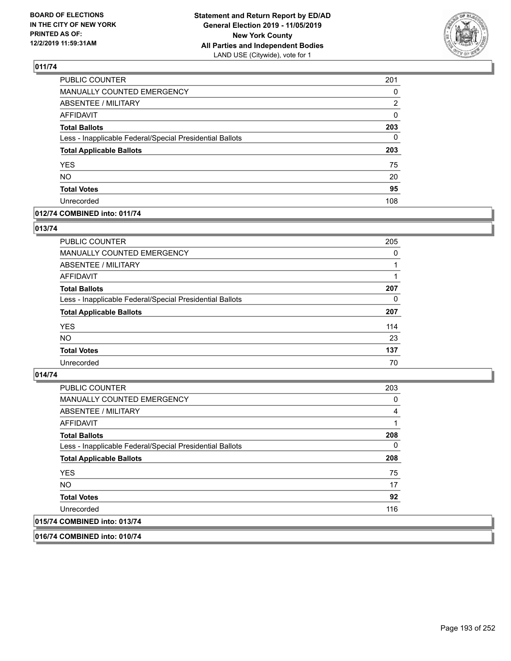

| PUBLIC COUNTER                                           | 201      |
|----------------------------------------------------------|----------|
| <b>MANUALLY COUNTED EMERGENCY</b>                        | 0        |
| <b>ABSENTEE / MILITARY</b>                               | 2        |
| <b>AFFIDAVIT</b>                                         | $\Omega$ |
| <b>Total Ballots</b>                                     | 203      |
| Less - Inapplicable Federal/Special Presidential Ballots | 0        |
| <b>Total Applicable Ballots</b>                          | 203      |
| <b>YES</b>                                               | 75       |
| <b>NO</b>                                                | 20       |
| <b>Total Votes</b>                                       | 95       |
| Unrecorded                                               | 108      |

## **012/74 COMBINED into: 011/74**

## **013/74**

| PUBLIC COUNTER                                           | 205      |
|----------------------------------------------------------|----------|
| MANUALLY COUNTED EMERGENCY                               | $\Omega$ |
| <b>ABSENTEE / MILITARY</b>                               |          |
| AFFIDAVIT                                                |          |
| <b>Total Ballots</b>                                     | 207      |
| Less - Inapplicable Federal/Special Presidential Ballots | 0        |
| <b>Total Applicable Ballots</b>                          | 207      |
| <b>YES</b>                                               | 114      |
| <b>NO</b>                                                | 23       |
| <b>Total Votes</b>                                       | 137      |
| Unrecorded                                               | 70       |
|                                                          |          |

## **014/74**

| <b>PUBLIC COUNTER</b>                                    | 203 |
|----------------------------------------------------------|-----|
| MANUALLY COUNTED EMERGENCY                               | 0   |
| ABSENTEE / MILITARY                                      | 4   |
| AFFIDAVIT                                                |     |
| <b>Total Ballots</b>                                     | 208 |
| Less - Inapplicable Federal/Special Presidential Ballots | 0   |
| <b>Total Applicable Ballots</b>                          | 208 |
| <b>YES</b>                                               | 75  |
| <b>NO</b>                                                | 17  |
| <b>Total Votes</b>                                       | 92  |
| Unrecorded                                               | 116 |
| 015/74 COMBINED into: 013/74                             |     |
|                                                          |     |

**016/74 COMBINED into: 010/74**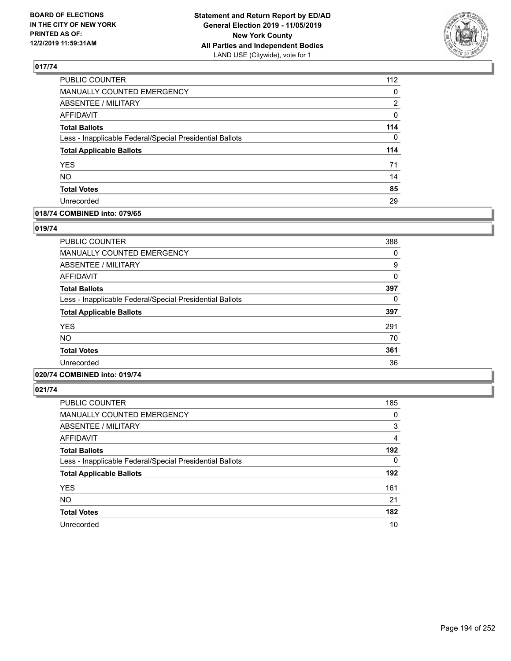

| PUBLIC COUNTER                                           | 112 |
|----------------------------------------------------------|-----|
| MANUALLY COUNTED EMERGENCY                               | 0   |
| <b>ABSENTEE / MILITARY</b>                               | 2   |
| <b>AFFIDAVIT</b>                                         | 0   |
| <b>Total Ballots</b>                                     | 114 |
| Less - Inapplicable Federal/Special Presidential Ballots | 0   |
| <b>Total Applicable Ballots</b>                          | 114 |
| <b>YES</b>                                               | 71  |
| <b>NO</b>                                                | 14  |
| <b>Total Votes</b>                                       | 85  |
| Unrecorded                                               | 29  |

## **018/74 COMBINED into: 079/65**

### **019/74**

| <b>PUBLIC COUNTER</b>                                    | 388 |
|----------------------------------------------------------|-----|
| <b>MANUALLY COUNTED EMERGENCY</b>                        | 0   |
| <b>ABSENTEE / MILITARY</b>                               | 9   |
| <b>AFFIDAVIT</b>                                         | 0   |
| <b>Total Ballots</b>                                     | 397 |
| Less - Inapplicable Federal/Special Presidential Ballots | 0   |
| <b>Total Applicable Ballots</b>                          | 397 |
| <b>YES</b>                                               | 291 |
| <b>NO</b>                                                | 70  |
| <b>Total Votes</b>                                       | 361 |
| Unrecorded                                               | 36  |
|                                                          |     |

## **020/74 COMBINED into: 019/74**

| <b>PUBLIC COUNTER</b>                                    | 185      |
|----------------------------------------------------------|----------|
| <b>MANUALLY COUNTED EMERGENCY</b>                        | 0        |
| ABSENTEE / MILITARY                                      | 3        |
| <b>AFFIDAVIT</b>                                         | 4        |
| <b>Total Ballots</b>                                     | 192      |
| Less - Inapplicable Federal/Special Presidential Ballots | $\Omega$ |
| <b>Total Applicable Ballots</b>                          | 192      |
| <b>YES</b>                                               | 161      |
| <b>NO</b>                                                | 21       |
| <b>Total Votes</b>                                       | 182      |
| Unrecorded                                               | 10       |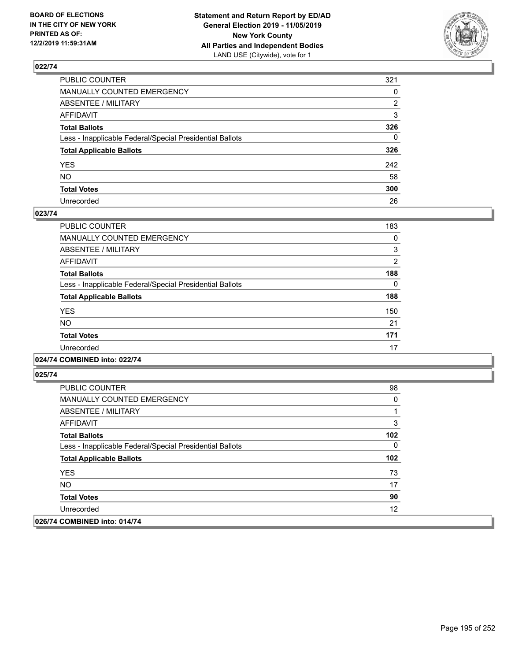

| PUBLIC COUNTER                                           | 321          |
|----------------------------------------------------------|--------------|
| MANUALLY COUNTED EMERGENCY                               | $\mathbf{0}$ |
| ABSENTEE / MILITARY                                      | 2            |
| AFFIDAVIT                                                | 3            |
| Total Ballots                                            | 326          |
| Less - Inapplicable Federal/Special Presidential Ballots | $\Omega$     |
| <b>Total Applicable Ballots</b>                          | 326          |
| YES                                                      | 242          |
| NO.                                                      | 58           |
| <b>Total Votes</b>                                       | 300          |
| Unrecorded                                               | 26           |

### **023/74**

| PUBLIC COUNTER                                           | 183      |
|----------------------------------------------------------|----------|
| <b>MANUALLY COUNTED EMERGENCY</b>                        | 0        |
| ABSENTEE / MILITARY                                      | 3        |
| <b>AFFIDAVIT</b>                                         | 2        |
| <b>Total Ballots</b>                                     | 188      |
| Less - Inapplicable Federal/Special Presidential Ballots | $\Omega$ |
| <b>Total Applicable Ballots</b>                          | 188      |
| <b>YES</b>                                               | 150      |
| <b>NO</b>                                                | 21       |
| <b>Total Votes</b>                                       | 171      |
| Unrecorded                                               | 17       |
|                                                          |          |

## **024/74 COMBINED into: 022/74**

| <b>PUBLIC COUNTER</b>                                    | 98  |
|----------------------------------------------------------|-----|
| <b>MANUALLY COUNTED EMERGENCY</b>                        | 0   |
| ABSENTEE / MILITARY                                      |     |
| AFFIDAVIT                                                | 3   |
| <b>Total Ballots</b>                                     | 102 |
| Less - Inapplicable Federal/Special Presidential Ballots | 0   |
| <b>Total Applicable Ballots</b>                          | 102 |
| <b>YES</b>                                               | 73  |
| NO.                                                      | 17  |
| <b>Total Votes</b>                                       | 90  |
| Unrecorded                                               | 12  |
| 026/74 COMBINED into: 014/74                             |     |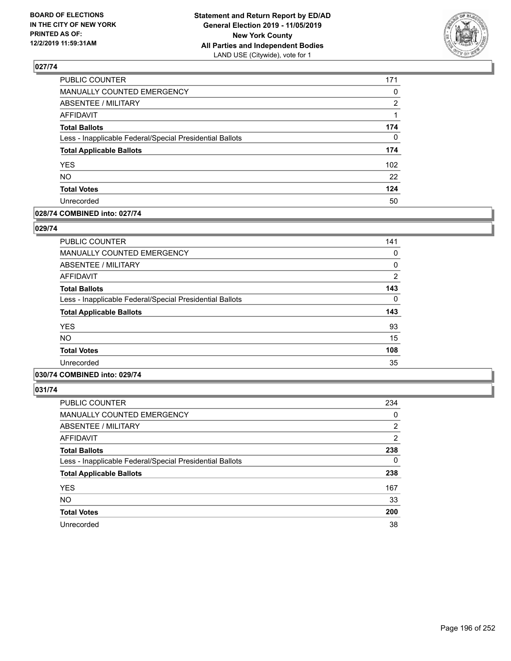

| PUBLIC COUNTER                                           | 171            |
|----------------------------------------------------------|----------------|
| <b>MANUALLY COUNTED EMERGENCY</b>                        | $\Omega$       |
| <b>ABSENTEE / MILITARY</b>                               | $\overline{2}$ |
| <b>AFFIDAVIT</b>                                         |                |
| <b>Total Ballots</b>                                     | 174            |
| Less - Inapplicable Federal/Special Presidential Ballots | $\Omega$       |
| <b>Total Applicable Ballots</b>                          | 174            |
| <b>YES</b>                                               | 102            |
| <b>NO</b>                                                | 22             |
| <b>Total Votes</b>                                       | 124            |
| Unrecorded                                               | 50             |

### **028/74 COMBINED into: 027/74**

#### **029/74**

| <b>PUBLIC COUNTER</b>                                    | 141            |
|----------------------------------------------------------|----------------|
| <b>MANUALLY COUNTED EMERGENCY</b>                        | 0              |
| <b>ABSENTEE / MILITARY</b>                               | 0              |
| <b>AFFIDAVIT</b>                                         | $\overline{2}$ |
| <b>Total Ballots</b>                                     | 143            |
| Less - Inapplicable Federal/Special Presidential Ballots | 0              |
| <b>Total Applicable Ballots</b>                          | 143            |
| <b>YES</b>                                               | 93             |
| <b>NO</b>                                                | 15             |
| <b>Total Votes</b>                                       | 108            |
| Unrecorded                                               | 35             |
|                                                          |                |

## **030/74 COMBINED into: 029/74**

| <b>PUBLIC COUNTER</b>                                    | 234      |
|----------------------------------------------------------|----------|
| <b>MANUALLY COUNTED EMERGENCY</b>                        | 0        |
| ABSENTEE / MILITARY                                      | 2        |
| AFFIDAVIT                                                | 2        |
| <b>Total Ballots</b>                                     | 238      |
| Less - Inapplicable Federal/Special Presidential Ballots | $\Omega$ |
| <b>Total Applicable Ballots</b>                          | 238      |
| <b>YES</b>                                               | 167      |
| <b>NO</b>                                                | 33       |
| <b>Total Votes</b>                                       | 200      |
| Unrecorded                                               | 38       |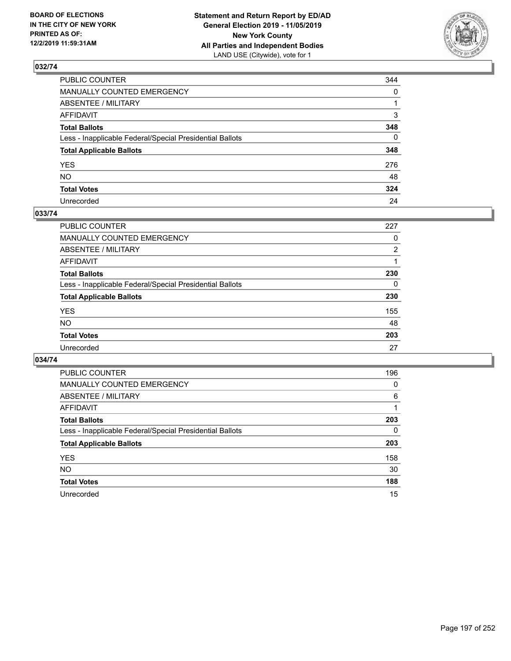

| PUBLIC COUNTER                                           | 344          |
|----------------------------------------------------------|--------------|
| MANUALLY COUNTED EMERGENCY                               | $\mathbf{0}$ |
| ABSENTEE / MILITARY                                      |              |
| AFFIDAVIT                                                | 3            |
| Total Ballots                                            | 348          |
| Less - Inapplicable Federal/Special Presidential Ballots | $\Omega$     |
| <b>Total Applicable Ballots</b>                          | 348          |
| YES                                                      | 276          |
| NO.                                                      | 48           |
| <b>Total Votes</b>                                       | 324          |
| Unrecorded                                               | 24           |

### **033/74**

| <b>PUBLIC COUNTER</b>                                    | 227            |
|----------------------------------------------------------|----------------|
| MANUALLY COUNTED EMERGENCY                               | 0              |
| ABSENTEE / MILITARY                                      | $\overline{2}$ |
| AFFIDAVIT                                                |                |
| <b>Total Ballots</b>                                     | 230            |
| Less - Inapplicable Federal/Special Presidential Ballots | $\Omega$       |
| <b>Total Applicable Ballots</b>                          | 230            |
| <b>YES</b>                                               | 155            |
| <b>NO</b>                                                | 48             |
| <b>Total Votes</b>                                       | 203            |
| Unrecorded                                               | 27             |

| <b>PUBLIC COUNTER</b>                                    | 196 |
|----------------------------------------------------------|-----|
| <b>MANUALLY COUNTED EMERGENCY</b>                        | 0   |
| ABSENTEE / MILITARY                                      | 6   |
| <b>AFFIDAVIT</b>                                         |     |
| <b>Total Ballots</b>                                     | 203 |
| Less - Inapplicable Federal/Special Presidential Ballots | 0   |
| <b>Total Applicable Ballots</b>                          | 203 |
| <b>YES</b>                                               | 158 |
| <b>NO</b>                                                | 30  |
| <b>Total Votes</b>                                       | 188 |
| Unrecorded                                               | 15  |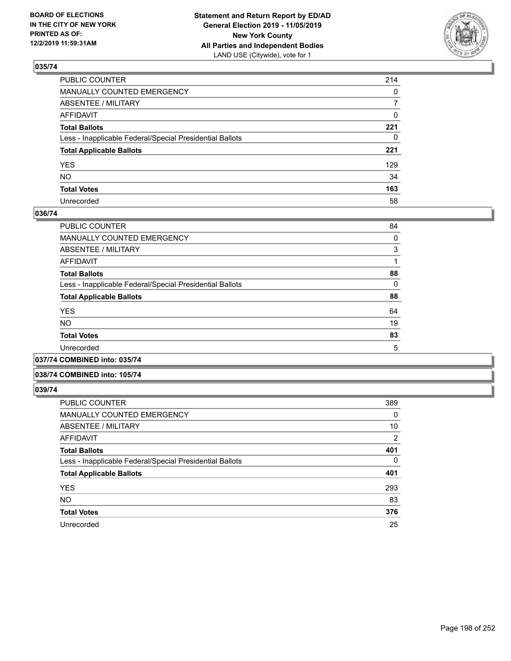

| PUBLIC COUNTER                                           | 214          |
|----------------------------------------------------------|--------------|
| MANUALLY COUNTED EMERGENCY                               | $\mathbf{0}$ |
| ABSENTEE / MILITARY                                      | 7            |
| AFFIDAVIT                                                | 0            |
| Total Ballots                                            | 221          |
| Less - Inapplicable Federal/Special Presidential Ballots | $\mathbf{0}$ |
| <b>Total Applicable Ballots</b>                          | 221          |
| YES                                                      | 129          |
| NO.                                                      | 34           |
| <b>Total Votes</b>                                       | 163          |
| Unrecorded                                               | 58           |

## **036/74**

| <b>PUBLIC COUNTER</b>                                    | 84 |
|----------------------------------------------------------|----|
| <b>MANUALLY COUNTED EMERGENCY</b>                        | 0  |
| ABSENTEE / MILITARY                                      | 3  |
| AFFIDAVIT                                                |    |
| <b>Total Ballots</b>                                     | 88 |
| Less - Inapplicable Federal/Special Presidential Ballots | 0  |
| <b>Total Applicable Ballots</b>                          | 88 |
| <b>YES</b>                                               | 64 |
| <b>NO</b>                                                | 19 |
| <b>Total Votes</b>                                       | 83 |
| Unrecorded                                               | 5  |
|                                                          |    |

**037/74 COMBINED into: 035/74**

### **038/74 COMBINED into: 105/74**

| <b>PUBLIC COUNTER</b>                                    | 389      |
|----------------------------------------------------------|----------|
| MANUALLY COUNTED EMERGENCY                               | 0        |
| ABSENTEE / MILITARY                                      | 10       |
| AFFIDAVIT                                                | 2        |
| <b>Total Ballots</b>                                     | 401      |
| Less - Inapplicable Federal/Special Presidential Ballots | $\Omega$ |
| <b>Total Applicable Ballots</b>                          | 401      |
| <b>YES</b>                                               | 293      |
| <b>NO</b>                                                | 83       |
| <b>Total Votes</b>                                       | 376      |
| Unrecorded                                               | 25       |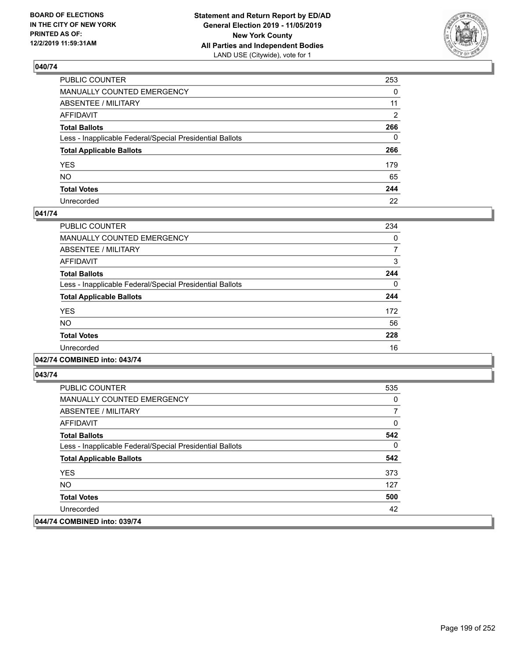

| PUBLIC COUNTER                                           | 253      |
|----------------------------------------------------------|----------|
| MANUALLY COUNTED EMERGENCY                               | $\Omega$ |
| ABSENTEE / MILITARY                                      | 11       |
| AFFIDAVIT                                                | 2        |
| Total Ballots                                            | 266      |
| Less - Inapplicable Federal/Special Presidential Ballots | $\Omega$ |
| <b>Total Applicable Ballots</b>                          | 266      |
| YES                                                      | 179      |
| NO.                                                      | 65       |
| <b>Total Votes</b>                                       | 244      |
| Unrecorded                                               | 22       |

## **041/74**

| PUBLIC COUNTER                                           | 234      |
|----------------------------------------------------------|----------|
| <b>MANUALLY COUNTED EMERGENCY</b>                        | $\Omega$ |
| ABSENTEE / MILITARY                                      |          |
| <b>AFFIDAVIT</b>                                         | 3        |
| <b>Total Ballots</b>                                     | 244      |
| Less - Inapplicable Federal/Special Presidential Ballots | $\Omega$ |
| <b>Total Applicable Ballots</b>                          | 244      |
| <b>YES</b>                                               | 172      |
| <b>NO</b>                                                | 56       |
| <b>Total Votes</b>                                       | 228      |
| Unrecorded                                               | 16       |
|                                                          |          |

## **042/74 COMBINED into: 043/74**

| <b>PUBLIC COUNTER</b>                                    | 535 |
|----------------------------------------------------------|-----|
| <b>MANUALLY COUNTED EMERGENCY</b>                        | 0   |
| ABSENTEE / MILITARY                                      | 7   |
| AFFIDAVIT                                                | 0   |
| <b>Total Ballots</b>                                     | 542 |
| Less - Inapplicable Federal/Special Presidential Ballots | 0   |
| <b>Total Applicable Ballots</b>                          | 542 |
| <b>YES</b>                                               | 373 |
| NO.                                                      | 127 |
| <b>Total Votes</b>                                       | 500 |
| Unrecorded                                               | 42  |
| 044/74 COMBINED into: 039/74                             |     |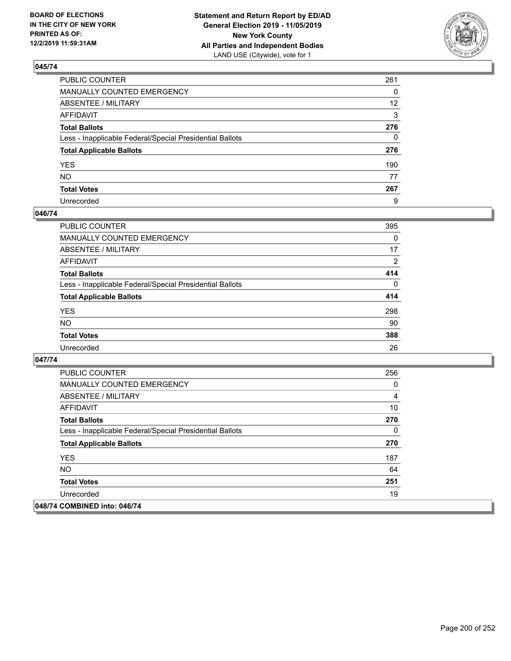

| PUBLIC COUNTER                                           | 261             |
|----------------------------------------------------------|-----------------|
| MANUALLY COUNTED EMERGENCY                               | $\Omega$        |
| ABSENTEE / MILITARY                                      | 12 <sup>2</sup> |
| AFFIDAVIT                                                | 3               |
| Total Ballots                                            | 276             |
| Less - Inapplicable Federal/Special Presidential Ballots | $\Omega$        |
| <b>Total Applicable Ballots</b>                          | 276             |
| YES                                                      | 190             |
| NO.                                                      | 77              |
| <b>Total Votes</b>                                       | 267             |
| Unrecorded                                               | 9               |

## **046/74**

| <b>PUBLIC COUNTER</b>                                    | 395            |
|----------------------------------------------------------|----------------|
| <b>MANUALLY COUNTED EMERGENCY</b>                        | $\Omega$       |
| ABSENTEE / MILITARY                                      | 17             |
| <b>AFFIDAVIT</b>                                         | $\overline{2}$ |
| <b>Total Ballots</b>                                     | 414            |
| Less - Inapplicable Federal/Special Presidential Ballots | $\Omega$       |
| <b>Total Applicable Ballots</b>                          | 414            |
| <b>YES</b>                                               | 298            |
| <b>NO</b>                                                | 90             |
| <b>Total Votes</b>                                       | 388            |
| Unrecorded                                               | 26             |

| <b>PUBLIC COUNTER</b>                                    | 256 |
|----------------------------------------------------------|-----|
| <b>MANUALLY COUNTED EMERGENCY</b>                        | 0   |
| ABSENTEE / MILITARY                                      | 4   |
| AFFIDAVIT                                                | 10  |
| <b>Total Ballots</b>                                     | 270 |
| Less - Inapplicable Federal/Special Presidential Ballots | 0   |
| <b>Total Applicable Ballots</b>                          | 270 |
| <b>YES</b>                                               | 187 |
| <b>NO</b>                                                | 64  |
| <b>Total Votes</b>                                       | 251 |
| Unrecorded                                               | 19  |
| 048/74 COMBINED into: 046/74                             |     |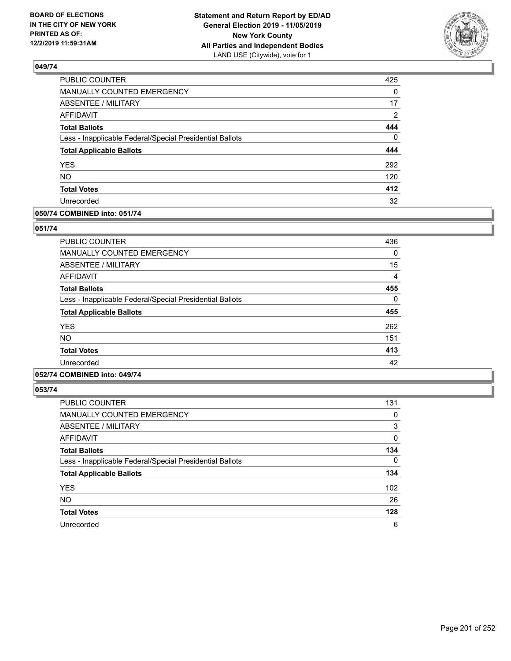

| PUBLIC COUNTER                                           | 425          |
|----------------------------------------------------------|--------------|
| MANUALLY COUNTED EMERGENCY                               | $\mathbf{0}$ |
| ABSENTEE / MILITARY                                      | 17           |
| <b>AFFIDAVIT</b>                                         | 2            |
| <b>Total Ballots</b>                                     | 444          |
| Less - Inapplicable Federal/Special Presidential Ballots | 0            |
| <b>Total Applicable Ballots</b>                          | 444          |
| <b>YES</b>                                               | 292          |
| <b>NO</b>                                                | 120          |
| <b>Total Votes</b>                                       | 412          |
| Unrecorded                                               | 32           |

## **050/74 COMBINED into: 051/74**

### **051/74**

| <b>PUBLIC COUNTER</b>                                    | 436 |
|----------------------------------------------------------|-----|
| <b>MANUALLY COUNTED EMERGENCY</b>                        | 0   |
| ABSENTEE / MILITARY                                      | 15  |
| <b>AFFIDAVIT</b>                                         | 4   |
| <b>Total Ballots</b>                                     | 455 |
| Less - Inapplicable Federal/Special Presidential Ballots | 0   |
| <b>Total Applicable Ballots</b>                          | 455 |
| <b>YES</b>                                               | 262 |
| <b>NO</b>                                                | 151 |
| <b>Total Votes</b>                                       | 413 |
| Unrecorded                                               | 42  |
|                                                          |     |

## **052/74 COMBINED into: 049/74**

| <b>PUBLIC COUNTER</b>                                    | 131              |
|----------------------------------------------------------|------------------|
| <b>MANUALLY COUNTED EMERGENCY</b>                        | 0                |
| ABSENTEE / MILITARY                                      | 3                |
| AFFIDAVIT                                                | 0                |
| <b>Total Ballots</b>                                     | 134              |
| Less - Inapplicable Federal/Special Presidential Ballots | $\Omega$         |
| <b>Total Applicable Ballots</b>                          | 134              |
| <b>YES</b>                                               | 102 <sub>2</sub> |
| <b>NO</b>                                                | 26               |
| <b>Total Votes</b>                                       | 128              |
| Unrecorded                                               | 6                |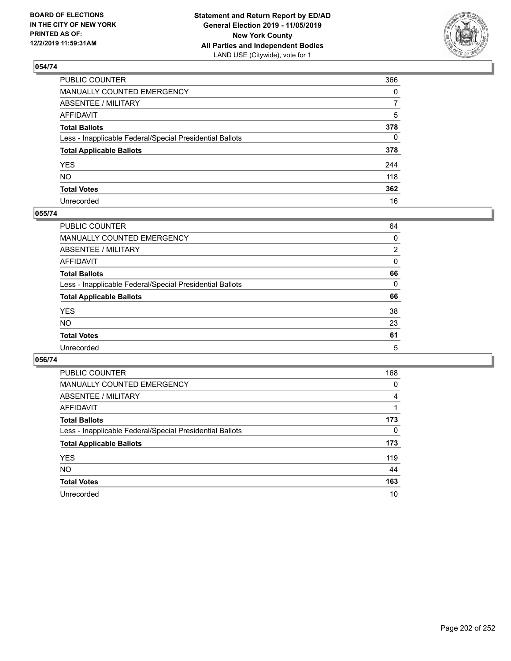

| PUBLIC COUNTER                                           | 366          |
|----------------------------------------------------------|--------------|
| MANUALLY COUNTED EMERGENCY                               | $\mathbf{0}$ |
| ABSENTEE / MILITARY                                      | 7            |
| AFFIDAVIT                                                | 5            |
| Total Ballots                                            | 378          |
| Less - Inapplicable Federal/Special Presidential Ballots | 0            |
| <b>Total Applicable Ballots</b>                          | 378          |
| YES                                                      | 244          |
| NO.                                                      | 118          |
| <b>Total Votes</b>                                       | 362          |
| Unrecorded                                               | 16           |

### **055/74**

| <b>PUBLIC COUNTER</b>                                    | 64             |
|----------------------------------------------------------|----------------|
| <b>MANUALLY COUNTED EMERGENCY</b>                        | 0              |
| ABSENTEE / MILITARY                                      | $\overline{2}$ |
| AFFIDAVIT                                                | $\Omega$       |
| <b>Total Ballots</b>                                     | 66             |
| Less - Inapplicable Federal/Special Presidential Ballots | $\Omega$       |
| <b>Total Applicable Ballots</b>                          | 66             |
| <b>YES</b>                                               | 38             |
| <b>NO</b>                                                | 23             |
| <b>Total Votes</b>                                       | 61             |
| Unrecorded                                               | 5              |

| <b>PUBLIC COUNTER</b>                                    | 168 |
|----------------------------------------------------------|-----|
| MANUALLY COUNTED EMERGENCY                               | 0   |
| ABSENTEE / MILITARY                                      | 4   |
| AFFIDAVIT                                                |     |
| <b>Total Ballots</b>                                     | 173 |
| Less - Inapplicable Federal/Special Presidential Ballots | 0   |
| <b>Total Applicable Ballots</b>                          | 173 |
| <b>YES</b>                                               | 119 |
| <b>NO</b>                                                | 44  |
| <b>Total Votes</b>                                       | 163 |
| Unrecorded                                               | 10  |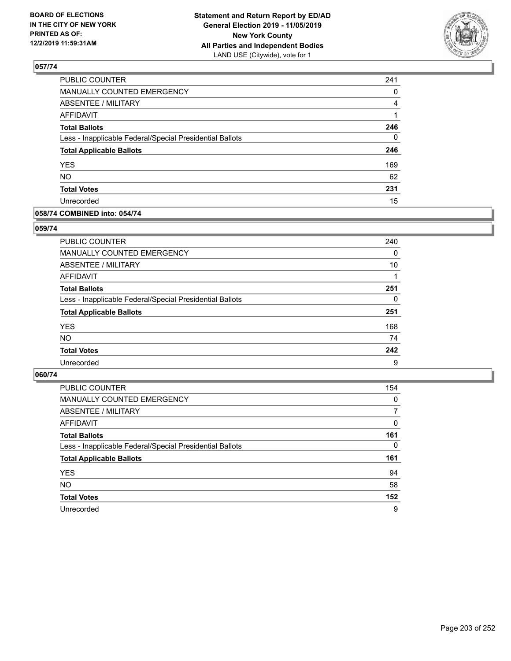

| PUBLIC COUNTER                                           | 241      |
|----------------------------------------------------------|----------|
| MANUALLY COUNTED EMERGENCY                               | 0        |
| <b>ABSENTEE / MILITARY</b>                               | 4        |
| AFFIDAVIT                                                |          |
| <b>Total Ballots</b>                                     | 246      |
| Less - Inapplicable Federal/Special Presidential Ballots | $\Omega$ |
| <b>Total Applicable Ballots</b>                          | 246      |
| <b>YES</b>                                               | 169      |
| <b>NO</b>                                                | 62       |
| <b>Total Votes</b>                                       | 231      |
| Unrecorded                                               | 15       |

### **058/74 COMBINED into: 054/74**

### **059/74**

| PUBLIC COUNTER                                           | 240      |
|----------------------------------------------------------|----------|
| <b>MANUALLY COUNTED EMERGENCY</b>                        | 0        |
| ABSENTEE / MILITARY                                      | 10       |
| AFFIDAVIT                                                |          |
| <b>Total Ballots</b>                                     | 251      |
| Less - Inapplicable Federal/Special Presidential Ballots | $\Omega$ |
| <b>Total Applicable Ballots</b>                          | 251      |
| <b>YES</b>                                               | 168      |
| <b>NO</b>                                                | 74       |
| <b>Total Votes</b>                                       | 242      |
| Unrecorded                                               | 9        |

| <b>PUBLIC COUNTER</b>                                    | 154      |
|----------------------------------------------------------|----------|
| MANUALLY COUNTED EMERGENCY                               | $\Omega$ |
| ABSENTEE / MILITARY                                      | 7        |
| AFFIDAVIT                                                | $\Omega$ |
| <b>Total Ballots</b>                                     | 161      |
| Less - Inapplicable Federal/Special Presidential Ballots | $\Omega$ |
| <b>Total Applicable Ballots</b>                          | 161      |
| <b>YES</b>                                               | 94       |
| <b>NO</b>                                                | 58       |
| <b>Total Votes</b>                                       | 152      |
| Unrecorded                                               | 9        |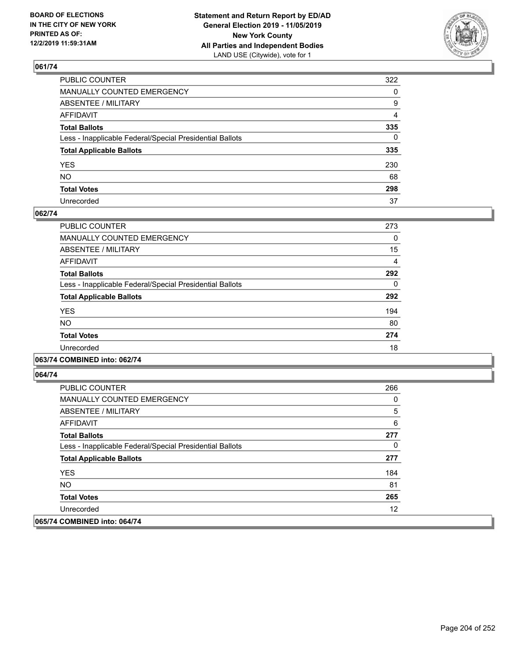

| PUBLIC COUNTER                                           | 322          |
|----------------------------------------------------------|--------------|
| MANUALLY COUNTED EMERGENCY                               | $\mathbf{0}$ |
| ABSENTEE / MILITARY                                      | 9            |
| AFFIDAVIT                                                | 4            |
| Total Ballots                                            | 335          |
| Less - Inapplicable Federal/Special Presidential Ballots | $\Omega$     |
| <b>Total Applicable Ballots</b>                          | 335          |
| YES                                                      | 230          |
| NO.                                                      | 68           |
| <b>Total Votes</b>                                       | 298          |
| Unrecorded                                               | 37           |

### **062/74**

| PUBLIC COUNTER                                           | 273      |
|----------------------------------------------------------|----------|
| <b>MANUALLY COUNTED EMERGENCY</b>                        | $\Omega$ |
| ABSENTEE / MILITARY                                      | 15       |
| <b>AFFIDAVIT</b>                                         | 4        |
| <b>Total Ballots</b>                                     | 292      |
| Less - Inapplicable Federal/Special Presidential Ballots | $\Omega$ |
| <b>Total Applicable Ballots</b>                          | 292      |
| <b>YES</b>                                               | 194      |
| <b>NO</b>                                                | 80       |
| <b>Total Votes</b>                                       | 274      |
| Unrecorded                                               | 18       |
|                                                          |          |

## **063/74 COMBINED into: 062/74**

| <b>PUBLIC COUNTER</b>                                    | 266 |
|----------------------------------------------------------|-----|
| <b>MANUALLY COUNTED EMERGENCY</b>                        | 0   |
| ABSENTEE / MILITARY                                      | 5   |
| AFFIDAVIT                                                | 6   |
| <b>Total Ballots</b>                                     | 277 |
| Less - Inapplicable Federal/Special Presidential Ballots | 0   |
| <b>Total Applicable Ballots</b>                          | 277 |
| <b>YES</b>                                               | 184 |
| NO.                                                      | 81  |
| <b>Total Votes</b>                                       | 265 |
| Unrecorded                                               | 12  |
| 065/74 COMBINED into: 064/74                             |     |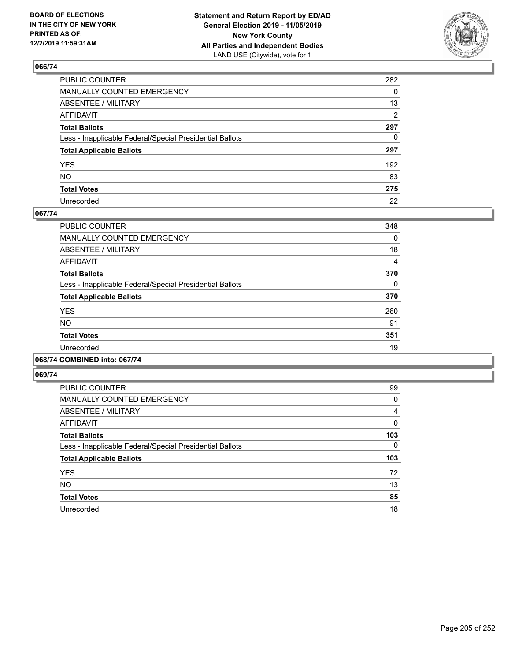

| PUBLIC COUNTER                                           | 282          |
|----------------------------------------------------------|--------------|
| MANUALLY COUNTED EMERGENCY                               | $\mathbf{0}$ |
| ABSENTEE / MILITARY                                      | 13           |
| AFFIDAVIT                                                | 2            |
| Total Ballots                                            | 297          |
| Less - Inapplicable Federal/Special Presidential Ballots | $\mathbf{0}$ |
| <b>Total Applicable Ballots</b>                          | 297          |
| YES                                                      | 192          |
| NO.                                                      | 83           |
| <b>Total Votes</b>                                       | 275          |
| Unrecorded                                               | 22           |

### **067/74**

| <b>PUBLIC COUNTER</b>                                    | 348      |
|----------------------------------------------------------|----------|
| MANUALLY COUNTED EMERGENCY                               | 0        |
| ABSENTEE / MILITARY                                      | 18       |
| AFFIDAVIT                                                | 4        |
| <b>Total Ballots</b>                                     | 370      |
| Less - Inapplicable Federal/Special Presidential Ballots | $\Omega$ |
| <b>Total Applicable Ballots</b>                          | 370      |
| <b>YES</b>                                               | 260      |
| <b>NO</b>                                                | 91       |
| <b>Total Votes</b>                                       | 351      |
| Unrecorded                                               | 19       |
|                                                          |          |

## **068/74 COMBINED into: 067/74**

| <b>PUBLIC COUNTER</b>                                    | 99       |
|----------------------------------------------------------|----------|
| <b>MANUALLY COUNTED EMERGENCY</b>                        | 0        |
| ABSENTEE / MILITARY                                      | 4        |
| <b>AFFIDAVIT</b>                                         | $\Omega$ |
| <b>Total Ballots</b>                                     | 103      |
| Less - Inapplicable Federal/Special Presidential Ballots | $\Omega$ |
| <b>Total Applicable Ballots</b>                          | 103      |
| <b>YES</b>                                               | 72       |
| <b>NO</b>                                                | 13       |
| <b>Total Votes</b>                                       | 85       |
|                                                          |          |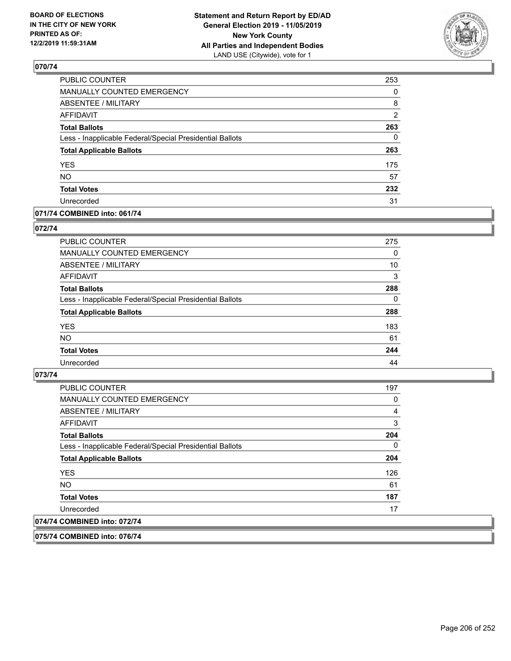

| PUBLIC COUNTER                                           | 253            |
|----------------------------------------------------------|----------------|
| MANUALLY COUNTED EMERGENCY                               | 0              |
| <b>ABSENTEE / MILITARY</b>                               | 8              |
| <b>AFFIDAVIT</b>                                         | $\overline{2}$ |
| <b>Total Ballots</b>                                     | 263            |
| Less - Inapplicable Federal/Special Presidential Ballots | $\Omega$       |
| <b>Total Applicable Ballots</b>                          | 263            |
| <b>YES</b>                                               | 175            |
| <b>NO</b>                                                | 57             |
| <b>Total Votes</b>                                       | 232            |
| Unrecorded                                               | 31             |

### **071/74 COMBINED into: 061/74**

### **072/74**

| <b>PUBLIC COUNTER</b>                                    | 275      |
|----------------------------------------------------------|----------|
| <b>MANUALLY COUNTED EMERGENCY</b>                        | $\Omega$ |
| ABSENTEE / MILITARY                                      | 10       |
| AFFIDAVIT                                                | 3        |
| <b>Total Ballots</b>                                     | 288      |
| Less - Inapplicable Federal/Special Presidential Ballots | $\Omega$ |
| <b>Total Applicable Ballots</b>                          | 288      |
| <b>YES</b>                                               | 183      |
| <b>NO</b>                                                | 61       |
| <b>Total Votes</b>                                       | 244      |
| Unrecorded                                               | 44       |

## **073/74**

| 074/74 COMBINED into: 072/74                             |     |
|----------------------------------------------------------|-----|
| Unrecorded                                               | 17  |
| <b>Total Votes</b>                                       | 187 |
| NO.                                                      | 61  |
| <b>YES</b>                                               | 126 |
| <b>Total Applicable Ballots</b>                          | 204 |
| Less - Inapplicable Federal/Special Presidential Ballots | 0   |
| <b>Total Ballots</b>                                     | 204 |
| <b>AFFIDAVIT</b>                                         | 3   |
| ABSENTEE / MILITARY                                      | 4   |
| <b>MANUALLY COUNTED EMERGENCY</b>                        | 0   |
| <b>PUBLIC COUNTER</b>                                    | 197 |

**075/74 COMBINED into: 076/74**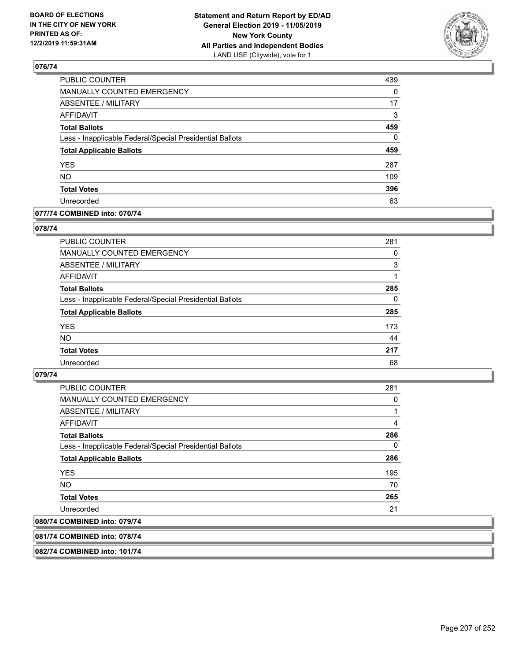

| PUBLIC COUNTER                                           | 439      |
|----------------------------------------------------------|----------|
| MANUALLY COUNTED EMERGENCY                               | 0        |
| <b>ABSENTEE / MILITARY</b>                               | 17       |
| <b>AFFIDAVIT</b>                                         | 3        |
| <b>Total Ballots</b>                                     | 459      |
| Less - Inapplicable Federal/Special Presidential Ballots | $\Omega$ |
| <b>Total Applicable Ballots</b>                          | 459      |
| <b>YES</b>                                               | 287      |
| <b>NO</b>                                                | 109      |
| <b>Total Votes</b>                                       | 396      |
| Unrecorded                                               | 63       |

## **077/74 COMBINED into: 070/74**

#### **078/74**

| <b>PUBLIC COUNTER</b>                                    | 281 |
|----------------------------------------------------------|-----|
| <b>MANUALLY COUNTED EMERGENCY</b>                        | 0   |
| ABSENTEE / MILITARY                                      | 3   |
| AFFIDAVIT                                                |     |
| <b>Total Ballots</b>                                     | 285 |
| Less - Inapplicable Federal/Special Presidential Ballots | 0   |
| <b>Total Applicable Ballots</b>                          | 285 |
| <b>YES</b>                                               | 173 |
| <b>NO</b>                                                | 44  |
| <b>Total Votes</b>                                       | 217 |
| Unrecorded                                               | 68  |
|                                                          |     |

## **079/74**

| <b>PUBLIC COUNTER</b>                                    | 281 |
|----------------------------------------------------------|-----|
| <b>MANUALLY COUNTED EMERGENCY</b>                        | 0   |
| ABSENTEE / MILITARY                                      |     |
| AFFIDAVIT                                                | 4   |
| <b>Total Ballots</b>                                     | 286 |
| Less - Inapplicable Federal/Special Presidential Ballots | 0   |
| <b>Total Applicable Ballots</b>                          | 286 |
| <b>YES</b>                                               | 195 |
| NO.                                                      | 70  |
| <b>Total Votes</b>                                       | 265 |
| Unrecorded                                               | 21  |
| 080/74 COMBINED into: 079/74                             |     |

**081/74 COMBINED into: 078/74**

**082/74 COMBINED into: 101/74**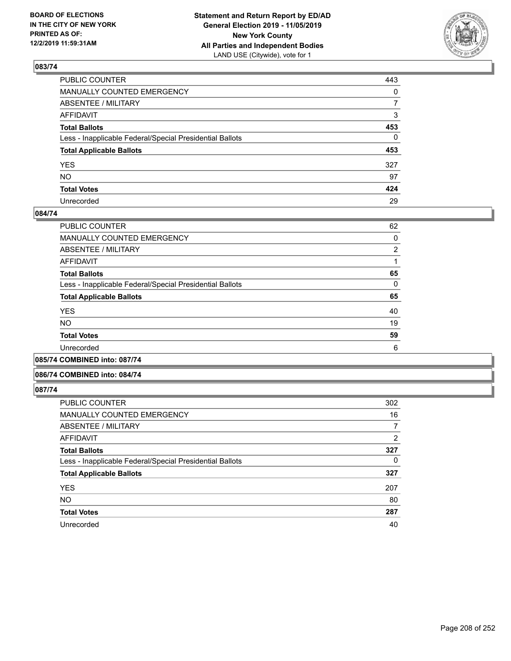

| PUBLIC COUNTER                                           | 443          |
|----------------------------------------------------------|--------------|
| MANUALLY COUNTED EMERGENCY                               | $\mathbf{0}$ |
| ABSENTEE / MILITARY                                      | 7            |
| AFFIDAVIT                                                | 3            |
| Total Ballots                                            | 453          |
| Less - Inapplicable Federal/Special Presidential Ballots | $\mathbf{0}$ |
| <b>Total Applicable Ballots</b>                          | 453          |
| YES                                                      | 327          |
| NO.                                                      | 97           |
| <b>Total Votes</b>                                       | 424          |
| Unrecorded                                               | 29           |

## **084/74**

| <b>PUBLIC COUNTER</b>                                    | 62             |
|----------------------------------------------------------|----------------|
| <b>MANUALLY COUNTED EMERGENCY</b>                        | 0              |
| ABSENTEE / MILITARY                                      | $\overline{2}$ |
| AFFIDAVIT                                                |                |
| <b>Total Ballots</b>                                     | 65             |
| Less - Inapplicable Federal/Special Presidential Ballots | 0              |
| <b>Total Applicable Ballots</b>                          | 65             |
| <b>YES</b>                                               | 40             |
| <b>NO</b>                                                | 19             |
| <b>Total Votes</b>                                       | 59             |
| Unrecorded                                               | 6              |
|                                                          |                |

**085/74 COMBINED into: 087/74**

### **086/74 COMBINED into: 084/74**

| <b>PUBLIC COUNTER</b>                                    | 302      |
|----------------------------------------------------------|----------|
| <b>MANUALLY COUNTED EMERGENCY</b>                        | 16       |
| ABSENTEE / MILITARY                                      | 7        |
| AFFIDAVIT                                                | 2        |
| <b>Total Ballots</b>                                     | 327      |
| Less - Inapplicable Federal/Special Presidential Ballots | $\Omega$ |
| <b>Total Applicable Ballots</b>                          | 327      |
| <b>YES</b>                                               | 207      |
| <b>NO</b>                                                | 80       |
| <b>Total Votes</b>                                       | 287      |
| Unrecorded                                               | 40       |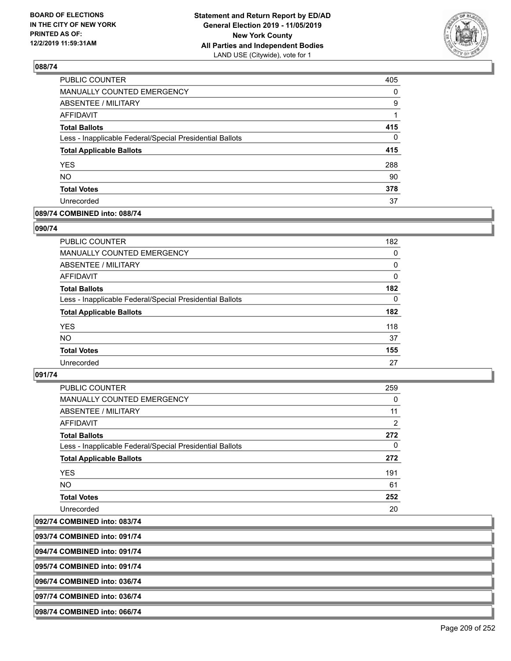

| PUBLIC COUNTER                                           | 405      |
|----------------------------------------------------------|----------|
| MANUALLY COUNTED EMERGENCY                               | 0        |
| <b>ABSENTEE / MILITARY</b>                               | 9        |
| <b>AFFIDAVIT</b>                                         | 1        |
| <b>Total Ballots</b>                                     | 415      |
| Less - Inapplicable Federal/Special Presidential Ballots | $\Omega$ |
| <b>Total Applicable Ballots</b>                          | 415      |
| <b>YES</b>                                               | 288      |
| <b>NO</b>                                                | 90       |
| <b>Total Votes</b>                                       | 378      |
| Unrecorded                                               | 37       |

## **089/74 COMBINED into: 088/74**

### **090/74**

| PUBLIC COUNTER                                           | 182      |
|----------------------------------------------------------|----------|
| <b>MANUALLY COUNTED EMERGENCY</b>                        | 0        |
| ABSENTEE / MILITARY                                      | 0        |
| AFFIDAVIT                                                | $\Omega$ |
| <b>Total Ballots</b>                                     | 182      |
| Less - Inapplicable Federal/Special Presidential Ballots | $\Omega$ |
| <b>Total Applicable Ballots</b>                          | 182      |
| <b>YES</b>                                               | 118      |
| <b>NO</b>                                                | 37       |
| <b>Total Votes</b>                                       | 155      |
| Unrecorded                                               | 27       |

## **091/74**

| PUBLIC COUNTER                                           | 259            |
|----------------------------------------------------------|----------------|
| <b>MANUALLY COUNTED EMERGENCY</b>                        | 0              |
| ABSENTEE / MILITARY                                      | 11             |
| <b>AFFIDAVIT</b>                                         | $\overline{2}$ |
| <b>Total Ballots</b>                                     | 272            |
| Less - Inapplicable Federal/Special Presidential Ballots | $\Omega$       |
| <b>Total Applicable Ballots</b>                          | 272            |
| <b>YES</b>                                               | 191            |
| <b>NO</b>                                                | 61             |
| <b>Total Votes</b>                                       | 252            |
| Unrecorded                                               | 20             |

**092/74 COMBINED into: 083/74**

**093/74 COMBINED into: 091/74**

**094/74 COMBINED into: 091/74**

**095/74 COMBINED into: 091/74**

**096/74 COMBINED into: 036/74**

**097/74 COMBINED into: 036/74**

**098/74 COMBINED into: 066/74**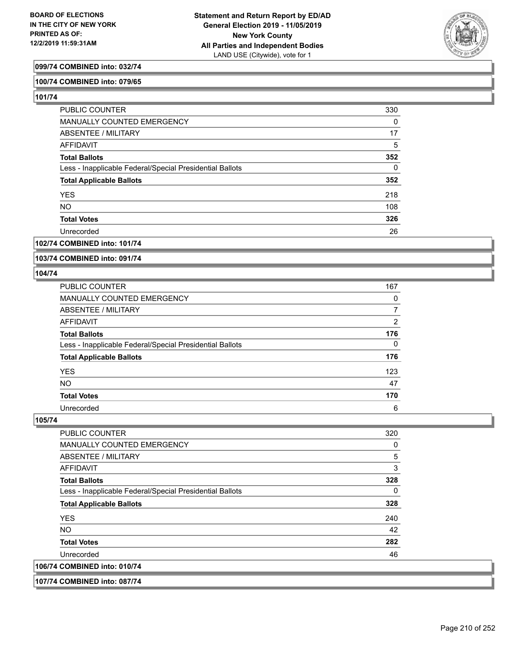

## **099/74 COMBINED into: 032/74**

#### **100/74 COMBINED into: 079/65**

**101/74** 

| <b>PUBLIC COUNTER</b>                                    | 330      |
|----------------------------------------------------------|----------|
| MANUALLY COUNTED EMERGENCY                               | 0        |
| ABSENTEE / MILITARY                                      | 17       |
| AFFIDAVIT                                                | 5        |
| <b>Total Ballots</b>                                     | 352      |
| Less - Inapplicable Federal/Special Presidential Ballots | $\Omega$ |
| <b>Total Applicable Ballots</b>                          | 352      |
| <b>YES</b>                                               | 218      |
| <b>NO</b>                                                | 108      |
| <b>Total Votes</b>                                       | 326      |
| Unrecorded                                               | 26       |

### **102/74 COMBINED into: 101/74**

**103/74 COMBINED into: 091/74**

#### **104/74**

| <b>PUBLIC COUNTER</b>                                    | 167 |
|----------------------------------------------------------|-----|
| <b>MANUALLY COUNTED EMERGENCY</b>                        | 0   |
| <b>ABSENTEE / MILITARY</b>                               |     |
| AFFIDAVIT                                                | 2   |
| <b>Total Ballots</b>                                     | 176 |
| Less - Inapplicable Federal/Special Presidential Ballots | 0   |
| <b>Total Applicable Ballots</b>                          | 176 |
| <b>YES</b>                                               | 123 |
| <b>NO</b>                                                | 47  |
| <b>Total Votes</b>                                       | 170 |
| Unrecorded                                               | 6   |

| <b>PUBLIC COUNTER</b>                                    | 320 |
|----------------------------------------------------------|-----|
| <b>MANUALLY COUNTED EMERGENCY</b>                        | 0   |
| ABSENTEE / MILITARY                                      | 5   |
| <b>AFFIDAVIT</b>                                         | 3   |
| <b>Total Ballots</b>                                     | 328 |
| Less - Inapplicable Federal/Special Presidential Ballots | 0   |
| <b>Total Applicable Ballots</b>                          | 328 |
| <b>YES</b>                                               | 240 |
| NO.                                                      | 42  |
| <b>Total Votes</b>                                       | 282 |
| Unrecorded                                               | 46  |
| 106/74 COMBINED into: 010/74                             |     |
|                                                          |     |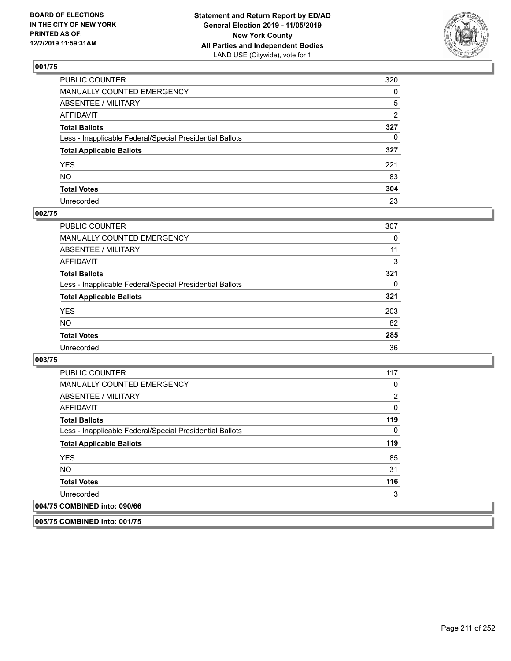

| PUBLIC COUNTER                                           | 320          |
|----------------------------------------------------------|--------------|
| MANUALLY COUNTED EMERGENCY                               | $\mathbf{0}$ |
| ABSENTEE / MILITARY                                      | 5            |
| AFFIDAVIT                                                | 2            |
| Total Ballots                                            | 327          |
| Less - Inapplicable Federal/Special Presidential Ballots | $\mathbf{0}$ |
| <b>Total Applicable Ballots</b>                          | 327          |
| YES                                                      | 221          |
| NO.                                                      | 83           |
| <b>Total Votes</b>                                       | 304          |
| Unrecorded                                               | 23           |

## **002/75**

| <b>PUBLIC COUNTER</b>                                    | 307 |
|----------------------------------------------------------|-----|
| <b>MANUALLY COUNTED EMERGENCY</b>                        | 0   |
| ABSENTEE / MILITARY                                      | 11  |
| AFFIDAVIT                                                | 3   |
| <b>Total Ballots</b>                                     | 321 |
| Less - Inapplicable Federal/Special Presidential Ballots | 0   |
| <b>Total Applicable Ballots</b>                          | 321 |
| <b>YES</b>                                               | 203 |
| <b>NO</b>                                                | 82  |
| <b>Total Votes</b>                                       | 285 |
| Unrecorded                                               | 36  |

### **003/75**

| <b>PUBLIC COUNTER</b>                                    | 117 |
|----------------------------------------------------------|-----|
| <b>MANUALLY COUNTED EMERGENCY</b>                        | 0   |
| ABSENTEE / MILITARY                                      | 2   |
| AFFIDAVIT                                                | 0   |
| <b>Total Ballots</b>                                     | 119 |
| Less - Inapplicable Federal/Special Presidential Ballots | 0   |
| <b>Total Applicable Ballots</b>                          | 119 |
| <b>YES</b>                                               | 85  |
| <b>NO</b>                                                | 31  |
| <b>Total Votes</b>                                       | 116 |
| Unrecorded                                               | 3   |
| 004/75 COMBINED into: 090/66                             |     |

**005/75 COMBINED into: 001/75**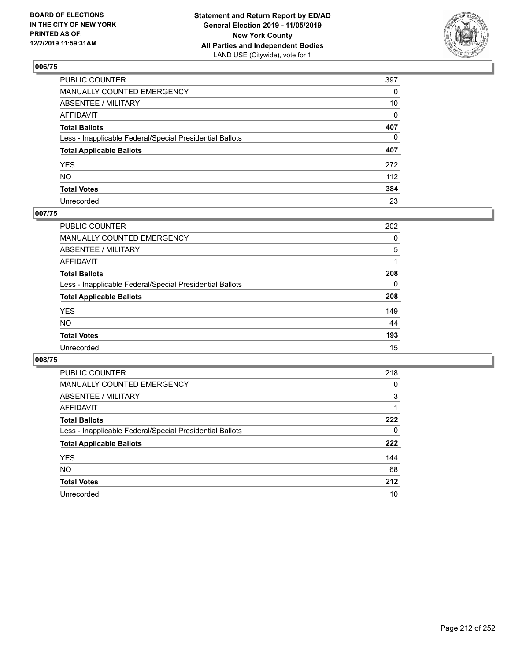

| PUBLIC COUNTER                                           | 397          |
|----------------------------------------------------------|--------------|
| MANUALLY COUNTED EMERGENCY                               | $\mathbf{0}$ |
| ABSENTEE / MILITARY                                      | 10           |
| AFFIDAVIT                                                | $\Omega$     |
| Total Ballots                                            | 407          |
| Less - Inapplicable Federal/Special Presidential Ballots | $\mathbf{0}$ |
| <b>Total Applicable Ballots</b>                          | 407          |
| YES                                                      | 272          |
| NO.                                                      | 112          |
| <b>Total Votes</b>                                       | 384          |
| Unrecorded                                               | 23           |

## **007/75**

| <b>PUBLIC COUNTER</b>                                    | 202      |
|----------------------------------------------------------|----------|
| MANUALLY COUNTED EMERGENCY                               | 0        |
| ABSENTEE / MILITARY                                      | 5        |
| AFFIDAVIT                                                |          |
| <b>Total Ballots</b>                                     | 208      |
| Less - Inapplicable Federal/Special Presidential Ballots | $\Omega$ |
| <b>Total Applicable Ballots</b>                          | 208      |
| <b>YES</b>                                               | 149      |
| <b>NO</b>                                                | 44       |
| <b>Total Votes</b>                                       | 193      |
| Unrecorded                                               | 15       |

| <b>PUBLIC COUNTER</b>                                    | 218 |
|----------------------------------------------------------|-----|
| <b>MANUALLY COUNTED EMERGENCY</b>                        | 0   |
| ABSENTEE / MILITARY                                      | 3   |
| AFFIDAVIT                                                |     |
| <b>Total Ballots</b>                                     | 222 |
| Less - Inapplicable Federal/Special Presidential Ballots | 0   |
| <b>Total Applicable Ballots</b>                          | 222 |
| <b>YES</b>                                               | 144 |
| <b>NO</b>                                                | 68  |
| <b>Total Votes</b>                                       | 212 |
| Unrecorded                                               | 10  |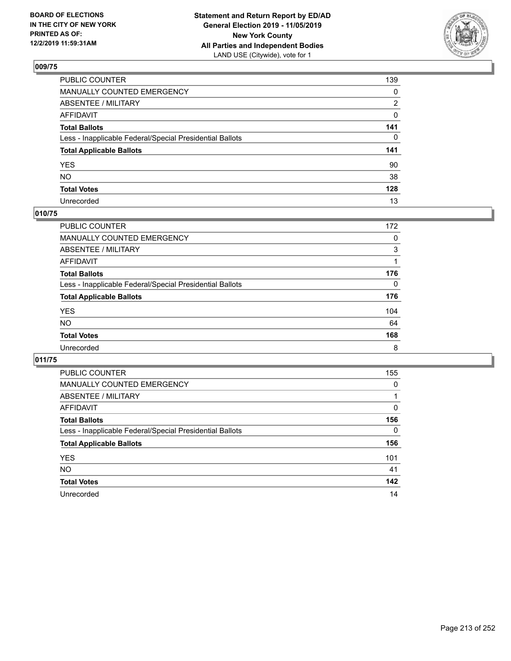

| PUBLIC COUNTER                                           | 139          |
|----------------------------------------------------------|--------------|
| MANUALLY COUNTED EMERGENCY                               | $\mathbf{0}$ |
| ABSENTEE / MILITARY                                      | 2            |
| AFFIDAVIT                                                | 0            |
| Total Ballots                                            | 141          |
| Less - Inapplicable Federal/Special Presidential Ballots | $\mathbf{0}$ |
| <b>Total Applicable Ballots</b>                          | 141          |
| YES                                                      | 90           |
| NO.                                                      | 38           |
| <b>Total Votes</b>                                       | 128          |
| Unrecorded                                               | 13           |

## **010/75**

| PUBLIC COUNTER                                           | 172      |
|----------------------------------------------------------|----------|
| MANUALLY COUNTED EMERGENCY                               | $\Omega$ |
| ABSENTEE / MILITARY                                      | 3        |
| AFFIDAVIT                                                |          |
| <b>Total Ballots</b>                                     | 176      |
| Less - Inapplicable Federal/Special Presidential Ballots | $\Omega$ |
| <b>Total Applicable Ballots</b>                          | 176      |
| <b>YES</b>                                               | 104      |
| <b>NO</b>                                                | 64       |
| <b>Total Votes</b>                                       | 168      |
| Unrecorded                                               | 8        |

| <b>PUBLIC COUNTER</b>                                    | 155      |
|----------------------------------------------------------|----------|
| <b>MANUALLY COUNTED EMERGENCY</b>                        | $\Omega$ |
| ABSENTEE / MILITARY                                      |          |
| <b>AFFIDAVIT</b>                                         | $\Omega$ |
| <b>Total Ballots</b>                                     | 156      |
| Less - Inapplicable Federal/Special Presidential Ballots | $\Omega$ |
| <b>Total Applicable Ballots</b>                          | 156      |
| <b>YES</b>                                               | 101      |
| <b>NO</b>                                                | 41       |
| <b>Total Votes</b>                                       | 142      |
| Unrecorded                                               | 14       |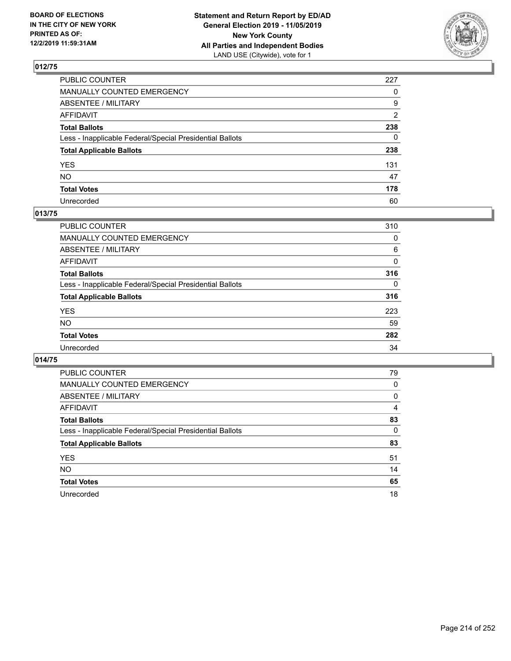

| PUBLIC COUNTER                                           | 227          |
|----------------------------------------------------------|--------------|
| MANUALLY COUNTED EMERGENCY                               | $\Omega$     |
| ABSENTEE / MILITARY                                      | 9            |
| AFFIDAVIT                                                | 2            |
| Total Ballots                                            | 238          |
| Less - Inapplicable Federal/Special Presidential Ballots | $\mathbf{0}$ |
| <b>Total Applicable Ballots</b>                          | 238          |
| YES                                                      | 131          |
| NO.                                                      | 47           |
| <b>Total Votes</b>                                       | 178          |
| Unrecorded                                               | 60           |

## **013/75**

| <b>PUBLIC COUNTER</b>                                    | 310      |
|----------------------------------------------------------|----------|
| MANUALLY COUNTED EMERGENCY                               | 0        |
| ABSENTEE / MILITARY                                      | 6        |
| AFFIDAVIT                                                | $\Omega$ |
| <b>Total Ballots</b>                                     | 316      |
| Less - Inapplicable Federal/Special Presidential Ballots | $\Omega$ |
| <b>Total Applicable Ballots</b>                          | 316      |
| <b>YES</b>                                               | 223      |
| <b>NO</b>                                                | 59       |
| <b>Total Votes</b>                                       | 282      |
| Unrecorded                                               | 34       |

| PUBLIC COUNTER                                           | 79       |
|----------------------------------------------------------|----------|
| <b>MANUALLY COUNTED EMERGENCY</b>                        | $\Omega$ |
| ABSENTEE / MILITARY                                      | 0        |
| AFFIDAVIT                                                | 4        |
| <b>Total Ballots</b>                                     | 83       |
| Less - Inapplicable Federal/Special Presidential Ballots | $\Omega$ |
| <b>Total Applicable Ballots</b>                          | 83       |
| <b>YES</b>                                               | 51       |
| <b>NO</b>                                                | 14       |
| <b>Total Votes</b>                                       | 65       |
| Unrecorded                                               | 18       |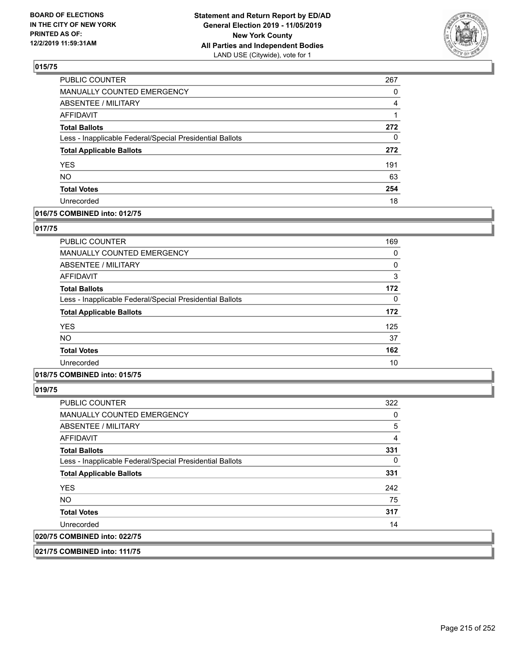

| PUBLIC COUNTER                                           | 267 |
|----------------------------------------------------------|-----|
| MANUALLY COUNTED EMERGENCY                               | 0   |
| <b>ABSENTEE / MILITARY</b>                               | 4   |
| <b>AFFIDAVIT</b>                                         |     |
| <b>Total Ballots</b>                                     | 272 |
| Less - Inapplicable Federal/Special Presidential Ballots | 0   |
| <b>Total Applicable Ballots</b>                          | 272 |
| <b>YES</b>                                               | 191 |
| <b>NO</b>                                                | 63  |
| <b>Total Votes</b>                                       | 254 |
| Unrecorded                                               | 18  |

## **016/75 COMBINED into: 012/75**

### **017/75**

| <b>PUBLIC COUNTER</b>                                    | 169      |
|----------------------------------------------------------|----------|
| <b>MANUALLY COUNTED EMERGENCY</b>                        | 0        |
| ABSENTEE / MILITARY                                      | 0        |
| AFFIDAVIT                                                | 3        |
| <b>Total Ballots</b>                                     | 172      |
| Less - Inapplicable Federal/Special Presidential Ballots | $\Omega$ |
| <b>Total Applicable Ballots</b>                          | 172      |
| <b>YES</b>                                               | 125      |
| <b>NO</b>                                                | 37       |
| <b>Total Votes</b>                                       | 162      |
| Unrecorded                                               | 10       |

## **018/75 COMBINED into: 015/75**

**019/75** 

| <b>PUBLIC COUNTER</b>                                    | 322 |
|----------------------------------------------------------|-----|
| <b>MANUALLY COUNTED EMERGENCY</b>                        | 0   |
| ABSENTEE / MILITARY                                      | 5   |
| AFFIDAVIT                                                | 4   |
| <b>Total Ballots</b>                                     | 331 |
| Less - Inapplicable Federal/Special Presidential Ballots | 0   |
| <b>Total Applicable Ballots</b>                          | 331 |
| <b>YES</b>                                               | 242 |
| NO.                                                      | 75  |
| <b>Total Votes</b>                                       | 317 |
| Unrecorded                                               | 14  |
| 020/75 COMBINED into: 022/75                             |     |

**021/75 COMBINED into: 111/75**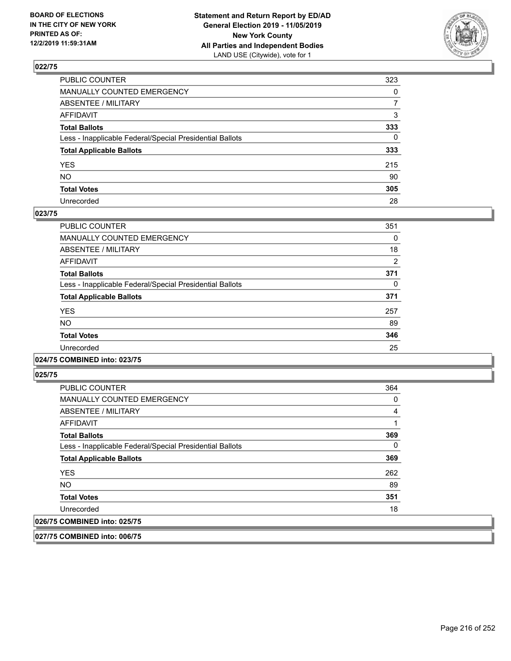

| PUBLIC COUNTER                                           | 323          |
|----------------------------------------------------------|--------------|
| MANUALLY COUNTED EMERGENCY                               | $\mathbf{0}$ |
| ABSENTEE / MILITARY                                      | 7            |
| AFFIDAVIT                                                | 3            |
| Total Ballots                                            | 333          |
| Less - Inapplicable Federal/Special Presidential Ballots | $\Omega$     |
| <b>Total Applicable Ballots</b>                          | 333          |
| YES                                                      | 215          |
| NO.                                                      | 90           |
| <b>Total Votes</b>                                       | 305          |
| Unrecorded                                               | 28           |

### **023/75**

| <b>PUBLIC COUNTER</b>                                    | 351      |
|----------------------------------------------------------|----------|
| MANUALLY COUNTED EMERGENCY                               | $\Omega$ |
| ABSENTEE / MILITARY                                      | 18       |
| AFFIDAVIT                                                | 2        |
| <b>Total Ballots</b>                                     | 371      |
| Less - Inapplicable Federal/Special Presidential Ballots | 0        |
| <b>Total Applicable Ballots</b>                          | 371      |
| <b>YES</b>                                               | 257      |
| NO.                                                      | 89       |
| <b>Total Votes</b>                                       | 346      |
| Unrecorded                                               | 25       |
|                                                          |          |

### **024/75 COMBINED into: 023/75**

**025/75** 

| <b>PUBLIC COUNTER</b>                                    | 364      |
|----------------------------------------------------------|----------|
| <b>MANUALLY COUNTED EMERGENCY</b>                        | 0        |
| ABSENTEE / MILITARY                                      | 4        |
| AFFIDAVIT                                                |          |
| <b>Total Ballots</b>                                     | 369      |
| Less - Inapplicable Federal/Special Presidential Ballots | $\Omega$ |
| <b>Total Applicable Ballots</b>                          | 369      |
| <b>YES</b>                                               | 262      |
| <b>NO</b>                                                | 89       |
| <b>Total Votes</b>                                       | 351      |
| Unrecorded                                               | 18       |
| 026/75 COMBINED into: 025/75                             |          |

**027/75 COMBINED into: 006/75**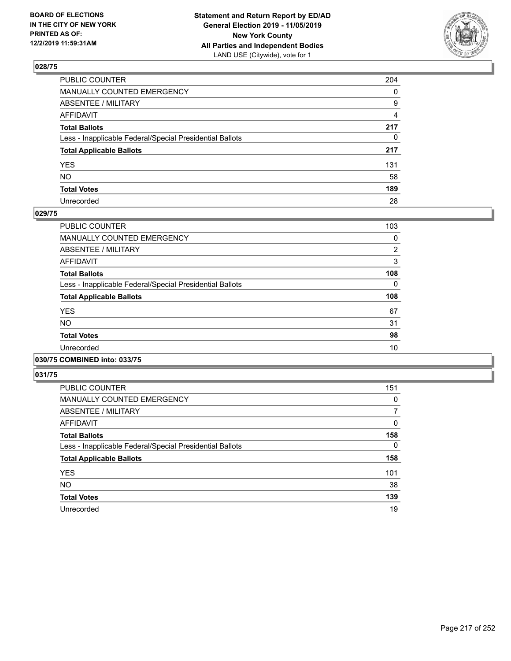

| PUBLIC COUNTER                                           | 204          |
|----------------------------------------------------------|--------------|
| MANUALLY COUNTED EMERGENCY                               | $\mathbf{0}$ |
| ABSENTEE / MILITARY                                      | 9            |
| AFFIDAVIT                                                | 4            |
| Total Ballots                                            | 217          |
| Less - Inapplicable Federal/Special Presidential Ballots | $\mathbf{0}$ |
| <b>Total Applicable Ballots</b>                          | 217          |
| YES                                                      | 131          |
| NO.                                                      | 58           |
| <b>Total Votes</b>                                       | 189          |
| Unrecorded                                               | 28           |

### **029/75**

| PUBLIC COUNTER                                           | 103            |
|----------------------------------------------------------|----------------|
| <b>MANUALLY COUNTED EMERGENCY</b>                        | 0              |
| ABSENTEE / MILITARY                                      | $\overline{2}$ |
| <b>AFFIDAVIT</b>                                         | 3              |
| <b>Total Ballots</b>                                     | 108            |
| Less - Inapplicable Federal/Special Presidential Ballots | $\Omega$       |
| <b>Total Applicable Ballots</b>                          | 108            |
| <b>YES</b>                                               | 67             |
| <b>NO</b>                                                | 31             |
| <b>Total Votes</b>                                       | 98             |
| Unrecorded                                               | 10             |
|                                                          |                |

#### **030/75 COMBINED into: 033/75**

| <b>PUBLIC COUNTER</b>                                    | 151      |
|----------------------------------------------------------|----------|
| <b>MANUALLY COUNTED EMERGENCY</b>                        | 0        |
| ABSENTEE / MILITARY                                      | 7        |
| AFFIDAVIT                                                | 0        |
| <b>Total Ballots</b>                                     | 158      |
| Less - Inapplicable Federal/Special Presidential Ballots | $\Omega$ |
| <b>Total Applicable Ballots</b>                          | 158      |
| <b>YES</b>                                               | 101      |
| <b>NO</b>                                                | 38       |
| <b>Total Votes</b>                                       | 139      |
| Unrecorded                                               | 19       |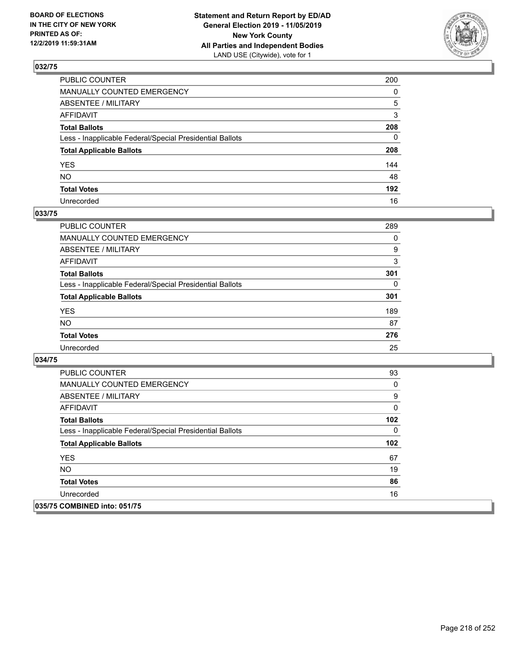

| PUBLIC COUNTER                                           | 200          |
|----------------------------------------------------------|--------------|
| MANUALLY COUNTED EMERGENCY                               | $\mathbf{0}$ |
| ABSENTEE / MILITARY                                      | 5            |
| AFFIDAVIT                                                | 3            |
| Total Ballots                                            | 208          |
| Less - Inapplicable Federal/Special Presidential Ballots | $\mathbf{0}$ |
| <b>Total Applicable Ballots</b>                          | 208          |
| YES                                                      | 144          |
| NO.                                                      | 48           |
| <b>Total Votes</b>                                       | 192          |
| Unrecorded                                               | 16           |

### **033/75**

| <b>PUBLIC COUNTER</b>                                    | 289      |
|----------------------------------------------------------|----------|
| <b>MANUALLY COUNTED EMERGENCY</b>                        | $\Omega$ |
| ABSENTEE / MILITARY                                      | 9        |
| AFFIDAVIT                                                | 3        |
| <b>Total Ballots</b>                                     | 301      |
| Less - Inapplicable Federal/Special Presidential Ballots | 0        |
| <b>Total Applicable Ballots</b>                          | 301      |
| <b>YES</b>                                               | 189      |
| <b>NO</b>                                                | 87       |
| <b>Total Votes</b>                                       | 276      |
| Unrecorded                                               | 25       |

| <b>PUBLIC COUNTER</b>                                    | 93  |
|----------------------------------------------------------|-----|
| <b>MANUALLY COUNTED EMERGENCY</b>                        | 0   |
| ABSENTEE / MILITARY                                      | 9   |
| AFFIDAVIT                                                | 0   |
| <b>Total Ballots</b>                                     | 102 |
| Less - Inapplicable Federal/Special Presidential Ballots | 0   |
| <b>Total Applicable Ballots</b>                          | 102 |
| <b>YES</b>                                               | 67  |
| <b>NO</b>                                                | 19  |
| <b>Total Votes</b>                                       | 86  |
| Unrecorded                                               | 16  |
| 035/75 COMBINED into: 051/75                             |     |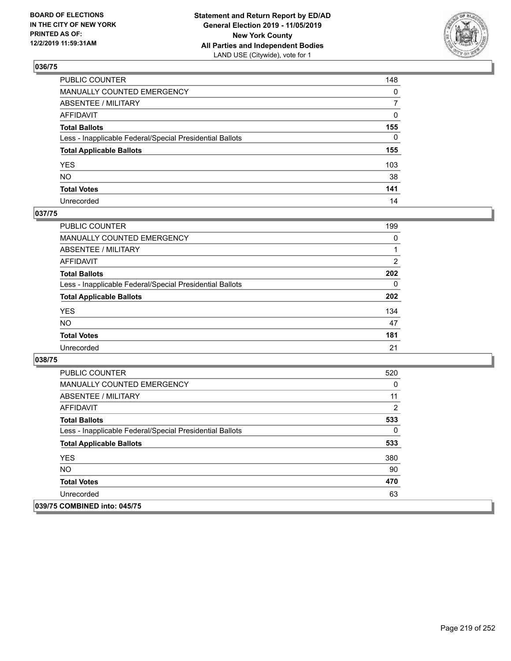

| PUBLIC COUNTER                                           | 148            |
|----------------------------------------------------------|----------------|
| MANUALLY COUNTED EMERGENCY                               | $\mathbf{0}$   |
| ABSENTEE / MILITARY                                      | $\overline{7}$ |
| AFFIDAVIT                                                | $\mathbf{0}$   |
| Total Ballots                                            | 155            |
| Less - Inapplicable Federal/Special Presidential Ballots | $\Omega$       |
| <b>Total Applicable Ballots</b>                          | 155            |
| YES                                                      | 103            |
| NO.                                                      | 38             |
| <b>Total Votes</b>                                       | 141            |
| Unrecorded                                               | 14             |

### **037/75**

| <b>PUBLIC COUNTER</b>                                    | 199            |
|----------------------------------------------------------|----------------|
| <b>MANUALLY COUNTED EMERGENCY</b>                        | $\Omega$       |
| ABSENTEE / MILITARY                                      |                |
| AFFIDAVIT                                                | $\overline{2}$ |
| <b>Total Ballots</b>                                     | 202            |
| Less - Inapplicable Federal/Special Presidential Ballots | $\Omega$       |
| <b>Total Applicable Ballots</b>                          | 202            |
| <b>YES</b>                                               | 134            |
| <b>NO</b>                                                | 47             |
| <b>Total Votes</b>                                       | 181            |
| Unrecorded                                               | 21             |

| <b>PUBLIC COUNTER</b>                                    | 520            |
|----------------------------------------------------------|----------------|
| <b>MANUALLY COUNTED EMERGENCY</b>                        | 0              |
| ABSENTEE / MILITARY                                      | 11             |
| AFFIDAVIT                                                | $\overline{2}$ |
| <b>Total Ballots</b>                                     | 533            |
| Less - Inapplicable Federal/Special Presidential Ballots | 0              |
| <b>Total Applicable Ballots</b>                          | 533            |
| <b>YES</b>                                               | 380            |
| NO.                                                      | 90             |
| <b>Total Votes</b>                                       | 470            |
| Unrecorded                                               | 63             |
| 039/75 COMBINED into: 045/75                             |                |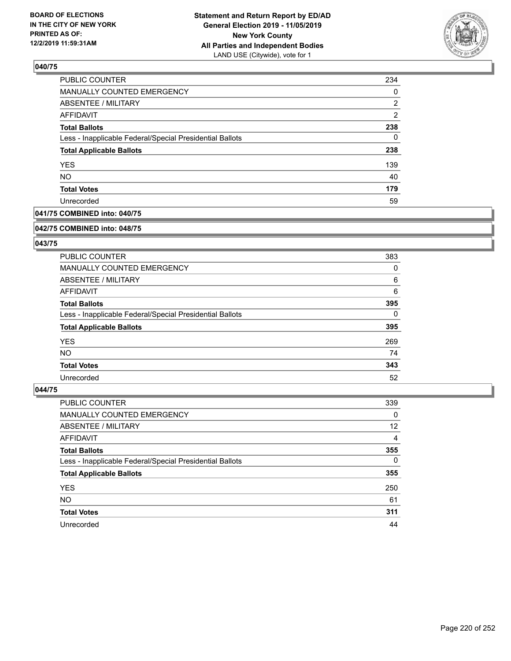

| 234            |
|----------------|
| 0              |
| 2              |
| $\overline{2}$ |
| 238            |
| $\Omega$       |
| 238            |
| 139            |
| 40             |
| 179            |
| 59             |
|                |

### **041/75 COMBINED into: 040/75**

#### **042/75 COMBINED into: 048/75**

## **043/75**

| PUBLIC COUNTER                                           | 383      |
|----------------------------------------------------------|----------|
| <b>MANUALLY COUNTED EMERGENCY</b>                        | 0        |
| ABSENTEE / MILITARY                                      | 6        |
| AFFIDAVIT                                                | 6        |
| <b>Total Ballots</b>                                     | 395      |
| Less - Inapplicable Federal/Special Presidential Ballots | $\Omega$ |
| <b>Total Applicable Ballots</b>                          | 395      |
| <b>YES</b>                                               | 269      |
| NO.                                                      | 74       |
| <b>Total Votes</b>                                       | 343      |
| Unrecorded                                               | 52       |

| <b>PUBLIC COUNTER</b>                                    | 339      |
|----------------------------------------------------------|----------|
| MANUALLY COUNTED EMERGENCY                               | $\Omega$ |
| ABSENTEE / MILITARY                                      | 12       |
| AFFIDAVIT                                                | 4        |
| <b>Total Ballots</b>                                     | 355      |
| Less - Inapplicable Federal/Special Presidential Ballots | $\Omega$ |
| <b>Total Applicable Ballots</b>                          | 355      |
| <b>YES</b>                                               | 250      |
| <b>NO</b>                                                | 61       |
| <b>Total Votes</b>                                       | 311      |
| Unrecorded                                               | 44       |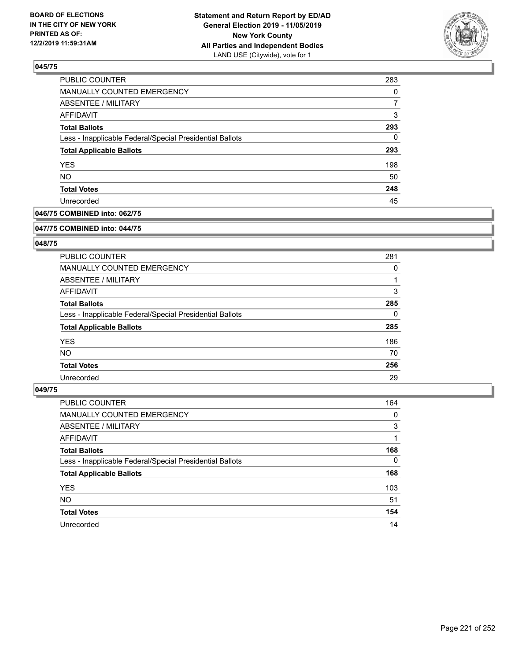

| 283 |
|-----|
| 0   |
| 7   |
| 3   |
| 293 |
| 0   |
| 293 |
| 198 |
| 50  |
| 248 |
| 45  |
|     |

## **046/75 COMBINED into: 062/75**

#### **047/75 COMBINED into: 044/75**

## **048/75**

| <b>PUBLIC COUNTER</b>                                    | 281      |
|----------------------------------------------------------|----------|
| <b>MANUALLY COUNTED EMERGENCY</b>                        | 0        |
| ABSENTEE / MILITARY                                      |          |
| AFFIDAVIT                                                | 3        |
| <b>Total Ballots</b>                                     | 285      |
| Less - Inapplicable Federal/Special Presidential Ballots | $\Omega$ |
| <b>Total Applicable Ballots</b>                          | 285      |
| <b>YES</b>                                               | 186      |
| NO.                                                      | 70       |
| <b>Total Votes</b>                                       | 256      |
| Unrecorded                                               | 29       |

| <b>PUBLIC COUNTER</b>                                    | 164      |
|----------------------------------------------------------|----------|
| <b>MANUALLY COUNTED EMERGENCY</b>                        | 0        |
| ABSENTEE / MILITARY                                      | 3        |
| AFFIDAVIT                                                |          |
| <b>Total Ballots</b>                                     | 168      |
| Less - Inapplicable Federal/Special Presidential Ballots | $\Omega$ |
| <b>Total Applicable Ballots</b>                          | 168      |
| <b>YES</b>                                               | 103      |
| <b>NO</b>                                                | 51       |
| <b>Total Votes</b>                                       | 154      |
| Unrecorded                                               | 14       |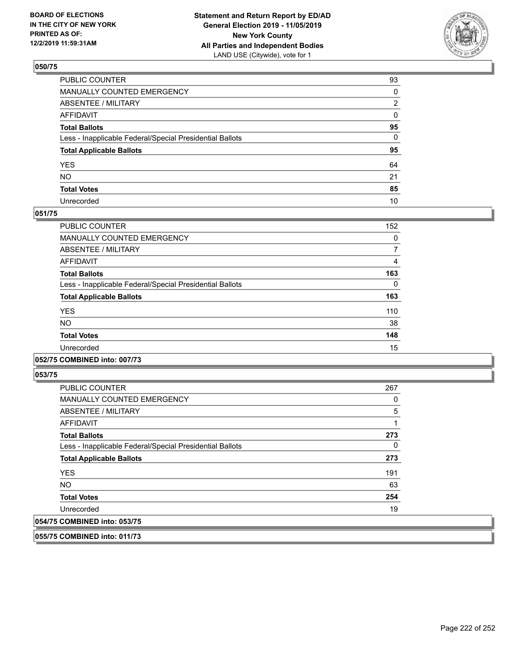

| PUBLIC COUNTER                                           | 93 |
|----------------------------------------------------------|----|
| MANUALLY COUNTED EMERGENCY                               | 0  |
| ABSENTEE / MILITARY                                      | 2  |
| AFFIDAVIT                                                | 0  |
| Total Ballots                                            | 95 |
| Less - Inapplicable Federal/Special Presidential Ballots | 0  |
| <b>Total Applicable Ballots</b>                          | 95 |
| YES                                                      | 64 |
| NO.                                                      | 21 |
| <b>Total Votes</b>                                       | 85 |
| Unrecorded                                               | 10 |

### **051/75**

| PUBLIC COUNTER                                           | 152 |
|----------------------------------------------------------|-----|
| <b>MANUALLY COUNTED EMERGENCY</b>                        | 0   |
| ABSENTEE / MILITARY                                      | 7   |
| <b>AFFIDAVIT</b>                                         | 4   |
| <b>Total Ballots</b>                                     | 163 |
| Less - Inapplicable Federal/Special Presidential Ballots | 0   |
| <b>Total Applicable Ballots</b>                          | 163 |
| <b>YES</b>                                               | 110 |
| <b>NO</b>                                                | 38  |
| <b>Total Votes</b>                                       | 148 |
| Unrecorded                                               | 15  |

### **052/75 COMBINED into: 007/73**

**053/75** 

| <b>PUBLIC COUNTER</b>                                    | 267            |
|----------------------------------------------------------|----------------|
| <b>MANUALLY COUNTED EMERGENCY</b>                        | 0              |
| ABSENTEE / MILITARY                                      | $\overline{5}$ |
| AFFIDAVIT                                                |                |
| <b>Total Ballots</b>                                     | 273            |
| Less - Inapplicable Federal/Special Presidential Ballots | 0              |
| <b>Total Applicable Ballots</b>                          | 273            |
| <b>YES</b>                                               | 191            |
| <b>NO</b>                                                | 63             |
| <b>Total Votes</b>                                       | 254            |
| Unrecorded                                               | 19             |
| 054/75 COMBINED into: 053/75                             |                |

**055/75 COMBINED into: 011/73**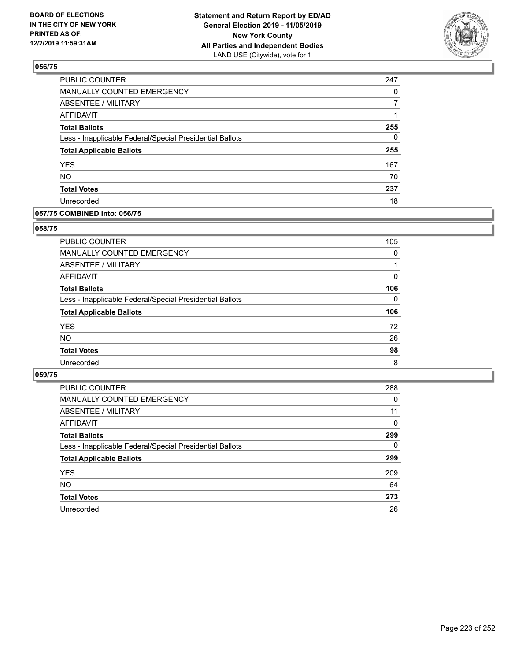

| PUBLIC COUNTER                                           | 247      |
|----------------------------------------------------------|----------|
| MANUALLY COUNTED EMERGENCY                               | 0        |
| ABSENTEE / MILITARY                                      |          |
| <b>AFFIDAVIT</b>                                         |          |
| <b>Total Ballots</b>                                     | 255      |
| Less - Inapplicable Federal/Special Presidential Ballots | $\Omega$ |
| <b>Total Applicable Ballots</b>                          | 255      |
| <b>YES</b>                                               | 167      |
| <b>NO</b>                                                | 70       |
| <b>Total Votes</b>                                       | 237      |
| Unrecorded                                               | 18       |

### **057/75 COMBINED into: 056/75**

### **058/75**

| $\Omega$<br>0<br>$\Omega$<br>26<br>98<br>8 |                                                          |     |
|--------------------------------------------|----------------------------------------------------------|-----|
|                                            | <b>PUBLIC COUNTER</b>                                    | 105 |
|                                            | MANUALLY COUNTED EMERGENCY                               |     |
|                                            | ABSENTEE / MILITARY                                      |     |
|                                            | AFFIDAVIT                                                |     |
|                                            | <b>Total Ballots</b>                                     | 106 |
|                                            | Less - Inapplicable Federal/Special Presidential Ballots |     |
|                                            | <b>Total Applicable Ballots</b>                          | 106 |
|                                            | <b>YES</b>                                               | 72  |
|                                            | <b>NO</b>                                                |     |
|                                            | <b>Total Votes</b>                                       |     |
|                                            | Unrecorded                                               |     |

| <b>PUBLIC COUNTER</b>                                    | 288      |
|----------------------------------------------------------|----------|
| <b>MANUALLY COUNTED EMERGENCY</b>                        | 0        |
| ABSENTEE / MILITARY                                      | 11       |
| AFFIDAVIT                                                | $\Omega$ |
| <b>Total Ballots</b>                                     | 299      |
| Less - Inapplicable Federal/Special Presidential Ballots | $\Omega$ |
| <b>Total Applicable Ballots</b>                          | 299      |
| <b>YES</b>                                               | 209      |
| NO.                                                      | 64       |
| <b>Total Votes</b>                                       | 273      |
| Unrecorded                                               | 26       |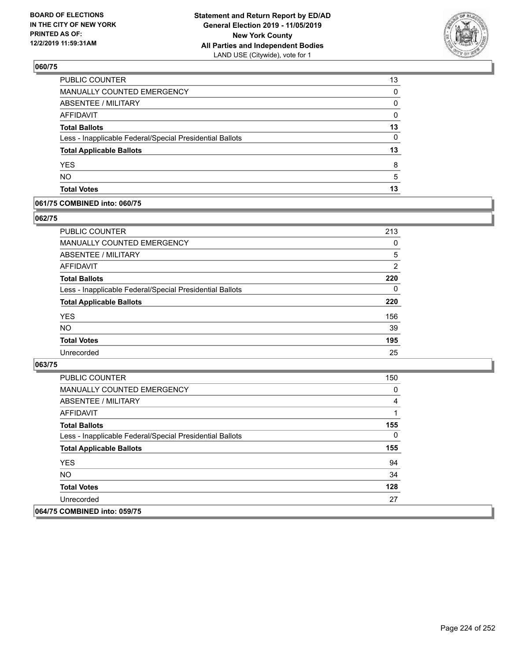

| 13       |
|----------|
| 0        |
| 0        |
| 0        |
| 13       |
| $\Omega$ |
| 13       |
| 8        |
| 5        |
| 13       |
|          |

### **061/75 COMBINED into: 060/75**

## **062/75**

| PUBLIC COUNTER                                           | 213            |
|----------------------------------------------------------|----------------|
| <b>MANUALLY COUNTED EMERGENCY</b>                        | 0              |
| ABSENTEE / MILITARY                                      | 5              |
| AFFIDAVIT                                                | $\overline{2}$ |
| <b>Total Ballots</b>                                     | 220            |
| Less - Inapplicable Federal/Special Presidential Ballots | 0              |
| <b>Total Applicable Ballots</b>                          | 220            |
| <b>YES</b>                                               | 156            |
| <b>NO</b>                                                | 39             |
| <b>Total Votes</b>                                       | 195            |
| Unrecorded                                               | 25             |

| PUBLIC COUNTER                                           | 150      |
|----------------------------------------------------------|----------|
| <b>MANUALLY COUNTED EMERGENCY</b>                        | 0        |
| ABSENTEE / MILITARY                                      | 4        |
| AFFIDAVIT                                                |          |
| <b>Total Ballots</b>                                     | 155      |
| Less - Inapplicable Federal/Special Presidential Ballots | $\Omega$ |
| <b>Total Applicable Ballots</b>                          | 155      |
| <b>YES</b>                                               | 94       |
| NO.                                                      | 34       |
| <b>Total Votes</b>                                       | 128      |
| Unrecorded                                               | 27       |
| 064/75 COMBINED into: 059/75                             |          |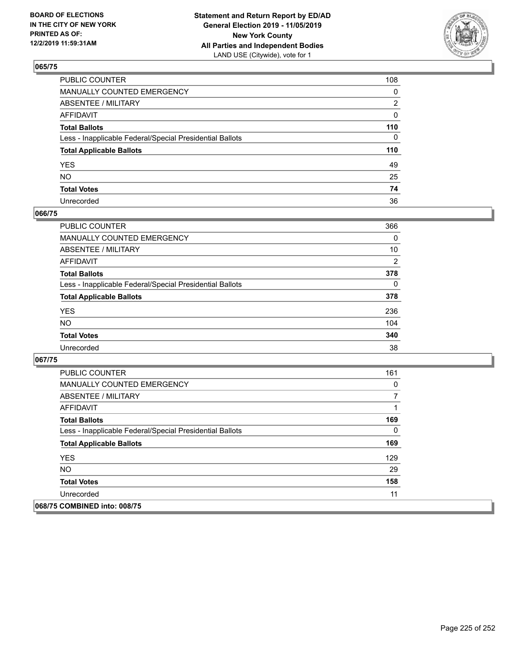

| PUBLIC COUNTER                                           | 108          |
|----------------------------------------------------------|--------------|
| MANUALLY COUNTED EMERGENCY                               | $\mathbf{0}$ |
| ABSENTEE / MILITARY                                      | 2            |
| AFFIDAVIT                                                | 0            |
| Total Ballots                                            | 110          |
| Less - Inapplicable Federal/Special Presidential Ballots | $\Omega$     |
| <b>Total Applicable Ballots</b>                          | 110          |
| YES                                                      | 49           |
| NO.                                                      | 25           |
| <b>Total Votes</b>                                       | 74           |
| Unrecorded                                               | 36           |

### **066/75**

| PUBLIC COUNTER                                           | 366            |
|----------------------------------------------------------|----------------|
| <b>MANUALLY COUNTED EMERGENCY</b>                        | $\Omega$       |
| <b>ABSENTEE / MILITARY</b>                               | 10             |
| <b>AFFIDAVIT</b>                                         | $\overline{2}$ |
| <b>Total Ballots</b>                                     | 378            |
| Less - Inapplicable Federal/Special Presidential Ballots | $\Omega$       |
| <b>Total Applicable Ballots</b>                          | 378            |
| <b>YES</b>                                               | 236            |
| <b>NO</b>                                                | 104            |
| <b>Total Votes</b>                                       | 340            |
| Unrecorded                                               | 38             |

| <b>PUBLIC COUNTER</b>                                    | 161 |
|----------------------------------------------------------|-----|
| <b>MANUALLY COUNTED EMERGENCY</b>                        | 0   |
| ABSENTEE / MILITARY                                      |     |
| AFFIDAVIT                                                |     |
| <b>Total Ballots</b>                                     | 169 |
| Less - Inapplicable Federal/Special Presidential Ballots | 0   |
| <b>Total Applicable Ballots</b>                          | 169 |
| <b>YES</b>                                               | 129 |
| <b>NO</b>                                                | 29  |
| <b>Total Votes</b>                                       | 158 |
| Unrecorded                                               | 11  |
| 068/75 COMBINED into: 008/75                             |     |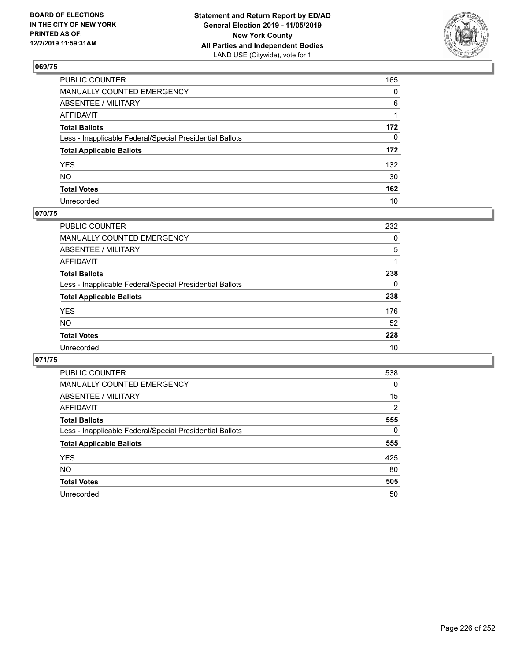

| PUBLIC COUNTER                                           | 165          |
|----------------------------------------------------------|--------------|
| MANUALLY COUNTED EMERGENCY                               | $\mathbf{0}$ |
| ABSENTEE / MILITARY                                      | 6            |
| AFFIDAVIT                                                |              |
| Total Ballots                                            | 172          |
| Less - Inapplicable Federal/Special Presidential Ballots | $\mathbf{0}$ |
| <b>Total Applicable Ballots</b>                          | 172          |
| YES                                                      | 132          |
| NO.                                                      | 30           |
| <b>Total Votes</b>                                       | 162          |
| Unrecorded                                               | 10           |

## **070/75**

| <b>PUBLIC COUNTER</b>                                    | 232      |
|----------------------------------------------------------|----------|
| MANUALLY COUNTED EMERGENCY                               | 0        |
| ABSENTEE / MILITARY                                      | 5        |
| AFFIDAVIT                                                |          |
| <b>Total Ballots</b>                                     | 238      |
| Less - Inapplicable Federal/Special Presidential Ballots | $\Omega$ |
| <b>Total Applicable Ballots</b>                          | 238      |
| <b>YES</b>                                               | 176      |
| <b>NO</b>                                                | 52       |
| <b>Total Votes</b>                                       | 228      |
| Unrecorded                                               | 10       |

| PUBLIC COUNTER                                           | 538            |
|----------------------------------------------------------|----------------|
| <b>MANUALLY COUNTED EMERGENCY</b>                        | $\Omega$       |
| ABSENTEE / MILITARY                                      | 15             |
| AFFIDAVIT                                                | $\overline{2}$ |
| <b>Total Ballots</b>                                     | 555            |
| Less - Inapplicable Federal/Special Presidential Ballots | 0              |
| <b>Total Applicable Ballots</b>                          | 555            |
| <b>YES</b>                                               | 425            |
| NO.                                                      | 80             |
| <b>Total Votes</b>                                       | 505            |
|                                                          |                |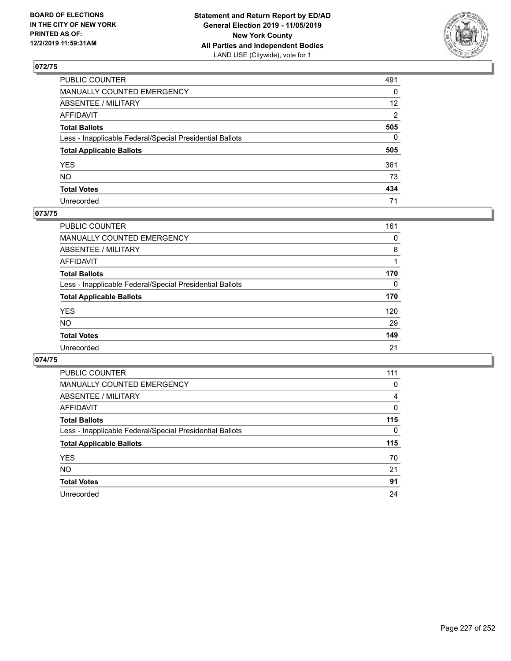

| PUBLIC COUNTER                                           | 491             |
|----------------------------------------------------------|-----------------|
| MANUALLY COUNTED EMERGENCY                               | 0               |
| ABSENTEE / MILITARY                                      | 12 <sup>2</sup> |
| AFFIDAVIT                                                | 2               |
| Total Ballots                                            | 505             |
| Less - Inapplicable Federal/Special Presidential Ballots | 0               |
| <b>Total Applicable Ballots</b>                          | 505             |
| YES                                                      | 361             |
| NO.                                                      | 73              |
| <b>Total Votes</b>                                       | 434             |
| Unrecorded                                               | 71              |

### **073/75**

| <b>PUBLIC COUNTER</b>                                    | 161      |
|----------------------------------------------------------|----------|
| MANUALLY COUNTED EMERGENCY                               | 0        |
| ABSENTEE / MILITARY                                      | 8        |
| AFFIDAVIT                                                |          |
| <b>Total Ballots</b>                                     | 170      |
| Less - Inapplicable Federal/Special Presidential Ballots | $\Omega$ |
| <b>Total Applicable Ballots</b>                          | 170      |
| <b>YES</b>                                               | 120      |
| <b>NO</b>                                                | 29       |
| <b>Total Votes</b>                                       | 149      |
| Unrecorded                                               | 21       |

| <b>PUBLIC COUNTER</b>                                    | 111 |
|----------------------------------------------------------|-----|
| <b>MANUALLY COUNTED EMERGENCY</b>                        | 0   |
| <b>ABSENTEE / MILITARY</b>                               | 4   |
| AFFIDAVIT                                                | 0   |
| <b>Total Ballots</b>                                     | 115 |
| Less - Inapplicable Federal/Special Presidential Ballots | 0   |
| <b>Total Applicable Ballots</b>                          | 115 |
| <b>YES</b>                                               | 70  |
| <b>NO</b>                                                | 21  |
| <b>Total Votes</b>                                       | 91  |
| Unrecorded                                               | 24  |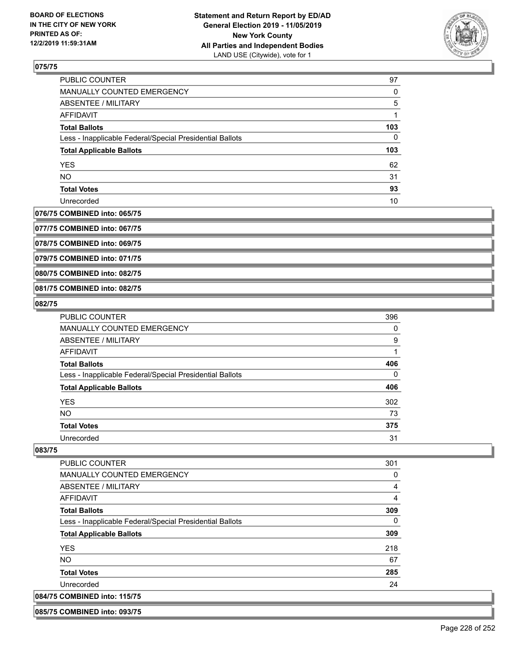

| PUBLIC COUNTER                                           | 97  |
|----------------------------------------------------------|-----|
| MANUALLY COUNTED EMERGENCY                               | 0   |
| ABSENTEE / MILITARY                                      | 5   |
| AFFIDAVIT                                                |     |
| <b>Total Ballots</b>                                     | 103 |
| Less - Inapplicable Federal/Special Presidential Ballots | 0   |
| <b>Total Applicable Ballots</b>                          | 103 |
| <b>YES</b>                                               | 62  |
| <b>NO</b>                                                | 31  |
| <b>Total Votes</b>                                       | 93  |
| Unrecorded                                               | 10  |

### **076/75 COMBINED into: 065/75**

**077/75 COMBINED into: 067/75**

**078/75 COMBINED into: 069/75**

**079/75 COMBINED into: 071/75**

**080/75 COMBINED into: 082/75**

### **081/75 COMBINED into: 082/75**

#### **082/75**

| <b>PUBLIC COUNTER</b>                                    | 396 |
|----------------------------------------------------------|-----|
| MANUALLY COUNTED EMERGENCY                               | 0   |
| ABSENTEE / MILITARY                                      | 9   |
| AFFIDAVIT                                                |     |
| <b>Total Ballots</b>                                     | 406 |
| Less - Inapplicable Federal/Special Presidential Ballots | 0   |
| <b>Total Applicable Ballots</b>                          | 406 |
| <b>YES</b>                                               | 302 |
| <b>NO</b>                                                | 73  |
| <b>Total Votes</b>                                       | 375 |
| Unrecorded                                               | 31  |

### **083/75**

| PUBLIC COUNTER                                           | 301 |
|----------------------------------------------------------|-----|
| MANUALLY COUNTED EMERGENCY                               | 0   |
| ABSENTEE / MILITARY                                      | 4   |
| AFFIDAVIT                                                | 4   |
| <b>Total Ballots</b>                                     | 309 |
| Less - Inapplicable Federal/Special Presidential Ballots | 0   |
| <b>Total Applicable Ballots</b>                          | 309 |
| <b>YES</b>                                               | 218 |
| NO.                                                      | 67  |
| <b>Total Votes</b>                                       | 285 |
| Unrecorded                                               | 24  |
| 084/75 COMBINED into: 115/75                             |     |

#### **085/75 COMBINED into: 093/75**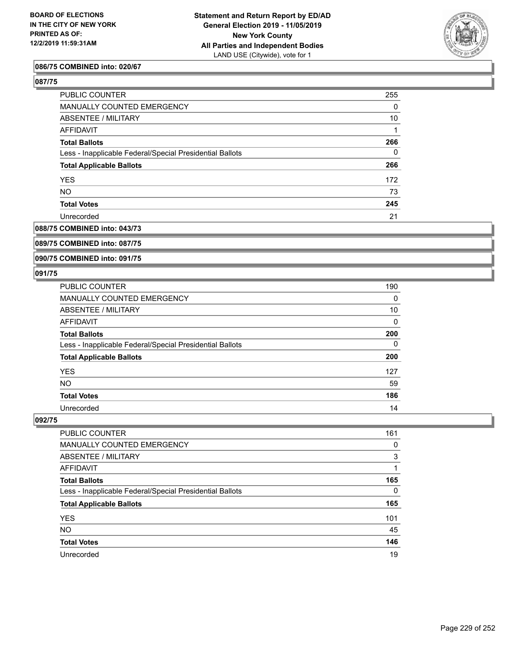

### **086/75 COMBINED into: 020/67**

**087/75** 

| PUBLIC COUNTER                                           | 255 |
|----------------------------------------------------------|-----|
| MANUALLY COUNTED EMERGENCY                               | 0   |
| ABSENTEE / MILITARY                                      | 10  |
| AFFIDAVIT                                                |     |
| <b>Total Ballots</b>                                     | 266 |
| Less - Inapplicable Federal/Special Presidential Ballots | 0   |
| <b>Total Applicable Ballots</b>                          | 266 |
| <b>YES</b>                                               | 172 |
| <b>NO</b>                                                | 73  |
| <b>Total Votes</b>                                       | 245 |
| Unrecorded                                               | 21  |

## **088/75 COMBINED into: 043/73**

## **089/75 COMBINED into: 087/75**

#### **090/75 COMBINED into: 091/75**

#### **091/75**

| PUBLIC COUNTER                                           | 190      |
|----------------------------------------------------------|----------|
| MANUALLY COUNTED EMERGENCY                               | $\Omega$ |
| ABSENTEE / MILITARY                                      | 10       |
| AFFIDAVIT                                                | 0        |
| <b>Total Ballots</b>                                     | 200      |
| Less - Inapplicable Federal/Special Presidential Ballots | 0        |
| <b>Total Applicable Ballots</b>                          | 200      |
| <b>YES</b>                                               | 127      |
| <b>NO</b>                                                | 59       |
| <b>Total Votes</b>                                       | 186      |
| Unrecorded                                               | 14       |

| <b>PUBLIC COUNTER</b>                                    | 161      |
|----------------------------------------------------------|----------|
| MANUALLY COUNTED EMERGENCY                               | 0        |
| ABSENTEE / MILITARY                                      | 3        |
| AFFIDAVIT                                                |          |
| <b>Total Ballots</b>                                     | 165      |
| Less - Inapplicable Federal/Special Presidential Ballots | $\Omega$ |
| <b>Total Applicable Ballots</b>                          | 165      |
| <b>YES</b>                                               | 101      |
| <b>NO</b>                                                | 45       |
| <b>Total Votes</b>                                       | 146      |
| Unrecorded                                               | 19       |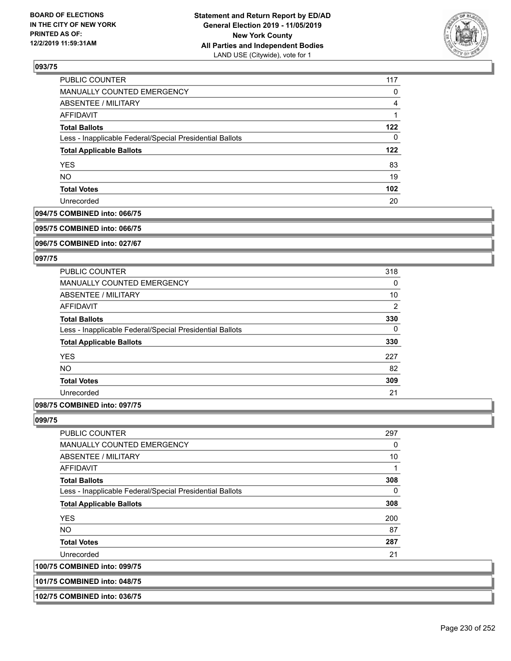

| PUBLIC COUNTER                                           | 117 |
|----------------------------------------------------------|-----|
| <b>MANUALLY COUNTED EMERGENCY</b>                        | 0   |
| ABSENTEE / MILITARY                                      | 4   |
| AFFIDAVIT                                                |     |
| <b>Total Ballots</b>                                     | 122 |
| Less - Inapplicable Federal/Special Presidential Ballots | 0   |
| <b>Total Applicable Ballots</b>                          | 122 |
| <b>YES</b>                                               | 83  |
| <b>NO</b>                                                | 19  |
| <b>Total Votes</b>                                       | 102 |
| Unrecorded                                               | 20  |

#### **094/75 COMBINED into: 066/75**

#### **095/75 COMBINED into: 066/75**

**096/75 COMBINED into: 027/67**

#### **097/75**

| <b>PUBLIC COUNTER</b>                                    | 318 |
|----------------------------------------------------------|-----|
| <b>MANUALLY COUNTED EMERGENCY</b>                        | 0   |
| ABSENTEE / MILITARY                                      | 10  |
| <b>AFFIDAVIT</b>                                         | 2   |
| <b>Total Ballots</b>                                     | 330 |
| Less - Inapplicable Federal/Special Presidential Ballots | 0   |
| <b>Total Applicable Ballots</b>                          | 330 |
| <b>YES</b>                                               | 227 |
| <b>NO</b>                                                | 82  |
| <b>Total Votes</b>                                       | 309 |
| Unrecorded                                               | 21  |
|                                                          |     |

## **098/75 COMBINED into: 097/75**

#### **099/75**

**100/75 COMBINED into: 099/75**

| <b>PUBLIC COUNTER</b>                                    | 297 |
|----------------------------------------------------------|-----|
| <b>MANUALLY COUNTED EMERGENCY</b>                        | 0   |
| ABSENTEE / MILITARY                                      | 10  |
| AFFIDAVIT                                                | 1   |
| <b>Total Ballots</b>                                     | 308 |
| Less - Inapplicable Federal/Special Presidential Ballots | 0   |
| <b>Total Applicable Ballots</b>                          | 308 |
| <b>YES</b>                                               | 200 |
| <b>NO</b>                                                | 87  |
| <b>Total Votes</b>                                       | 287 |
| Unrecorded                                               | 21  |
| <b>COMBINED into: 099/75</b>                             |     |

## **101/75 COMBINED into: 048/75**

| 102/75 COMBINED into: 036/75 |  |
|------------------------------|--|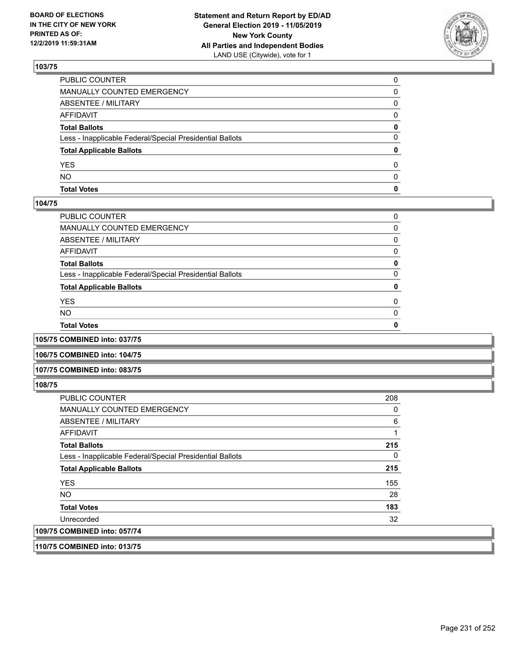

| <b>Total Votes</b>                                       | 0            |
|----------------------------------------------------------|--------------|
| <b>NO</b>                                                | <sup>0</sup> |
| YES                                                      | 0            |
| <b>Total Applicable Ballots</b>                          | 0            |
| Less - Inapplicable Federal/Special Presidential Ballots | 0            |
| <b>Total Ballots</b>                                     | 0            |
| AFFIDAVIT                                                | $\Omega$     |
| ABSENTEE / MILITARY                                      | 0            |
| MANUALLY COUNTED EMERGENCY                               | 0            |
| PUBLIC COUNTER                                           | $\Omega$     |

### **104/75**

| PUBLIC COUNTER                                           | 0        |
|----------------------------------------------------------|----------|
| MANUALLY COUNTED EMERGENCY                               | 0        |
| ABSENTEE / MILITARY                                      | 0        |
| AFFIDAVIT                                                | 0        |
| Total Ballots                                            | 0        |
| Less - Inapplicable Federal/Special Presidential Ballots | 0        |
| <b>Total Applicable Ballots</b>                          | 0        |
| YES                                                      | $\Omega$ |
| NO.                                                      | $\Omega$ |
| <b>Total Votes</b>                                       | 0        |
|                                                          |          |

**105/75 COMBINED into: 037/75**

**106/75 COMBINED into: 104/75**

#### **107/75 COMBINED into: 083/75**

**108/75** 

| <b>PUBLIC COUNTER</b>                                    | 208 |
|----------------------------------------------------------|-----|
| MANUALLY COUNTED EMERGENCY                               | 0   |
| ABSENTEE / MILITARY                                      | 6   |
| AFFIDAVIT                                                |     |
| <b>Total Ballots</b>                                     | 215 |
| Less - Inapplicable Federal/Special Presidential Ballots | 0   |
| <b>Total Applicable Ballots</b>                          | 215 |
| <b>YES</b>                                               | 155 |
| <b>NO</b>                                                | 28  |
| <b>Total Votes</b>                                       | 183 |
| Unrecorded                                               | 32  |
| 109/75 COMBINED into: 057/74                             |     |
|                                                          |     |

**110/75 COMBINED into: 013/75**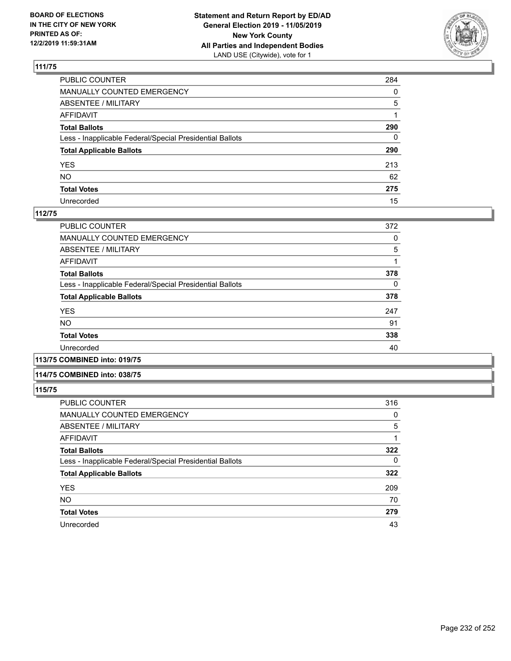

| PUBLIC COUNTER                                           | 284          |
|----------------------------------------------------------|--------------|
| MANUALLY COUNTED EMERGENCY                               | $\mathbf{0}$ |
| ABSENTEE / MILITARY                                      | 5            |
| AFFIDAVIT                                                |              |
| Total Ballots                                            | 290          |
| Less - Inapplicable Federal/Special Presidential Ballots | 0            |
| <b>Total Applicable Ballots</b>                          | 290          |
| YES                                                      | 213          |
| NO.                                                      | 62           |
| <b>Total Votes</b>                                       | 275          |
| Unrecorded                                               | 15           |

### **112/75**

| PUBLIC COUNTER                                           | 372 |
|----------------------------------------------------------|-----|
| MANUALLY COUNTED EMERGENCY                               | 0   |
| ABSENTEE / MILITARY                                      | 5   |
| AFFIDAVIT                                                |     |
| <b>Total Ballots</b>                                     | 378 |
| Less - Inapplicable Federal/Special Presidential Ballots | 0   |
| <b>Total Applicable Ballots</b>                          | 378 |
| <b>YES</b>                                               | 247 |
| <b>NO</b>                                                | 91  |
| <b>Total Votes</b>                                       | 338 |
| Unrecorded                                               | 40  |
|                                                          |     |

### **113/75 COMBINED into: 019/75**

#### **114/75 COMBINED into: 038/75**

| PUBLIC COUNTER                                           | 316 |
|----------------------------------------------------------|-----|
| <b>MANUALLY COUNTED EMERGENCY</b>                        | 0   |
| ABSENTEE / MILITARY                                      | 5   |
| <b>AFFIDAVIT</b>                                         |     |
| <b>Total Ballots</b>                                     | 322 |
| Less - Inapplicable Federal/Special Presidential Ballots | 0   |
| <b>Total Applicable Ballots</b>                          | 322 |
| <b>YES</b>                                               | 209 |
| <b>NO</b>                                                | 70  |
| <b>Total Votes</b>                                       | 279 |
| Unrecorded                                               | 43  |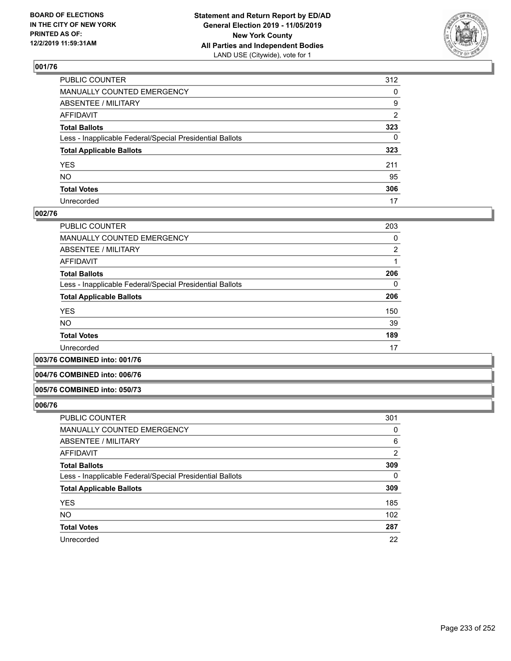

| PUBLIC COUNTER                                           | 312          |
|----------------------------------------------------------|--------------|
| MANUALLY COUNTED EMERGENCY                               | $\mathbf{0}$ |
| ABSENTEE / MILITARY                                      | 9            |
| AFFIDAVIT                                                | 2            |
| Total Ballots                                            | 323          |
| Less - Inapplicable Federal/Special Presidential Ballots | 0            |
| <b>Total Applicable Ballots</b>                          | 323          |
| YES                                                      | 211          |
| NΟ                                                       | 95           |
| <b>Total Votes</b>                                       | 306          |
| Unrecorded                                               | 17           |

### **002/76**

| PUBLIC COUNTER                                           | 203 |
|----------------------------------------------------------|-----|
| <b>MANUALLY COUNTED EMERGENCY</b>                        | 0   |
| ABSENTEE / MILITARY                                      | 2   |
| AFFIDAVIT                                                |     |
| <b>Total Ballots</b>                                     | 206 |
| Less - Inapplicable Federal/Special Presidential Ballots | 0   |
| <b>Total Applicable Ballots</b>                          | 206 |
| <b>YES</b>                                               | 150 |
| <b>NO</b>                                                | 39  |
| <b>Total Votes</b>                                       | 189 |
| Unrecorded                                               | 17  |

**003/76 COMBINED into: 001/76**

#### **004/76 COMBINED into: 006/76**

#### **005/76 COMBINED into: 050/73**

| PUBLIC COUNTER                                           | 301      |
|----------------------------------------------------------|----------|
| MANUALLY COUNTED EMERGENCY                               | 0        |
| <b>ABSENTEE / MILITARY</b>                               | 6        |
| AFFIDAVIT                                                | 2        |
| <b>Total Ballots</b>                                     | 309      |
| Less - Inapplicable Federal/Special Presidential Ballots | $\Omega$ |
| <b>Total Applicable Ballots</b>                          | 309      |
| <b>YES</b>                                               | 185      |
| <b>NO</b>                                                | 102      |
| <b>Total Votes</b>                                       | 287      |
| Unrecorded                                               | 22       |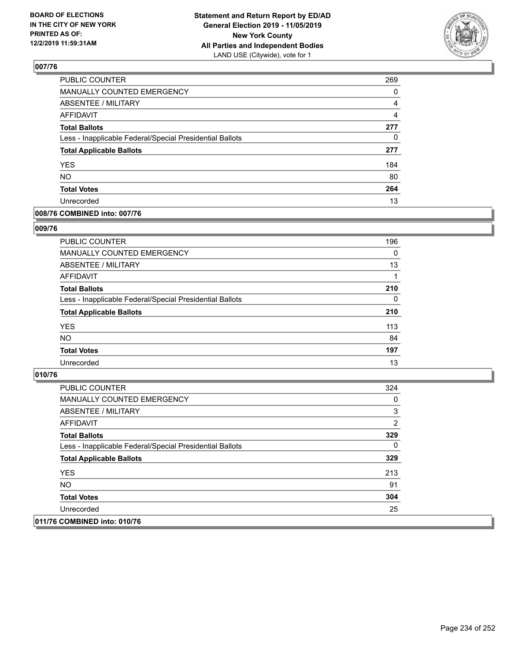

| PUBLIC COUNTER                                           | 269            |
|----------------------------------------------------------|----------------|
| <b>MANUALLY COUNTED EMERGENCY</b>                        | $\Omega$       |
| <b>ABSENTEE / MILITARY</b>                               | 4              |
| <b>AFFIDAVIT</b>                                         | $\overline{4}$ |
| <b>Total Ballots</b>                                     | 277            |
| Less - Inapplicable Federal/Special Presidential Ballots | 0              |
| <b>Total Applicable Ballots</b>                          | 277            |
| <b>YES</b>                                               | 184            |
| <b>NO</b>                                                | 80             |
| <b>Total Votes</b>                                       | 264            |
| Unrecorded                                               | 13             |

### **008/76 COMBINED into: 007/76**

### **009/76**

| PUBLIC COUNTER                                           | 196 |
|----------------------------------------------------------|-----|
| <b>MANUALLY COUNTED EMERGENCY</b>                        | 0   |
| ABSENTEE / MILITARY                                      | 13  |
| AFFIDAVIT                                                |     |
| <b>Total Ballots</b>                                     | 210 |
| Less - Inapplicable Federal/Special Presidential Ballots | 0   |
| <b>Total Applicable Ballots</b>                          | 210 |
| <b>YES</b>                                               | 113 |
| <b>NO</b>                                                | 84  |
| <b>Total Votes</b>                                       | 197 |
| Unrecorded                                               | 13  |

| PUBLIC COUNTER                                           | 324 |
|----------------------------------------------------------|-----|
| MANUALLY COUNTED EMERGENCY                               | 0   |
| ABSENTEE / MILITARY                                      | 3   |
| AFFIDAVIT                                                | 2   |
| <b>Total Ballots</b>                                     | 329 |
| Less - Inapplicable Federal/Special Presidential Ballots | 0   |
| <b>Total Applicable Ballots</b>                          | 329 |
| <b>YES</b>                                               | 213 |
| NO.                                                      | 91  |
| <b>Total Votes</b>                                       | 304 |
| Unrecorded                                               | 25  |
| 011/76 COMBINED into: 010/76                             |     |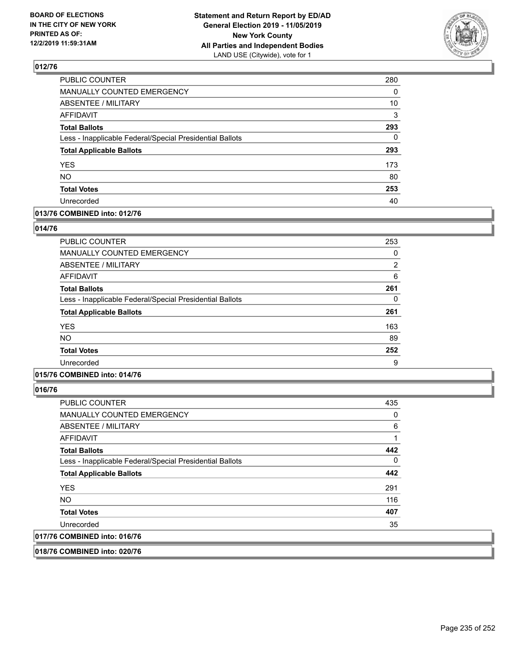

| PUBLIC COUNTER                                           | 280 |
|----------------------------------------------------------|-----|
| MANUALLY COUNTED EMERGENCY                               | 0   |
| <b>ABSENTEE / MILITARY</b>                               | 10  |
| <b>AFFIDAVIT</b>                                         | 3   |
| <b>Total Ballots</b>                                     | 293 |
| Less - Inapplicable Federal/Special Presidential Ballots | 0   |
| <b>Total Applicable Ballots</b>                          | 293 |
| <b>YES</b>                                               | 173 |
| <b>NO</b>                                                | 80  |
| <b>Total Votes</b>                                       | 253 |
| Unrecorded                                               | 40  |

### **013/76 COMBINED into: 012/76**

### **014/76**

| <b>PUBLIC COUNTER</b>                                    | 253           |
|----------------------------------------------------------|---------------|
| <b>MANUALLY COUNTED EMERGENCY</b>                        | 0             |
| ABSENTEE / MILITARY                                      | $\mathcal{P}$ |
| AFFIDAVIT                                                | 6             |
| <b>Total Ballots</b>                                     | 261           |
| Less - Inapplicable Federal/Special Presidential Ballots | 0             |
| <b>Total Applicable Ballots</b>                          | 261           |
| <b>YES</b>                                               | 163           |
| <b>NO</b>                                                | 89            |
| <b>Total Votes</b>                                       | 252           |
| Unrecorded                                               | 9             |

## **015/76 COMBINED into: 014/76**

**016/76** 

| <b>PUBLIC COUNTER</b>                                    | 435 |
|----------------------------------------------------------|-----|
| <b>MANUALLY COUNTED EMERGENCY</b>                        | 0   |
| ABSENTEE / MILITARY                                      | 6   |
| AFFIDAVIT                                                |     |
| <b>Total Ballots</b>                                     | 442 |
| Less - Inapplicable Federal/Special Presidential Ballots | 0   |
| <b>Total Applicable Ballots</b>                          | 442 |
| <b>YES</b>                                               | 291 |
| NO.                                                      | 116 |
| <b>Total Votes</b>                                       | 407 |
| Unrecorded                                               | 35  |
| 017/76 COMBINED into: 016/76                             |     |

**018/76 COMBINED into: 020/76**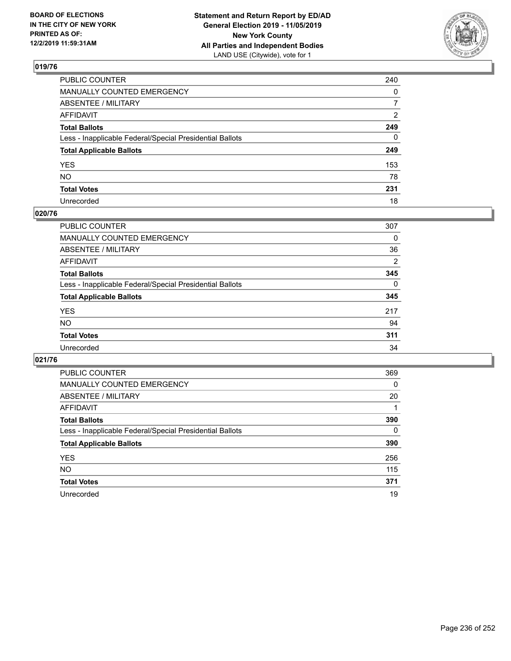

| PUBLIC COUNTER                                           | 240            |
|----------------------------------------------------------|----------------|
| MANUALLY COUNTED EMERGENCY                               | $\mathbf{0}$   |
| ABSENTEE / MILITARY                                      | $\overline{7}$ |
| AFFIDAVIT                                                | $\overline{2}$ |
| Total Ballots                                            | 249            |
| Less - Inapplicable Federal/Special Presidential Ballots | $\mathbf{0}$   |
| <b>Total Applicable Ballots</b>                          | 249            |
| YES                                                      | 153            |
| NO.                                                      | 78             |
| <b>Total Votes</b>                                       | 231            |
| Unrecorded                                               | 18             |

### **020/76**

| <b>PUBLIC COUNTER</b>                                    | 307      |
|----------------------------------------------------------|----------|
| MANUALLY COUNTED EMERGENCY                               | 0        |
| ABSENTEE / MILITARY                                      | 36       |
| AFFIDAVIT                                                | 2        |
| <b>Total Ballots</b>                                     | 345      |
| Less - Inapplicable Federal/Special Presidential Ballots | $\Omega$ |
| <b>Total Applicable Ballots</b>                          | 345      |
| <b>YES</b>                                               | 217      |
| <b>NO</b>                                                | 94       |
| <b>Total Votes</b>                                       | 311      |
| Unrecorded                                               | 34       |

| PUBLIC COUNTER                                           | 369      |
|----------------------------------------------------------|----------|
| MANUALLY COUNTED EMERGENCY                               | $\Omega$ |
| <b>ABSENTEE / MILITARY</b>                               | 20       |
| <b>AFFIDAVIT</b>                                         |          |
| <b>Total Ballots</b>                                     | 390      |
| Less - Inapplicable Federal/Special Presidential Ballots | 0        |
| <b>Total Applicable Ballots</b>                          | 390      |
| <b>YES</b>                                               | 256      |
| <b>NO</b>                                                | 115      |
| <b>Total Votes</b>                                       | 371      |
| Unrecorded                                               | 19       |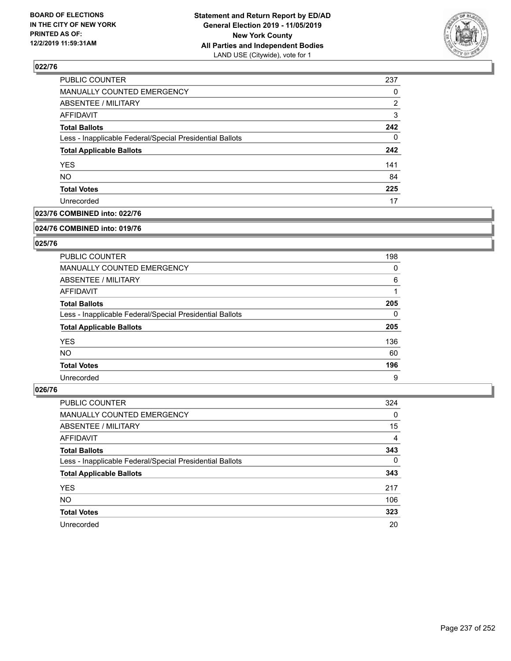

| PUBLIC COUNTER                                           | 237 |
|----------------------------------------------------------|-----|
| MANUALLY COUNTED EMERGENCY                               | 0   |
| <b>ABSENTEE / MILITARY</b>                               | 2   |
| <b>AFFIDAVIT</b>                                         | 3   |
| <b>Total Ballots</b>                                     | 242 |
| Less - Inapplicable Federal/Special Presidential Ballots | 0   |
| <b>Total Applicable Ballots</b>                          | 242 |
| <b>YES</b>                                               | 141 |
| <b>NO</b>                                                | 84  |
| <b>Total Votes</b>                                       | 225 |
| Unrecorded                                               | 17  |

### **023/76 COMBINED into: 022/76**

#### **024/76 COMBINED into: 019/76**

## **025/76**

| PUBLIC COUNTER                                           | 198      |
|----------------------------------------------------------|----------|
| <b>MANUALLY COUNTED EMERGENCY</b>                        | 0        |
| ABSENTEE / MILITARY                                      | 6        |
| AFFIDAVIT                                                |          |
| <b>Total Ballots</b>                                     | 205      |
| Less - Inapplicable Federal/Special Presidential Ballots | $\Omega$ |
| <b>Total Applicable Ballots</b>                          | 205      |
| <b>YES</b>                                               | 136      |
| NO.                                                      | 60       |
| <b>Total Votes</b>                                       | 196      |
| Unrecorded                                               | 9        |

| <b>PUBLIC COUNTER</b>                                    | 324      |
|----------------------------------------------------------|----------|
| MANUALLY COUNTED EMERGENCY                               | 0        |
| ABSENTEE / MILITARY                                      | 15       |
| AFFIDAVIT                                                | 4        |
| <b>Total Ballots</b>                                     | 343      |
| Less - Inapplicable Federal/Special Presidential Ballots | $\Omega$ |
| <b>Total Applicable Ballots</b>                          | 343      |
| <b>YES</b>                                               | 217      |
| <b>NO</b>                                                | 106      |
| <b>Total Votes</b>                                       | 323      |
| Unrecorded                                               | 20       |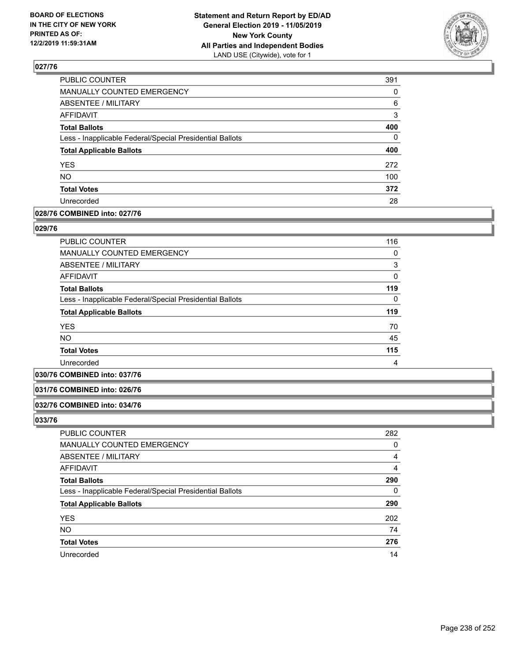

| MANUALLY COUNTED EMERGENCY<br>ABSENTEE / MILITARY<br><b>AFFIDAVIT</b><br><b>Total Ballots</b><br>Less - Inapplicable Federal/Special Presidential Ballots<br><b>Total Applicable Ballots</b><br><b>YES</b><br>NO.<br><b>Total Votes</b><br>Unrecorded | PUBLIC COUNTER | 391 |
|-------------------------------------------------------------------------------------------------------------------------------------------------------------------------------------------------------------------------------------------------------|----------------|-----|
|                                                                                                                                                                                                                                                       |                | 0   |
|                                                                                                                                                                                                                                                       |                | 6   |
|                                                                                                                                                                                                                                                       |                | 3   |
|                                                                                                                                                                                                                                                       |                | 400 |
|                                                                                                                                                                                                                                                       |                | 0   |
|                                                                                                                                                                                                                                                       |                | 400 |
|                                                                                                                                                                                                                                                       |                | 272 |
|                                                                                                                                                                                                                                                       |                | 100 |
|                                                                                                                                                                                                                                                       |                | 372 |
|                                                                                                                                                                                                                                                       |                | 28  |

### **028/76 COMBINED into: 027/76**

### **029/76**

| <b>PUBLIC COUNTER</b>                                    | 116 |
|----------------------------------------------------------|-----|
| <b>MANUALLY COUNTED EMERGENCY</b>                        | 0   |
| ABSENTEE / MILITARY                                      | 3   |
| AFFIDAVIT                                                | 0   |
| <b>Total Ballots</b>                                     | 119 |
| Less - Inapplicable Federal/Special Presidential Ballots | 0   |
| <b>Total Applicable Ballots</b>                          | 119 |
| <b>YES</b>                                               | 70  |
| NO.                                                      | 45  |
| <b>Total Votes</b>                                       | 115 |
| Unrecorded                                               | 4   |

### **030/76 COMBINED into: 037/76**

### **031/76 COMBINED into: 026/76**

#### **032/76 COMBINED into: 034/76**

| <b>PUBLIC COUNTER</b>                                    | 282 |
|----------------------------------------------------------|-----|
| <b>MANUALLY COUNTED EMERGENCY</b>                        | 0   |
| ABSENTEE / MILITARY                                      | 4   |
| AFFIDAVIT                                                | 4   |
| <b>Total Ballots</b>                                     | 290 |
| Less - Inapplicable Federal/Special Presidential Ballots | 0   |
| <b>Total Applicable Ballots</b>                          | 290 |
| <b>YES</b>                                               | 202 |
| <b>NO</b>                                                | 74  |
| <b>Total Votes</b>                                       | 276 |
| Unrecorded                                               | 14  |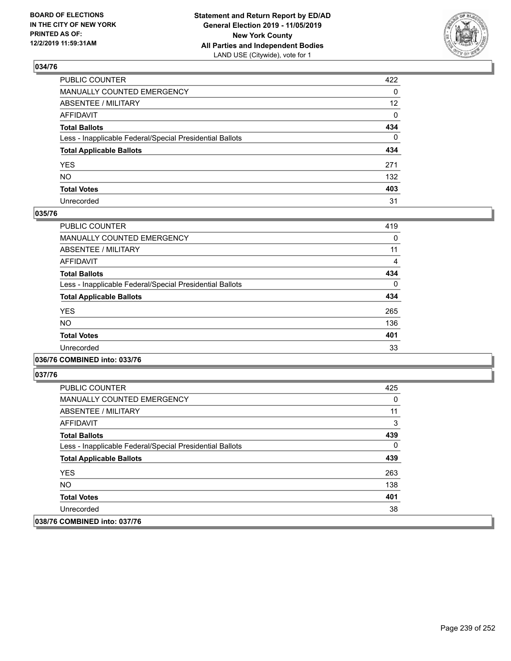

| PUBLIC COUNTER                                           | 422             |
|----------------------------------------------------------|-----------------|
| MANUALLY COUNTED EMERGENCY                               | 0               |
| ABSENTEE / MILITARY                                      | 12 <sup>2</sup> |
| AFFIDAVIT                                                | 0               |
| Total Ballots                                            | 434             |
| Less - Inapplicable Federal/Special Presidential Ballots | $\mathbf 0$     |
| <b>Total Applicable Ballots</b>                          | 434             |
| YES                                                      | 271             |
| NO.                                                      | 132             |
| <b>Total Votes</b>                                       | 403             |
| Unrecorded                                               | 31              |

### **035/76**

| PUBLIC COUNTER                                           | 419      |
|----------------------------------------------------------|----------|
| <b>MANUALLY COUNTED EMERGENCY</b>                        | 0        |
| <b>ABSENTEE / MILITARY</b>                               | 11       |
| <b>AFFIDAVIT</b>                                         | 4        |
| <b>Total Ballots</b>                                     | 434      |
| Less - Inapplicable Federal/Special Presidential Ballots | $\Omega$ |
| <b>Total Applicable Ballots</b>                          | 434      |
| <b>YES</b>                                               | 265      |
| <b>NO</b>                                                | 136      |
| <b>Total Votes</b>                                       | 401      |
| Unrecorded                                               | 33       |
|                                                          |          |

### **036/76 COMBINED into: 033/76**

| <b>PUBLIC COUNTER</b>                                    | 425 |
|----------------------------------------------------------|-----|
| <b>MANUALLY COUNTED EMERGENCY</b>                        | 0   |
| ABSENTEE / MILITARY                                      | 11  |
| AFFIDAVIT                                                | 3   |
| <b>Total Ballots</b>                                     | 439 |
| Less - Inapplicable Federal/Special Presidential Ballots | 0   |
| <b>Total Applicable Ballots</b>                          | 439 |
| <b>YES</b>                                               | 263 |
| NO.                                                      | 138 |
| <b>Total Votes</b>                                       | 401 |
| Unrecorded                                               | 38  |
| 038/76 COMBINED into: 037/76                             |     |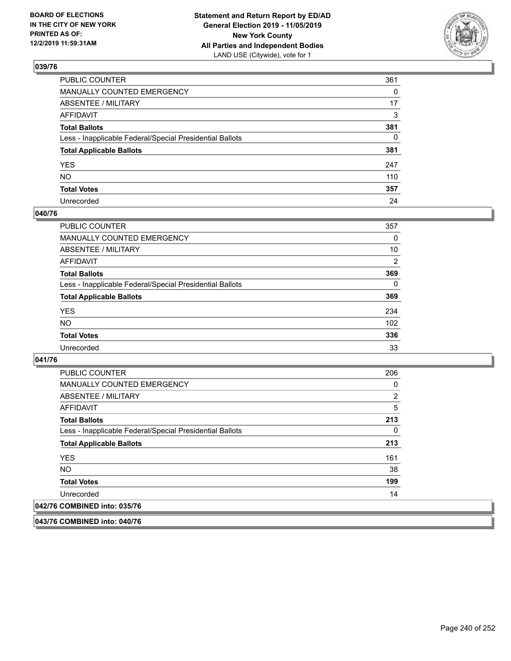

| PUBLIC COUNTER                                           | 361          |
|----------------------------------------------------------|--------------|
| MANUALLY COUNTED EMERGENCY                               | $\Omega$     |
| ABSENTEE / MILITARY                                      | 17           |
| AFFIDAVIT                                                | 3            |
| Total Ballots                                            | 381          |
| Less - Inapplicable Federal/Special Presidential Ballots | $\mathbf{0}$ |
| <b>Total Applicable Ballots</b>                          | 381          |
| YES                                                      | 247          |
| NO.                                                      | 110          |
| <b>Total Votes</b>                                       | 357          |
| Unrecorded                                               | 24           |

### **040/76**

| <b>PUBLIC COUNTER</b>                                    | 357            |
|----------------------------------------------------------|----------------|
| <b>MANUALLY COUNTED EMERGENCY</b>                        | $\Omega$       |
| ABSENTEE / MILITARY                                      | 10             |
| AFFIDAVIT                                                | $\overline{2}$ |
| <b>Total Ballots</b>                                     | 369            |
| Less - Inapplicable Federal/Special Presidential Ballots | $\Omega$       |
| <b>Total Applicable Ballots</b>                          | 369            |
| <b>YES</b>                                               | 234            |
| <b>NO</b>                                                | 102            |
| <b>Total Votes</b>                                       | 336            |
| Unrecorded                                               | 33             |

### **041/76**

| PUBLIC COUNTER                                           | 206 |
|----------------------------------------------------------|-----|
| <b>MANUALLY COUNTED EMERGENCY</b>                        | 0   |
| ABSENTEE / MILITARY                                      | 2   |
| AFFIDAVIT                                                | 5   |
| <b>Total Ballots</b>                                     | 213 |
| Less - Inapplicable Federal/Special Presidential Ballots | 0   |
| <b>Total Applicable Ballots</b>                          | 213 |
| <b>YES</b>                                               | 161 |
| <b>NO</b>                                                | 38  |
| <b>Total Votes</b>                                       | 199 |
| Unrecorded                                               | 14  |
| 042/76 COMBINED into: 035/76                             |     |

**043/76 COMBINED into: 040/76**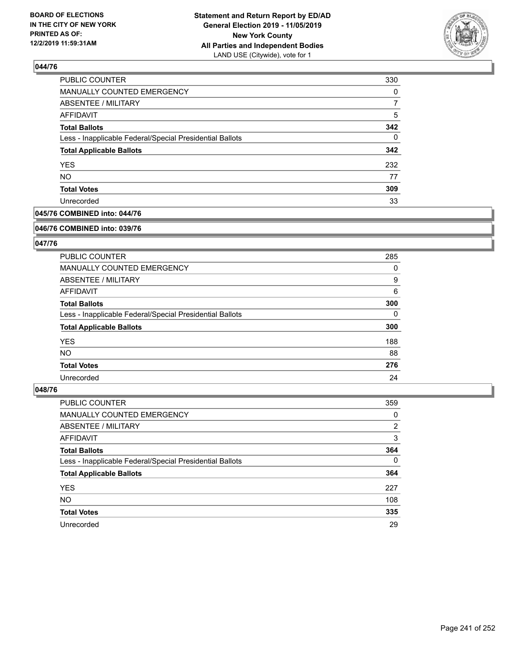

| PUBLIC COUNTER                                           | 330 |
|----------------------------------------------------------|-----|
| MANUALLY COUNTED EMERGENCY                               | 0   |
| <b>ABSENTEE / MILITARY</b>                               |     |
| AFFIDAVIT                                                | 5   |
| <b>Total Ballots</b>                                     | 342 |
| Less - Inapplicable Federal/Special Presidential Ballots | 0   |
| <b>Total Applicable Ballots</b>                          | 342 |
| <b>YES</b>                                               | 232 |
| <b>NO</b>                                                | 77  |
| <b>Total Votes</b>                                       | 309 |
| Unrecorded                                               | 33  |

## **045/76 COMBINED into: 044/76**

#### **046/76 COMBINED into: 039/76**

## **047/76**

| <b>PUBLIC COUNTER</b>                                    | 285 |
|----------------------------------------------------------|-----|
| <b>MANUALLY COUNTED EMERGENCY</b>                        | 0   |
| ABSENTEE / MILITARY                                      | 9   |
| AFFIDAVIT                                                | 6   |
| <b>Total Ballots</b>                                     | 300 |
| Less - Inapplicable Federal/Special Presidential Ballots | 0   |
| <b>Total Applicable Ballots</b>                          | 300 |
| <b>YES</b>                                               | 188 |
| NO.                                                      | 88  |
| <b>Total Votes</b>                                       | 276 |
| Unrecorded                                               | 24  |

| <b>PUBLIC COUNTER</b>                                    | 359      |
|----------------------------------------------------------|----------|
| MANUALLY COUNTED EMERGENCY                               | 0        |
| ABSENTEE / MILITARY                                      | 2        |
| AFFIDAVIT                                                | 3        |
| <b>Total Ballots</b>                                     | 364      |
| Less - Inapplicable Federal/Special Presidential Ballots | $\Omega$ |
| <b>Total Applicable Ballots</b>                          | 364      |
| <b>YES</b>                                               | 227      |
| <b>NO</b>                                                | 108      |
| <b>Total Votes</b>                                       | 335      |
| Unrecorded                                               | 29       |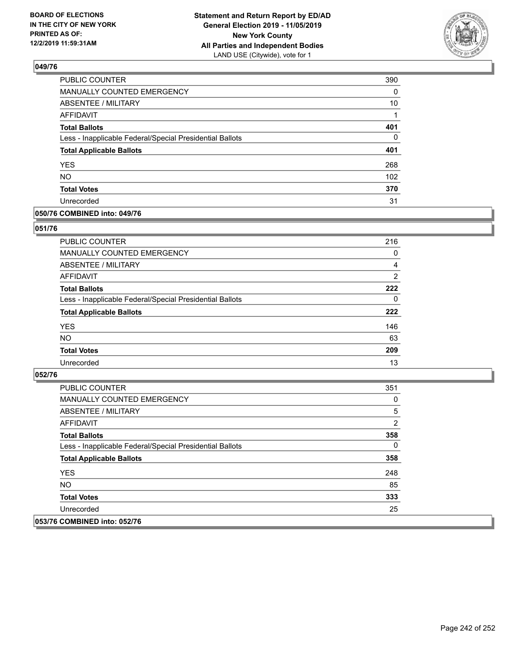

| PUBLIC COUNTER                                           | 390              |
|----------------------------------------------------------|------------------|
| <b>MANUALLY COUNTED EMERGENCY</b>                        | 0                |
| <b>ABSENTEE / MILITARY</b>                               | 10               |
| <b>AFFIDAVIT</b>                                         | 1                |
| <b>Total Ballots</b>                                     | 401              |
| Less - Inapplicable Federal/Special Presidential Ballots | 0                |
| <b>Total Applicable Ballots</b>                          | 401              |
| <b>YES</b>                                               | 268              |
| <b>NO</b>                                                | 102 <sub>2</sub> |
| <b>Total Votes</b>                                       | 370              |
| Unrecorded                                               | 31               |

### **050/76 COMBINED into: 049/76**

### **051/76**

| PUBLIC COUNTER                                           | 216            |
|----------------------------------------------------------|----------------|
| <b>MANUALLY COUNTED EMERGENCY</b>                        | 0              |
| ABSENTEE / MILITARY                                      | 4              |
| AFFIDAVIT                                                | $\overline{2}$ |
| <b>Total Ballots</b>                                     | 222            |
| Less - Inapplicable Federal/Special Presidential Ballots | $\Omega$       |
| <b>Total Applicable Ballots</b>                          | 222            |
| <b>YES</b>                                               | 146            |
| <b>NO</b>                                                | 63             |
| <b>Total Votes</b>                                       | 209            |
| Unrecorded                                               | 13             |

| <b>PUBLIC COUNTER</b>                                    | 351 |
|----------------------------------------------------------|-----|
| <b>MANUALLY COUNTED EMERGENCY</b>                        | 0   |
| ABSENTEE / MILITARY                                      | 5   |
| AFFIDAVIT                                                | 2   |
| <b>Total Ballots</b>                                     | 358 |
| Less - Inapplicable Federal/Special Presidential Ballots | 0   |
| <b>Total Applicable Ballots</b>                          | 358 |
| <b>YES</b>                                               | 248 |
| NO.                                                      | 85  |
| <b>Total Votes</b>                                       | 333 |
| Unrecorded                                               | 25  |
| 053/76 COMBINED into: 052/76                             |     |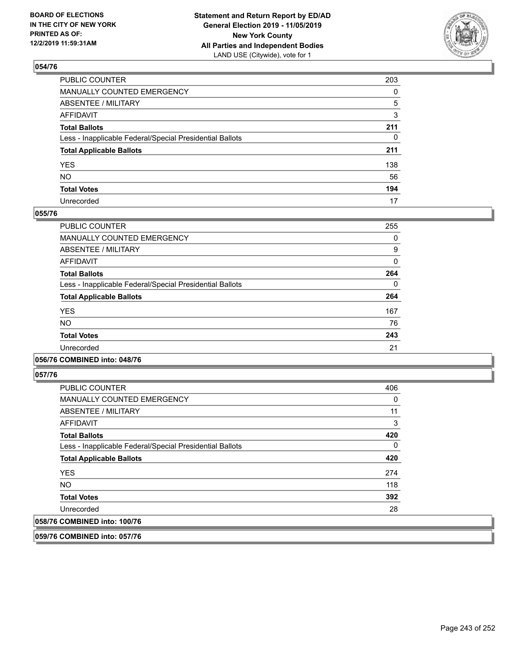

| PUBLIC COUNTER                                           | 203          |
|----------------------------------------------------------|--------------|
| MANUALLY COUNTED EMERGENCY                               | $\mathbf{0}$ |
| ABSENTEE / MILITARY                                      | 5            |
| AFFIDAVIT                                                | 3            |
| Total Ballots                                            | 211          |
| Less - Inapplicable Federal/Special Presidential Ballots | $\mathbf{0}$ |
| <b>Total Applicable Ballots</b>                          | 211          |
| YES                                                      | 138          |
| NO.                                                      | 56           |
| <b>Total Votes</b>                                       | 194          |
| Unrecorded                                               | 17           |

### **055/76**

| PUBLIC COUNTER                                           | 255      |
|----------------------------------------------------------|----------|
| <b>MANUALLY COUNTED EMERGENCY</b>                        | 0        |
| ABSENTEE / MILITARY                                      | 9        |
| <b>AFFIDAVIT</b>                                         | 0        |
| <b>Total Ballots</b>                                     | 264      |
| Less - Inapplicable Federal/Special Presidential Ballots | $\Omega$ |
| <b>Total Applicable Ballots</b>                          | 264      |
| <b>YES</b>                                               | 167      |
| <b>NO</b>                                                | 76       |
| <b>Total Votes</b>                                       | 243      |
| Unrecorded                                               | 21       |
|                                                          |          |

### **056/76 COMBINED into: 048/76**

**057/76** 

| <b>PUBLIC COUNTER</b>                                    | 406 |
|----------------------------------------------------------|-----|
| MANUALLY COUNTED EMERGENCY                               | 0   |
| ABSENTEE / MILITARY                                      | 11  |
| AFFIDAVIT                                                | 3   |
| <b>Total Ballots</b>                                     | 420 |
| Less - Inapplicable Federal/Special Presidential Ballots | 0   |
| <b>Total Applicable Ballots</b>                          | 420 |
| <b>YES</b>                                               | 274 |
| <b>NO</b>                                                | 118 |
| <b>Total Votes</b>                                       | 392 |
| Unrecorded                                               | 28  |
| 058/76 COMBINED into: 100/76                             |     |

**059/76 COMBINED into: 057/76**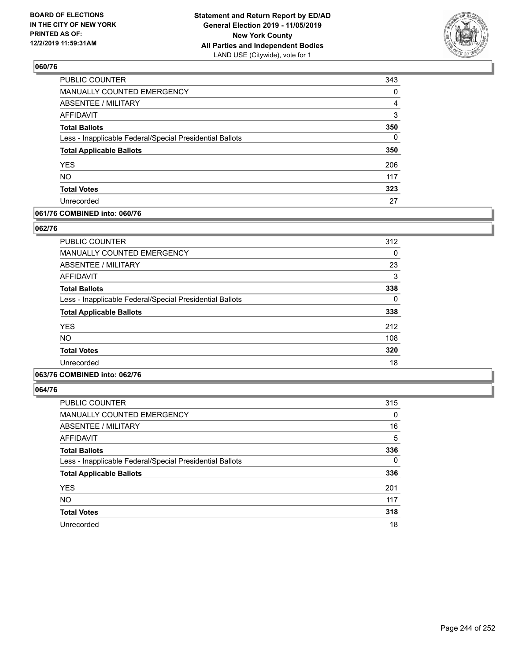

| PUBLIC COUNTER                                           | 343      |
|----------------------------------------------------------|----------|
| MANUALLY COUNTED EMERGENCY                               | 0        |
| <b>ABSENTEE / MILITARY</b>                               | 4        |
| <b>AFFIDAVIT</b>                                         | 3        |
| <b>Total Ballots</b>                                     | 350      |
| Less - Inapplicable Federal/Special Presidential Ballots | $\Omega$ |
| <b>Total Applicable Ballots</b>                          | 350      |
| <b>YES</b>                                               | 206      |
| <b>NO</b>                                                | 117      |
| <b>Total Votes</b>                                       | 323      |
| Unrecorded                                               | 27       |

### **061/76 COMBINED into: 060/76**

### **062/76**

| PUBLIC COUNTER                                           | 312 |
|----------------------------------------------------------|-----|
| <b>MANUALLY COUNTED EMERGENCY</b>                        | 0   |
| ABSENTEE / MILITARY                                      | 23  |
| <b>AFFIDAVIT</b>                                         | 3   |
| <b>Total Ballots</b>                                     | 338 |
| Less - Inapplicable Federal/Special Presidential Ballots | 0   |
| <b>Total Applicable Ballots</b>                          | 338 |
| <b>YES</b>                                               | 212 |
| <b>NO</b>                                                | 108 |
| <b>Total Votes</b>                                       | 320 |
| Unrecorded                                               | 18  |

# **063/76 COMBINED into: 062/76**

| <b>PUBLIC COUNTER</b>                                    | 315      |
|----------------------------------------------------------|----------|
| <b>MANUALLY COUNTED EMERGENCY</b>                        | 0        |
| ABSENTEE / MILITARY                                      | 16       |
| AFFIDAVIT                                                | 5        |
| <b>Total Ballots</b>                                     | 336      |
| Less - Inapplicable Federal/Special Presidential Ballots | $\Omega$ |
| <b>Total Applicable Ballots</b>                          | 336      |
| <b>YES</b>                                               | 201      |
| <b>NO</b>                                                | 117      |
| <b>Total Votes</b>                                       | 318      |
| Unrecorded                                               | 18       |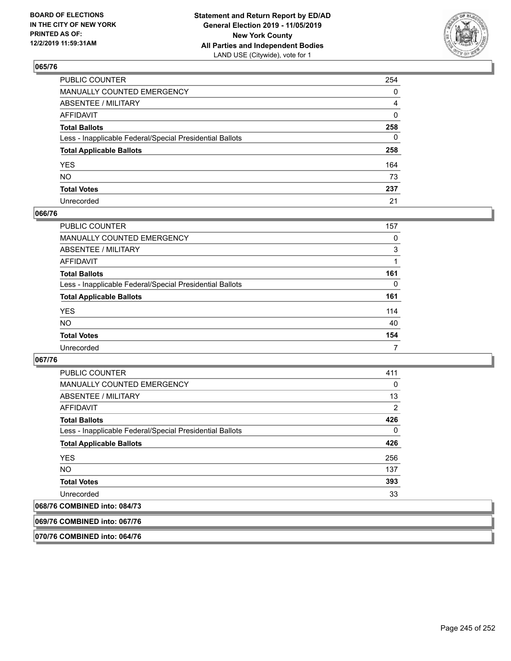

| PUBLIC COUNTER                                           | 254            |
|----------------------------------------------------------|----------------|
| MANUALLY COUNTED EMERGENCY                               | $\mathbf{0}$   |
| ABSENTEE / MILITARY                                      | $\overline{4}$ |
| AFFIDAVIT                                                | $\Omega$       |
| Total Ballots                                            | 258            |
| Less - Inapplicable Federal/Special Presidential Ballots | $\mathbf{0}$   |
| <b>Total Applicable Ballots</b>                          | 258            |
| YES                                                      | 164            |
| NO.                                                      | 73             |
| <b>Total Votes</b>                                       | 237            |
| Unrecorded                                               | 21             |

### **066/76**

| PUBLIC COUNTER                                           | 157 |
|----------------------------------------------------------|-----|
| <b>MANUALLY COUNTED EMERGENCY</b>                        | 0   |
| ABSENTEE / MILITARY                                      | 3   |
| AFFIDAVIT                                                |     |
| <b>Total Ballots</b>                                     | 161 |
| Less - Inapplicable Federal/Special Presidential Ballots | 0   |
| <b>Total Applicable Ballots</b>                          | 161 |
| <b>YES</b>                                               | 114 |
| <b>NO</b>                                                | 40  |
| <b>Total Votes</b>                                       | 154 |
| Unrecorded                                               | 7   |

### **067/76**

| <b>PUBLIC COUNTER</b>                                                                                                                                                                                                                                                                                                                                                                                                       | 411 |
|-----------------------------------------------------------------------------------------------------------------------------------------------------------------------------------------------------------------------------------------------------------------------------------------------------------------------------------------------------------------------------------------------------------------------------|-----|
| <b>MANUALLY COUNTED EMERGENCY</b>                                                                                                                                                                                                                                                                                                                                                                                           | 0   |
| ABSENTEE / MILITARY                                                                                                                                                                                                                                                                                                                                                                                                         | 13  |
| AFFIDAVIT                                                                                                                                                                                                                                                                                                                                                                                                                   | 2   |
| <b>Total Ballots</b>                                                                                                                                                                                                                                                                                                                                                                                                        | 426 |
| Less - Inapplicable Federal/Special Presidential Ballots                                                                                                                                                                                                                                                                                                                                                                    | 0   |
| <b>Total Applicable Ballots</b>                                                                                                                                                                                                                                                                                                                                                                                             | 426 |
| <b>YES</b>                                                                                                                                                                                                                                                                                                                                                                                                                  | 256 |
| NO.                                                                                                                                                                                                                                                                                                                                                                                                                         | 137 |
| <b>Total Votes</b>                                                                                                                                                                                                                                                                                                                                                                                                          | 393 |
| Unrecorded                                                                                                                                                                                                                                                                                                                                                                                                                  | 33  |
| $\begin{array}{c} \texttt{A} \texttt{A} \texttt{A} \texttt{B} \texttt{B} \texttt{B} \texttt{B} \texttt{B} \texttt{B} \texttt{B} \texttt{B} \texttt{B} \texttt{B} \texttt{B} \texttt{B} \texttt{B} \texttt{B} \texttt{B} \texttt{B} \texttt{B} \texttt{B} \texttt{B} \texttt{B} \texttt{B} \texttt{B} \texttt{B} \texttt{B} \texttt{B} \texttt{B} \texttt{B} \texttt{B} \texttt{B} \texttt{B} \texttt{B} \texttt{B} \texttt$ |     |

# **068/76 COMBINED into: 084/73**

**069/76 COMBINED into: 067/76**

**070/76 COMBINED into: 064/76**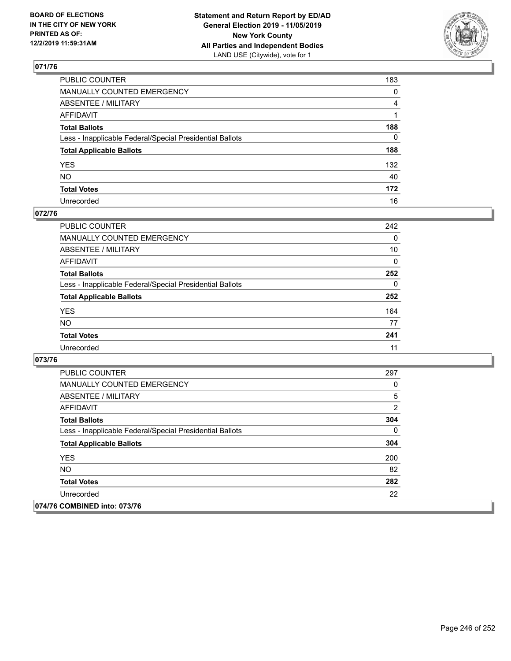

| PUBLIC COUNTER                                           | 183          |
|----------------------------------------------------------|--------------|
| MANUALLY COUNTED EMERGENCY                               | 0            |
| ABSENTEE / MILITARY                                      | 4            |
| AFFIDAVIT                                                |              |
| Total Ballots                                            | 188          |
| Less - Inapplicable Federal/Special Presidential Ballots | $\mathbf{0}$ |
| <b>Total Applicable Ballots</b>                          | 188          |
| YES                                                      | 132          |
| NO.                                                      | 40           |
| <b>Total Votes</b>                                       | 172          |
| Unrecorded                                               | 16           |

## **072/76**

| <b>PUBLIC COUNTER</b>                                    | 242      |
|----------------------------------------------------------|----------|
| <b>MANUALLY COUNTED EMERGENCY</b>                        | $\Omega$ |
| ABSENTEE / MILITARY                                      | 10       |
| AFFIDAVIT                                                | $\Omega$ |
| <b>Total Ballots</b>                                     | 252      |
| Less - Inapplicable Federal/Special Presidential Ballots | $\Omega$ |
| <b>Total Applicable Ballots</b>                          | 252      |
| <b>YES</b>                                               | 164      |
| <b>NO</b>                                                | 77       |
| <b>Total Votes</b>                                       | 241      |
| Unrecorded                                               | 11       |

| <b>PUBLIC COUNTER</b>                                    | 297            |
|----------------------------------------------------------|----------------|
| <b>MANUALLY COUNTED EMERGENCY</b>                        | 0              |
| ABSENTEE / MILITARY                                      | 5              |
| AFFIDAVIT                                                | $\overline{2}$ |
| <b>Total Ballots</b>                                     | 304            |
| Less - Inapplicable Federal/Special Presidential Ballots | $\Omega$       |
| <b>Total Applicable Ballots</b>                          | 304            |
| <b>YES</b>                                               | 200            |
| <b>NO</b>                                                | 82             |
| <b>Total Votes</b>                                       | 282            |
| Unrecorded                                               | 22             |
| 074/76 COMBINED into: 073/76                             |                |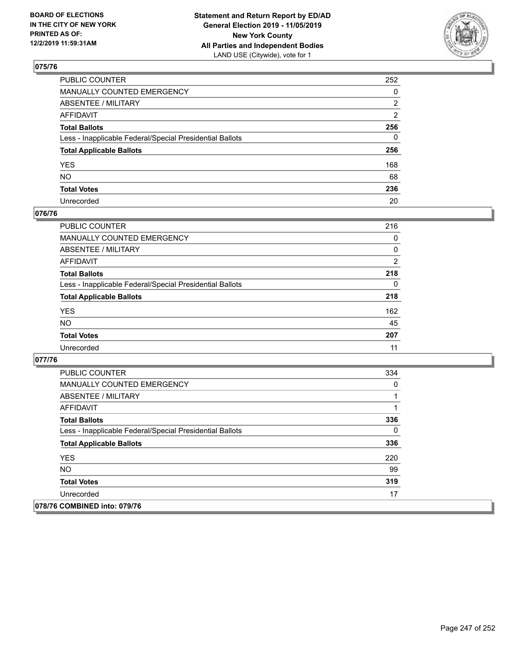

| PUBLIC COUNTER                                           | 252          |
|----------------------------------------------------------|--------------|
| MANUALLY COUNTED EMERGENCY                               | $\mathbf{0}$ |
| ABSENTEE / MILITARY                                      | 2            |
| AFFIDAVIT                                                | 2            |
| Total Ballots                                            | 256          |
| Less - Inapplicable Federal/Special Presidential Ballots | $\mathbf{0}$ |
| <b>Total Applicable Ballots</b>                          | 256          |
| YES                                                      | 168          |
| NO.                                                      | 68           |
| <b>Total Votes</b>                                       | 236          |
| Unrecorded                                               | 20           |

### **076/76**

| <b>PUBLIC COUNTER</b>                                    | 216            |
|----------------------------------------------------------|----------------|
| <b>MANUALLY COUNTED EMERGENCY</b>                        | 0              |
| ABSENTEE / MILITARY                                      | 0              |
| AFFIDAVIT                                                | $\overline{2}$ |
| <b>Total Ballots</b>                                     | 218            |
| Less - Inapplicable Federal/Special Presidential Ballots | $\Omega$       |
| <b>Total Applicable Ballots</b>                          | 218            |
| <b>YES</b>                                               | 162            |
| <b>NO</b>                                                | 45             |
| <b>Total Votes</b>                                       | 207            |
| Unrecorded                                               | 11             |

| <b>PUBLIC COUNTER</b>                                    | 334 |
|----------------------------------------------------------|-----|
| <b>MANUALLY COUNTED EMERGENCY</b>                        | 0   |
| ABSENTEE / MILITARY                                      |     |
| AFFIDAVIT                                                |     |
| <b>Total Ballots</b>                                     | 336 |
| Less - Inapplicable Federal/Special Presidential Ballots | 0   |
| <b>Total Applicable Ballots</b>                          | 336 |
| <b>YES</b>                                               | 220 |
| NO.                                                      | 99  |
| <b>Total Votes</b>                                       | 319 |
| Unrecorded                                               | 17  |
| 078/76 COMBINED into: 079/76                             |     |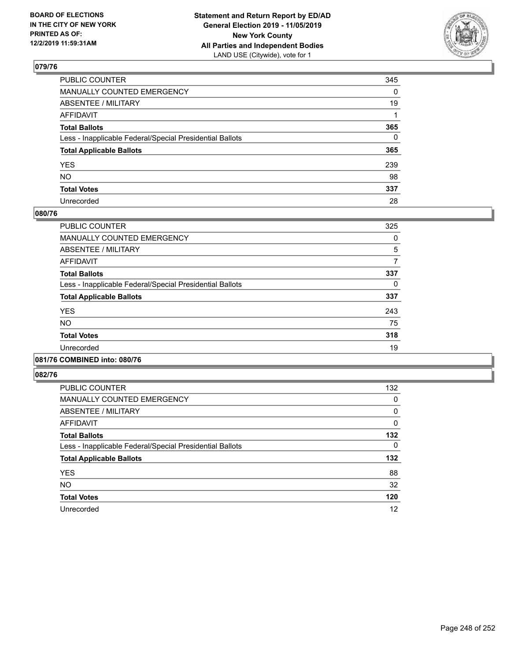

| PUBLIC COUNTER                                           | 345          |
|----------------------------------------------------------|--------------|
| MANUALLY COUNTED EMERGENCY                               | $\mathbf{0}$ |
| ABSENTEE / MILITARY                                      | 19           |
| AFFIDAVIT                                                |              |
| Total Ballots                                            | 365          |
| Less - Inapplicable Federal/Special Presidential Ballots | $\mathbf{0}$ |
| <b>Total Applicable Ballots</b>                          | 365          |
| YES                                                      | 239          |
| NO.                                                      | 98           |
| <b>Total Votes</b>                                       | 337          |
| Unrecorded                                               | 28           |

### **080/76**

| <b>PUBLIC COUNTER</b>                                    | 325 |
|----------------------------------------------------------|-----|
| <b>MANUALLY COUNTED EMERGENCY</b>                        | 0   |
| ABSENTEE / MILITARY                                      | 5   |
| <b>AFFIDAVIT</b>                                         | 7   |
| <b>Total Ballots</b>                                     | 337 |
| Less - Inapplicable Federal/Special Presidential Ballots | 0   |
| <b>Total Applicable Ballots</b>                          | 337 |
| <b>YES</b>                                               | 243 |
| <b>NO</b>                                                | 75  |
| <b>Total Votes</b>                                       | 318 |
| Unrecorded                                               | 19  |
|                                                          |     |

#### **081/76 COMBINED into: 080/76**

| PUBLIC COUNTER                                           | 132 |
|----------------------------------------------------------|-----|
| MANUALLY COUNTED EMERGENCY                               | 0   |
| ABSENTEE / MILITARY                                      | 0   |
| AFFIDAVIT                                                | 0   |
| <b>Total Ballots</b>                                     | 132 |
| Less - Inapplicable Federal/Special Presidential Ballots | 0   |
| <b>Total Applicable Ballots</b>                          | 132 |
| <b>YES</b>                                               | 88  |
| <b>NO</b>                                                | 32  |
| <b>Total Votes</b>                                       | 120 |
| Unrecorded                                               | 12  |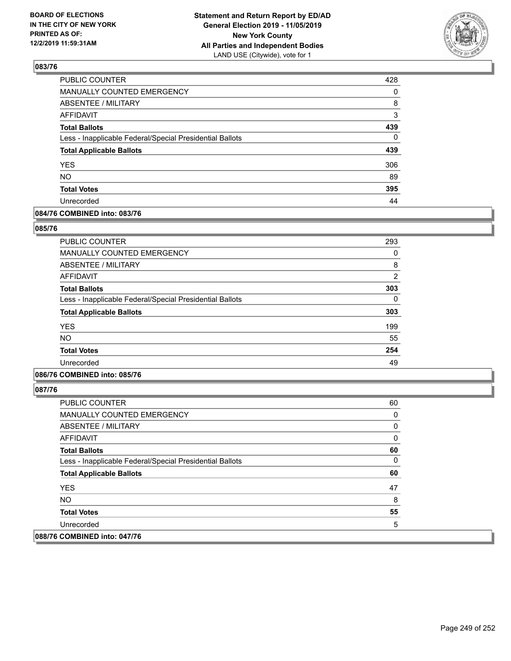

| PUBLIC COUNTER                                           | 428      |
|----------------------------------------------------------|----------|
| <b>MANUALLY COUNTED EMERGENCY</b>                        | $\Omega$ |
| <b>ABSENTEE / MILITARY</b>                               | 8        |
| <b>AFFIDAVIT</b>                                         | 3        |
| <b>Total Ballots</b>                                     | 439      |
| Less - Inapplicable Federal/Special Presidential Ballots | $\Omega$ |
| <b>Total Applicable Ballots</b>                          | 439      |
| <b>YES</b>                                               | 306      |
| <b>NO</b>                                                | 89       |
| <b>Total Votes</b>                                       | 395      |
| Unrecorded                                               | 44       |

### **084/76 COMBINED into: 083/76**

### **085/76**

| <b>PUBLIC COUNTER</b>                                    | 293            |
|----------------------------------------------------------|----------------|
| MANUALLY COUNTED EMERGENCY                               | $\Omega$       |
| ABSENTEE / MILITARY                                      | 8              |
| AFFIDAVIT                                                | $\overline{2}$ |
| <b>Total Ballots</b>                                     | 303            |
| Less - Inapplicable Federal/Special Presidential Ballots | $\Omega$       |
| <b>Total Applicable Ballots</b>                          | 303            |
| <b>YES</b>                                               | 199            |
| <b>NO</b>                                                | 55             |
| <b>Total Votes</b>                                       | 254            |
| Unrecorded                                               | 49             |
|                                                          |                |

## **086/76 COMBINED into: 085/76**

| <b>PUBLIC COUNTER</b>                                    | 60 |
|----------------------------------------------------------|----|
| MANUALLY COUNTED EMERGENCY                               | 0  |
| ABSENTEE / MILITARY                                      | 0  |
| AFFIDAVIT                                                | 0  |
| <b>Total Ballots</b>                                     | 60 |
| Less - Inapplicable Federal/Special Presidential Ballots | 0  |
| <b>Total Applicable Ballots</b>                          | 60 |
| <b>YES</b>                                               | 47 |
| <b>NO</b>                                                | 8  |
| <b>Total Votes</b>                                       | 55 |
| Unrecorded                                               | 5  |
| 088/76 COMBINED into: 047/76                             |    |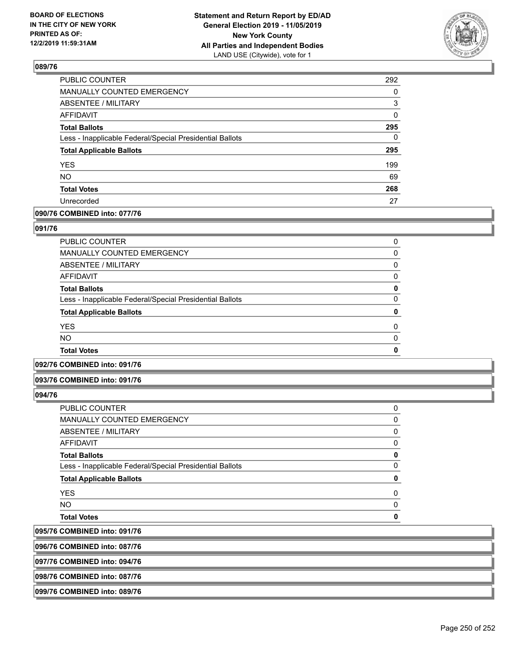

| PUBLIC COUNTER                                           | 292      |
|----------------------------------------------------------|----------|
| MANUALLY COUNTED EMERGENCY                               | 0        |
| <b>ABSENTEE / MILITARY</b>                               | 3        |
| <b>AFFIDAVIT</b>                                         | 0        |
| <b>Total Ballots</b>                                     | 295      |
| Less - Inapplicable Federal/Special Presidential Ballots | $\Omega$ |
| <b>Total Applicable Ballots</b>                          | 295      |
| <b>YES</b>                                               | 199      |
| <b>NO</b>                                                | 69       |
| <b>Total Votes</b>                                       | 268      |
| Unrecorded                                               | 27       |

### **090/76 COMBINED into: 077/76**

### **091/76**

| PUBLIC COUNTER                                           | 0        |
|----------------------------------------------------------|----------|
| <b>MANUALLY COUNTED EMERGENCY</b>                        | 0        |
| ABSENTEE / MILITARY                                      | 0        |
| AFFIDAVIT                                                | 0        |
| <b>Total Ballots</b>                                     | 0        |
| Less - Inapplicable Federal/Special Presidential Ballots | 0        |
| <b>Total Applicable Ballots</b>                          | 0        |
| <b>YES</b>                                               | $\Omega$ |
| <b>NO</b>                                                | $\Omega$ |
| <b>Total Votes</b>                                       | 0        |

## **092/76 COMBINED into: 091/76**

#### **093/76 COMBINED into: 091/76**

### **094/76**

095/76 096/76

| <b>COMBINED into: 087/76</b>                             |          |
|----------------------------------------------------------|----------|
| <b>COMBINED into: 091/76</b>                             |          |
| <b>Total Votes</b>                                       | ŋ        |
| <b>NO</b>                                                | 0        |
| <b>YES</b>                                               | 0        |
| <b>Total Applicable Ballots</b>                          | 0        |
| Less - Inapplicable Federal/Special Presidential Ballots | $\Omega$ |
| <b>Total Ballots</b>                                     | 0        |
| <b>AFFIDAVIT</b>                                         | 0        |
| ABSENTEE / MILITARY                                      | 0        |
| <b>MANUALLY COUNTED EMERGENCY</b>                        | 0        |
| PUBLIC COUNTER                                           | 0        |

**097/76 COMBINED into: 094/76**

**098/76 COMBINED into: 087/76**

## **099/76 COMBINED into: 089/76**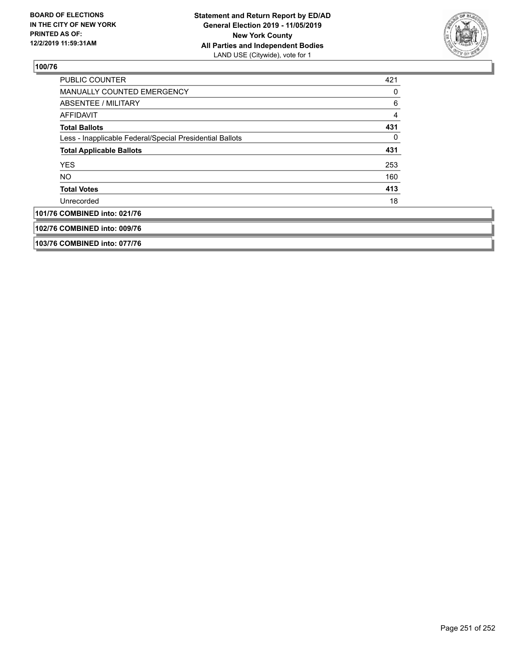

| <b>PUBLIC COUNTER</b>                                    | 421 |
|----------------------------------------------------------|-----|
| MANUALLY COUNTED EMERGENCY                               | 0   |
| ABSENTEE / MILITARY                                      | 6   |
| AFFIDAVIT                                                | 4   |
| <b>Total Ballots</b>                                     | 431 |
| Less - Inapplicable Federal/Special Presidential Ballots | 0   |
| <b>Total Applicable Ballots</b>                          | 431 |
| <b>YES</b>                                               | 253 |
| <b>NO</b>                                                | 160 |
| <b>Total Votes</b>                                       | 413 |
| Unrecorded                                               | 18  |
| 101/76 COMBINED into: 021/76                             |     |
| 102/76 COMBINED into: 009/76                             |     |
| 103/76 COMBINED into: 077/76                             |     |